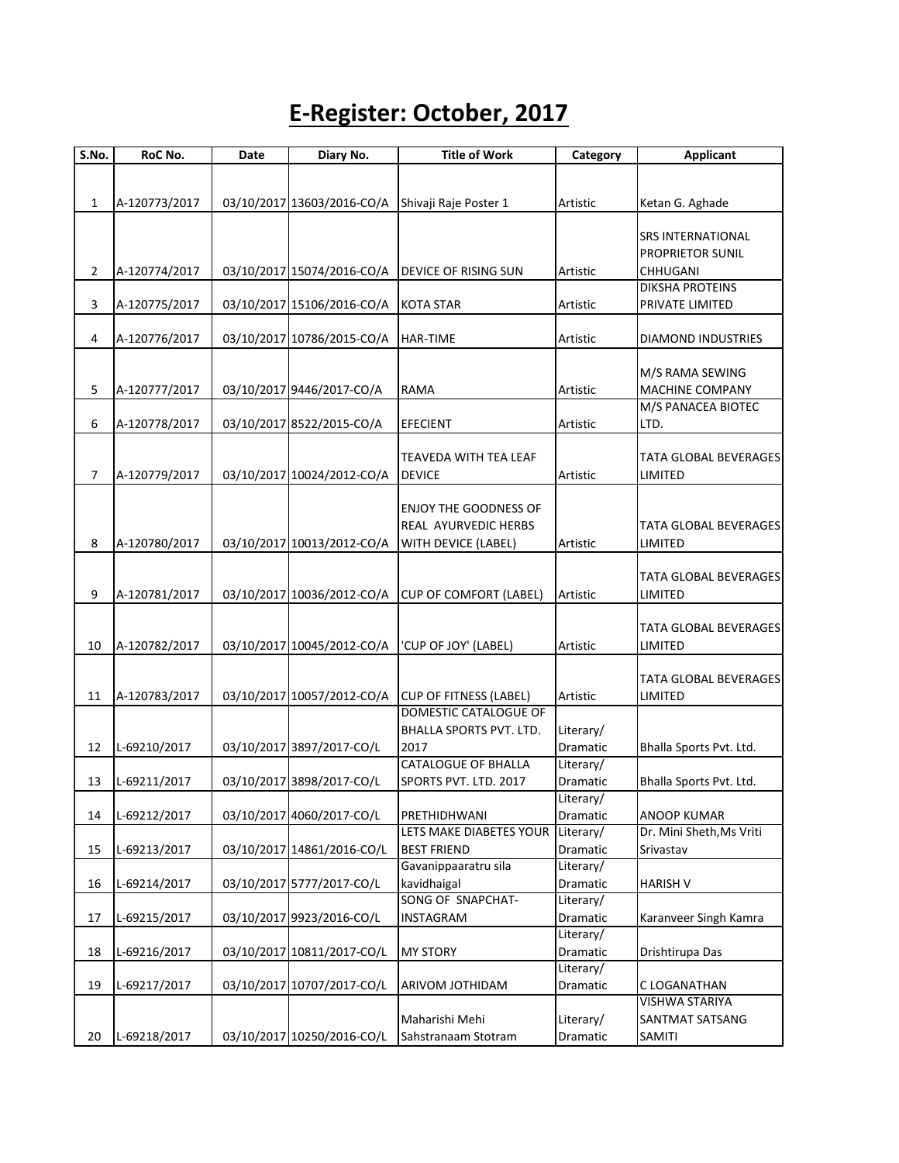## **E-Register: October, 2017**

| S.No.          | RoC No.       | Date | Diary No.                  | <b>Title of Work</b>          | Category  | <b>Applicant</b>                   |
|----------------|---------------|------|----------------------------|-------------------------------|-----------|------------------------------------|
|                |               |      |                            |                               |           |                                    |
|                |               |      |                            |                               |           |                                    |
| 1              | A-120773/2017 |      | 03/10/2017 13603/2016-CO/A | Shivaji Raje Poster 1         | Artistic  | Ketan G. Aghade                    |
|                |               |      |                            |                               |           |                                    |
|                |               |      |                            |                               |           | <b>SRS INTERNATIONAL</b>           |
|                |               |      |                            |                               |           | PROPRIETOR SUNIL                   |
| $\overline{2}$ | A-120774/2017 |      | 03/10/2017 15074/2016-CO/A | <b>DEVICE OF RISING SUN</b>   | Artistic  | CHHUGANI<br><b>DIKSHA PROTEINS</b> |
| 3              | A-120775/2017 |      | 03/10/2017 15106/2016-CO/A | <b>KOTA STAR</b>              | Artistic  | PRIVATE LIMITED                    |
|                |               |      |                            |                               |           |                                    |
| 4              | A-120776/2017 |      | 03/10/2017 10786/2015-CO/A | <b>HAR-TIME</b>               | Artistic  | <b>DIAMOND INDUSTRIES</b>          |
|                |               |      |                            |                               |           |                                    |
|                |               |      |                            |                               |           | M/S RAMA SEWING                    |
| 5              | A-120777/2017 |      | 03/10/2017 9446/2017-CO/A  | RAMA                          | Artistic  | MACHINE COMPANY                    |
|                |               |      |                            |                               |           | M/S PANACEA BIOTEC                 |
| 6              | A-120778/2017 |      | 03/10/2017 8522/2015-CO/A  | <b>EFECIENT</b>               | Artistic  | LTD.                               |
|                |               |      |                            |                               |           |                                    |
|                |               |      |                            | TEAVEDA WITH TEA LEAF         |           | TATA GLOBAL BEVERAGES              |
| 7              | A-120779/2017 |      | 03/10/2017 10024/2012-CO/A | <b>DEVICE</b>                 | Artistic  | LIMITED                            |
|                |               |      |                            |                               |           |                                    |
|                |               |      |                            | <b>ENJOY THE GOODNESS OF</b>  |           |                                    |
|                |               |      |                            | <b>REAL AYURVEDIC HERBS</b>   |           | TATA GLOBAL BEVERAGES              |
| 8              | A-120780/2017 |      | 03/10/2017 10013/2012-CO/A | WITH DEVICE (LABEL)           | Artistic  | LIMITED                            |
|                |               |      |                            |                               |           |                                    |
|                |               |      |                            |                               |           | TATA GLOBAL BEVERAGES              |
| 9              | A-120781/2017 |      | 03/10/2017 10036/2012-CO/A | <b>CUP OF COMFORT (LABEL)</b> | Artistic  | LIMITED                            |
|                |               |      |                            |                               |           |                                    |
|                |               |      |                            |                               |           | TATA GLOBAL BEVERAGES              |
| 10             | A-120782/2017 |      | 03/10/2017 10045/2012-CO/A | 'CUP OF JOY' (LABEL)          | Artistic  | LIMITED                            |
|                |               |      |                            |                               |           |                                    |
|                |               |      |                            |                               |           | TATA GLOBAL BEVERAGES              |
| 11             | A-120783/2017 |      | 03/10/2017 10057/2012-CO/A | <b>CUP OF FITNESS (LABEL)</b> | Artistic  | LIMITED                            |
|                |               |      |                            | DOMESTIC CATALOGUE OF         |           |                                    |
|                |               |      |                            | BHALLA SPORTS PVT. LTD.       | Literary/ |                                    |
| 12             | L-69210/2017  |      | 03/10/2017 3897/2017-CO/L  | 2017                          | Dramatic  | Bhalla Sports Pvt. Ltd.            |
|                |               |      |                            | <b>CATALOGUE OF BHALLA</b>    | Literary/ |                                    |
| 13             | L-69211/2017  |      | 03/10/2017 3898/2017-CO/L  | SPORTS PVT. LTD. 2017         | Dramatic  | Bhalla Sports Pvt. Ltd.            |
|                |               |      |                            |                               | Literary/ |                                    |
| 14             | L-69212/2017  |      | 03/10/2017 4060/2017-CO/L  | PRETHIDHWANI                  | Dramatic  | ANOOP KUMAR                        |
|                |               |      |                            | LETS MAKE DIABETES YOUR       | Literary/ | Dr. Mini Sheth, Ms Vriti           |
| 15             | L-69213/2017  |      | 03/10/2017 14861/2016-CO/L | <b>BEST FRIEND</b>            | Dramatic  | Srivastav                          |
|                |               |      |                            | Gavanippaaratru sila          | Literary/ |                                    |
| 16             | L-69214/2017  |      | 03/10/2017 5777/2017-CO/L  | kavidhaigal                   | Dramatic  | <b>HARISH V</b>                    |
|                |               |      |                            | SONG OF SNAPCHAT-             | Literary/ |                                    |
| 17             | L-69215/2017  |      | 03/10/2017 9923/2016-CO/L  | INSTAGRAM                     | Dramatic  | Karanveer Singh Kamra              |
|                |               |      |                            |                               | Literary/ |                                    |
| 18             | L-69216/2017  |      | 03/10/2017 10811/2017-CO/L | <b>MY STORY</b>               | Dramatic  | Drishtirupa Das                    |
|                |               |      |                            |                               | Literary/ |                                    |
| 19             | L-69217/2017  |      | 03/10/2017 10707/2017-CO/L | ARIVOM JOTHIDAM               | Dramatic  | C LOGANATHAN                       |
|                |               |      |                            |                               |           | VISHWA STARIYA                     |
|                |               |      |                            | Maharishi Mehi                | Literary/ | SANTMAT SATSANG                    |
| 20             | L-69218/2017  |      | 03/10/2017 10250/2016-CO/L | Sahstranaam Stotram           | Dramatic  | SAMITI                             |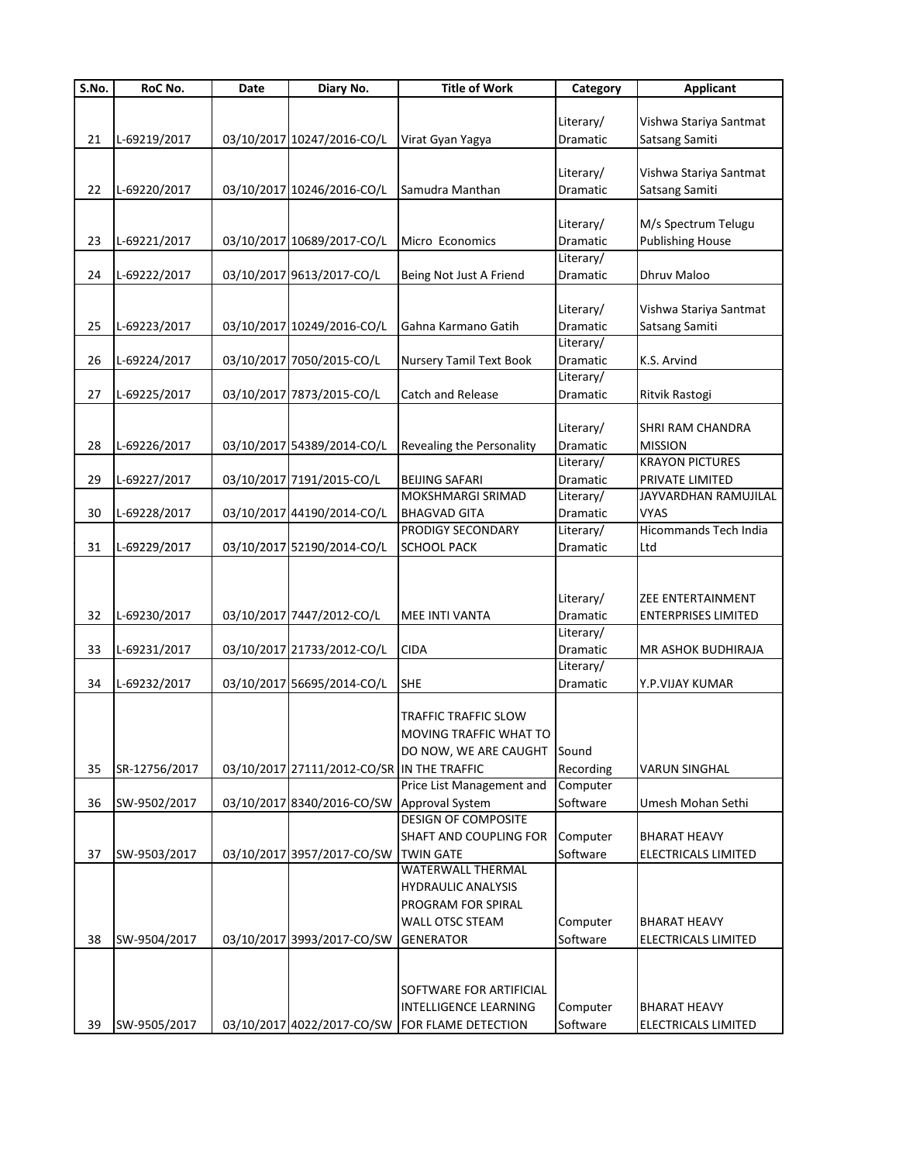| S.No. | RoC No.       | Date | Diary No.                                  | <b>Title of Work</b>      | Category  | <b>Applicant</b>             |
|-------|---------------|------|--------------------------------------------|---------------------------|-----------|------------------------------|
|       |               |      |                                            |                           |           |                              |
|       |               |      |                                            |                           | Literary/ | Vishwa Stariya Santmat       |
| 21    | L-69219/2017  |      | 03/10/2017 10247/2016-CO/L                 | Virat Gyan Yagya          | Dramatic  | Satsang Samiti               |
|       |               |      |                                            |                           |           |                              |
|       |               |      |                                            |                           | Literary/ | Vishwa Stariya Santmat       |
| 22    | L-69220/2017  |      | 03/10/2017 10246/2016-CO/L                 | Samudra Manthan           | Dramatic  | Satsang Samiti               |
|       |               |      |                                            |                           |           |                              |
|       |               |      |                                            |                           |           | M/s Spectrum Telugu          |
|       |               |      |                                            |                           | Literary/ |                              |
| 23    | L-69221/2017  |      | 03/10/2017 10689/2017-CO/L                 | Micro Economics           | Dramatic  | <b>Publishing House</b>      |
|       |               |      |                                            |                           | Literary/ |                              |
| 24    | L-69222/2017  |      | 03/10/2017 9613/2017-CO/L                  | Being Not Just A Friend   | Dramatic  | Dhruv Maloo                  |
|       |               |      |                                            |                           |           |                              |
|       |               |      |                                            |                           | Literary/ | Vishwa Stariya Santmat       |
| 25    | L-69223/2017  |      | 03/10/2017 10249/2016-CO/L                 | Gahna Karmano Gatih       | Dramatic  | Satsang Samiti               |
|       |               |      |                                            |                           | Literary/ |                              |
| 26    | L-69224/2017  |      | 03/10/2017 7050/2015-CO/L                  | Nursery Tamil Text Book   | Dramatic  | K.S. Arvind                  |
|       |               |      |                                            |                           | Literary/ |                              |
| 27    | L-69225/2017  |      | 03/10/2017 7873/2015-CO/L                  | Catch and Release         | Dramatic  | Ritvik Rastogi               |
|       |               |      |                                            |                           |           |                              |
|       |               |      |                                            |                           | Literary/ | SHRI RAM CHANDRA             |
| 28    | L-69226/2017  |      | 03/10/2017 54389/2014-CO/L                 | Revealing the Personality | Dramatic  | <b>MISSION</b>               |
|       |               |      |                                            |                           | Literary/ | <b>KRAYON PICTURES</b>       |
|       |               |      |                                            |                           |           |                              |
| 29    | L-69227/2017  |      | 03/10/2017 7191/2015-CO/L                  | <b>BEIJING SAFARI</b>     | Dramatic  | PRIVATE LIMITED              |
|       |               |      |                                            | MOKSHMARGI SRIMAD         | Literary/ | JAYVARDHAN RAMUJILAL         |
| 30    | L-69228/2017  |      | 03/10/2017 44190/2014-CO/L                 | <b>BHAGVAD GITA</b>       | Dramatic  | <b>VYAS</b>                  |
|       |               |      |                                            | PRODIGY SECONDARY         | Literary/ | <b>Hicommands Tech India</b> |
| 31    | L-69229/2017  |      | 03/10/2017 52190/2014-CO/L                 | <b>SCHOOL PACK</b>        | Dramatic  | Ltd                          |
|       |               |      |                                            |                           |           |                              |
|       |               |      |                                            |                           |           |                              |
|       |               |      |                                            |                           | Literary/ | ZEE ENTERTAINMENT            |
| 32    | L-69230/2017  |      | 03/10/2017 7447/2012-CO/L                  | MEE INTI VANTA            | Dramatic  | <b>ENTERPRISES LIMITED</b>   |
|       |               |      |                                            |                           | Literary/ |                              |
| 33    | L-69231/2017  |      | 03/10/2017 21733/2012-CO/L                 | <b>CIDA</b>               | Dramatic  | MR ASHOK BUDHIRAJA           |
|       |               |      |                                            |                           | Literary/ |                              |
| 34    | L-69232/2017  |      | 03/10/2017 56695/2014-CO/L                 | <b>SHE</b>                | Dramatic  | Y.P.VIJAY KUMAR              |
|       |               |      |                                            |                           |           |                              |
|       |               |      |                                            |                           |           |                              |
|       |               |      |                                            | TRAFFIC TRAFFIC SLOW      |           |                              |
|       |               |      |                                            | MOVING TRAFFIC WHAT TO    |           |                              |
|       |               |      |                                            | DO NOW, WE ARE CAUGHT     | Sound     |                              |
| 35    | SR-12756/2017 |      | 03/10/2017 27111/2012-CO/SR IN THE TRAFFIC |                           | Recording | <b>VARUN SINGHAL</b>         |
|       |               |      |                                            | Price List Management and | Computer  |                              |
| 36    | SW-9502/2017  |      | 03/10/2017 8340/2016-CO/SW                 | Approval System           | Software  | Umesh Mohan Sethi            |
|       |               |      |                                            | DESIGN OF COMPOSITE       |           |                              |
|       |               |      |                                            | SHAFT AND COUPLING FOR    | Computer  | <b>BHARAT HEAVY</b>          |
| 37    | SW-9503/2017  |      | 03/10/2017 3957/2017-CO/SW                 | <b>TWIN GATE</b>          | Software  | ELECTRICALS LIMITED          |
|       |               |      |                                            | <b>WATERWALL THERMAL</b>  |           |                              |
|       |               |      |                                            | HYDRAULIC ANALYSIS        |           |                              |
|       |               |      |                                            | PROGRAM FOR SPIRAL        |           |                              |
|       |               |      |                                            |                           |           |                              |
|       |               |      |                                            | WALL OTSC STEAM           | Computer  | BHARAT HEAVY                 |
| 38    | SW-9504/2017  |      | 03/10/2017 3993/2017-CO/SW                 | <b>GENERATOR</b>          | Software  | ELECTRICALS LIMITED          |
|       |               |      |                                            |                           |           |                              |
|       |               |      |                                            |                           |           |                              |
|       |               |      |                                            | SOFTWARE FOR ARTIFICIAL   |           |                              |
|       |               |      |                                            | INTELLIGENCE LEARNING     | Computer  | BHARAT HEAVY                 |
| 39    | SW-9505/2017  |      | 03/10/2017 4022/2017-CO/SW                 | FOR FLAME DETECTION       | Software  | ELECTRICALS LIMITED          |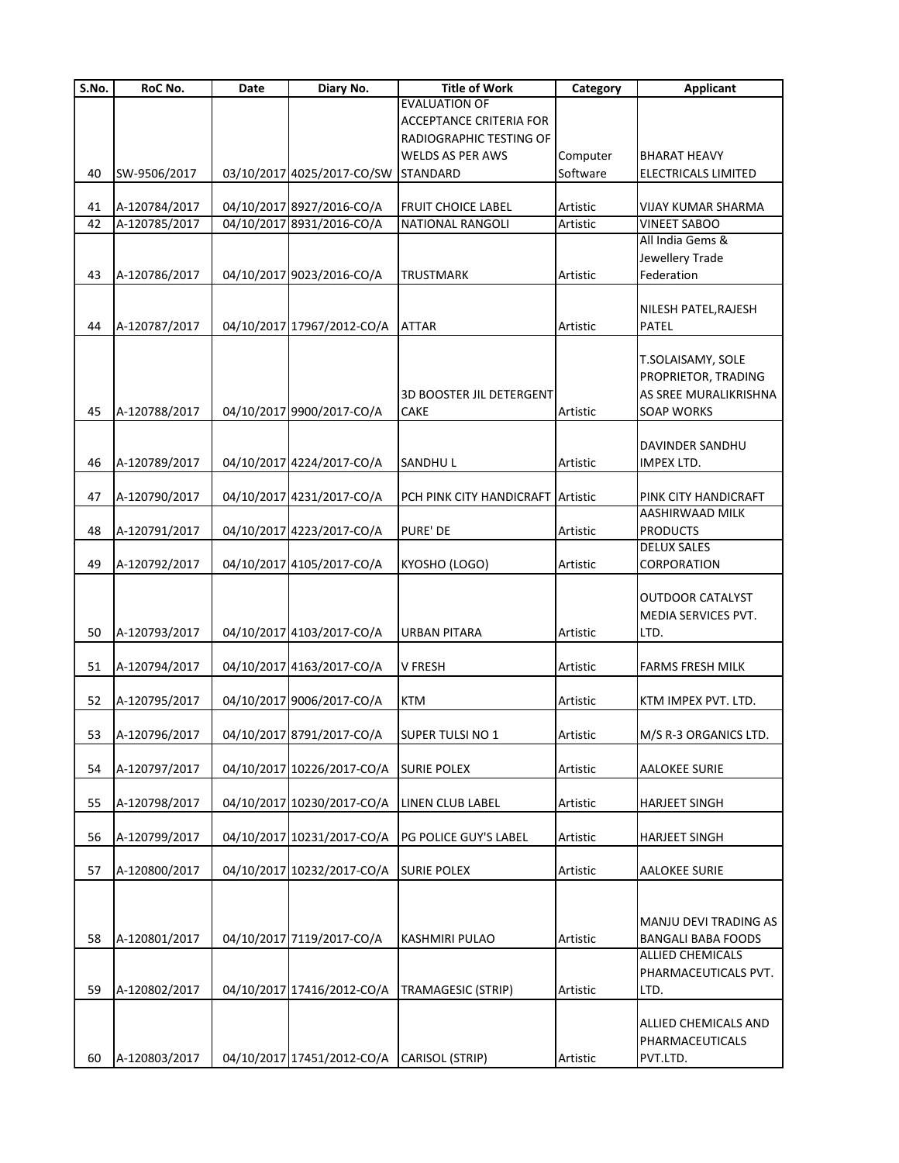| $\overline{\mathsf{S}}$ . No. | RoC No.                        | Date | Diary No.                                              | <b>Title of Work</b>                             | Category | <b>Applicant</b>                                                                       |
|-------------------------------|--------------------------------|------|--------------------------------------------------------|--------------------------------------------------|----------|----------------------------------------------------------------------------------------|
|                               |                                |      |                                                        | <b>EVALUATION OF</b>                             |          |                                                                                        |
|                               |                                |      |                                                        | <b>ACCEPTANCE CRITERIA FOR</b>                   |          |                                                                                        |
|                               |                                |      |                                                        | RADIOGRAPHIC TESTING OF                          |          |                                                                                        |
|                               |                                |      |                                                        | <b>WELDS AS PER AWS</b>                          | Computer | <b>BHARAT HEAVY</b>                                                                    |
| 40                            | SW-9506/2017                   |      | 03/10/2017 4025/2017-CO/SW                             | <b>STANDARD</b>                                  | Software | ELECTRICALS LIMITED                                                                    |
|                               |                                |      |                                                        |                                                  |          |                                                                                        |
| 41                            | A-120784/2017<br>A-120785/2017 |      | 04/10/2017 8927/2016-CO/A<br>04/10/2017 8931/2016-CO/A | <b>FRUIT CHOICE LABEL</b>                        | Artistic | VIJAY KUMAR SHARMA                                                                     |
| 42                            |                                |      |                                                        | <b>NATIONAL RANGOLI</b>                          | Artistic | <b>VINEET SABOO</b><br>All India Gems &                                                |
|                               |                                |      |                                                        |                                                  |          |                                                                                        |
|                               |                                |      |                                                        |                                                  |          | Jewellery Trade                                                                        |
| 43                            | A-120786/2017                  |      | 04/10/2017 9023/2016-CO/A                              | <b>TRUSTMARK</b>                                 | Artistic | Federation                                                                             |
|                               |                                |      |                                                        |                                                  |          |                                                                                        |
|                               |                                |      |                                                        |                                                  |          | NILESH PATEL, RAJESH                                                                   |
| 44                            | A-120787/2017                  |      | 04/10/2017 17967/2012-CO/A                             | <b>ATTAR</b>                                     | Artistic | PATEL                                                                                  |
| 45                            | A-120788/2017                  |      | 04/10/2017 9900/2017-CO/A                              | <b>3D BOOSTER JIL DETERGENT</b><br>CAKE          | Artistic | T.SOLAISAMY, SOLE<br>PROPRIETOR, TRADING<br>AS SREE MURALIKRISHNA<br><b>SOAP WORKS</b> |
|                               |                                |      |                                                        |                                                  |          |                                                                                        |
|                               |                                |      |                                                        |                                                  |          | DAVINDER SANDHU                                                                        |
| 46                            | A-120789/2017                  |      | 04/10/2017 4224/2017-CO/A                              | <b>SANDHUL</b>                                   | Artistic | IMPEX LTD.                                                                             |
|                               |                                |      |                                                        |                                                  |          |                                                                                        |
| 47                            | A-120790/2017                  |      | 04/10/2017 4231/2017-CO/A                              | PCH PINK CITY HANDICRAFT Artistic                |          | PINK CITY HANDICRAFT                                                                   |
|                               |                                |      |                                                        |                                                  |          | AASHIRWAAD MILK                                                                        |
| 48                            | A-120791/2017                  |      | 04/10/2017 4223/2017-CO/A                              | PURE' DE                                         | Artistic | <b>PRODUCTS</b>                                                                        |
|                               |                                |      |                                                        |                                                  |          | <b>DELUX SALES</b>                                                                     |
| 49                            | A-120792/2017                  |      | 04/10/2017 4105/2017-CO/A                              | KYOSHO (LOGO)                                    | Artistic | CORPORATION                                                                            |
| 50                            | A-120793/2017                  |      | 04/10/2017 4103/2017-CO/A                              | URBAN PITARA                                     | Artistic | <b>OUTDOOR CATALYST</b><br>MEDIA SERVICES PVT.<br>LTD.                                 |
|                               |                                |      |                                                        |                                                  |          |                                                                                        |
| 51                            | A-120794/2017                  |      | 04/10/2017 4163/2017-CO/A                              | <b>V FRESH</b>                                   | Artistic | <b>FARMS FRESH MILK</b>                                                                |
|                               |                                |      |                                                        |                                                  |          |                                                                                        |
| 52                            | A-120795/2017                  |      | 04/10/2017 9006/2017-CO/A                              | <b>KTM</b>                                       | Artistic | KTM IMPEX PVT. LTD.                                                                    |
|                               |                                |      |                                                        |                                                  |          |                                                                                        |
| 53                            | A-120796/2017                  |      | 04/10/2017 8791/2017-CO/A                              | SUPER TULSI NO 1                                 | Artistic | M/S R-3 ORGANICS LTD.                                                                  |
|                               |                                |      |                                                        |                                                  |          |                                                                                        |
| 54                            | A-120797/2017                  |      | 04/10/2017 10226/2017-CO/A SURIE POLEX                 |                                                  | Artistic | <b>AALOKEE SURIE</b>                                                                   |
|                               |                                |      |                                                        |                                                  |          |                                                                                        |
| 55                            | A-120798/2017                  |      | 04/10/2017 10230/2017-CO/A LINEN CLUB LABEL            |                                                  | Artistic | <b>HARJEET SINGH</b>                                                                   |
|                               |                                |      |                                                        |                                                  |          |                                                                                        |
| 56                            | A-120799/2017                  |      |                                                        | 04/10/2017 10231/2017-CO/A PG POLICE GUY'S LABEL | Artistic | <b>HARJEET SINGH</b>                                                                   |
|                               |                                |      |                                                        |                                                  |          |                                                                                        |
| 57                            | A-120800/2017                  |      | 04/10/2017 10232/2017-CO/A                             | <b>SURIE POLEX</b>                               | Artistic | <b>AALOKEE SURIE</b>                                                                   |
|                               |                                |      |                                                        |                                                  |          | MANJU DEVI TRADING AS                                                                  |
| 58                            | A-120801/2017                  |      | 04/10/2017 7119/2017-CO/A                              | <b>KASHMIRI PULAO</b>                            | Artistic | <b>BANGALI BABA FOODS</b>                                                              |
| 59                            | A-120802/2017                  |      |                                                        | 04/10/2017 17416/2012-CO/A TRAMAGESIC (STRIP)    | Artistic | <b>ALLIED CHEMICALS</b><br>PHARMACEUTICALS PVT.<br>LTD.                                |
|                               |                                |      |                                                        |                                                  |          |                                                                                        |
|                               |                                |      |                                                        |                                                  |          | ALLIED CHEMICALS AND<br>PHARMACEUTICALS                                                |
| 60                            | A-120803/2017                  |      | 04/10/2017 17451/2012-CO/A CARISOL (STRIP)             |                                                  | Artistic | PVT.LTD.                                                                               |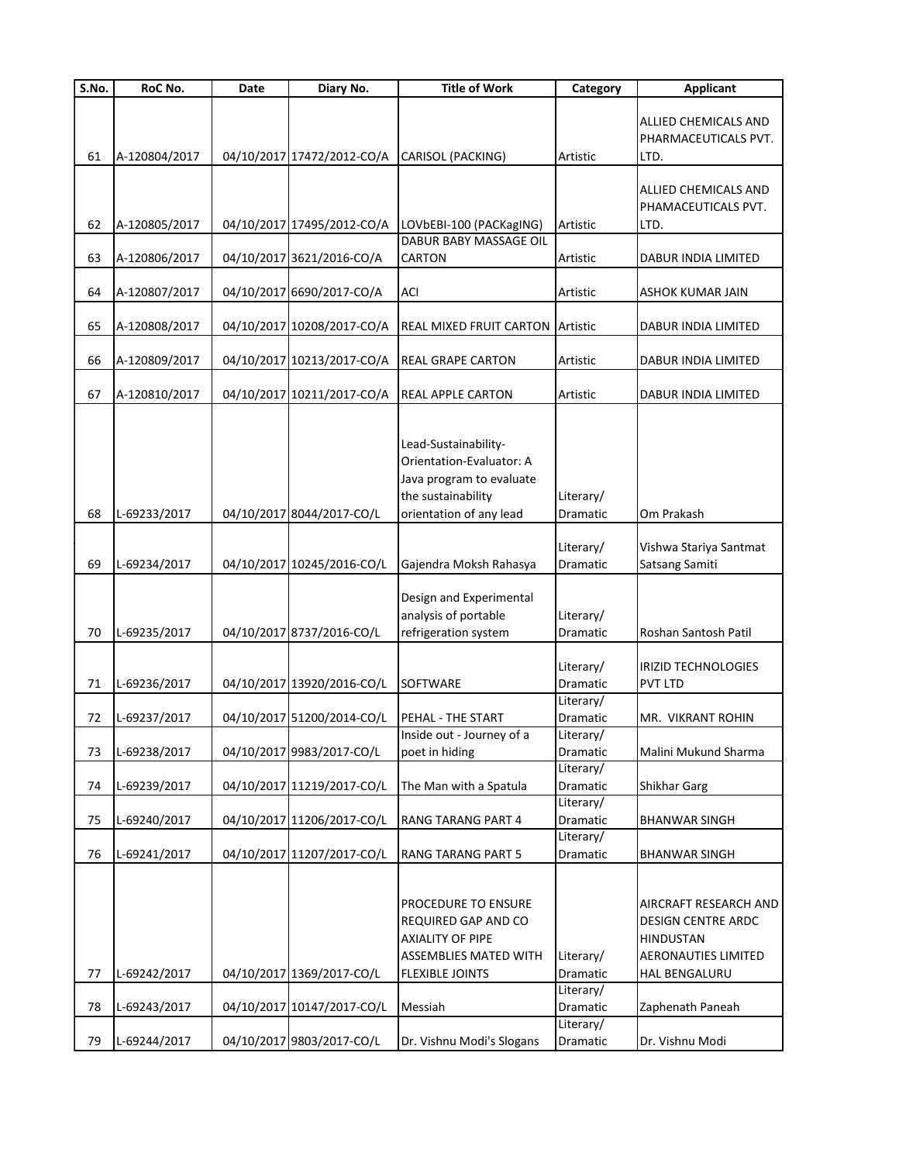| S.No. | RoC No.       | Date | Diary No.                  | <b>Title of Work</b>                                                                                                            | Category              | <b>Applicant</b>                                                                                                      |
|-------|---------------|------|----------------------------|---------------------------------------------------------------------------------------------------------------------------------|-----------------------|-----------------------------------------------------------------------------------------------------------------------|
| 61    | A-120804/2017 |      | 04/10/2017 17472/2012-CO/A | CARISOL (PACKING)                                                                                                               | Artistic              | ALLIED CHEMICALS AND<br>PHARMACEUTICALS PVT.<br>LTD.                                                                  |
| 62    | A-120805/2017 |      | 04/10/2017 17495/2012-CO/A | LOVbEBI-100 (PACKagING)                                                                                                         | Artistic              | ALLIED CHEMICALS AND<br>PHAMACEUTICALS PVT.<br>LTD.                                                                   |
|       |               |      |                            | <b>DABUR BABY MASSAGE OIL</b>                                                                                                   |                       |                                                                                                                       |
| 63    | A-120806/2017 |      | 04/10/2017 3621/2016-CO/A  | CARTON                                                                                                                          | Artistic              | DABUR INDIA LIMITED                                                                                                   |
| 64    | A-120807/2017 |      | 04/10/2017 6690/2017-CO/A  | <b>ACI</b>                                                                                                                      | Artistic              | <b>ASHOK KUMAR JAIN</b>                                                                                               |
|       |               |      |                            |                                                                                                                                 |                       |                                                                                                                       |
| 65    | A-120808/2017 |      | 04/10/2017 10208/2017-CO/A | REAL MIXED FRUIT CARTON                                                                                                         | Artistic              | DABUR INDIA LIMITED                                                                                                   |
| 66    | A-120809/2017 |      | 04/10/2017 10213/2017-CO/A | <b>REAL GRAPE CARTON</b>                                                                                                        | Artistic              | DABUR INDIA LIMITED                                                                                                   |
| 67    | A-120810/2017 |      | 04/10/2017 10211/2017-CO/A | <b>REAL APPLE CARTON</b>                                                                                                        | Artistic              | DABUR INDIA LIMITED                                                                                                   |
|       |               |      |                            | Lead-Sustainability-<br>Orientation-Evaluator: A<br>Java program to evaluate<br>the sustainability                              | Literary/             |                                                                                                                       |
| 68    | L-69233/2017  |      | 04/10/2017 8044/2017-CO/L  | orientation of any lead                                                                                                         | Dramatic              | Om Prakash                                                                                                            |
| 69    | L-69234/2017  |      | 04/10/2017 10245/2016-CO/L | Gajendra Moksh Rahasya                                                                                                          | Literary/<br>Dramatic | Vishwa Stariya Santmat<br>Satsang Samiti                                                                              |
| 70    | L-69235/2017  |      | 04/10/2017 8737/2016-CO/L  | Design and Experimental<br>analysis of portable<br>refrigeration system                                                         | Literary/<br>Dramatic | Roshan Santosh Patil                                                                                                  |
| 71    | L-69236/2017  |      | 04/10/2017 13920/2016-CO/L | SOFTWARE                                                                                                                        | Literary/<br>Dramatic | IRIZID TECHNOLOGIES<br><b>PVT LTD</b>                                                                                 |
| 72    | L-69237/2017  |      | 04/10/2017 51200/2014-CO/L | PEHAL - THE START                                                                                                               | Literary/<br>Dramatic | MR. VIKRANT ROHIN                                                                                                     |
|       |               |      |                            | Inside out - Journey of a                                                                                                       | Literary/             |                                                                                                                       |
| 73    | L-69238/2017  |      | 04/10/2017 9983/2017-CO/L  | poet in hiding                                                                                                                  | Dramatic              | Malini Mukund Sharma                                                                                                  |
| 74    | L-69239/2017  |      | 04/10/2017 11219/2017-CO/L | The Man with a Spatula                                                                                                          | Literary/<br>Dramatic | Shikhar Garg                                                                                                          |
|       |               |      |                            |                                                                                                                                 | Literary/             |                                                                                                                       |
| 75    | L-69240/2017  |      | 04/10/2017 11206/2017-CO/L | RANG TARANG PART 4                                                                                                              | Dramatic              | <b>BHANWAR SINGH</b>                                                                                                  |
| 76    | L-69241/2017  |      | 04/10/2017 11207/2017-CO/L | <b>RANG TARANG PART 5</b>                                                                                                       | Literary/<br>Dramatic | <b>BHANWAR SINGH</b>                                                                                                  |
| 77    | L-69242/2017  |      | 04/10/2017 1369/2017-CO/L  | PROCEDURE TO ENSURE<br>REQUIRED GAP AND CO<br><b>AXIALITY OF PIPE</b><br><b>ASSEMBLIES MATED WITH</b><br><b>FLEXIBLE JOINTS</b> | Literary/<br>Dramatic | AIRCRAFT RESEARCH AND<br><b>DESIGN CENTRE ARDC</b><br><b>HINDUSTAN</b><br><b>AERONAUTIES LIMITED</b><br>HAL BENGALURU |
|       |               |      |                            |                                                                                                                                 | Literary/             |                                                                                                                       |
| 78    | L-69243/2017  |      | 04/10/2017 10147/2017-CO/L | Messiah                                                                                                                         | Dramatic<br>Literary/ | Zaphenath Paneah                                                                                                      |
| 79    | L-69244/2017  |      | 04/10/2017 9803/2017-CO/L  | Dr. Vishnu Modi's Slogans                                                                                                       | Dramatic              | Dr. Vishnu Modi                                                                                                       |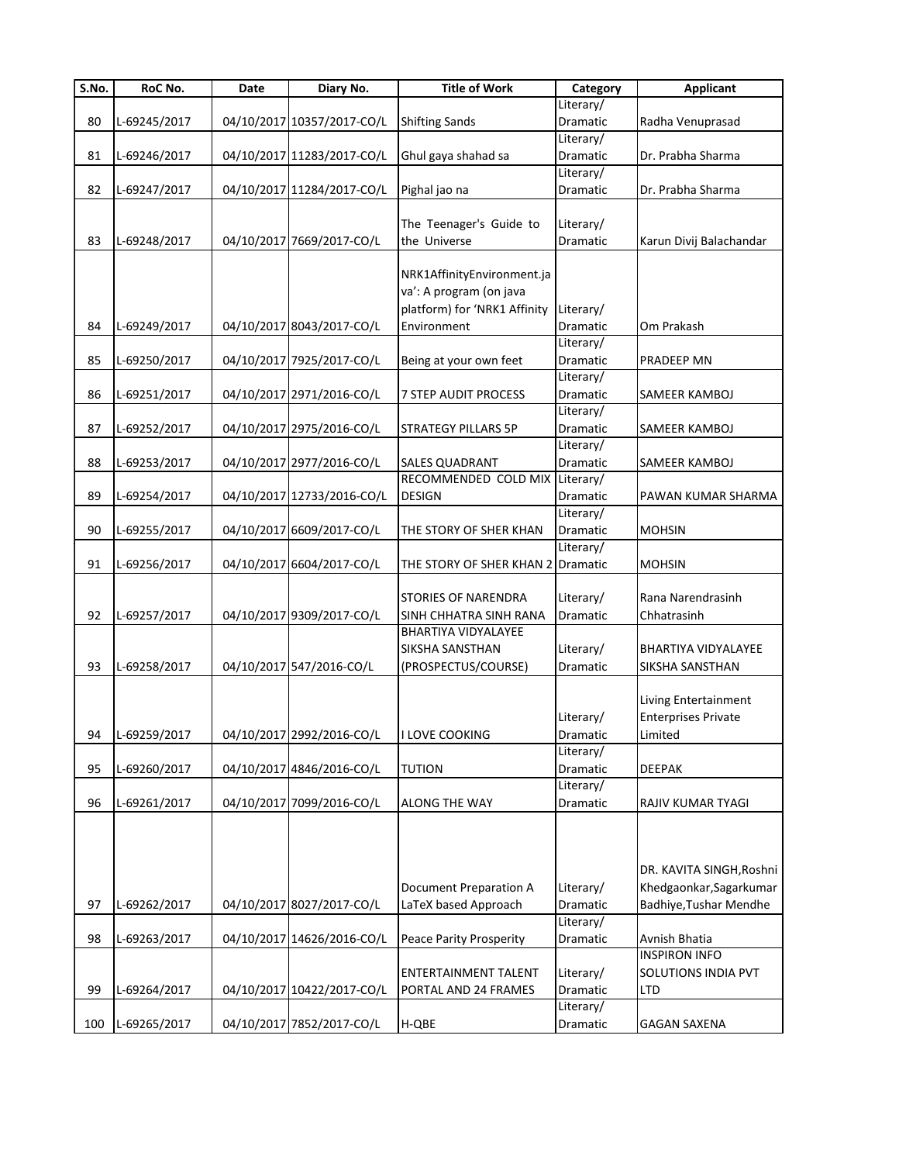| $\overline{\mathsf{S}}$ . No. | RoC No.      | Date | Diary No.                  | <b>Title of Work</b>              | Category              | <b>Applicant</b>           |
|-------------------------------|--------------|------|----------------------------|-----------------------------------|-----------------------|----------------------------|
|                               |              |      |                            |                                   | Literary/             |                            |
| 80                            | L-69245/2017 |      | 04/10/2017 10357/2017-CO/L | <b>Shifting Sands</b>             | Dramatic              | Radha Venuprasad           |
|                               |              |      |                            |                                   | Literary/             |                            |
| 81                            | L-69246/2017 |      | 04/10/2017 11283/2017-CO/L | Ghul gaya shahad sa               | Dramatic              | Dr. Prabha Sharma          |
|                               |              |      |                            |                                   | Literary/             |                            |
| 82                            | L-69247/2017 |      | 04/10/2017 11284/2017-CO/L | Pighal jao na                     | Dramatic              | Dr. Prabha Sharma          |
|                               |              |      |                            |                                   |                       |                            |
|                               |              |      |                            | The Teenager's Guide to           | Literary/             |                            |
| 83                            | L-69248/2017 |      | 04/10/2017 7669/2017-CO/L  | the Universe                      | Dramatic              | Karun Divij Balachandar    |
|                               |              |      |                            |                                   |                       |                            |
|                               |              |      |                            | NRK1AffinityEnvironment.ja        |                       |                            |
|                               |              |      |                            | va': A program (on java           |                       |                            |
|                               |              |      |                            | platform) for 'NRK1 Affinity      | Literary/             |                            |
| 84                            | L-69249/2017 |      | 04/10/2017 8043/2017-CO/L  | Environment                       | Dramatic              | Om Prakash                 |
| 85                            |              |      | 04/10/2017 7925/2017-CO/L  |                                   | Literary/<br>Dramatic | PRADEEP MN                 |
|                               | L-69250/2017 |      |                            | Being at your own feet            | Literary/             |                            |
| 86                            | L-69251/2017 |      | 04/10/2017 2971/2016-CO/L  | 7 STEP AUDIT PROCESS              | Dramatic              | SAMEER KAMBOJ              |
|                               |              |      |                            |                                   | Literary/             |                            |
| 87                            | L-69252/2017 |      | 04/10/2017 2975/2016-CO/L  | <b>STRATEGY PILLARS 5P</b>        | Dramatic              | SAMEER KAMBOJ              |
|                               |              |      |                            |                                   | Literary/             |                            |
| 88                            | L-69253/2017 |      | 04/10/2017 2977/2016-CO/L  | <b>SALES QUADRANT</b>             | Dramatic              | SAMEER KAMBOJ              |
|                               |              |      |                            | RECOMMENDED COLD MIX              | Literary/             |                            |
| 89                            | L-69254/2017 |      | 04/10/2017 12733/2016-CO/L | <b>DESIGN</b>                     | Dramatic              | PAWAN KUMAR SHARMA         |
|                               |              |      |                            |                                   | Literary/             |                            |
| 90                            | L-69255/2017 |      | 04/10/2017 6609/2017-CO/L  | THE STORY OF SHER KHAN            | Dramatic              | <b>MOHSIN</b>              |
|                               |              |      |                            |                                   | Literary/             |                            |
| 91                            | L-69256/2017 |      | 04/10/2017 6604/2017-CO/L  | THE STORY OF SHER KHAN 2 Dramatic |                       | <b>MOHSIN</b>              |
|                               |              |      |                            |                                   |                       |                            |
|                               |              |      |                            | <b>STORIES OF NARENDRA</b>        | Literary/             | Rana Narendrasinh          |
| 92                            | L-69257/2017 |      | 04/10/2017 9309/2017-CO/L  | SINH CHHATRA SINH RANA            | Dramatic              | Chhatrasinh                |
|                               |              |      |                            | <b>BHARTIYA VIDYALAYEE</b>        |                       |                            |
|                               |              |      |                            | SIKSHA SANSTHAN                   | Literary/             | BHARTIYA VIDYALAYEE        |
| 93                            | L-69258/2017 |      | 04/10/2017 547/2016-CO/L   | (PROSPECTUS/COURSE)               | Dramatic              | SIKSHA SANSTHAN            |
|                               |              |      |                            |                                   |                       |                            |
|                               |              |      |                            |                                   |                       | Living Entertainment       |
|                               |              |      |                            |                                   | Literary/             | <b>Enterprises Private</b> |
| 94                            | L-69259/2017 |      | 04/10/2017 2992/2016-CO/L  | II LOVE COOKING                   | Dramatic              | Limited                    |
|                               |              |      |                            |                                   | Literary/             |                            |
| 95                            | L-69260/2017 |      | 04/10/2017 4846/2016-CO/L  | <b>TUTION</b>                     | Dramatic              | <b>DEEPAK</b>              |
|                               |              |      |                            |                                   | Literary/             |                            |
| 96                            | L-69261/2017 |      | 04/10/2017 7099/2016-CO/L  | <b>ALONG THE WAY</b>              | Dramatic              | RAJIV KUMAR TYAGI          |
|                               |              |      |                            |                                   |                       |                            |
|                               |              |      |                            |                                   |                       |                            |
|                               |              |      |                            |                                   |                       |                            |
|                               |              |      |                            |                                   |                       | DR. KAVITA SINGH, Roshni   |
|                               |              |      |                            | <b>Document Preparation A</b>     | Literary/             | Khedgaonkar, Sagarkumar    |
| 97                            | L-69262/2017 |      | 04/10/2017 8027/2017-CO/L  | LaTeX based Approach              | Dramatic              | Badhiye, Tushar Mendhe     |
|                               |              |      |                            |                                   | Literary/             |                            |
| 98                            | L-69263/2017 |      | 04/10/2017 14626/2016-CO/L | Peace Parity Prosperity           | Dramatic              | Avnish Bhatia              |
|                               |              |      |                            |                                   |                       | <b>INSPIRON INFO</b>       |
|                               |              |      |                            | <b>ENTERTAINMENT TALENT</b>       | Literary/             | SOLUTIONS INDIA PVT        |
| 99                            | L-69264/2017 |      | 04/10/2017 10422/2017-CO/L | PORTAL AND 24 FRAMES              | Dramatic              | <b>LTD</b>                 |
|                               |              |      |                            |                                   | Literary/             |                            |
| 100                           | L-69265/2017 |      | 04/10/2017 7852/2017-CO/L  | H-QBE                             | Dramatic              | <b>GAGAN SAXENA</b>        |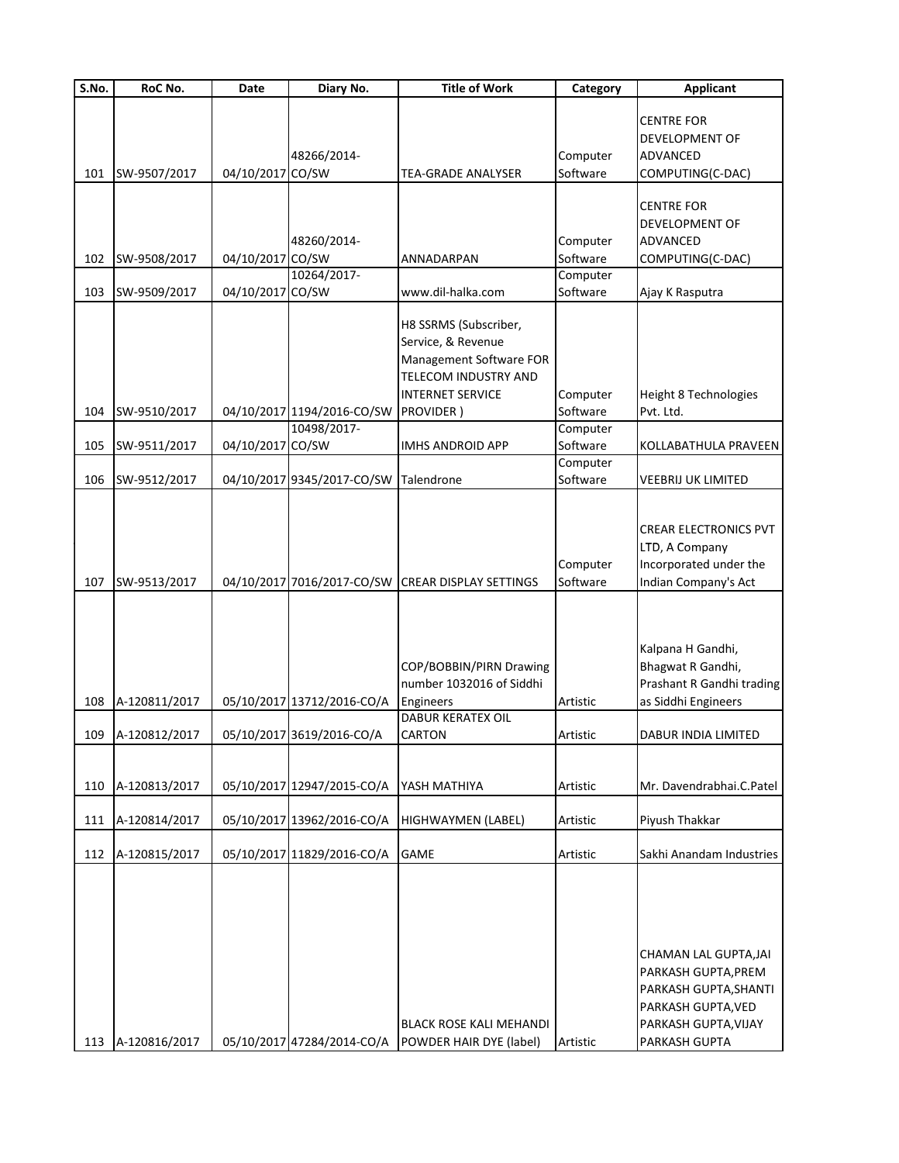| S.No. | RoC No.           | Date             | Diary No.                  | <b>Title of Work</b>                              | Category             | <b>Applicant</b>             |
|-------|-------------------|------------------|----------------------------|---------------------------------------------------|----------------------|------------------------------|
|       |                   |                  |                            |                                                   |                      |                              |
|       |                   |                  |                            |                                                   |                      | <b>CENTRE FOR</b>            |
|       |                   |                  |                            |                                                   |                      | DEVELOPMENT OF               |
|       |                   |                  | 48266/2014-                |                                                   | Computer             | <b>ADVANCED</b>              |
| 101   | SW-9507/2017      | 04/10/2017 CO/SW |                            | <b>TEA-GRADE ANALYSER</b>                         | Software             | COMPUTING(C-DAC)             |
|       |                   |                  |                            |                                                   |                      | <b>CENTRE FOR</b>            |
|       |                   |                  |                            |                                                   |                      |                              |
|       |                   |                  |                            |                                                   |                      | DEVELOPMENT OF               |
|       |                   |                  | 48260/2014-                |                                                   | Computer<br>Software | <b>ADVANCED</b>              |
| 102   | SW-9508/2017      | 04/10/2017 CO/SW | 10264/2017-                | ANNADARPAN                                        | Computer             | COMPUTING(C-DAC)             |
| 103   | SW-9509/2017      | 04/10/2017 CO/SW |                            | www.dil-halka.com                                 | Software             | Ajay K Rasputra              |
|       |                   |                  |                            |                                                   |                      |                              |
|       |                   |                  |                            | H8 SSRMS (Subscriber,                             |                      |                              |
|       |                   |                  |                            | Service, & Revenue                                |                      |                              |
|       |                   |                  |                            | Management Software FOR                           |                      |                              |
|       |                   |                  |                            | <b>TELECOM INDUSTRY AND</b>                       |                      |                              |
|       |                   |                  |                            | <b>INTERNET SERVICE</b>                           | Computer             | Height 8 Technologies        |
| 104   | SW-9510/2017      |                  | 04/10/2017 1194/2016-CO/SW | <b>PROVIDER</b> )                                 | Software             | Pvt. Ltd.                    |
|       |                   |                  | 10498/2017-                |                                                   | Computer             |                              |
| 105   | SW-9511/2017      | 04/10/2017 CO/SW |                            | <b>IMHS ANDROID APP</b>                           | Software             | KOLLABATHULA PRAVEEN         |
|       |                   |                  |                            |                                                   | Computer             |                              |
| 106   | SW-9512/2017      |                  | 04/10/2017 9345/2017-CO/SW | Talendrone                                        | Software             | <b>VEEBRIJ UK LIMITED</b>    |
|       |                   |                  |                            |                                                   |                      |                              |
|       |                   |                  |                            |                                                   |                      |                              |
|       |                   |                  |                            |                                                   |                      | <b>CREAR ELECTRONICS PVT</b> |
|       |                   |                  |                            |                                                   |                      | LTD, A Company               |
|       |                   |                  |                            |                                                   | Computer             | Incorporated under the       |
| 107   | SW-9513/2017      |                  |                            | 04/10/2017 7016/2017-CO/SW CREAR DISPLAY SETTINGS | Software             | Indian Company's Act         |
|       |                   |                  |                            |                                                   |                      |                              |
|       |                   |                  |                            |                                                   |                      |                              |
|       |                   |                  |                            |                                                   |                      |                              |
|       |                   |                  |                            |                                                   |                      | Kalpana H Gandhi,            |
|       |                   |                  |                            | COP/BOBBIN/PIRN Drawing                           |                      | Bhagwat R Gandhi,            |
|       |                   |                  |                            | number 1032016 of Siddhi                          |                      | Prashant R Gandhi trading    |
| 108   | A-120811/2017     |                  | 05/10/2017 13712/2016-CO/A | Engineers                                         | Artistic             | as Siddhi Engineers          |
|       |                   |                  |                            | <b>DABUR KERATEX OIL</b>                          |                      |                              |
|       | 109 A-120812/2017 |                  | 05/10/2017 3619/2016-CO/A  | <b>CARTON</b>                                     | Artistic             | DABUR INDIA LIMITED          |
|       |                   |                  |                            |                                                   |                      |                              |
| 110   | A-120813/2017     |                  | 05/10/2017 12947/2015-CO/A | YASH MATHIYA                                      | Artistic             | Mr. Davendrabhai.C.Patel     |
|       |                   |                  |                            |                                                   |                      |                              |
| 111   | A-120814/2017     |                  | 05/10/2017 13962/2016-CO/A | HIGHWAYMEN (LABEL)                                | Artistic             | Piyush Thakkar               |
|       |                   |                  |                            |                                                   |                      |                              |
| 112   | A-120815/2017     |                  | 05/10/2017 11829/2016-CO/A | <b>GAME</b>                                       | Artistic             | Sakhi Anandam Industries     |
|       |                   |                  |                            |                                                   |                      |                              |
|       |                   |                  |                            |                                                   |                      |                              |
|       |                   |                  |                            |                                                   |                      |                              |
|       |                   |                  |                            |                                                   |                      |                              |
|       |                   |                  |                            |                                                   |                      |                              |
|       |                   |                  |                            |                                                   |                      | CHAMAN LAL GUPTA, JAI        |
|       |                   |                  |                            |                                                   |                      | PARKASH GUPTA, PREM          |
|       |                   |                  |                            |                                                   |                      | PARKASH GUPTA, SHANTI        |
|       |                   |                  |                            |                                                   |                      | PARKASH GUPTA, VED           |
|       |                   |                  |                            | <b>BLACK ROSE KALI MEHANDI</b>                    |                      | PARKASH GUPTA, VIJAY         |
| 113   | A-120816/2017     |                  | 05/10/2017 47284/2014-CO/A | POWDER HAIR DYE (label)                           | Artistic             | PARKASH GUPTA                |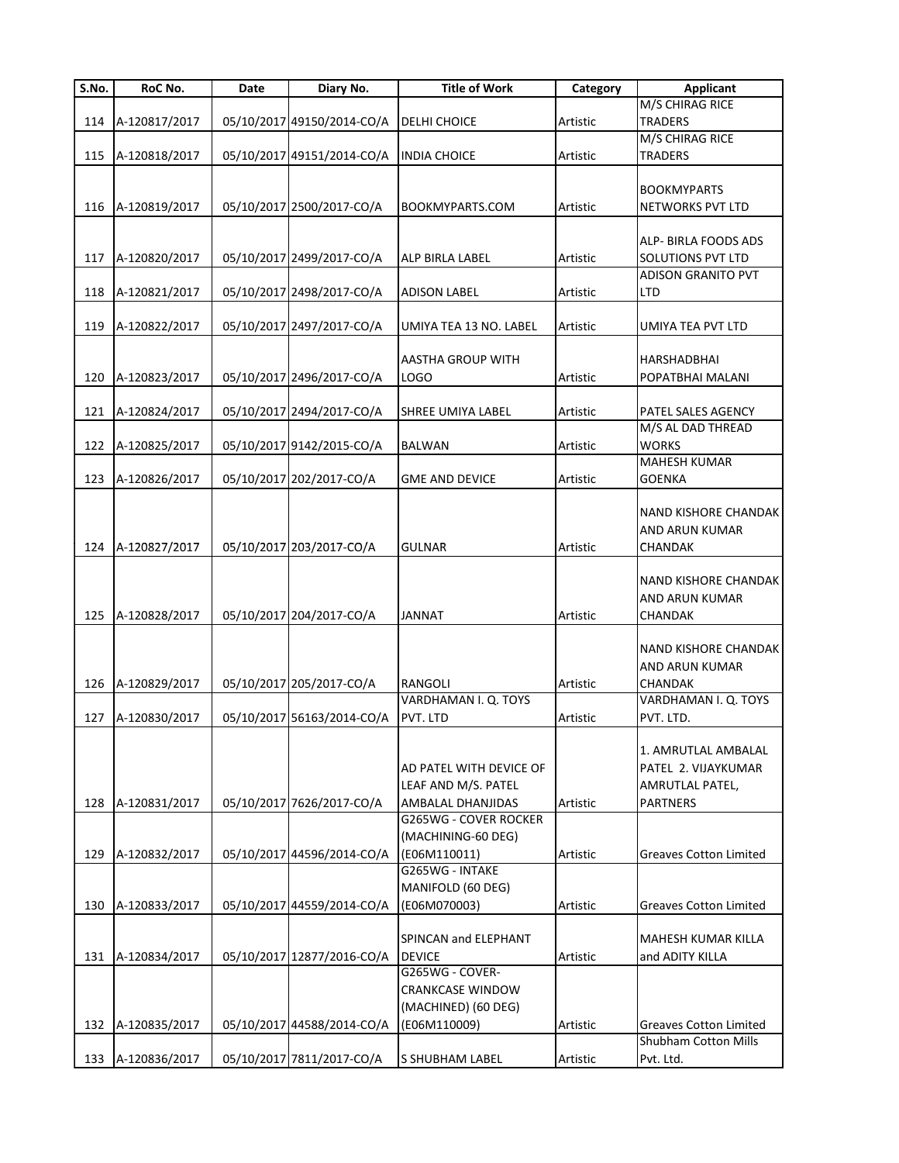| S.No. | <b>RoC No.</b>    | Date | Diary No.                  | <b>Title of Work</b>    | Category | <b>Applicant</b>              |
|-------|-------------------|------|----------------------------|-------------------------|----------|-------------------------------|
|       |                   |      |                            |                         |          | M/S CHIRAG RICE               |
| 114   | A-120817/2017     |      | 05/10/2017 49150/2014-CO/A | <b>DELHI CHOICE</b>     | Artistic | <b>TRADERS</b>                |
|       |                   |      |                            |                         |          | M/S CHIRAG RICE               |
| 115   | A-120818/2017     |      | 05/10/2017 49151/2014-CO/A | <b>INDIA CHOICE</b>     | Artistic | <b>TRADERS</b>                |
|       |                   |      |                            |                         |          |                               |
|       |                   |      |                            |                         |          | <b>BOOKMYPARTS</b>            |
| 116   | A-120819/2017     |      | 05/10/2017 2500/2017-CO/A  | BOOKMYPARTS.COM         | Artistic | NETWORKS PVT LTD              |
|       |                   |      |                            |                         |          |                               |
|       |                   |      |                            |                         |          | ALP- BIRLA FOODS ADS          |
|       | A-120820/2017     |      | 05/10/2017 2499/2017-CO/A  | ALP BIRLA LABEL         | Artistic | <b>SOLUTIONS PVT LTD</b>      |
| 117   |                   |      |                            |                         |          |                               |
|       |                   |      |                            |                         |          | ADISON GRANITO PVT            |
| 118   | A-120821/2017     |      | 05/10/2017 2498/2017-CO/A  | <b>ADISON LABEL</b>     | Artistic | LTD                           |
|       |                   |      |                            |                         |          |                               |
| 119   | A-120822/2017     |      | 05/10/2017 2497/2017-CO/A  | UMIYA TEA 13 NO. LABEL  | Artistic | UMIYA TEA PVT LTD             |
|       |                   |      |                            |                         |          |                               |
|       |                   |      |                            | AASTHA GROUP WITH       |          | HARSHADBHAI                   |
| 120   | A-120823/2017     |      | 05/10/2017 2496/2017-CO/A  | <b>LOGO</b>             | Artistic | POPATBHAI MALANI              |
|       |                   |      |                            |                         |          |                               |
| 121   | A-120824/2017     |      | 05/10/2017 2494/2017-CO/A  | SHREE UMIYA LABEL       | Artistic | PATEL SALES AGENCY            |
|       |                   |      |                            |                         |          | M/S AL DAD THREAD             |
|       |                   |      |                            |                         |          |                               |
| 122   | A-120825/2017     |      | 05/10/2017 9142/2015-CO/A  | <b>BALWAN</b>           | Artistic | <b>WORKS</b>                  |
|       |                   |      |                            |                         |          | <b>MAHESH KUMAR</b>           |
| 123   | A-120826/2017     |      | 05/10/2017 202/2017-CO/A   | <b>GME AND DEVICE</b>   | Artistic | <b>GOENKA</b>                 |
|       |                   |      |                            |                         |          |                               |
|       |                   |      |                            |                         |          | NAND KISHORE CHANDAK          |
|       |                   |      |                            |                         |          | AND ARUN KUMAR                |
| 124   | A-120827/2017     |      | 05/10/2017 203/2017-CO/A   | GULNAR                  | Artistic | CHANDAK                       |
|       |                   |      |                            |                         |          |                               |
|       |                   |      |                            |                         |          | NAND KISHORE CHANDAK          |
|       |                   |      |                            |                         |          |                               |
|       |                   |      |                            |                         |          | AND ARUN KUMAR                |
| 125   | A-120828/2017     |      | 05/10/2017 204/2017-CO/A   | <b>JANNAT</b>           | Artistic | CHANDAK                       |
|       |                   |      |                            |                         |          |                               |
|       |                   |      |                            |                         |          | NAND KISHORE CHANDAK          |
|       |                   |      |                            |                         |          | AND ARUN KUMAR                |
| 126   | A-120829/2017     |      | 05/10/2017 205/2017-CO/A   | RANGOLI                 | Artistic | <b>CHANDAK</b>                |
|       |                   |      |                            | VARDHAMAN I. Q. TOYS    |          | VARDHAMAN I. Q. TOYS          |
| 127   | A-120830/2017     |      | 05/10/2017 56163/2014-CO/A | PVT. LTD                | Artistic | PVT. LTD.                     |
|       |                   |      |                            |                         |          |                               |
|       |                   |      |                            |                         |          | 1. AMRUTLAL AMBALAL           |
|       |                   |      |                            |                         |          |                               |
|       |                   |      |                            | AD PATEL WITH DEVICE OF |          | PATEL 2. VIJAYKUMAR           |
|       |                   |      |                            | LEAF AND M/S. PATEL     |          | AMRUTLAL PATEL,               |
| 128   | A-120831/2017     |      | 05/10/2017 7626/2017-CO/A  | AMBALAL DHANJIDAS       | Artistic | PARTNERS                      |
|       |                   |      |                            | G265WG - COVER ROCKER   |          |                               |
|       |                   |      |                            | (MACHINING-60 DEG)      |          |                               |
| 129   | A-120832/2017     |      | 05/10/2017 44596/2014-CO/A | (E06M110011)            | Artistic | <b>Greaves Cotton Limited</b> |
|       |                   |      |                            | G265WG - INTAKE         |          |                               |
|       |                   |      |                            | MANIFOLD (60 DEG)       |          |                               |
| 130   | A-120833/2017     |      | 05/10/2017 44559/2014-CO/A | (E06M070003)            | Artistic | <b>Greaves Cotton Limited</b> |
|       |                   |      |                            |                         |          |                               |
|       |                   |      |                            |                         |          |                               |
|       |                   |      |                            | SPINCAN and ELEPHANT    |          | MAHESH KUMAR KILLA            |
| 131   | A-120834/2017     |      | 05/10/2017 12877/2016-CO/A | <b>DEVICE</b>           | Artistic | and ADITY KILLA               |
|       |                   |      |                            | G265WG - COVER-         |          |                               |
|       |                   |      |                            | <b>CRANKCASE WINDOW</b> |          |                               |
|       |                   |      |                            | (MACHINED) (60 DEG)     |          |                               |
| 132   | A-120835/2017     |      | 05/10/2017 44588/2014-CO/A | (E06M110009)            | Artistic | <b>Greaves Cotton Limited</b> |
|       |                   |      |                            |                         |          | <b>Shubham Cotton Mills</b>   |
|       |                   |      |                            |                         |          |                               |
|       | 133 A-120836/2017 |      | 05/10/2017 7811/2017-CO/A  | S SHUBHAM LABEL         | Artistic | Pvt. Ltd.                     |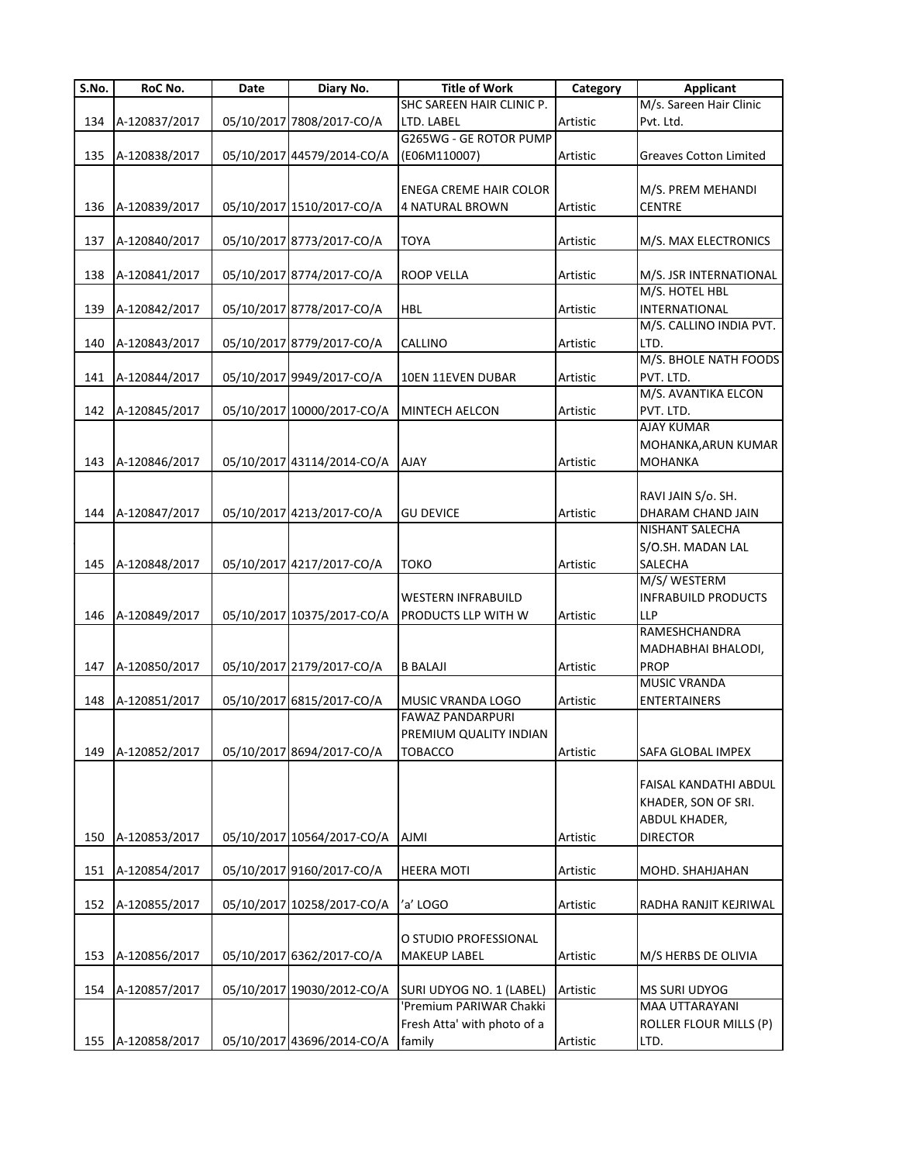| S.No. | RoC No.       | Date | Diary No.                  | <b>Title of Work</b>          | Category | <b>Applicant</b>              |
|-------|---------------|------|----------------------------|-------------------------------|----------|-------------------------------|
|       |               |      |                            | SHC SAREEN HAIR CLINIC P.     |          | M/s. Sareen Hair Clinic       |
| 134   | A-120837/2017 |      | 05/10/2017 7808/2017-CO/A  | LTD. LABEL                    | Artistic | Pvt. Ltd.                     |
|       |               |      |                            | G265WG - GE ROTOR PUMP        |          |                               |
| 135   | A-120838/2017 |      | 05/10/2017 44579/2014-CO/A | (E06M110007)                  | Artistic | <b>Greaves Cotton Limited</b> |
|       |               |      |                            |                               |          |                               |
|       |               |      |                            | <b>ENEGA CREME HAIR COLOR</b> |          | M/S. PREM MEHANDI             |
| 136   | A-120839/2017 |      | 05/10/2017 1510/2017-CO/A  | <b>4 NATURAL BROWN</b>        | Artistic | <b>CENTRE</b>                 |
|       |               |      |                            |                               |          |                               |
| 137   | A-120840/2017 |      | 05/10/2017 8773/2017-CO/A  | TOYA                          | Artistic | M/S. MAX ELECTRONICS          |
|       |               |      |                            |                               |          |                               |
| 138   | A-120841/2017 |      | 05/10/2017 8774/2017-CO/A  | <b>ROOP VELLA</b>             | Artistic | M/S. JSR INTERNATIONAL        |
|       |               |      |                            |                               |          | M/S. HOTEL HBL                |
| 139   | A-120842/2017 |      | 05/10/2017 8778/2017-CO/A  | <b>HBL</b>                    | Artistic | <b>INTERNATIONAL</b>          |
|       |               |      |                            |                               |          | M/S. CALLINO INDIA PVT.       |
| 140   | A-120843/2017 |      | 05/10/2017 8779/2017-CO/A  | CALLINO                       | Artistic | LTD.                          |
|       |               |      |                            |                               |          | M/S. BHOLE NATH FOODS         |
| 141   | A-120844/2017 |      | 05/10/2017 9949/2017-CO/A  | 10EN 11EVEN DUBAR             | Artistic | PVT. LTD.                     |
|       |               |      |                            |                               |          | M/S. AVANTIKA ELCON           |
| 142   | A-120845/2017 |      | 05/10/2017 10000/2017-CO/A | <b>MINTECH AELCON</b>         | Artistic | PVT. LTD.                     |
|       |               |      |                            |                               |          | <b>AJAY KUMAR</b>             |
|       |               |      |                            |                               |          | MOHANKA, ARUN KUMAR           |
| 143   | A-120846/2017 |      |                            | <b>AJAY</b>                   |          |                               |
|       |               |      | 05/10/2017 43114/2014-CO/A |                               | Artistic | <b>MOHANKA</b>                |
|       |               |      |                            |                               |          |                               |
|       |               |      |                            |                               |          | RAVI JAIN S/o. SH.            |
| 144   | A-120847/2017 |      | 05/10/2017 4213/2017-CO/A  | <b>GU DEVICE</b>              | Artistic | DHARAM CHAND JAIN             |
|       |               |      |                            |                               |          | <b>NISHANT SALECHA</b>        |
|       |               |      |                            |                               |          | S/O.SH. MADAN LAL             |
| 145   | A-120848/2017 |      | 05/10/2017 4217/2017-CO/A  | токо                          | Artistic | SALECHA                       |
|       |               |      |                            |                               |          | M/S/WESTERM                   |
|       |               |      |                            | <b>WESTERN INFRABUILD</b>     |          | <b>INFRABUILD PRODUCTS</b>    |
| 146   | A-120849/2017 |      | 05/10/2017 10375/2017-CO/A | PRODUCTS LLP WITH W           | Artistic | <b>LLP</b>                    |
|       |               |      |                            |                               |          | RAMESHCHANDRA                 |
|       |               |      |                            |                               |          | MADHABHAI BHALODI,            |
| 147   | A-120850/2017 |      | 05/10/2017 2179/2017-CO/A  | <b>B BALAJI</b>               | Artistic | <b>PROP</b>                   |
|       |               |      |                            |                               |          | <b>MUSIC VRANDA</b>           |
| 148   | A-120851/2017 |      | 05/10/2017 6815/2017-CO/A  | MUSIC VRANDA LOGO             | Artistic | <b>ENTERTAINERS</b>           |
|       |               |      |                            | <b>FAWAZ PANDARPURI</b>       |          |                               |
|       |               |      |                            | PREMIUM QUALITY INDIAN        |          |                               |
| 149   | A-120852/2017 |      | 05/10/2017 8694/2017-CO/A  | <b>TOBACCO</b>                | Artistic | SAFA GLOBAL IMPEX             |
|       |               |      |                            |                               |          |                               |
|       |               |      |                            |                               |          | FAISAL KANDATHI ABDUL         |
|       |               |      |                            |                               |          |                               |
|       |               |      |                            |                               |          | KHADER, SON OF SRI.           |
|       |               |      |                            |                               |          | ABDUL KHADER,                 |
| 150   | A-120853/2017 |      | 05/10/2017 10564/2017-CO/A | <b>AJMI</b>                   | Artistic | <b>DIRECTOR</b>               |
|       |               |      |                            |                               |          |                               |
| 151   | A-120854/2017 |      | 05/10/2017 9160/2017-CO/A  | <b>HEERA MOTI</b>             | Artistic | MOHD. SHAHJAHAN               |
|       |               |      |                            |                               |          |                               |
| 152   | A-120855/2017 |      | 05/10/2017 10258/2017-CO/A | 'a' LOGO                      | Artistic | RADHA RANJIT KEJRIWAL         |
|       |               |      |                            |                               |          |                               |
|       |               |      |                            | O STUDIO PROFESSIONAL         |          |                               |
| 153   | A-120856/2017 |      | 05/10/2017 6362/2017-CO/A  | <b>MAKEUP LABEL</b>           | Artistic | M/S HERBS DE OLIVIA           |
|       |               |      |                            |                               |          |                               |
| 154   | A-120857/2017 |      | 05/10/2017 19030/2012-CO/A | SURI UDYOG NO. 1 (LABEL)      | Artistic | <b>MS SURI UDYOG</b>          |
|       |               |      |                            | 'Premium PARIWAR Chakki       |          | <b>MAA UTTARAYANI</b>         |
|       |               |      |                            | Fresh Atta' with photo of a   |          | ROLLER FLOUR MILLS (P)        |
| 155   | A-120858/2017 |      | 05/10/2017 43696/2014-CO/A | family                        | Artistic | LTD.                          |
|       |               |      |                            |                               |          |                               |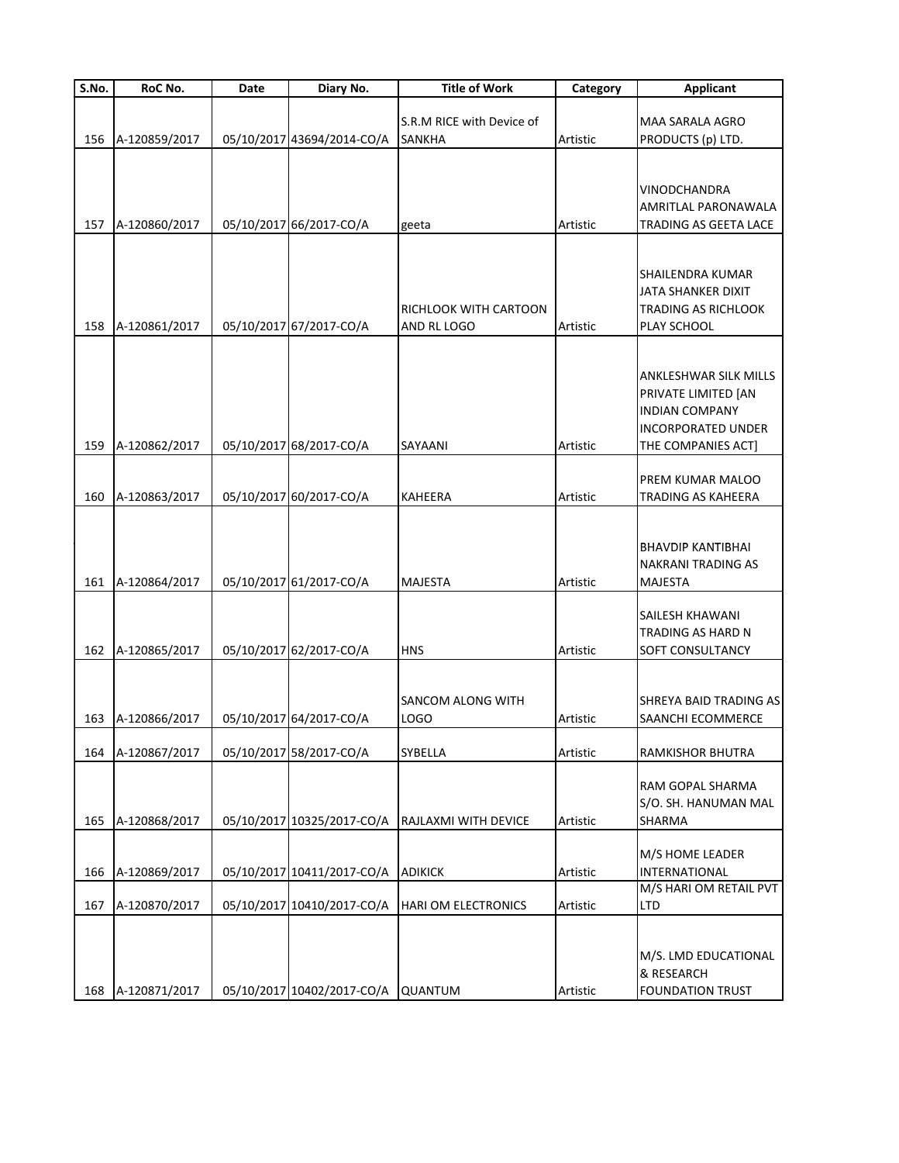| S.No. | RoC No.       | Date | Diary No.                          | <b>Title of Work</b>                            | Category | <b>Applicant</b>                                                                                                                |
|-------|---------------|------|------------------------------------|-------------------------------------------------|----------|---------------------------------------------------------------------------------------------------------------------------------|
| 156   | A-120859/2017 |      | 05/10/2017 43694/2014-CO/A         | S.R.M RICE with Device of<br><b>SANKHA</b>      | Artistic | MAA SARALA AGRO<br>PRODUCTS (p) LTD.                                                                                            |
| 157   | A-120860/2017 |      | 05/10/2017 66/2017-CO/A            | geeta                                           | Artistic | VINODCHANDRA<br>AMRITLAL PARONAWALA<br>TRADING AS GEETA LACE                                                                    |
| 158   | A-120861/2017 |      | 05/10/2017 67/2017-CO/A            | RICHLOOK WITH CARTOON<br>AND RL LOGO            | Artistic | SHAILENDRA KUMAR<br>JATA SHANKER DIXIT<br>TRADING AS RICHLOOK<br>PLAY SCHOOL                                                    |
| 159   | A-120862/2017 |      | 05/10/2017 68/2017-CO/A            | SAYAANI                                         | Artistic | <b>ANKLESHWAR SILK MILLS</b><br>PRIVATE LIMITED [AN<br><b>INDIAN COMPANY</b><br><b>INCORPORATED UNDER</b><br>THE COMPANIES ACT] |
| 160   | A-120863/2017 |      | 05/10/2017 60/2017-CO/A            | <b>KAHEERA</b>                                  | Artistic | PREM KUMAR MALOO<br>TRADING AS KAHEERA                                                                                          |
| 161   | A-120864/2017 |      | 05/10/2017 61/2017-CO/A            | <b>MAJESTA</b>                                  | Artistic | BHAVDIP KANTIBHAI<br>NAKRANI TRADING AS<br><b>MAJESTA</b>                                                                       |
| 162   | A-120865/2017 |      | 05/10/2017 62/2017-CO/A            | <b>HNS</b>                                      | Artistic | SAILESH KHAWANI<br>TRADING AS HARD N<br>SOFT CONSULTANCY                                                                        |
| 163   | A-120866/2017 |      | 05/10/2017 64/2017-CO/A            | SANCOM ALONG WITH<br><b>LOGO</b>                | Artistic | SHREYA BAID TRADING AS<br>SAANCHI ECOMMERCE                                                                                     |
| 164   | A-120867/2017 |      | 05/10/2017 58/2017-CO/A            | <b>SYBELLA</b>                                  | Artistic | RAMKISHOR BHUTRA                                                                                                                |
| 165   | A-120868/2017 |      |                                    | 05/10/2017 10325/2017-CO/A RAJLAXMI WITH DEVICE | Artistic | RAM GOPAL SHARMA<br>S/O. SH. HANUMAN MAL<br>SHARMA                                                                              |
| 166   | A-120869/2017 |      | 05/10/2017 10411/2017-CO/A         | <b>ADIKICK</b>                                  | Artistic | M/S HOME LEADER<br>INTERNATIONAL<br>M/S HARI OM RETAIL PVT                                                                      |
| 167   | A-120870/2017 |      | 05/10/2017 10410/2017-CO/A         | <b>HARI OM ELECTRONICS</b>                      | Artistic | LTD                                                                                                                             |
| 168   | A-120871/2017 |      | 05/10/2017 10402/2017-CO/A QUANTUM |                                                 | Artistic | M/S. LMD EDUCATIONAL<br>& RESEARCH<br><b>FOUNDATION TRUST</b>                                                                   |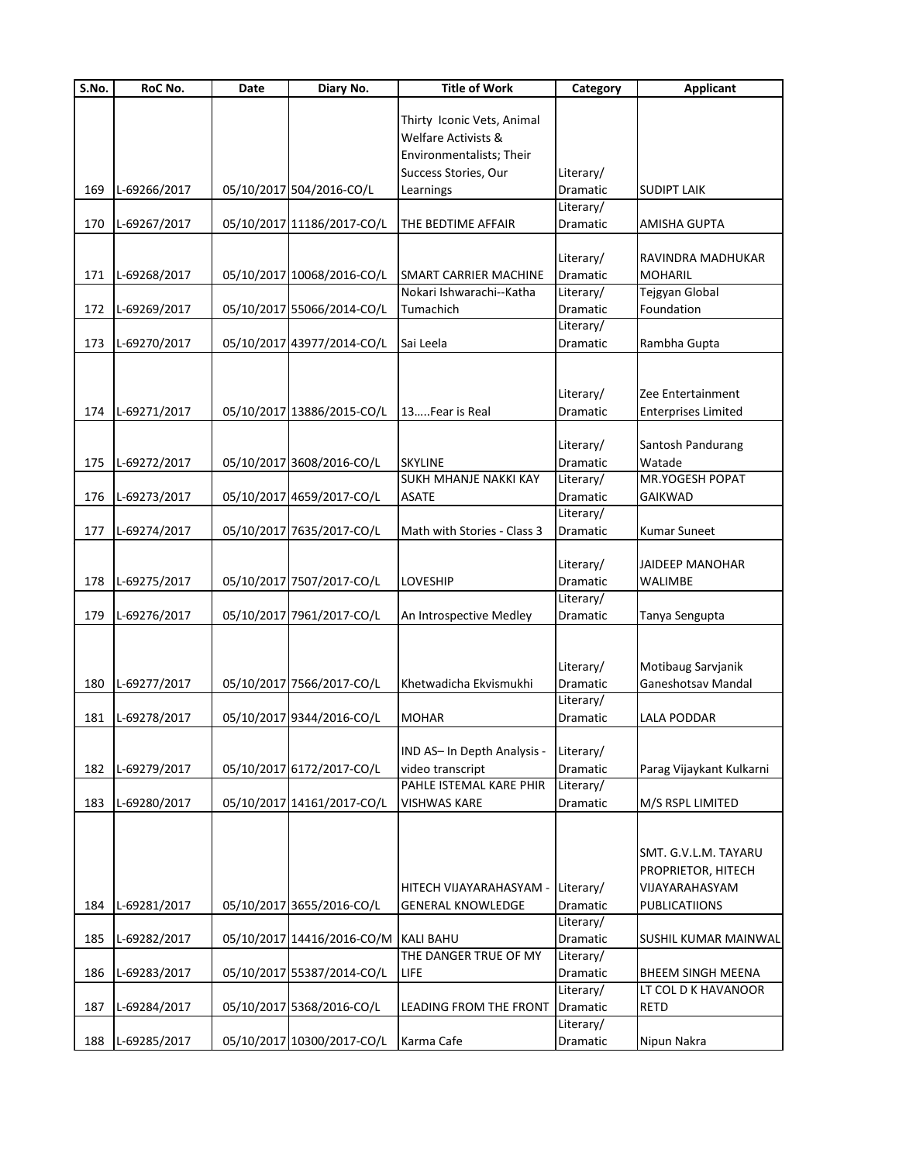| S.No. | RoC No.          | Date | Diary No.                  | <b>Title of Work</b>         | Category  | <b>Applicant</b>           |
|-------|------------------|------|----------------------------|------------------------------|-----------|----------------------------|
|       |                  |      |                            |                              |           |                            |
|       |                  |      |                            | Thirty Iconic Vets, Animal   |           |                            |
|       |                  |      |                            | Welfare Activists &          |           |                            |
|       |                  |      |                            | Environmentalists; Their     |           |                            |
|       |                  |      |                            | Success Stories, Our         | Literary/ |                            |
| 169   | L-69266/2017     |      | 05/10/2017 504/2016-CO/L   | Learnings                    | Dramatic  | <b>SUDIPT LAIK</b>         |
|       |                  |      |                            |                              | Literary/ |                            |
| 170   | L-69267/2017     |      | 05/10/2017 11186/2017-CO/L | THE BEDTIME AFFAIR           | Dramatic  | AMISHA GUPTA               |
|       |                  |      |                            |                              |           |                            |
|       |                  |      |                            |                              | Literary/ | RAVINDRA MADHUKAR          |
| 171   | L-69268/2017     |      | 05/10/2017 10068/2016-CO/L | <b>SMART CARRIER MACHINE</b> | Dramatic  | <b>MOHARIL</b>             |
|       |                  |      |                            | Nokari Ishwarachi--Katha     | Literary/ | Tejgyan Global             |
| 172   | L-69269/2017     |      | 05/10/2017 55066/2014-CO/L | Tumachich                    | Dramatic  | Foundation                 |
|       |                  |      |                            |                              | Literary/ |                            |
| 173   | L-69270/2017     |      | 05/10/2017 43977/2014-CO/L | Sai Leela                    | Dramatic  | Rambha Gupta               |
|       |                  |      |                            |                              |           |                            |
|       |                  |      |                            |                              | Literary/ | Zee Entertainment          |
|       | 174 L-69271/2017 |      | 05/10/2017 13886/2015-CO/L | 13Fear is Real               | Dramatic  | <b>Enterprises Limited</b> |
|       |                  |      |                            |                              |           |                            |
|       |                  |      |                            |                              | Literary/ | Santosh Pandurang          |
| 175   | L-69272/2017     |      | 05/10/2017 3608/2016-CO/L  | <b>SKYLINE</b>               | Dramatic  | Watade                     |
|       |                  |      |                            | SUKH MHANJE NAKKI KAY        | Literary/ | MR.YOGESH POPAT            |
| 176   | L-69273/2017     |      | 05/10/2017 4659/2017-CO/L  | <b>ASATE</b>                 | Dramatic  | <b>GAIKWAD</b>             |
|       |                  |      |                            |                              | Literary/ |                            |
| 177   | L-69274/2017     |      | 05/10/2017 7635/2017-CO/L  | Math with Stories - Class 3  | Dramatic  | <b>Kumar Suneet</b>        |
|       |                  |      |                            |                              |           |                            |
|       |                  |      |                            |                              | Literary/ | JAIDEEP MANOHAR            |
| 178   | L-69275/2017     |      | 05/10/2017 7507/2017-CO/L  | LOVESHIP                     | Dramatic  | WALIMBE                    |
|       |                  |      |                            |                              | Literary/ |                            |
| 179   | L-69276/2017     |      | 05/10/2017 7961/2017-CO/L  | An Introspective Medley      | Dramatic  | Tanya Sengupta             |
|       |                  |      |                            |                              |           |                            |
|       |                  |      |                            |                              |           |                            |
|       |                  |      |                            |                              | Literary/ | Motibaug Sarvjanik         |
| 180   | L-69277/2017     |      | 05/10/2017 7566/2017-CO/L  | Khetwadicha Ekvismukhi       | Dramatic  | Ganeshotsav Mandal         |
|       |                  |      |                            |                              | Literary/ |                            |
| 181   | L-69278/2017     |      | 05/10/2017 9344/2016-CO/L  | <b>MOHAR</b>                 | Dramatic  | <b>LALA PODDAR</b>         |
|       |                  |      |                            |                              |           |                            |
|       |                  |      |                            | IND AS- In Depth Analysis -  | Literary/ |                            |
| 182   | L-69279/2017     |      | 05/10/2017 6172/2017-CO/L  | video transcript             | Dramatic  | Parag Vijaykant Kulkarni   |
|       |                  |      |                            | PAHLE ISTEMAL KARE PHIR      | Literary/ |                            |
| 183   | L-69280/2017     |      | 05/10/2017 14161/2017-CO/L | <b>VISHWAS KARE</b>          | Dramatic  | M/S RSPL LIMITED           |
|       |                  |      |                            |                              |           |                            |
|       |                  |      |                            |                              |           |                            |
|       |                  |      |                            |                              |           | SMT. G.V.L.M. TAYARU       |
|       |                  |      |                            |                              |           | PROPRIETOR, HITECH         |
|       |                  |      |                            | HITECH VIJAYARAHASYAM -      | Literary/ | VIJAYARAHASYAM             |
| 184   | L-69281/2017     |      | 05/10/2017 3655/2016-CO/L  | <b>GENERAL KNOWLEDGE</b>     | Dramatic  | <b>PUBLICATIIONS</b>       |
|       |                  |      |                            |                              | Literary/ |                            |
| 185   | L-69282/2017     |      | 05/10/2017 14416/2016-CO/M | <b>KALI BAHU</b>             | Dramatic  | SUSHIL KUMAR MAINWAL       |
|       |                  |      |                            | THE DANGER TRUE OF MY        | Literary/ |                            |
| 186   | L-69283/2017     |      | 05/10/2017 55387/2014-CO/L | LIFE                         | Dramatic  | BHEEM SINGH MEENA          |
|       |                  |      |                            |                              | Literary/ | LT COL D K HAVANOOR        |
| 187   | L-69284/2017     |      | 05/10/2017 5368/2016-CO/L  | LEADING FROM THE FRONT       | Dramatic  | <b>RETD</b>                |
|       |                  |      |                            |                              | Literary/ |                            |
| 188   | L-69285/2017     |      | 05/10/2017 10300/2017-CO/L | Karma Cafe                   | Dramatic  | Nipun Nakra                |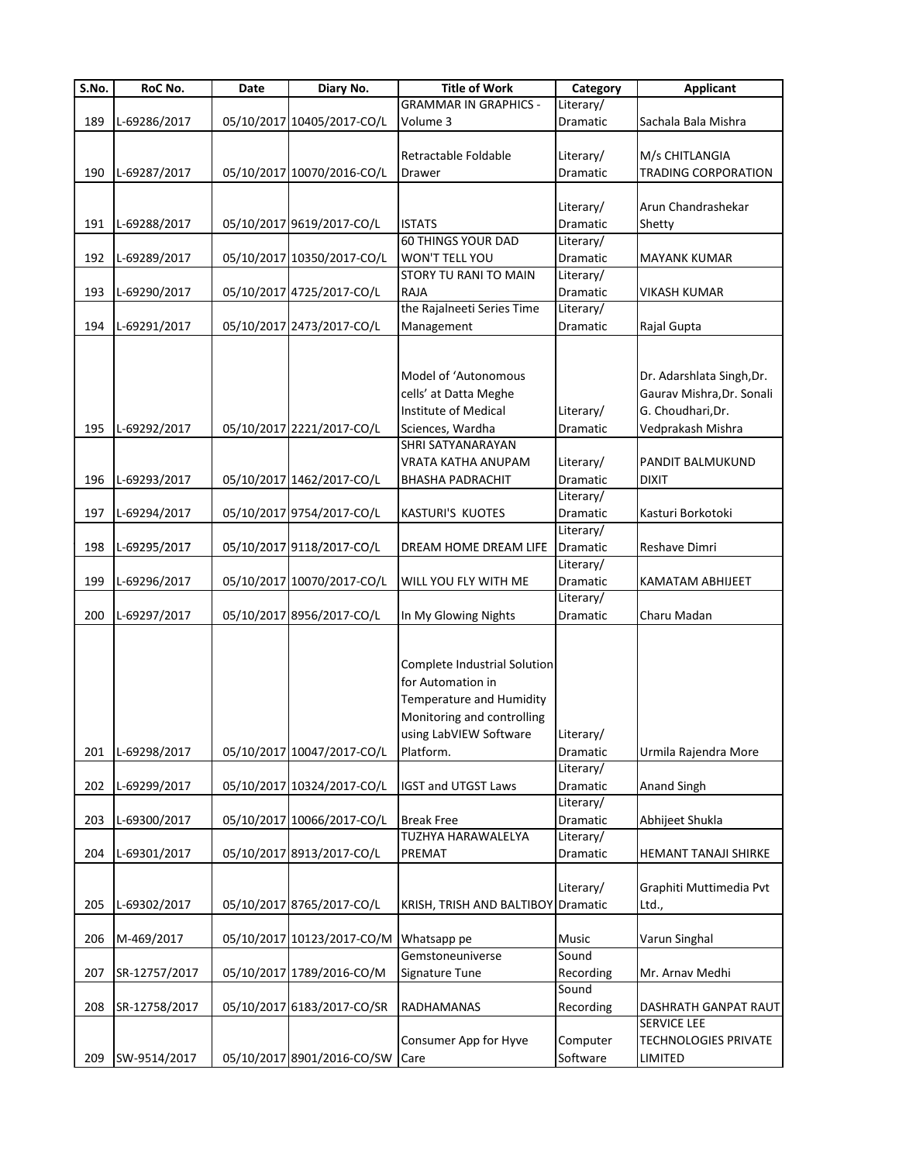| $\overline{S}$ .No. | RoC No.       | Date | Diary No.                  | <b>Title of Work</b>               | Category              | <b>Applicant</b>            |
|---------------------|---------------|------|----------------------------|------------------------------------|-----------------------|-----------------------------|
|                     |               |      |                            | <b>GRAMMAR IN GRAPHICS -</b>       | Literary/             |                             |
| 189                 | L-69286/2017  |      | 05/10/2017 10405/2017-CO/L | Volume 3                           | Dramatic              | Sachala Bala Mishra         |
|                     |               |      |                            |                                    |                       |                             |
|                     |               |      |                            | Retractable Foldable               | Literary/             | M/s CHITLANGIA              |
| 190                 | L-69287/2017  |      | 05/10/2017 10070/2016-CO/L | Drawer                             | Dramatic              | <b>TRADING CORPORATION</b>  |
|                     |               |      |                            |                                    |                       |                             |
|                     |               |      |                            |                                    | Literary/             | Arun Chandrashekar          |
| 191                 | L-69288/2017  |      | 05/10/2017 9619/2017-CO/L  | <b>ISTATS</b>                      | Dramatic              | Shetty                      |
|                     |               |      |                            | <b>60 THINGS YOUR DAD</b>          | Literary/             |                             |
| 192                 | L-69289/2017  |      | 05/10/2017 10350/2017-CO/L | WON'T TELL YOU                     | Dramatic              | MAYANK KUMAR                |
|                     |               |      |                            | STORY TU RANI TO MAIN              | Literary/             |                             |
| 193                 | L-69290/2017  |      | 05/10/2017 4725/2017-CO/L  | <b>RAJA</b>                        | Dramatic              | <b>VIKASH KUMAR</b>         |
|                     |               |      |                            | the Rajalneeti Series Time         | Literary/             |                             |
| 194                 | L-69291/2017  |      | 05/10/2017 2473/2017-CO/L  | Management                         | Dramatic              | Rajal Gupta                 |
|                     |               |      |                            |                                    |                       |                             |
|                     |               |      |                            |                                    |                       |                             |
|                     |               |      |                            | Model of 'Autonomous               |                       | Dr. Adarshlata Singh, Dr.   |
|                     |               |      |                            | cells' at Datta Meghe              |                       | Gaurav Mishra, Dr. Sonali   |
|                     |               |      |                            | Institute of Medical               | Literary/             | G. Choudhari, Dr.           |
| 195                 | L-69292/2017  |      | 05/10/2017 2221/2017-CO/L  | Sciences, Wardha                   | Dramatic              | Vedprakash Mishra           |
|                     |               |      |                            | <b>SHRI SATYANARAYAN</b>           |                       |                             |
|                     |               |      |                            | VRATA KATHA ANUPAM                 | Literary/             | PANDIT BALMUKUND            |
| 196                 | L-69293/2017  |      | 05/10/2017 1462/2017-CO/L  | <b>BHASHA PADRACHIT</b>            | Dramatic              | <b>DIXIT</b>                |
|                     |               |      |                            |                                    | Literary/             |                             |
| 197                 | L-69294/2017  |      | 05/10/2017 9754/2017-CO/L  | <b>KASTURI'S KUOTES</b>            | Dramatic              | Kasturi Borkotoki           |
|                     |               |      |                            |                                    | Literary/             |                             |
| 198                 | L-69295/2017  |      | 05/10/2017 9118/2017-CO/L  | DREAM HOME DREAM LIFE              | Dramatic              | Reshave Dimri               |
|                     |               |      |                            |                                    | Literary/             |                             |
|                     |               |      |                            |                                    |                       |                             |
| 199                 | L-69296/2017  |      | 05/10/2017 10070/2017-CO/L | WILL YOU FLY WITH ME               | Dramatic<br>Literary/ | KAMATAM ABHIJEET            |
|                     |               |      |                            |                                    |                       |                             |
| 200                 | L-69297/2017  |      | 05/10/2017 8956/2017-CO/L  | In My Glowing Nights               | Dramatic              | Charu Madan                 |
|                     |               |      |                            |                                    |                       |                             |
|                     |               |      |                            | Complete Industrial Solution       |                       |                             |
|                     |               |      |                            |                                    |                       |                             |
|                     |               |      |                            | for Automation in                  |                       |                             |
|                     |               |      |                            | Temperature and Humidity           |                       |                             |
|                     |               |      |                            | Monitoring and controlling         |                       |                             |
|                     |               |      |                            | using LabVIEW Software             | Literary/             |                             |
| 201                 | L-69298/2017  |      | 05/10/2017 10047/2017-CO/L | Platform.                          | Dramatic              | Urmila Rajendra More        |
|                     |               |      |                            |                                    | Literary/             |                             |
| 202                 | L-69299/2017  |      | 05/10/2017 10324/2017-CO/L | <b>IGST and UTGST Laws</b>         | Dramatic              | Anand Singh                 |
|                     |               |      |                            |                                    | Literary/             |                             |
| 203                 | L-69300/2017  |      | 05/10/2017 10066/2017-CO/L | <b>Break Free</b>                  | Dramatic              | Abhijeet Shukla             |
|                     |               |      |                            | TUZHYA HARAWALELYA                 | Literary/             |                             |
| 204                 | L-69301/2017  |      | 05/10/2017 8913/2017-CO/L  | PREMAT                             | Dramatic              | HEMANT TANAJI SHIRKE        |
|                     |               |      |                            |                                    |                       |                             |
|                     |               |      |                            |                                    | Literary/             | Graphiti Muttimedia Pvt     |
| 205                 | L-69302/2017  |      | 05/10/2017 8765/2017-CO/L  | KRISH, TRISH AND BALTIBOY Dramatic |                       | Ltd.,                       |
|                     |               |      |                            |                                    |                       |                             |
| 206                 | M-469/2017    |      | 05/10/2017 10123/2017-CO/M | Whatsapp pe                        | Music                 | Varun Singhal               |
|                     |               |      |                            | Gemstoneuniverse                   | Sound                 |                             |
| 207                 | SR-12757/2017 |      | 05/10/2017 1789/2016-CO/M  | Signature Tune                     | Recording             | Mr. Arnav Medhi             |
|                     |               |      |                            |                                    | Sound                 |                             |
| 208                 | SR-12758/2017 |      | 05/10/2017 6183/2017-CO/SR | <b>RADHAMANAS</b>                  | Recording             | DASHRATH GANPAT RAUT        |
|                     |               |      |                            |                                    |                       | SERVICE LEE                 |
|                     |               |      |                            | Consumer App for Hyve              | Computer              | <b>TECHNOLOGIES PRIVATE</b> |
| 209                 | SW-9514/2017  |      | 05/10/2017 8901/2016-CO/SW | Care                               | Software              | LIMITED                     |
|                     |               |      |                            |                                    |                       |                             |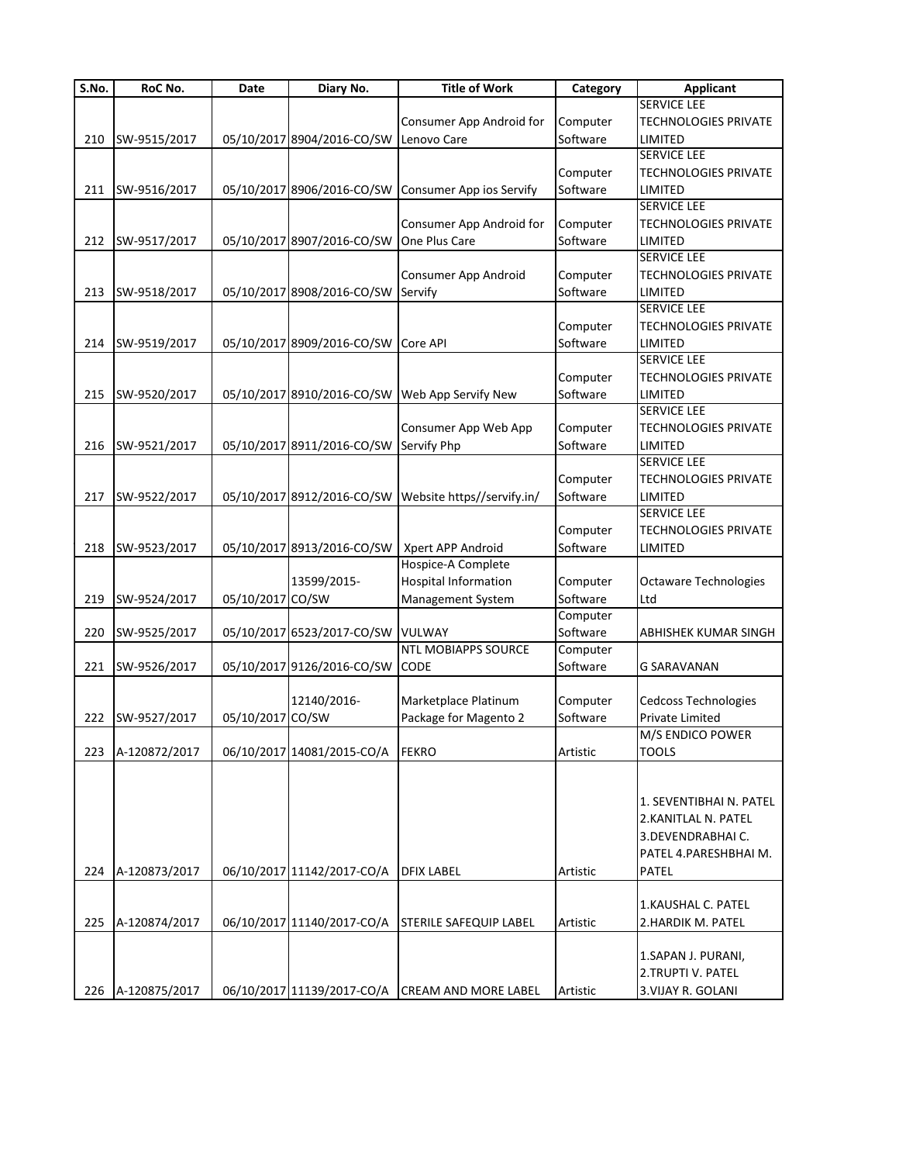| $\overline{\mathsf{S}}$ . No. | RoC No.       | Date             | Diary No.                  | <b>Title of Work</b>                                  | Category | <b>Applicant</b>            |
|-------------------------------|---------------|------------------|----------------------------|-------------------------------------------------------|----------|-----------------------------|
|                               |               |                  |                            |                                                       |          | <b>SERVICE LEE</b>          |
|                               |               |                  |                            | Consumer App Android for                              | Computer | <b>TECHNOLOGIES PRIVATE</b> |
| 210                           | SW-9515/2017  |                  | 05/10/2017 8904/2016-CO/SW | Lenovo Care                                           | Software | LIMITED                     |
|                               |               |                  |                            |                                                       |          | <b>SERVICE LEE</b>          |
|                               |               |                  |                            |                                                       | Computer | <b>TECHNOLOGIES PRIVATE</b> |
| 211                           | SW-9516/2017  |                  |                            | 05/10/2017 8906/2016-CO/SW Consumer App ios Servify   | Software | LIMITED                     |
|                               |               |                  |                            |                                                       |          | SERVICE LEE                 |
|                               |               |                  |                            | Consumer App Android for                              | Computer | <b>TECHNOLOGIES PRIVATE</b> |
| 212                           | SW-9517/2017  |                  | 05/10/2017 8907/2016-CO/SW | One Plus Care                                         | Software | LIMITED                     |
|                               |               |                  |                            |                                                       |          | <b>SERVICE LEE</b>          |
|                               |               |                  |                            |                                                       |          |                             |
|                               |               |                  |                            | Consumer App Android                                  | Computer | <b>TECHNOLOGIES PRIVATE</b> |
| 213                           | SW-9518/2017  |                  | 05/10/2017 8908/2016-CO/SW | Servify                                               | Software | LIMITED                     |
|                               |               |                  |                            |                                                       |          | SERVICE LEE                 |
|                               |               |                  |                            |                                                       | Computer | <b>TECHNOLOGIES PRIVATE</b> |
| 214                           | SW-9519/2017  |                  | 05/10/2017 8909/2016-CO/SW | Core API                                              | Software | LIMITED                     |
|                               |               |                  |                            |                                                       |          | <b>SERVICE LEE</b>          |
|                               |               |                  |                            |                                                       | Computer | <b>TECHNOLOGIES PRIVATE</b> |
| 215                           | SW-9520/2017  |                  | 05/10/2017 8910/2016-CO/SW | Web App Servify New                                   | Software | LIMITED                     |
|                               |               |                  |                            |                                                       |          | <b>SERVICE LEE</b>          |
|                               |               |                  |                            | Consumer App Web App                                  | Computer | <b>TECHNOLOGIES PRIVATE</b> |
| 216                           | SW-9521/2017  |                  | 05/10/2017 8911/2016-CO/SW | Servify Php                                           | Software | LIMITED                     |
|                               |               |                  |                            |                                                       |          | <b>SERVICE LEE</b>          |
|                               |               |                  |                            |                                                       | Computer | <b>TECHNOLOGIES PRIVATE</b> |
| 217                           | SW-9522/2017  |                  |                            | 05/10/2017 8912/2016-CO/SW Website https//servify.in/ | Software | LIMITED                     |
|                               |               |                  |                            |                                                       |          | <b>SERVICE LEE</b>          |
|                               |               |                  |                            |                                                       | Computer | <b>TECHNOLOGIES PRIVATE</b> |
|                               |               |                  |                            |                                                       |          |                             |
| 218                           | SW-9523/2017  |                  |                            | 05/10/2017 8913/2016-CO/SW   Xpert APP Android        | Software | LIMITED                     |
|                               |               |                  |                            | Hospice-A Complete                                    |          |                             |
|                               |               |                  | 13599/2015-                | <b>Hospital Information</b>                           | Computer | Octaware Technologies       |
| 219                           | SW-9524/2017  | 05/10/2017 CO/SW |                            | Management System                                     | Software | Ltd                         |
|                               |               |                  |                            |                                                       | Computer |                             |
| 220                           | SW-9525/2017  |                  | 05/10/2017 6523/2017-CO/SW | VULWAY                                                | Software | ABHISHEK KUMAR SINGH        |
|                               |               |                  |                            | <b>NTL MOBIAPPS SOURCE</b>                            | Computer |                             |
| 221                           | SW-9526/2017  |                  | 05/10/2017 9126/2016-CO/SW | CODE                                                  | Software | <b>G SARAVANAN</b>          |
|                               |               |                  |                            |                                                       |          |                             |
|                               |               |                  | 12140/2016-                | Marketplace Platinum                                  | Computer | Cedcoss Technologies        |
| 222                           | SW-9527/2017  | 05/10/2017 CO/SW |                            | Package for Magento 2                                 | Software | Private Limited             |
|                               |               |                  |                            |                                                       |          | M/S ENDICO POWER            |
| 223                           | A-120872/2017 |                  | 06/10/2017 14081/2015-CO/A | <b>FEKRO</b>                                          | Artistic | <b>TOOLS</b>                |
|                               |               |                  |                            |                                                       |          |                             |
|                               |               |                  |                            |                                                       |          |                             |
|                               |               |                  |                            |                                                       |          | 1. SEVENTIBHAI N. PATEL     |
|                               |               |                  |                            |                                                       |          | 2.KANITLAL N. PATEL         |
|                               |               |                  |                            |                                                       |          | 3. DEVENDRABHAI C.          |
|                               |               |                  |                            |                                                       |          |                             |
|                               |               |                  |                            |                                                       |          | PATEL 4.PARESHBHAI M.       |
| 224                           | A-120873/2017 |                  | 06/10/2017 11142/2017-CO/A | <b>DFIX LABEL</b>                                     | Artistic | PATEL                       |
|                               |               |                  |                            |                                                       |          |                             |
|                               |               |                  |                            |                                                       |          | 1.KAUSHAL C. PATEL          |
| 225                           | A-120874/2017 |                  | 06/10/2017 11140/2017-CO/A | <b>STERILE SAFEQUIP LABEL</b>                         | Artistic | 2.HARDIK M. PATEL           |
|                               |               |                  |                            |                                                       |          |                             |
|                               |               |                  |                            |                                                       |          | 1.SAPAN J. PURANI,          |
|                               |               |                  |                            |                                                       |          | 2.TRUPTI V. PATEL           |
| 226                           | A-120875/2017 |                  |                            | 06/10/2017 11139/2017-CO/A CREAM AND MORE LABEL       | Artistic | 3. VIJAY R. GOLANI          |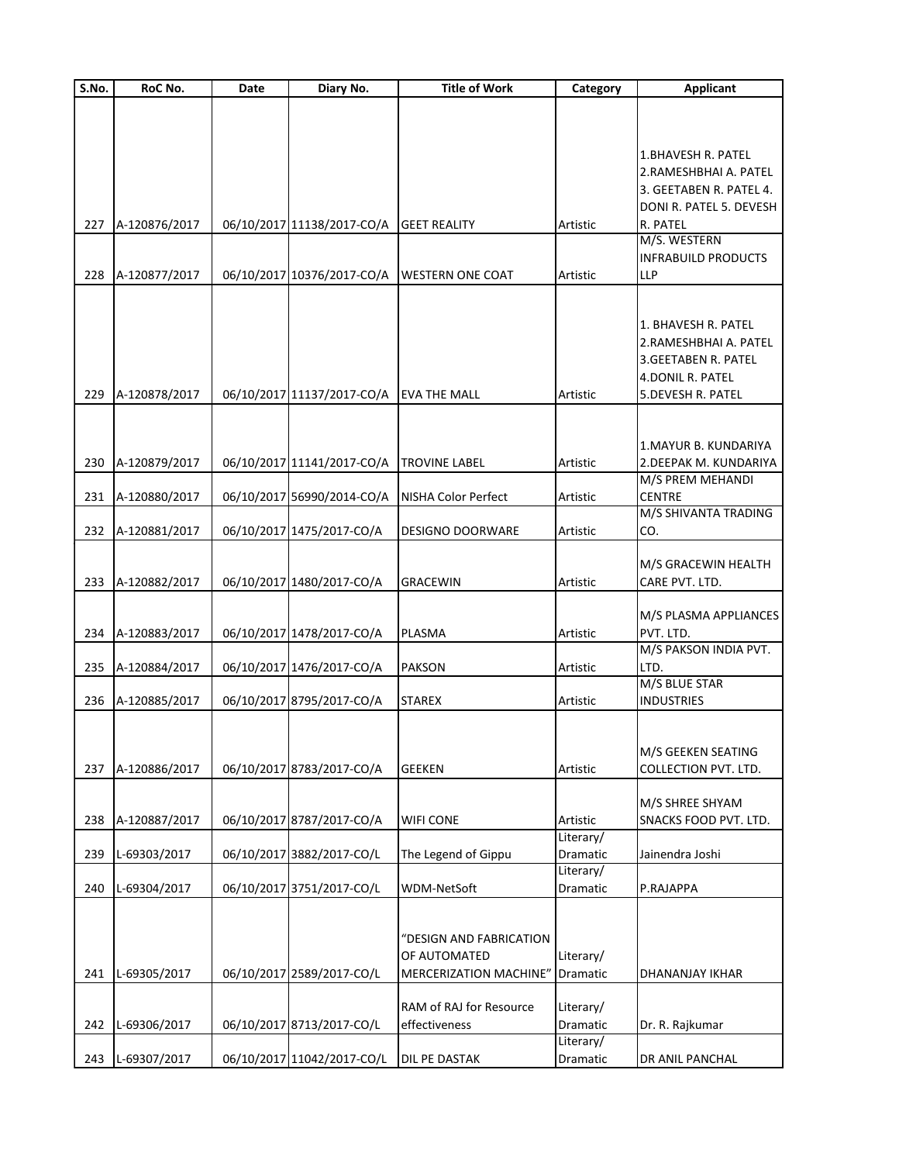| S.No. | RoC No.       | Date | Diary No.                  | <b>Title of Work</b>       | Category  | <b>Applicant</b>            |
|-------|---------------|------|----------------------------|----------------------------|-----------|-----------------------------|
|       |               |      |                            |                            |           |                             |
|       |               |      |                            |                            |           |                             |
|       |               |      |                            |                            |           |                             |
|       |               |      |                            |                            |           | <b>1.BHAVESH R. PATEL</b>   |
|       |               |      |                            |                            |           | 2.RAMESHBHAI A. PATEL       |
|       |               |      |                            |                            |           |                             |
|       |               |      |                            |                            |           | 3. GEETABEN R. PATEL 4.     |
|       |               |      |                            |                            |           | DONI R. PATEL 5. DEVESH     |
| 227   | A-120876/2017 |      | 06/10/2017 11138/2017-CO/A | <b>GEET REALITY</b>        | Artistic  | R. PATEL                    |
|       |               |      |                            |                            |           | M/S. WESTERN                |
|       |               |      |                            |                            |           | <b>INFRABUILD PRODUCTS</b>  |
| 228   | A-120877/2017 |      | 06/10/2017 10376/2017-CO/A | <b>WESTERN ONE COAT</b>    | Artistic  | LLP                         |
|       |               |      |                            |                            |           |                             |
|       |               |      |                            |                            |           |                             |
|       |               |      |                            |                            |           |                             |
|       |               |      |                            |                            |           | 1. BHAVESH R. PATEL         |
|       |               |      |                            |                            |           | 2.RAMESHBHAI A. PATEL       |
|       |               |      |                            |                            |           | 3.GEETABEN R. PATEL         |
|       |               |      |                            |                            |           | 4.DONIL R. PATEL            |
|       |               |      |                            |                            |           |                             |
| 229   | A-120878/2017 |      | 06/10/2017 11137/2017-CO/A | <b>EVA THE MALL</b>        | Artistic  | 5. DEVESH R. PATEL          |
|       |               |      |                            |                            |           |                             |
|       |               |      |                            |                            |           |                             |
|       |               |      |                            |                            |           | 1. MAYUR B. KUNDARIYA       |
| 230   | A-120879/2017 |      | 06/10/2017 11141/2017-CO/A | <b>TROVINE LABEL</b>       | Artistic  | 2. DEEPAK M. KUNDARIYA      |
|       |               |      |                            |                            |           | M/S PREM MEHANDI            |
|       |               |      |                            |                            |           |                             |
| 231   | A-120880/2017 |      | 06/10/2017 56990/2014-CO/A | <b>NISHA Color Perfect</b> | Artistic  | <b>CENTRE</b>               |
|       |               |      |                            |                            |           | M/S SHIVANTA TRADING        |
| 232   | A-120881/2017 |      | 06/10/2017 1475/2017-CO/A  | <b>DESIGNO DOORWARE</b>    | Artistic  | CO.                         |
|       |               |      |                            |                            |           |                             |
|       |               |      |                            |                            |           | M/S GRACEWIN HEALTH         |
| 233   | A-120882/2017 |      | 06/10/2017 1480/2017-CO/A  | <b>GRACEWIN</b>            | Artistic  | CARE PVT. LTD.              |
|       |               |      |                            |                            |           |                             |
|       |               |      |                            |                            |           |                             |
|       |               |      |                            |                            |           | M/S PLASMA APPLIANCES       |
| 234   | A-120883/2017 |      | 06/10/2017 1478/2017-CO/A  | PLASMA                     | Artistic  | PVT. LTD.                   |
|       |               |      |                            |                            |           | M/S PAKSON INDIA PVT.       |
| 235   | A-120884/2017 |      | 06/10/2017 1476/2017-CO/A  | <b>PAKSON</b>              | Artistic  | LTD.                        |
|       |               |      |                            |                            |           | M/S BLUE STAR               |
|       |               |      |                            |                            |           |                             |
| 236   | A-120885/2017 |      | 06/10/2017 8795/2017-CO/A  | <b>STAREX</b>              | Artistic  | <b>INDUSTRIES</b>           |
|       |               |      |                            |                            |           |                             |
|       |               |      |                            |                            |           |                             |
|       |               |      |                            |                            |           | M/S GEEKEN SEATING          |
| 237   | A-120886/2017 |      | 06/10/2017 8783/2017-CO/A  | <b>GEEKEN</b>              | Artistic  | <b>COLLECTION PVT. LTD.</b> |
|       |               |      |                            |                            |           |                             |
|       |               |      |                            |                            |           | M/S SHREE SHYAM             |
|       |               |      |                            |                            |           |                             |
| 238   | A-120887/2017 |      | 06/10/2017 8787/2017-CO/A  | <b>WIFI CONE</b>           | Artistic  | SNACKS FOOD PVT. LTD.       |
|       |               |      |                            |                            | Literary/ |                             |
| 239   | L-69303/2017  |      | 06/10/2017 3882/2017-CO/L  | The Legend of Gippu        | Dramatic  | Jainendra Joshi             |
|       |               |      |                            |                            | Literary/ |                             |
| 240   | L-69304/2017  |      | 06/10/2017 3751/2017-CO/L  | WDM-NetSoft                | Dramatic  | P.RAJAPPA                   |
|       |               |      |                            |                            |           |                             |
|       |               |      |                            |                            |           |                             |
|       |               |      |                            |                            |           |                             |
|       |               |      |                            | "DESIGN AND FABRICATION    |           |                             |
|       |               |      |                            | OF AUTOMATED               | Literary/ |                             |
| 241   | L-69305/2017  |      | 06/10/2017 2589/2017-CO/L  | MERCERIZATION MACHINE"     | Dramatic  | DHANANJAY IKHAR             |
|       |               |      |                            |                            |           |                             |
|       |               |      |                            | RAM of RAJ for Resource    | Literary/ |                             |
|       |               |      |                            |                            |           |                             |
| 242   | L-69306/2017  |      | 06/10/2017 8713/2017-CO/L  | effectiveness              | Dramatic  | Dr. R. Rajkumar             |
|       |               |      |                            |                            | Literary/ |                             |
| 243   | L-69307/2017  |      | 06/10/2017 11042/2017-CO/L | DIL PE DASTAK              | Dramatic  | DR ANIL PANCHAL             |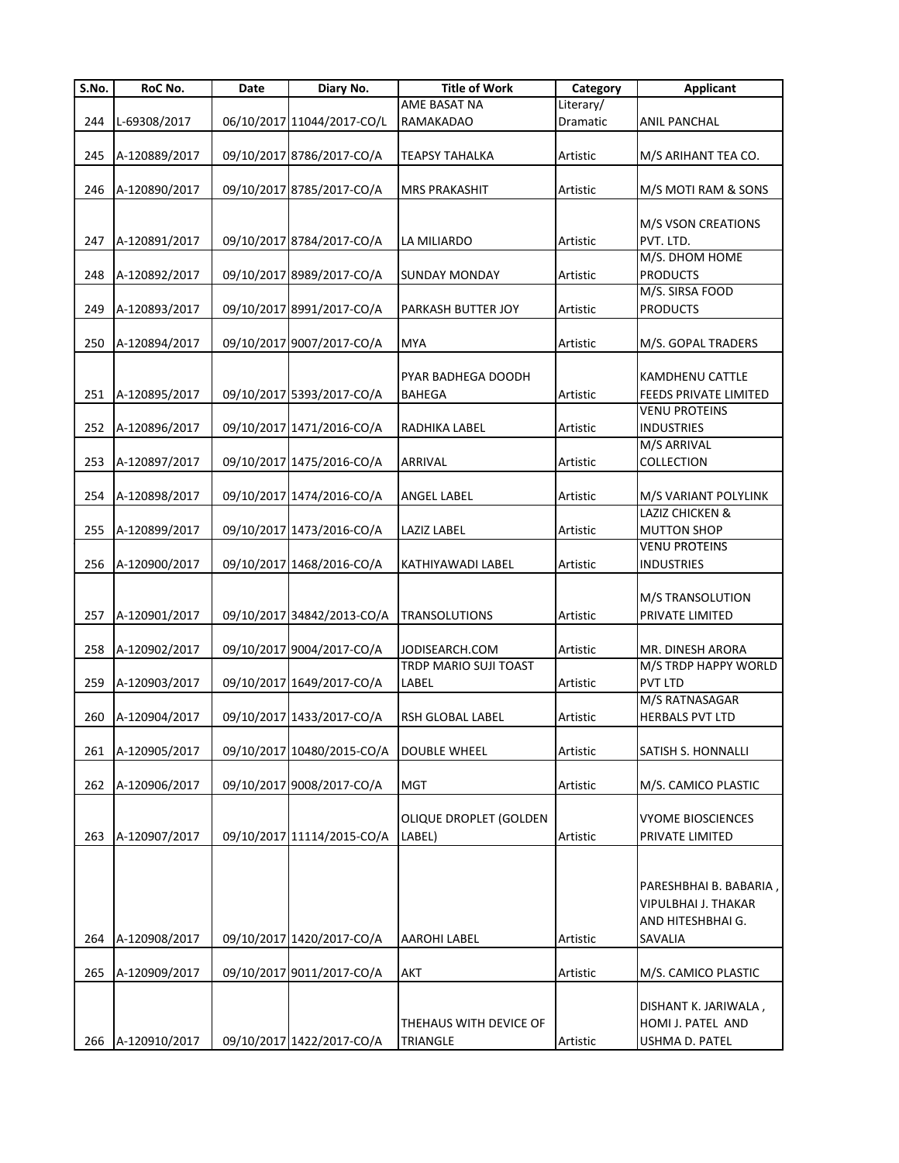| S.No. | RoC No.       | Date | Diary No.                  | <b>Title of Work</b>    | Category  | <b>Applicant</b>       |
|-------|---------------|------|----------------------------|-------------------------|-----------|------------------------|
|       |               |      |                            | AME BASAT NA            | Literary/ |                        |
| 244   | L-69308/2017  |      | 06/10/2017 11044/2017-CO/L | <b>RAMAKADAO</b>        | Dramatic  | <b>ANIL PANCHAL</b>    |
|       |               |      |                            |                         |           |                        |
| 245   | A-120889/2017 |      | 09/10/2017 8786/2017-CO/A  | <b>TEAPSY TAHALKA</b>   | Artistic  | M/S ARIHANT TEA CO.    |
|       |               |      |                            |                         |           |                        |
| 246   | A-120890/2017 |      | 09/10/2017 8785/2017-CO/A  | <b>MRS PRAKASHIT</b>    | Artistic  | M/S MOTI RAM & SONS    |
|       |               |      |                            |                         |           |                        |
|       |               |      |                            |                         |           | M/S VSON CREATIONS     |
| 247   | A-120891/2017 |      | 09/10/2017 8784/2017-CO/A  | LA MILIARDO             | Artistic  | PVT. LTD.              |
|       |               |      |                            |                         |           | M/S. DHOM HOME         |
| 248   | A-120892/2017 |      | 09/10/2017 8989/2017-CO/A  | <b>SUNDAY MONDAY</b>    | Artistic  | <b>PRODUCTS</b>        |
|       |               |      |                            |                         |           | M/S. SIRSA FOOD        |
| 249   | A-120893/2017 |      | 09/10/2017 8991/2017-CO/A  | PARKASH BUTTER JOY      | Artistic  | <b>PRODUCTS</b>        |
|       |               |      |                            |                         |           |                        |
| 250   | A-120894/2017 |      | 09/10/2017 9007/2017-CO/A  | <b>MYA</b>              | Artistic  | M/S. GOPAL TRADERS     |
|       |               |      |                            |                         |           |                        |
|       |               |      |                            | PYAR BADHEGA DOODH      |           | <b>KAMDHENU CATTLE</b> |
| 251   | A-120895/2017 |      | 09/10/2017 5393/2017-CO/A  | BAHEGA                  | Artistic  | FEEDS PRIVATE LIMITED  |
|       |               |      |                            |                         |           | <b>VENU PROTEINS</b>   |
| 252   | A-120896/2017 |      | 09/10/2017 1471/2016-CO/A  | RADHIKA LABEL           | Artistic  | <b>INDUSTRIES</b>      |
|       |               |      |                            |                         |           | M/S ARRIVAL            |
| 253   | A-120897/2017 |      | 09/10/2017 1475/2016-CO/A  | ARRIVAL                 | Artistic  | <b>COLLECTION</b>      |
|       |               |      |                            |                         |           |                        |
| 254   | A-120898/2017 |      | 09/10/2017 1474/2016-CO/A  | <b>ANGEL LABEL</b>      | Artistic  | M/S VARIANT POLYLINK   |
|       |               |      |                            |                         |           | LAZIZ CHICKEN &        |
| 255   | A-120899/2017 |      | 09/10/2017 1473/2016-CO/A  | <b>LAZIZ LABEL</b>      | Artistic  | <b>MUTTON SHOP</b>     |
|       |               |      |                            |                         |           | <b>VENU PROTEINS</b>   |
| 256   | A-120900/2017 |      | 09/10/2017 1468/2016-CO/A  | KATHIYAWADI LABEL       | Artistic  | <b>INDUSTRIES</b>      |
|       |               |      |                            |                         |           |                        |
|       |               |      |                            |                         |           | M/S TRANSOLUTION       |
| 257   | A-120901/2017 |      | 09/10/2017 34842/2013-CO/A | <b>TRANSOLUTIONS</b>    | Artistic  | PRIVATE LIMITED        |
|       |               |      |                            |                         |           |                        |
| 258   | A-120902/2017 |      | 09/10/2017 9004/2017-CO/A  | JODISEARCH.COM          | Artistic  | MR. DINESH ARORA       |
|       |               |      |                            | TRDP MARIO SUJI TOAST   |           | M/S TRDP HAPPY WORLD   |
| 259   | A-120903/2017 |      | 09/10/2017 1649/2017-CO/A  | LABEL                   | Artistic  | <b>PVT LTD</b>         |
|       |               |      |                            |                         |           | M/S RATNASAGAR         |
| 260   | A-120904/2017 |      | 09/10/2017 1433/2017-CO/A  | <b>RSH GLOBAL LABEL</b> | Artistic  | <b>HERBALS PVT LTD</b> |
|       |               |      |                            |                         |           |                        |
| 261   | A-120905/2017 |      | 09/10/2017 10480/2015-CO/A | <b>DOUBLE WHEEL</b>     | Artistic  | SATISH S. HONNALLI     |
|       |               |      |                            |                         |           |                        |
| 262   | A-120906/2017 |      | 09/10/2017 9008/2017-CO/A  | <b>MGT</b>              | Artistic  | M/S. CAMICO PLASTIC    |
|       |               |      |                            |                         |           |                        |
|       |               |      |                            | OLIQUE DROPLET (GOLDEN  |           | VYOME BIOSCIENCES      |
| 263   | A-120907/2017 |      | 09/10/2017 11114/2015-CO/A | LABEL)                  | Artistic  | PRIVATE LIMITED        |
|       |               |      |                            |                         |           |                        |
|       |               |      |                            |                         |           |                        |
|       |               |      |                            |                         |           | PARESHBHAI B. BABARIA, |
|       |               |      |                            |                         |           | VIPULBHAI J. THAKAR    |
|       |               |      |                            |                         |           | AND HITESHBHAI G.      |
| 264   | A-120908/2017 |      | 09/10/2017 1420/2017-CO/A  | <b>AAROHI LABEL</b>     | Artistic  | SAVALIA                |
|       |               |      |                            |                         |           |                        |
| 265   | A-120909/2017 |      | 09/10/2017 9011/2017-CO/A  | AKT                     | Artistic  | M/S. CAMICO PLASTIC    |
|       |               |      |                            |                         |           |                        |
|       |               |      |                            |                         |           | DISHANT K. JARIWALA,   |
|       |               |      |                            | THEHAUS WITH DEVICE OF  |           | HOMI J. PATEL AND      |
| 266   | A-120910/2017 |      | 09/10/2017 1422/2017-CO/A  | TRIANGLE                | Artistic  | USHMA D. PATEL         |
|       |               |      |                            |                         |           |                        |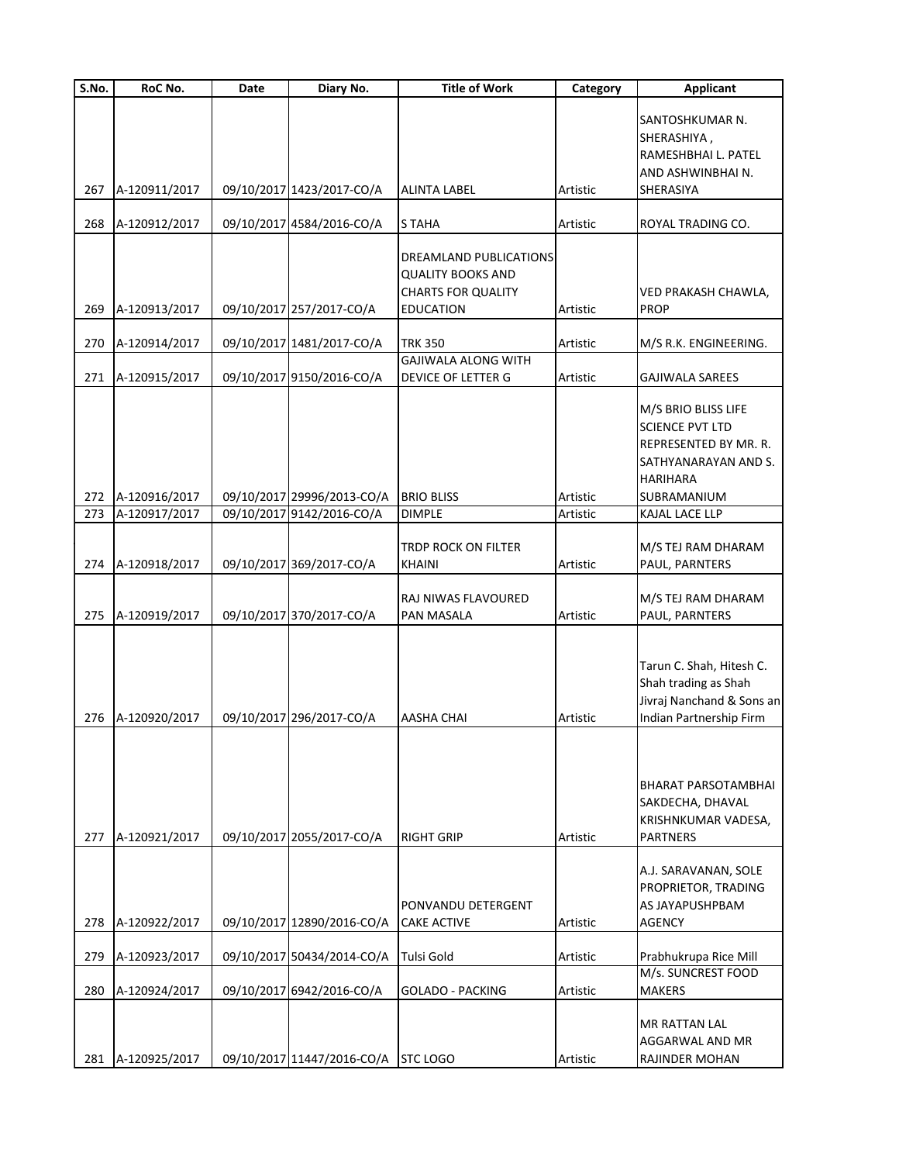| S.No.      | RoC No.                        | Date | Diary No.                                               | <b>Title of Work</b>                                                                                | Category             | <b>Applicant</b>                                                                                                                 |
|------------|--------------------------------|------|---------------------------------------------------------|-----------------------------------------------------------------------------------------------------|----------------------|----------------------------------------------------------------------------------------------------------------------------------|
|            |                                |      |                                                         |                                                                                                     |                      | SANTOSHKUMAR N.<br>SHERASHIYA,<br>RAMESHBHAI L. PATEL                                                                            |
|            |                                |      |                                                         |                                                                                                     |                      | AND ASHWINBHAI N.                                                                                                                |
| 267        | A-120911/2017                  |      | 09/10/2017 1423/2017-CO/A                               | <b>ALINTA LABEL</b>                                                                                 | Artistic             | SHERASIYA                                                                                                                        |
| 268        | A-120912/2017                  |      | 09/10/2017 4584/2016-CO/A                               | <b>STAHA</b>                                                                                        | Artistic             | ROYAL TRADING CO.                                                                                                                |
| 269        | A-120913/2017                  |      | 09/10/2017 257/2017-CO/A                                | DREAMLAND PUBLICATIONS<br><b>QUALITY BOOKS AND</b><br><b>CHARTS FOR QUALITY</b><br><b>EDUCATION</b> | Artistic             | VED PRAKASH CHAWLA,<br><b>PROP</b>                                                                                               |
| 270        | A-120914/2017                  |      | 09/10/2017 1481/2017-CO/A                               | TRK 350                                                                                             | Artistic             | M/S R.K. ENGINEERING.                                                                                                            |
|            |                                |      |                                                         | <b>GAJIWALA ALONG WITH</b>                                                                          |                      |                                                                                                                                  |
| 271        | A-120915/2017                  |      | 09/10/2017 9150/2016-CO/A                               | <b>DEVICE OF LETTER G</b>                                                                           | Artistic             | <b>GAJIWALA SAREES</b>                                                                                                           |
| 272        | A-120916/2017                  |      | 09/10/2017 29996/2013-CO/A                              | <b>BRIO BLISS</b>                                                                                   | Artistic             | M/S BRIO BLISS LIFE<br><b>SCIENCE PVT LTD</b><br>REPRESENTED BY MR. R.<br>SATHYANARAYAN AND S.<br><b>HARIHARA</b><br>SUBRAMANIUM |
| 273        | A-120917/2017                  |      | 09/10/2017 9142/2016-CO/A                               | <b>DIMPLE</b>                                                                                       | Artistic             | KAJAL LACE LLP                                                                                                                   |
| 274        | A-120918/2017                  |      | 09/10/2017 369/2017-CO/A                                | TRDP ROCK ON FILTER<br><b>KHAINI</b>                                                                | Artistic             | M/S TEJ RAM DHARAM<br>PAUL, PARNTERS                                                                                             |
| 275        | A-120919/2017                  |      | 09/10/2017 370/2017-CO/A                                | RAJ NIWAS FLAVOURED<br>PAN MASALA                                                                   | Artistic             | M/S TEJ RAM DHARAM<br>PAUL, PARNTERS                                                                                             |
| 276        | A-120920/2017                  |      | 09/10/2017 296/2017-CO/A                                | <b>AASHA CHAI</b>                                                                                   | Artistic             | Tarun C. Shah, Hitesh C.<br>Shah trading as Shah<br>Jivraj Nanchand & Sons an<br>Indian Partnership Firm                         |
| 277        | A-120921/2017                  |      | 09/10/2017 2055/2017-CO/A                               | <b>RIGHT GRIP</b>                                                                                   | Artistic             | BHARAT PARSOTAMBHAI<br>SAKDECHA, DHAVAL<br>KRISHNKUMAR VADESA,<br><b>PARTNERS</b>                                                |
| 278        | A-120922/2017                  |      | 09/10/2017 12890/2016-CO/A                              | PONVANDU DETERGENT<br><b>CAKE ACTIVE</b>                                                            | Artistic             | A.J. SARAVANAN, SOLE<br>PROPRIETOR, TRADING<br>AS JAYAPUSHPBAM<br><b>AGENCY</b>                                                  |
|            |                                |      |                                                         |                                                                                                     |                      |                                                                                                                                  |
| 279<br>280 | A-120923/2017<br>A-120924/2017 |      | 09/10/2017 50434/2014-CO/A<br>09/10/2017 6942/2016-CO/A | <b>Tulsi Gold</b><br><b>GOLADO - PACKING</b>                                                        | Artistic<br>Artistic | Prabhukrupa Rice Mill<br>M/s. SUNCREST FOOD<br><b>MAKERS</b>                                                                     |
| 281        | A-120925/2017                  |      | 09/10/2017 11447/2016-CO/A STC LOGO                     |                                                                                                     | Artistic             | MR RATTAN LAL<br>AGGARWAL AND MR<br>RAJINDER MOHAN                                                                               |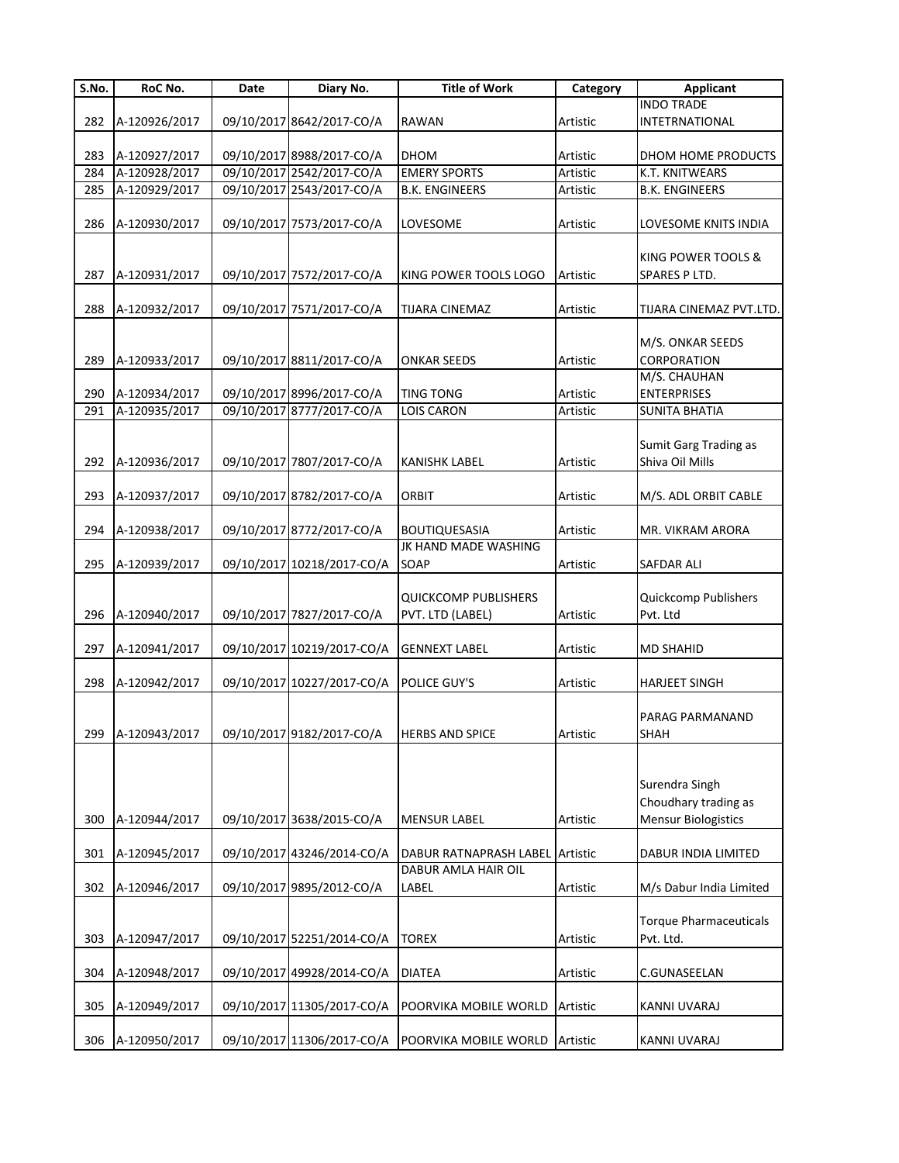| S.No. | RoC No.           | Date | Diary No.                  | <b>Title of Work</b>                     | Category | <b>Applicant</b>                                                     |
|-------|-------------------|------|----------------------------|------------------------------------------|----------|----------------------------------------------------------------------|
|       |                   |      |                            |                                          |          | <b>INDO TRADE</b>                                                    |
| 282   | A-120926/2017     |      | 09/10/2017 8642/2017-CO/A  | <b>RAWAN</b>                             | Artistic | INTETRNATIONAL                                                       |
|       |                   |      |                            |                                          |          |                                                                      |
| 283   | A-120927/2017     |      | 09/10/2017 8988/2017-CO/A  | <b>DHOM</b>                              | Artistic | DHOM HOME PRODUCTS                                                   |
| 284   | A-120928/2017     |      | 09/10/2017 2542/2017-CO/A  | <b>EMERY SPORTS</b>                      | Artistic | K.T. KNITWEARS                                                       |
| 285   | A-120929/2017     |      | 09/10/2017 2543/2017-CO/A  | <b>B.K. ENGINEERS</b>                    | Artistic | <b>B.K. ENGINEERS</b>                                                |
| 286   | A-120930/2017     |      | 09/10/2017 7573/2017-CO/A  | LOVESOME                                 | Artistic | LOVESOME KNITS INDIA                                                 |
| 287   | A-120931/2017     |      | 09/10/2017 7572/2017-CO/A  | KING POWER TOOLS LOGO                    | Artistic | <b>KING POWER TOOLS &amp;</b><br>SPARES P LTD.                       |
| 288   | A-120932/2017     |      | 09/10/2017 7571/2017-CO/A  | <b>TIJARA CINEMAZ</b>                    | Artistic | TIJARA CINEMAZ PVT.LTD.                                              |
| 289   | A-120933/2017     |      | 09/10/2017 8811/2017-CO/A  | ONKAR SEEDS                              | Artistic | M/S. ONKAR SEEDS<br>CORPORATION<br>M/S. CHAUHAN                      |
| 290   | A-120934/2017     |      | 09/10/2017 8996/2017-CO/A  | <b>TING TONG</b>                         | Artistic | <b>ENTERPRISES</b>                                                   |
| 291   | A-120935/2017     |      | 09/10/2017 8777/2017-CO/A  | LOIS CARON                               | Artistic | <b>SUNITA BHATIA</b>                                                 |
|       | 292 A-120936/2017 |      | 09/10/2017 7807/2017-CO/A  | <b>KANISHK LABEL</b>                     | Artistic | Sumit Garg Trading as<br>Shiva Oil Mills                             |
| 293   | A-120937/2017     |      | 09/10/2017 8782/2017-CO/A  | ORBIT                                    | Artistic | M/S. ADL ORBIT CABLE                                                 |
| 294   | A-120938/2017     |      | 09/10/2017 8772/2017-CO/A  | <b>BOUTIQUESASIA</b>                     | Artistic | MR. VIKRAM ARORA                                                     |
| 295   | A-120939/2017     |      | 09/10/2017 10218/2017-CO/A | JK HAND MADE WASHING<br>SOAP             | Artistic | <b>SAFDAR ALI</b>                                                    |
| 296   | A-120940/2017     |      | 09/10/2017 7827/2017-CO/A  | QUICKCOMP PUBLISHERS<br>PVT. LTD (LABEL) | Artistic | Quickcomp Publishers<br>Pvt. Ltd                                     |
| 297   | A-120941/2017     |      | 09/10/2017 10219/2017-CO/A | <b>GENNEXT LABEL</b>                     | Artistic | <b>MD SHAHID</b>                                                     |
| 298   | A-120942/2017     |      | 09/10/2017 10227/2017-CO/A | POLICE GUY'S                             | Artistic | <b>HARJEET SINGH</b>                                                 |
|       | 299 A-120943/2017 |      | 09/10/2017 9182/2017-CO/A  | <b>HERBS AND SPICE</b>                   | Artistic | <b>PARAG PARMANAND</b><br>SHAH                                       |
| 300   | A-120944/2017     |      | 09/10/2017 3638/2015-CO/A  | <b>MENSUR LABEL</b>                      | Artistic | Surendra Singh<br>Choudhary trading as<br><b>Mensur Biologistics</b> |
| 301   | A-120945/2017     |      | 09/10/2017 43246/2014-CO/A | DABUR RATNAPRASH LABEL Artistic          |          | DABUR INDIA LIMITED                                                  |
| 302   | A-120946/2017     |      | 09/10/2017 9895/2012-CO/A  | DABUR AMLA HAIR OIL<br>LABEL             | Artistic | M/s Dabur India Limited                                              |
| 303   | A-120947/2017     |      | 09/10/2017 52251/2014-CO/A | <b>TOREX</b>                             | Artistic | <b>Torque Pharmaceuticals</b><br>Pvt. Ltd.                           |
| 304   | A-120948/2017     |      | 09/10/2017 49928/2014-CO/A | <b>DIATEA</b>                            | Artistic | C.GUNASEELAN                                                         |
| 305   | A-120949/2017     |      | 09/10/2017 11305/2017-CO/A | POORVIKA MOBILE WORLD                    | Artistic | <b>KANNI UVARAJ</b>                                                  |
| 306   | A-120950/2017     |      | 09/10/2017 11306/2017-CO/A | POORVIKA MOBILE WORLD                    | Artistic | <b>KANNI UVARAJ</b>                                                  |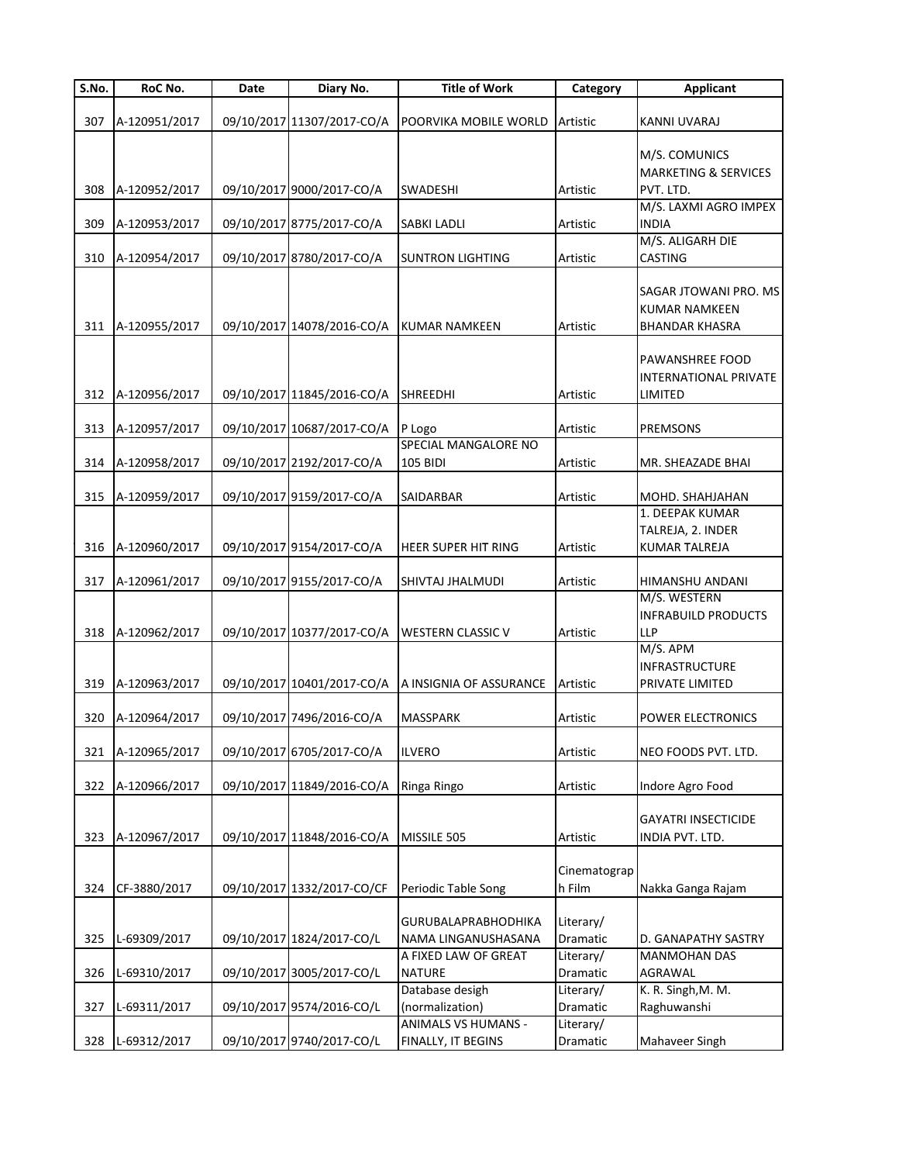| S.No. | RoC No.           | Date | Diary No.                  | <b>Title of Work</b>                               | Category              | <b>Applicant</b>                         |
|-------|-------------------|------|----------------------------|----------------------------------------------------|-----------------------|------------------------------------------|
|       |                   |      |                            |                                                    |                       |                                          |
| 307   | A-120951/2017     |      | 09/10/2017 11307/2017-CO/A | POORVIKA MOBILE WORLD                              | Artistic              | KANNI UVARAJ                             |
|       |                   |      |                            |                                                    |                       | M/S. COMUNICS                            |
|       |                   |      |                            |                                                    |                       | <b>MARKETING &amp; SERVICES</b>          |
| 308   | A-120952/2017     |      | 09/10/2017 9000/2017-CO/A  | <b>SWADESHI</b>                                    | Artistic              | PVT. LTD.                                |
|       |                   |      |                            |                                                    |                       | M/S. LAXMI AGRO IMPEX                    |
| 309   | A-120953/2017     |      | 09/10/2017 8775/2017-CO/A  | <b>SABKI LADLI</b>                                 | Artistic              | <b>INDIA</b>                             |
|       |                   |      |                            |                                                    |                       | M/S. ALIGARH DIE                         |
| 310   | A-120954/2017     |      | 09/10/2017 8780/2017-CO/A  | <b>SUNTRON LIGHTING</b>                            | Artistic              | <b>CASTING</b>                           |
|       |                   |      |                            |                                                    |                       | SAGAR JTOWANI PRO. MS                    |
|       |                   |      |                            |                                                    |                       | <b>KUMAR NAMKEEN</b>                     |
| 311   | A-120955/2017     |      | 09/10/2017 14078/2016-CO/A | <b>KUMAR NAMKEEN</b>                               | Artistic              | <b>BHANDAR KHASRA</b>                    |
|       |                   |      |                            |                                                    |                       |                                          |
|       |                   |      |                            |                                                    |                       | PAWANSHREE FOOD                          |
|       |                   |      |                            |                                                    |                       | <b>INTERNATIONAL PRIVATE</b>             |
|       | 312 A-120956/2017 |      | 09/10/2017 11845/2016-CO/A | SHREEDHI                                           | Artistic              | LIMITED                                  |
|       |                   |      |                            |                                                    |                       |                                          |
| 313   | A-120957/2017     |      | 09/10/2017 10687/2017-CO/A | P Logo<br>SPECIAL MANGALORE NO                     | Artistic              | <b>PREMSONS</b>                          |
| 314   | A-120958/2017     |      | 09/10/2017 2192/2017-CO/A  | 105 BIDI                                           | Artistic              | MR. SHEAZADE BHAI                        |
|       |                   |      |                            |                                                    |                       |                                          |
| 315   | A-120959/2017     |      | 09/10/2017 9159/2017-CO/A  | SAIDARBAR                                          | Artistic              | MOHD. SHAHJAHAN                          |
|       |                   |      |                            |                                                    |                       | 1. DEEPAK KUMAR                          |
|       |                   |      |                            |                                                    |                       | TALREJA, 2. INDER                        |
| 316   | A-120960/2017     |      | 09/10/2017 9154/2017-CO/A  | HEER SUPER HIT RING                                | Artistic              | <b>KUMAR TALREJA</b>                     |
|       |                   |      |                            |                                                    |                       |                                          |
| 317   | A-120961/2017     |      | 09/10/2017 9155/2017-CO/A  | SHIVTAJ JHALMUDI                                   | Artistic              | HIMANSHU ANDANI                          |
|       |                   |      |                            |                                                    |                       | M/S. WESTERN                             |
| 318   | A-120962/2017     |      | 09/10/2017 10377/2017-CO/A | <b>WESTERN CLASSIC V</b>                           | Artistic              | <b>INFRABUILD PRODUCTS</b><br><b>LLP</b> |
|       |                   |      |                            |                                                    |                       | M/S. APM                                 |
|       |                   |      |                            |                                                    |                       | <b>INFRASTRUCTURE</b>                    |
| 319   | A-120963/2017     |      |                            | 09/10/2017 10401/2017-CO/A A INSIGNIA OF ASSURANCE | Artistic              | PRIVATE LIMITED                          |
|       |                   |      |                            |                                                    |                       |                                          |
| 320   | A-120964/2017     |      | 09/10/2017 7496/2016-CO/A  | <b>MASSPARK</b>                                    | Artistic              | POWER ELECTRONICS                        |
|       |                   |      |                            |                                                    |                       |                                          |
| 321   | A-120965/2017     |      | 09/10/2017 6705/2017-CO/A  | <b>ILVERO</b>                                      | Artistic              | NEO FOODS PVT. LTD.                      |
|       |                   |      |                            |                                                    |                       |                                          |
| 322   | A-120966/2017     |      | 09/10/2017 11849/2016-CO/A | Ringa Ringo                                        | Artistic              | Indore Agro Food                         |
|       |                   |      |                            |                                                    |                       | <b>GAYATRI INSECTICIDE</b>               |
| 323   | A-120967/2017     |      | 09/10/2017 11848/2016-CO/A | MISSILE 505                                        | Artistic              | INDIA PVT. LTD.                          |
|       |                   |      |                            |                                                    |                       |                                          |
|       |                   |      |                            |                                                    | Cinematograp          |                                          |
| 324   | CF-3880/2017      |      | 09/10/2017 1332/2017-CO/CF | Periodic Table Song                                | h Film                | Nakka Ganga Rajam                        |
|       |                   |      |                            |                                                    |                       |                                          |
|       |                   |      |                            | <b>GURUBALAPRABHODHIKA</b>                         | Literary/             |                                          |
| 325   | L-69309/2017      |      | 09/10/2017 1824/2017-CO/L  | NAMA LINGANUSHASANA                                | Dramatic              | D. GANAPATHY SASTRY                      |
| 326   |                   |      | 09/10/2017 3005/2017-CO/L  | A FIXED LAW OF GREAT<br><b>NATURE</b>              | Literary/<br>Dramatic | <b>MANMOHAN DAS</b><br>AGRAWAL           |
|       | L-69310/2017      |      |                            | Database desigh                                    | Literary/             | K. R. Singh, M. M.                       |
| 327   | L-69311/2017      |      | 09/10/2017 9574/2016-CO/L  | (normalization)                                    | Dramatic              | Raghuwanshi                              |
|       |                   |      |                            | ANIMALS VS HUMANS -                                | Literary/             |                                          |
| 328   | L-69312/2017      |      | 09/10/2017 9740/2017-CO/L  | FINALLY, IT BEGINS                                 | Dramatic              | Mahaveer Singh                           |
|       |                   |      |                            |                                                    |                       |                                          |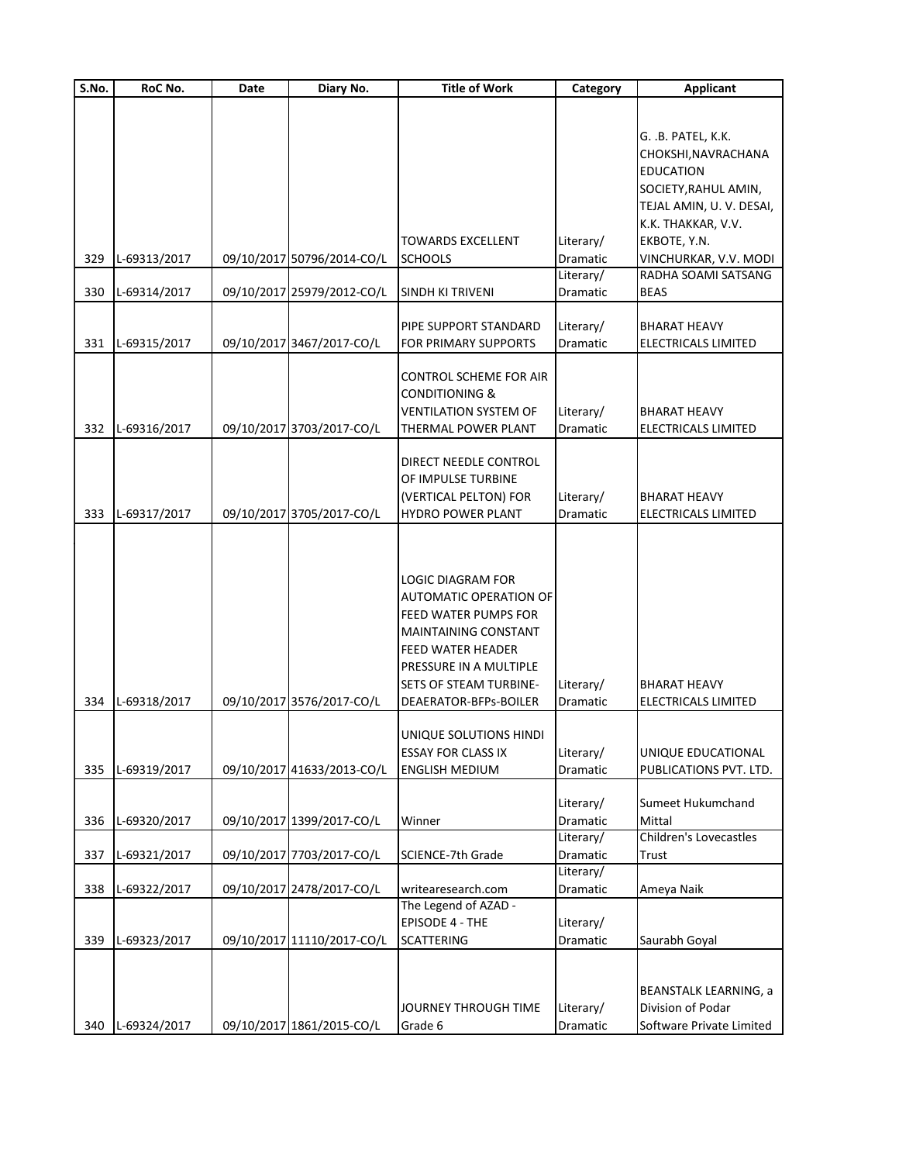| S.No. | RoC No.      | Date | Diary No.                  | <b>Title of Work</b>          | Category  | <b>Applicant</b>           |
|-------|--------------|------|----------------------------|-------------------------------|-----------|----------------------------|
|       |              |      |                            |                               |           |                            |
|       |              |      |                            |                               |           |                            |
|       |              |      |                            |                               |           | G. .B. PATEL, K.K.         |
|       |              |      |                            |                               |           | CHOKSHI, NAVRACHANA        |
|       |              |      |                            |                               |           | <b>EDUCATION</b>           |
|       |              |      |                            |                               |           | SOCIETY, RAHUL AMIN,       |
|       |              |      |                            |                               |           | TEJAL AMIN, U.V. DESAI,    |
|       |              |      |                            |                               |           | K.K. THAKKAR, V.V.         |
|       |              |      |                            | <b>TOWARDS EXCELLENT</b>      | Literary/ | EKBOTE, Y.N.               |
| 329   | L-69313/2017 |      | 09/10/2017 50796/2014-CO/L | <b>SCHOOLS</b>                | Dramatic  | VINCHURKAR, V.V. MODI      |
|       |              |      |                            |                               | Literary/ | RADHA SOAMI SATSANG        |
| 330   | L-69314/2017 |      | 09/10/2017 25979/2012-CO/L | SINDH KI TRIVENI              | Dramatic  | <b>BEAS</b>                |
|       |              |      |                            |                               |           |                            |
|       |              |      |                            | PIPE SUPPORT STANDARD         | Literary/ | BHARAT HEAVY               |
| 331   | L-69315/2017 |      | 09/10/2017 3467/2017-CO/L  | FOR PRIMARY SUPPORTS          | Dramatic  | ELECTRICALS LIMITED        |
|       |              |      |                            |                               |           |                            |
|       |              |      |                            | <b>CONTROL SCHEME FOR AIR</b> |           |                            |
|       |              |      |                            | <b>CONDITIONING &amp;</b>     |           |                            |
|       |              |      |                            | <b>VENTILATION SYSTEM OF</b>  | Literary/ | <b>BHARAT HEAVY</b>        |
| 332   | L-69316/2017 |      | 09/10/2017 3703/2017-CO/L  | THERMAL POWER PLANT           | Dramatic  | ELECTRICALS LIMITED        |
|       |              |      |                            | DIRECT NEEDLE CONTROL         |           |                            |
|       |              |      |                            | OF IMPULSE TURBINE            |           |                            |
|       |              |      |                            |                               |           | <b>BHARAT HEAVY</b>        |
|       |              |      |                            | (VERTICAL PELTON) FOR         | Literary/ |                            |
| 333   | L-69317/2017 |      | 09/10/2017 3705/2017-CO/L  | <b>HYDRO POWER PLANT</b>      | Dramatic  | ELECTRICALS LIMITED        |
|       |              |      |                            |                               |           |                            |
|       |              |      |                            |                               |           |                            |
|       |              |      |                            | LOGIC DIAGRAM FOR             |           |                            |
|       |              |      |                            | <b>AUTOMATIC OPERATION OF</b> |           |                            |
|       |              |      |                            | FEED WATER PUMPS FOR          |           |                            |
|       |              |      |                            | <b>MAINTAINING CONSTANT</b>   |           |                            |
|       |              |      |                            |                               |           |                            |
|       |              |      |                            | <b>FEED WATER HEADER</b>      |           |                            |
|       |              |      |                            | PRESSURE IN A MULTIPLE        |           |                            |
|       |              |      |                            | <b>SETS OF STEAM TURBINE-</b> | Literary/ | <b>BHARAT HEAVY</b>        |
| 334   | L-69318/2017 |      | 09/10/2017 3576/2017-CO/L  | DEAERATOR-BFPs-BOILER         | Dramatic  | <b>ELECTRICALS LIMITED</b> |
|       |              |      |                            | UNIQUE SOLUTIONS HINDI        |           |                            |
|       |              |      |                            | <b>ESSAY FOR CLASS IX</b>     | Literary/ | UNIQUE EDUCATIONAL         |
| 335   | L-69319/2017 |      | 09/10/2017 41633/2013-CO/L | <b>ENGLISH MEDIUM</b>         | Dramatic  |                            |
|       |              |      |                            |                               |           | PUBLICATIONS PVT. LTD.     |
|       |              |      |                            |                               | Literary/ | Sumeet Hukumchand          |
| 336   | L-69320/2017 |      | 09/10/2017 1399/2017-CO/L  | Winner                        | Dramatic  | Mittal                     |
|       |              |      |                            |                               | Literary/ | Children's Lovecastles     |
| 337   | L-69321/2017 |      | 09/10/2017 7703/2017-CO/L  | SCIENCE-7th Grade             | Dramatic  | Trust                      |
|       |              |      |                            |                               | Literary/ |                            |
| 338   | L-69322/2017 |      | 09/10/2017 2478/2017-CO/L  | writearesearch.com            | Dramatic  | Ameya Naik                 |
|       |              |      |                            | The Legend of AZAD -          |           |                            |
|       |              |      |                            | <b>EPISODE 4 - THE</b>        | Literary/ |                            |
| 339   | L-69323/2017 |      | 09/10/2017 11110/2017-CO/L | <b>SCATTERING</b>             | Dramatic  | Saurabh Goyal              |
|       |              |      |                            |                               |           |                            |
|       |              |      |                            |                               |           |                            |
|       |              |      |                            |                               |           | BEANSTALK LEARNING, a      |
|       |              |      |                            | JOURNEY THROUGH TIME          | Literary/ | Division of Podar          |
| 340   | L-69324/2017 |      | 09/10/2017 1861/2015-CO/L  | Grade 6                       | Dramatic  | Software Private Limited   |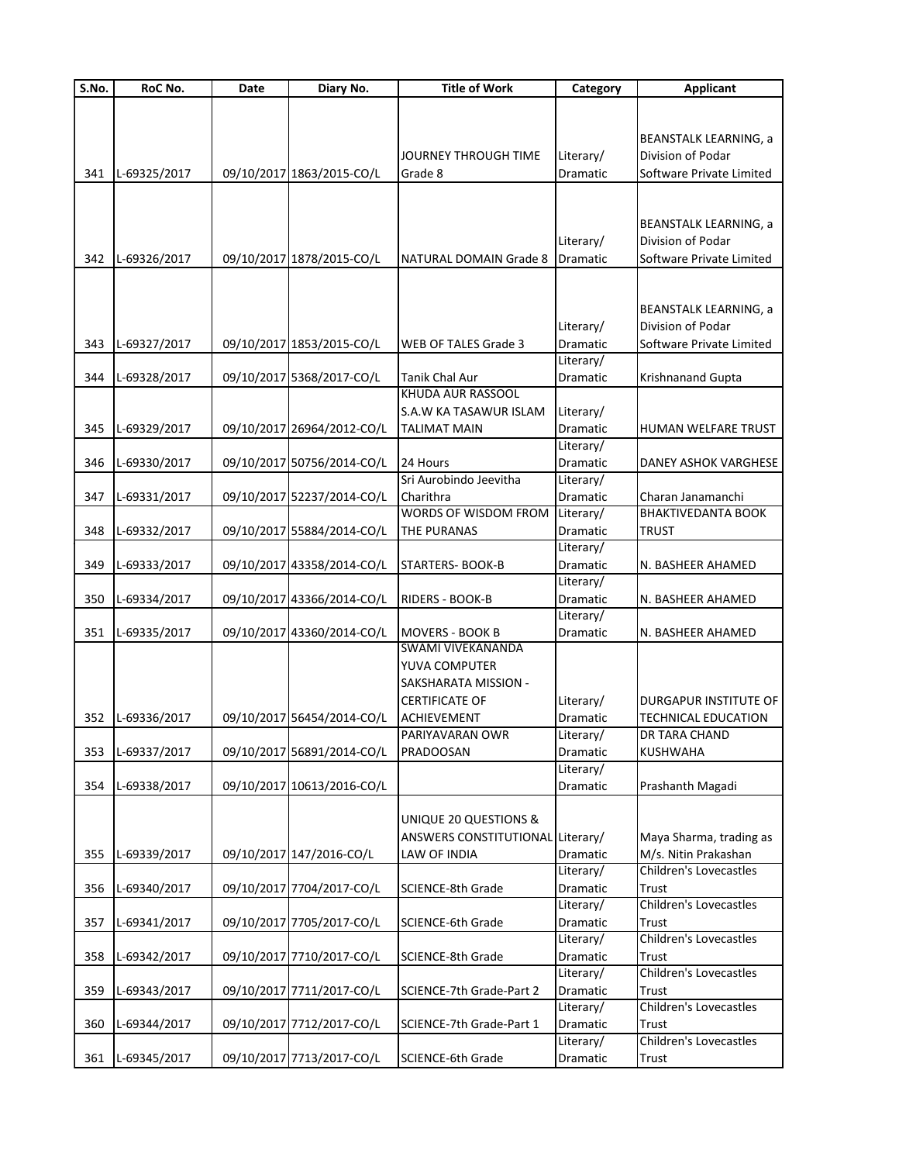| S.No. | RoC No.      | Date | Diary No.                  | <b>Title of Work</b>                               | Category              | <b>Applicant</b>                                  |
|-------|--------------|------|----------------------------|----------------------------------------------------|-----------------------|---------------------------------------------------|
|       |              |      |                            |                                                    |                       |                                                   |
|       |              |      |                            |                                                    |                       |                                                   |
|       |              |      |                            |                                                    |                       | <b>BEANSTALK LEARNING, a</b>                      |
|       |              |      |                            | JOURNEY THROUGH TIME                               | Literary/             | Division of Podar                                 |
| 341   | L-69325/2017 |      | 09/10/2017 1863/2015-CO/L  | Grade 8                                            | Dramatic              | Software Private Limited                          |
|       |              |      |                            |                                                    |                       |                                                   |
|       |              |      |                            |                                                    |                       |                                                   |
|       |              |      |                            |                                                    |                       | <b>BEANSTALK LEARNING, a</b><br>Division of Podar |
| 342   | L-69326/2017 |      | 09/10/2017 1878/2015-CO/L  | <b>NATURAL DOMAIN Grade 8</b>                      | Literary/<br>Dramatic | Software Private Limited                          |
|       |              |      |                            |                                                    |                       |                                                   |
|       |              |      |                            |                                                    |                       |                                                   |
|       |              |      |                            |                                                    |                       | <b>BEANSTALK LEARNING, a</b>                      |
|       |              |      |                            |                                                    | Literary/             | Division of Podar                                 |
| 343   | L-69327/2017 |      | 09/10/2017 1853/2015-CO/L  | WEB OF TALES Grade 3                               | Dramatic              | Software Private Limited                          |
|       |              |      |                            |                                                    | Literary/             |                                                   |
| 344   | L-69328/2017 |      | 09/10/2017 5368/2017-CO/L  | Tanik Chal Aur                                     | Dramatic              | Krishnanand Gupta                                 |
|       |              |      |                            | KHUDA AUR RASSOOL                                  |                       |                                                   |
|       |              |      |                            | S.A.W KA TASAWUR ISLAM                             | Literary/             |                                                   |
| 345   | L-69329/2017 |      | 09/10/2017 26964/2012-CO/L | <b>TALIMAT MAIN</b>                                | Dramatic              | HUMAN WELFARE TRUST                               |
|       |              |      |                            |                                                    | Literary/             |                                                   |
| 346   | L-69330/2017 |      | 09/10/2017 50756/2014-CO/L | 24 Hours                                           | Dramatic              | <b>DANEY ASHOK VARGHESE</b>                       |
|       |              |      |                            | Sri Aurobindo Jeevitha                             | Literary/             |                                                   |
| 347   | L-69331/2017 |      | 09/10/2017 52237/2014-CO/L | Charithra                                          | Dramatic              | Charan Janamanchi                                 |
|       |              |      |                            | WORDS OF WISDOM FROM                               | Literary/             | <b>BHAKTIVEDANTA BOOK</b>                         |
| 348   | L-69332/2017 |      | 09/10/2017 55884/2014-CO/L | <b>THE PURANAS</b>                                 | Dramatic              | <b>TRUST</b>                                      |
|       |              |      |                            |                                                    | Literary/             |                                                   |
| 349   | L-69333/2017 |      | 09/10/2017 43358/2014-CO/L | <b>STARTERS-BOOK-B</b>                             | Dramatic              | N. BASHEER AHAMED                                 |
|       |              |      |                            |                                                    | Literary/             |                                                   |
| 350   | L-69334/2017 |      | 09/10/2017 43366/2014-CO/L | RIDERS - BOOK-B                                    | Dramatic              | N. BASHEER AHAMED                                 |
|       |              |      |                            |                                                    | Literary/             |                                                   |
| 351   | L-69335/2017 |      | 09/10/2017 43360/2014-CO/L | <b>MOVERS - BOOK B</b><br><b>SWAMI VIVEKANANDA</b> | Dramatic              | N. BASHEER AHAMED                                 |
|       |              |      |                            | YUVA COMPUTER                                      |                       |                                                   |
|       |              |      |                            | SAKSHARATA MISSION -                               |                       |                                                   |
|       |              |      |                            | <b>CERTIFICATE OF</b>                              | Literary/             | DURGAPUR INSTITUTE OF                             |
| 352   | L-69336/2017 |      | 09/10/2017 56454/2014-CO/L | <b>ACHIEVEMENT</b>                                 | Dramatic              | <b>TECHNICAL EDUCATION</b>                        |
|       |              |      |                            | PARIYAVARAN OWR                                    | Literary/             | <b>DR TARA CHAND</b>                              |
| 353   | L-69337/2017 |      | 09/10/2017 56891/2014-CO/L | <b>PRADOOSAN</b>                                   | Dramatic              | <b>KUSHWAHA</b>                                   |
|       |              |      |                            |                                                    | Literary/             |                                                   |
| 354   | L-69338/2017 |      | 09/10/2017 10613/2016-CO/L |                                                    | Dramatic              | Prashanth Magadi                                  |
|       |              |      |                            |                                                    |                       |                                                   |
|       |              |      |                            | UNIQUE 20 QUESTIONS &                              |                       |                                                   |
|       |              |      |                            | ANSWERS CONSTITUTIONAL Literary/                   |                       | Maya Sharma, trading as                           |
| 355   | L-69339/2017 |      | 09/10/2017 147/2016-CO/L   | LAW OF INDIA                                       | Dramatic              | M/s. Nitin Prakashan                              |
|       |              |      |                            |                                                    | Literary/             | Children's Lovecastles                            |
| 356   | L-69340/2017 |      | 09/10/2017 7704/2017-CO/L  | SCIENCE-8th Grade                                  | Dramatic              | <b>Trust</b>                                      |
|       |              |      |                            |                                                    | Literary/             | <b>Children's Lovecastles</b>                     |
| 357   | L-69341/2017 |      | 09/10/2017 7705/2017-CO/L  | <b>SCIENCE-6th Grade</b>                           | Dramatic              | Trust                                             |
|       |              |      |                            |                                                    | Literary/             | <b>Children's Lovecastles</b>                     |
| 358   | L-69342/2017 |      | 09/10/2017 7710/2017-CO/L  | <b>SCIENCE-8th Grade</b>                           | Dramatic              | Trust                                             |
|       |              |      |                            |                                                    | Literary/             | <b>Children's Lovecastles</b>                     |
| 359   | L-69343/2017 |      | 09/10/2017 7711/2017-CO/L  | SCIENCE-7th Grade-Part 2                           | Dramatic              | <b>Trust</b>                                      |
|       |              |      |                            |                                                    | Literary/             | <b>Children's Lovecastles</b>                     |
| 360   | L-69344/2017 |      | 09/10/2017 7712/2017-CO/L  | SCIENCE-7th Grade-Part 1                           | Dramatic              | <b>Trust</b>                                      |
|       |              |      |                            |                                                    | Literary/             | <b>Children's Lovecastles</b>                     |
| 361   | L-69345/2017 |      | 09/10/2017 7713/2017-CO/L  | SCIENCE-6th Grade                                  | Dramatic              | Trust                                             |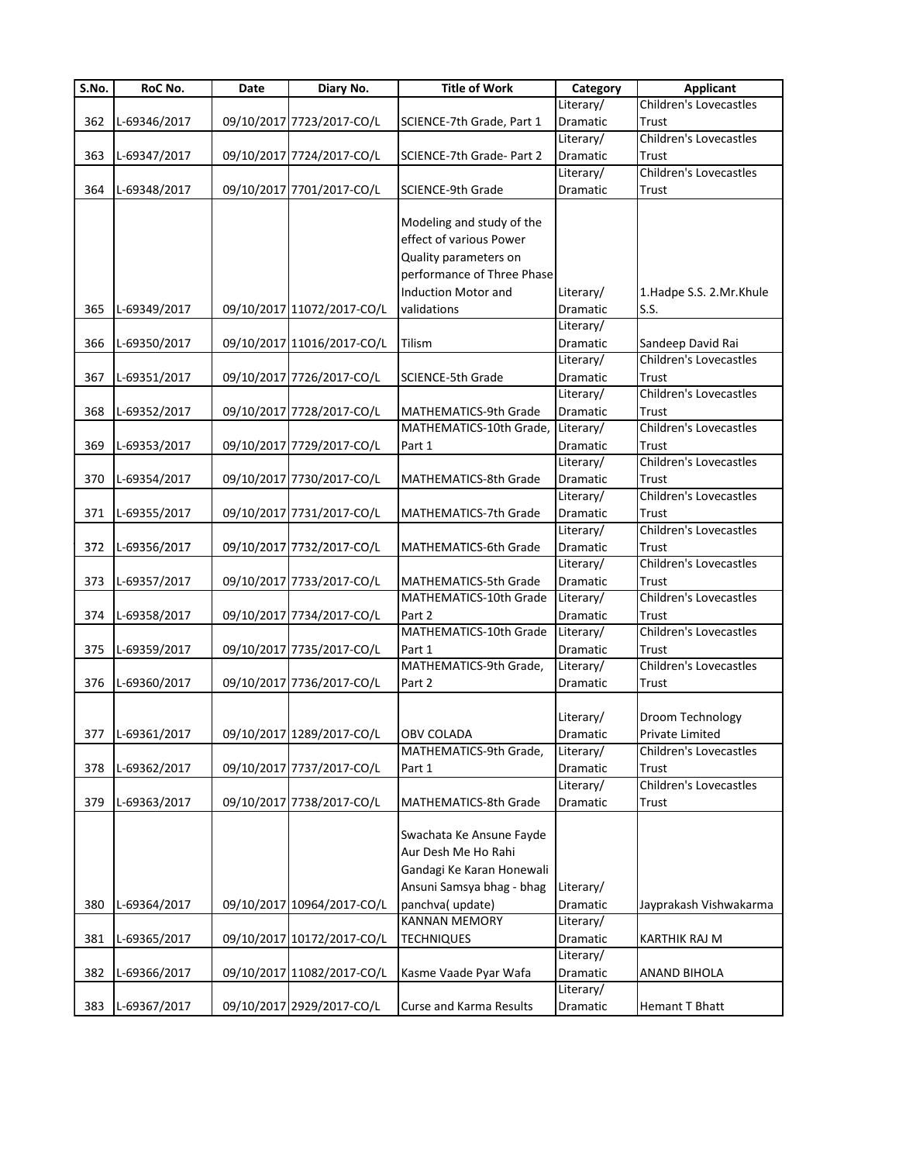| S.No. | RoC No.          | Date | Diary No.                  | <b>Title of Work</b>           | Category  | <b>Applicant</b>              |
|-------|------------------|------|----------------------------|--------------------------------|-----------|-------------------------------|
|       |                  |      |                            |                                | Literary/ | <b>Children's Lovecastles</b> |
| 362   | L-69346/2017     |      | 09/10/2017 7723/2017-CO/L  | SCIENCE-7th Grade, Part 1      | Dramatic  | Trust                         |
|       |                  |      |                            |                                | Literary/ | <b>Children's Lovecastles</b> |
| 363   | L-69347/2017     |      | 09/10/2017 7724/2017-CO/L  | SCIENCE-7th Grade- Part 2      | Dramatic  | Trust                         |
|       |                  |      |                            |                                | Literary/ | <b>Children's Lovecastles</b> |
| 364   | L-69348/2017     |      | 09/10/2017 7701/2017-CO/L  | <b>SCIENCE-9th Grade</b>       | Dramatic  | Trust                         |
|       |                  |      |                            |                                |           |                               |
|       |                  |      |                            | Modeling and study of the      |           |                               |
|       |                  |      |                            | effect of various Power        |           |                               |
|       |                  |      |                            | Quality parameters on          |           |                               |
|       |                  |      |                            | performance of Three Phase     |           |                               |
|       |                  |      |                            | Induction Motor and            | Literary/ | 1.Hadpe S.S. 2.Mr.Khule       |
| 365   | L-69349/2017     |      | 09/10/2017 11072/2017-CO/L | validations                    | Dramatic  | S.S.                          |
|       |                  |      |                            |                                | Literary/ |                               |
| 366   | L-69350/2017     |      | 09/10/2017 11016/2017-CO/L | Tilism                         | Dramatic  | Sandeep David Rai             |
|       |                  |      |                            |                                | Literary/ | <b>Children's Lovecastles</b> |
| 367   | L-69351/2017     |      | 09/10/2017 7726/2017-CO/L  | <b>SCIENCE-5th Grade</b>       | Dramatic  | Trust                         |
|       |                  |      |                            |                                | Literary/ | <b>Children's Lovecastles</b> |
| 368   | L-69352/2017     |      | 09/10/2017 7728/2017-CO/L  | MATHEMATICS-9th Grade          | Dramatic  | Trust                         |
|       |                  |      |                            | MATHEMATICS-10th Grade,        | Literary/ | <b>Children's Lovecastles</b> |
| 369   | L-69353/2017     |      | 09/10/2017 7729/2017-CO/L  | Part 1                         | Dramatic  | Trust                         |
|       |                  |      |                            |                                | Literary/ | <b>Children's Lovecastles</b> |
| 370   | L-69354/2017     |      | 09/10/2017 7730/2017-CO/L  | MATHEMATICS-8th Grade          | Dramatic  | Trust                         |
|       |                  |      |                            |                                | Literary/ | <b>Children's Lovecastles</b> |
| 371   | L-69355/2017     |      | 09/10/2017 7731/2017-CO/L  | MATHEMATICS-7th Grade          | Dramatic  | Trust                         |
|       |                  |      |                            |                                | Literary/ | <b>Children's Lovecastles</b> |
| 372   | L-69356/2017     |      | 09/10/2017 7732/2017-CO/L  | MATHEMATICS-6th Grade          | Dramatic  | Trust                         |
|       |                  |      |                            |                                | Literary/ | <b>Children's Lovecastles</b> |
| 373   | L-69357/2017     |      | 09/10/2017 7733/2017-CO/L  | MATHEMATICS-5th Grade          | Dramatic  | Trust                         |
|       |                  |      |                            | MATHEMATICS-10th Grade         | Literary/ | <b>Children's Lovecastles</b> |
| 374   | L-69358/2017     |      | 09/10/2017 7734/2017-CO/L  | Part 2                         | Dramatic  | Trust                         |
|       |                  |      |                            | MATHEMATICS-10th Grade         | Literary/ | <b>Children's Lovecastles</b> |
| 375   | L-69359/2017     |      | 09/10/2017 7735/2017-CO/L  | Part 1                         | Dramatic  | Trust                         |
|       |                  |      |                            | MATHEMATICS-9th Grade,         | Literary/ | <b>Children's Lovecastles</b> |
| 376   | L-69360/2017     |      | 09/10/2017 7736/2017-CO/L  | Part 2                         | Dramatic  | Trust                         |
|       |                  |      |                            |                                |           |                               |
|       |                  |      |                            |                                | Literary/ | Droom Technology              |
|       | 377 L-69361/2017 |      | 09/10/2017 1289/2017-CO/L  | OBV COLADA                     | Dramatic  | Private Limited               |
|       |                  |      |                            | MATHEMATICS-9th Grade,         | Literary/ | Children's Lovecastles        |
| 378   | L-69362/2017     |      | 09/10/2017 7737/2017-CO/L  | Part 1                         | Dramatic  | Trust                         |
|       |                  |      |                            |                                | Literary/ | Children's Lovecastles        |
| 379   | L-69363/2017     |      | 09/10/2017 7738/2017-CO/L  | <b>MATHEMATICS-8th Grade</b>   | Dramatic  | Trust                         |
|       |                  |      |                            |                                |           |                               |
|       |                  |      |                            | Swachata Ke Ansune Fayde       |           |                               |
|       |                  |      |                            | Aur Desh Me Ho Rahi            |           |                               |
|       |                  |      |                            | Gandagi Ke Karan Honewali      |           |                               |
|       |                  |      |                            | Ansuni Samsya bhag - bhag      | Literary/ |                               |
| 380   | L-69364/2017     |      | 09/10/2017 10964/2017-CO/L | panchva( update)               | Dramatic  | Jayprakash Vishwakarma        |
|       |                  |      |                            | <b>KANNAN MEMORY</b>           | Literary/ |                               |
| 381   | L-69365/2017     |      | 09/10/2017 10172/2017-CO/L | <b>TECHNIQUES</b>              | Dramatic  | <b>KARTHIK RAJ M</b>          |
|       |                  |      |                            |                                | Literary/ |                               |
| 382   | L-69366/2017     |      | 09/10/2017 11082/2017-CO/L | Kasme Vaade Pyar Wafa          | Dramatic  | <b>ANAND BIHOLA</b>           |
|       |                  |      |                            |                                | Literary/ |                               |
| 383   | L-69367/2017     |      | 09/10/2017 2929/2017-CO/L  | <b>Curse and Karma Results</b> | Dramatic  | Hemant T Bhatt                |
|       |                  |      |                            |                                |           |                               |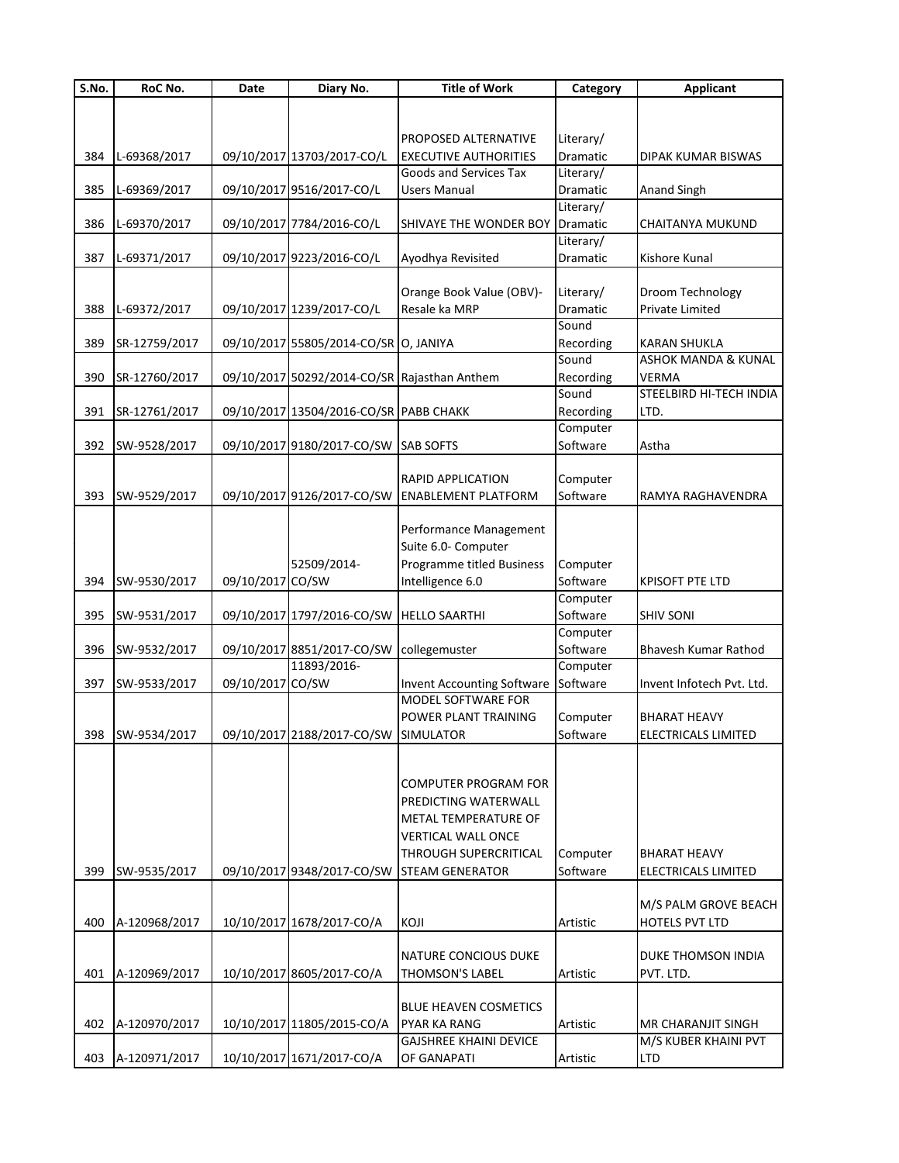| S.No. | RoC No.          | Date             | Diary No.                                    | <b>Title of Work</b>              | Category  | <b>Applicant</b>               |
|-------|------------------|------------------|----------------------------------------------|-----------------------------------|-----------|--------------------------------|
|       |                  |                  |                                              |                                   |           |                                |
|       |                  |                  |                                              |                                   |           |                                |
|       |                  |                  |                                              | PROPOSED ALTERNATIVE              | Literary/ |                                |
| 384   | L-69368/2017     |                  | 09/10/2017 13703/2017-CO/L                   | <b>EXECUTIVE AUTHORITIES</b>      | Dramatic  | DIPAK KUMAR BISWAS             |
|       |                  |                  |                                              | Goods and Services Tax            | Literary/ |                                |
| 385   | L-69369/2017     |                  | 09/10/2017 9516/2017-CO/L                    | <b>Users Manual</b>               | Dramatic  | Anand Singh                    |
|       |                  |                  |                                              |                                   | Literary/ |                                |
| 386   | L-69370/2017     |                  | 09/10/2017 7784/2016-CO/L                    | SHIVAYE THE WONDER BOY            | Dramatic  | CHAITANYA MUKUND               |
|       |                  |                  |                                              |                                   | Literary/ |                                |
| 387   | L-69371/2017     |                  | 09/10/2017 9223/2016-CO/L                    | Ayodhya Revisited                 | Dramatic  | Kishore Kunal                  |
|       |                  |                  |                                              |                                   |           |                                |
|       |                  |                  |                                              | Orange Book Value (OBV)-          | Literary/ | Droom Technology               |
| 388   | L-69372/2017     |                  | 09/10/2017 1239/2017-CO/L                    | Resale ka MRP                     | Dramatic  | Private Limited                |
|       |                  |                  |                                              |                                   | Sound     |                                |
| 389   | SR-12759/2017    |                  | 09/10/2017 55805/2014-CO/SR O, JANIYA        |                                   | Recording | <b>KARAN SHUKLA</b>            |
|       |                  |                  |                                              |                                   | Sound     | <b>ASHOK MANDA &amp; KUNAL</b> |
| 390   | SR-12760/2017    |                  | 09/10/2017 50292/2014-CO/SR Rajasthan Anthem |                                   | Recording | VERMA                          |
|       |                  |                  |                                              |                                   | Sound     | STEELBIRD HI-TECH INDIA        |
| 391   | SR-12761/2017    |                  | 09/10/2017 13504/2016-CO/SR PABB CHAKK       |                                   | Recording | LTD.                           |
|       |                  |                  |                                              |                                   | Computer  |                                |
| 392   | SW-9528/2017     |                  | 09/10/2017 9180/2017-CO/SW SAB SOFTS         |                                   | Software  | Astha                          |
|       |                  |                  |                                              |                                   |           |                                |
|       |                  |                  |                                              | RAPID APPLICATION                 | Computer  |                                |
| 393   | SW-9529/2017     |                  | 09/10/2017 9126/2017-CO/SW                   | <b>ENABLEMENT PLATFORM</b>        | Software  | RAMYA RAGHAVENDRA              |
|       |                  |                  |                                              |                                   |           |                                |
|       |                  |                  |                                              | Performance Management            |           |                                |
|       |                  |                  |                                              | Suite 6.0- Computer               |           |                                |
|       |                  |                  | 52509/2014-                                  | Programme titled Business         | Computer  |                                |
| 394   | SW-9530/2017     | 09/10/2017 CO/SW |                                              | Intelligence 6.0                  | Software  | <b>KPISOFT PTE LTD</b>         |
|       |                  |                  |                                              |                                   | Computer  |                                |
| 395   | SW-9531/2017     |                  | 09/10/2017 1797/2016-CO/SW                   | <b>HELLO SAARTHI</b>              | Software  | <b>SHIV SONI</b>               |
|       |                  |                  |                                              |                                   | Computer  |                                |
| 396   | SW-9532/2017     |                  | 09/10/2017 8851/2017-CO/SW                   | collegemuster                     | Software  | Bhavesh Kumar Rathod           |
|       |                  |                  | 11893/2016-                                  |                                   | Computer  |                                |
| 397   | SW-9533/2017     | 09/10/2017 CO/SW |                                              | <b>Invent Accounting Software</b> | Software  | Invent Infotech Pvt. Ltd.      |
|       |                  |                  |                                              | MODEL SOFTWARE FOR                |           |                                |
|       |                  |                  |                                              | POWER PLANT TRAINING              | Computer  | <b>BHARAT HEAVY</b>            |
|       | 398 SW-9534/2017 |                  | 09/10/2017 2188/2017-CO/SW SIMULATOR         |                                   | Software  | ELECTRICALS LIMITED            |
|       |                  |                  |                                              |                                   |           |                                |
|       |                  |                  |                                              |                                   |           |                                |
|       |                  |                  |                                              | <b>COMPUTER PROGRAM FOR</b>       |           |                                |
|       |                  |                  |                                              | PREDICTING WATERWALL              |           |                                |
|       |                  |                  |                                              | <b>METAL TEMPERATURE OF</b>       |           |                                |
|       |                  |                  |                                              | VERTICAL WALL ONCE                |           |                                |
|       |                  |                  |                                              | THROUGH SUPERCRITICAL             |           | <b>BHARAT HEAVY</b>            |
|       |                  |                  |                                              |                                   | Computer  |                                |
| 399   | SW-9535/2017     |                  | 09/10/2017 9348/2017-CO/SW                   | <b>STEAM GENERATOR</b>            | Software  | ELECTRICALS LIMITED            |
|       |                  |                  |                                              |                                   |           |                                |
|       |                  |                  |                                              |                                   |           | M/S PALM GROVE BEACH           |
| 400   | A-120968/2017    |                  | 10/10/2017 1678/2017-CO/A                    | KOJI                              | Artistic  | <b>HOTELS PVT LTD</b>          |
|       |                  |                  |                                              |                                   |           |                                |
|       |                  |                  |                                              | NATURE CONCIOUS DUKE              |           | DUKE THOMSON INDIA             |
| 401   | A-120969/2017    |                  | 10/10/2017 8605/2017-CO/A                    | <b>THOMSON'S LABEL</b>            | Artistic  | PVT. LTD.                      |
|       |                  |                  |                                              |                                   |           |                                |
|       |                  |                  |                                              | <b>BLUE HEAVEN COSMETICS</b>      |           |                                |
| 402   | A-120970/2017    |                  | 10/10/2017 11805/2015-CO/A                   | <b>PYAR KA RANG</b>               | Artistic  | MR CHARANJIT SINGH             |
|       |                  |                  |                                              | <b>GAJSHREE KHAINI DEVICE</b>     |           | M/S KUBER KHAINI PVT           |
| 403   | A-120971/2017    |                  | 10/10/2017 1671/2017-CO/A                    | OF GANAPATI                       | Artistic  | <b>LTD</b>                     |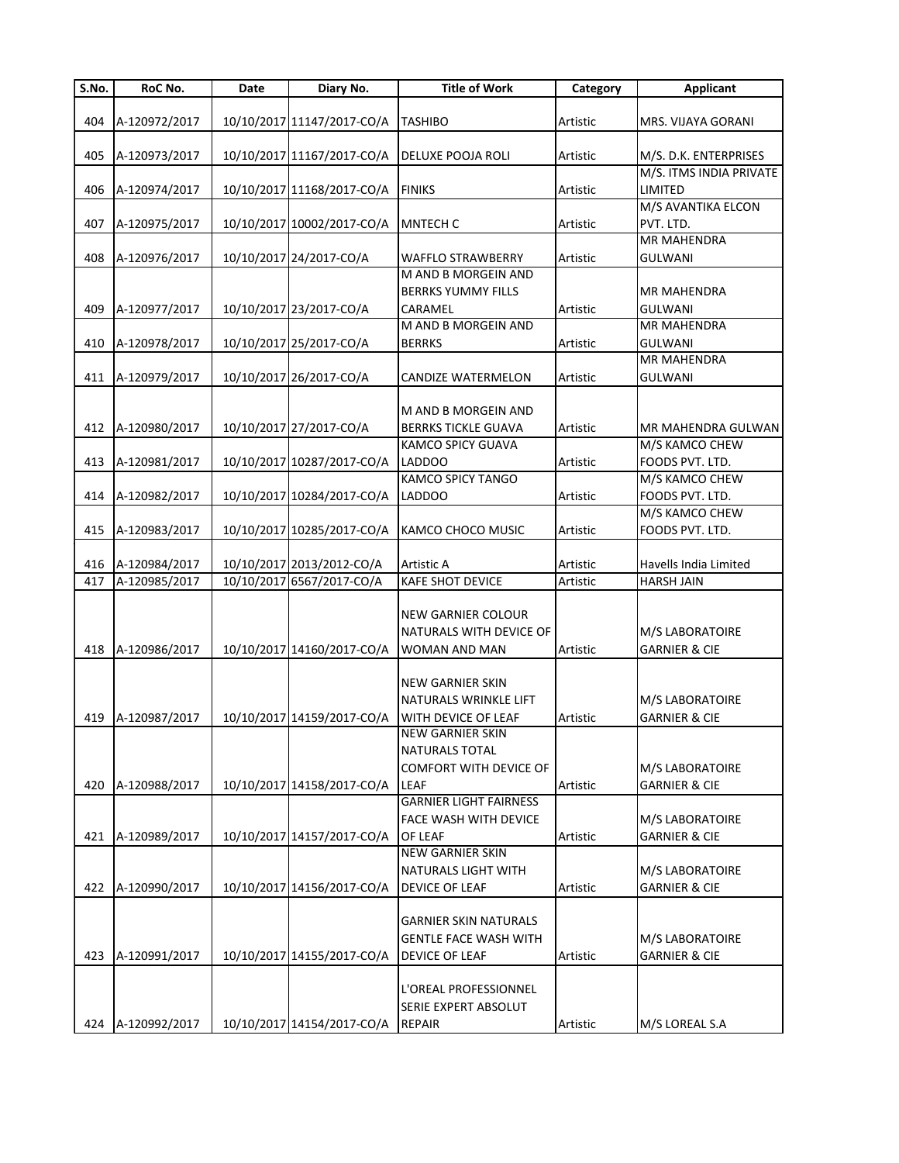| S.No. | RoC No.       | Date | Diary No.                  | <b>Title of Work</b>                  | Category | <b>Applicant</b>                |
|-------|---------------|------|----------------------------|---------------------------------------|----------|---------------------------------|
|       |               |      |                            |                                       |          |                                 |
| 404   | A-120972/2017 |      | 10/10/2017 11147/2017-CO/A | <b>TASHIBO</b>                        | Artistic | MRS. VIJAYA GORANI              |
|       |               |      |                            |                                       |          |                                 |
| 405   | A-120973/2017 |      | 10/10/2017 11167/2017-CO/A | <b>DELUXE POOJA ROLI</b>              | Artistic | M/S. D.K. ENTERPRISES           |
|       |               |      |                            |                                       |          | M/S. ITMS INDIA PRIVATE         |
| 406   | A-120974/2017 |      | 10/10/2017 11168/2017-CO/A | <b>FINIKS</b>                         | Artistic | LIMITED                         |
|       |               |      |                            |                                       |          | M/S AVANTIKA ELCON              |
| 407   | A-120975/2017 |      | 10/10/2017 10002/2017-CO/A | <b>MNTECH C</b>                       | Artistic | PVT. LTD.<br><b>MR MAHENDRA</b> |
| 408   | A-120976/2017 |      | 10/10/2017 24/2017-CO/A    | <b>WAFFLO STRAWBERRY</b>              |          | <b>GULWANI</b>                  |
|       |               |      |                            | <b>M AND B MORGEIN AND</b>            | Artistic |                                 |
|       |               |      |                            | <b>BERRKS YUMMY FILLS</b>             |          | <b>MR MAHENDRA</b>              |
| 409   | A-120977/2017 |      | 10/10/2017 23/2017-CO/A    | CARAMEL                               | Artistic | <b>GULWANI</b>                  |
|       |               |      |                            | M AND B MORGEIN AND                   |          | <b>MR MAHENDRA</b>              |
| 410   | A-120978/2017 |      | 10/10/2017 25/2017-CO/A    | <b>BERRKS</b>                         | Artistic | <b>GULWANI</b>                  |
|       |               |      |                            |                                       |          | <b>MR MAHENDRA</b>              |
| 411   | A-120979/2017 |      | 10/10/2017 26/2017-CO/A    | CANDIZE WATERMELON                    | Artistic | <b>GULWANI</b>                  |
|       |               |      |                            |                                       |          |                                 |
|       |               |      |                            | M AND B MORGEIN AND                   |          |                                 |
| 412   | A-120980/2017 |      | 10/10/2017 27/2017-CO/A    | <b>BERRKS TICKLE GUAVA</b>            | Artistic | MR MAHENDRA GULWAN              |
|       |               |      |                            | KAMCO SPICY GUAVA                     |          | M/S KAMCO CHEW                  |
| 413   | A-120981/2017 |      | 10/10/2017 10287/2017-CO/A | <b>LADDOO</b>                         | Artistic | FOODS PVT. LTD.                 |
|       |               |      |                            | <b>KAMCO SPICY TANGO</b>              |          | M/S KAMCO CHEW                  |
| 414   | A-120982/2017 |      | 10/10/2017 10284/2017-CO/A | <b>LADDOO</b>                         | Artistic | FOODS PVT. LTD.                 |
|       |               |      |                            |                                       |          | M/S KAMCO CHEW                  |
| 415   | A-120983/2017 |      | 10/10/2017 10285/2017-CO/A | KAMCO CHOCO MUSIC                     | Artistic | FOODS PVT. LTD.                 |
|       |               |      |                            |                                       |          |                                 |
| 416   | A-120984/2017 |      | 10/10/2017 2013/2012-CO/A  | Artistic A                            | Artistic | Havells India Limited           |
| 417   | A-120985/2017 |      | 10/10/2017 6567/2017-CO/A  | KAFE SHOT DEVICE                      | Artistic | <b>HARSH JAIN</b>               |
|       |               |      |                            |                                       |          |                                 |
|       |               |      |                            | <b>NEW GARNIER COLOUR</b>             |          |                                 |
|       |               |      |                            | NATURALS WITH DEVICE OF               |          | M/S LABORATOIRE                 |
| 418   | A-120986/2017 |      | 10/10/2017 14160/2017-CO/A | WOMAN AND MAN                         | Artistic | <b>GARNIER &amp; CIE</b>        |
|       |               |      |                            |                                       |          |                                 |
|       |               |      |                            | <b>NEW GARNIER SKIN</b>               |          |                                 |
|       |               |      |                            | NATURALS WRINKLE LIFT                 |          | M/S LABORATOIRE                 |
| 419   | A-120987/2017 |      | 10/10/2017 14159/2017-CO/A | WITH DEVICE OF LEAF                   | Artistic | <b>GARNIER &amp; CIE</b>        |
|       |               |      |                            | <b>NEW GARNIER SKIN</b>               |          |                                 |
|       |               |      |                            | <b>NATURALS TOTAL</b>                 |          |                                 |
|       |               |      |                            | COMFORT WITH DEVICE OF                |          | M/S LABORATOIRE                 |
| 420   | A-120988/2017 |      | 10/10/2017 14158/2017-CO/A | LEAF<br><b>GARNIER LIGHT FAIRNESS</b> | Artistic | <b>GARNIER &amp; CIE</b>        |
|       |               |      |                            | FACE WASH WITH DEVICE                 |          | M/S LABORATOIRE                 |
| 421   | A-120989/2017 |      | 10/10/2017 14157/2017-CO/A | <b>OF LEAF</b>                        | Artistic | <b>GARNIER &amp; CIE</b>        |
|       |               |      |                            | <b>NEW GARNIER SKIN</b>               |          |                                 |
|       |               |      |                            | NATURALS LIGHT WITH                   |          | M/S LABORATOIRE                 |
| 422   | A-120990/2017 |      | 10/10/2017 14156/2017-CO/A | <b>DEVICE OF LEAF</b>                 | Artistic | <b>GARNIER &amp; CIE</b>        |
|       |               |      |                            |                                       |          |                                 |
|       |               |      |                            | <b>GARNIER SKIN NATURALS</b>          |          |                                 |
|       |               |      |                            | <b>GENTLE FACE WASH WITH</b>          |          | M/S LABORATOIRE                 |
| 423   | A-120991/2017 |      | 10/10/2017 14155/2017-CO/A | <b>DEVICE OF LEAF</b>                 | Artistic | <b>GARNIER &amp; CIE</b>        |
|       |               |      |                            |                                       |          |                                 |
|       |               |      |                            | L'OREAL PROFESSIONNEL                 |          |                                 |
|       |               |      |                            | SERIE EXPERT ABSOLUT                  |          |                                 |
| 424   | A-120992/2017 |      | 10/10/2017 14154/2017-CO/A | <b>REPAIR</b>                         | Artistic | M/S LOREAL S.A                  |
|       |               |      |                            |                                       |          |                                 |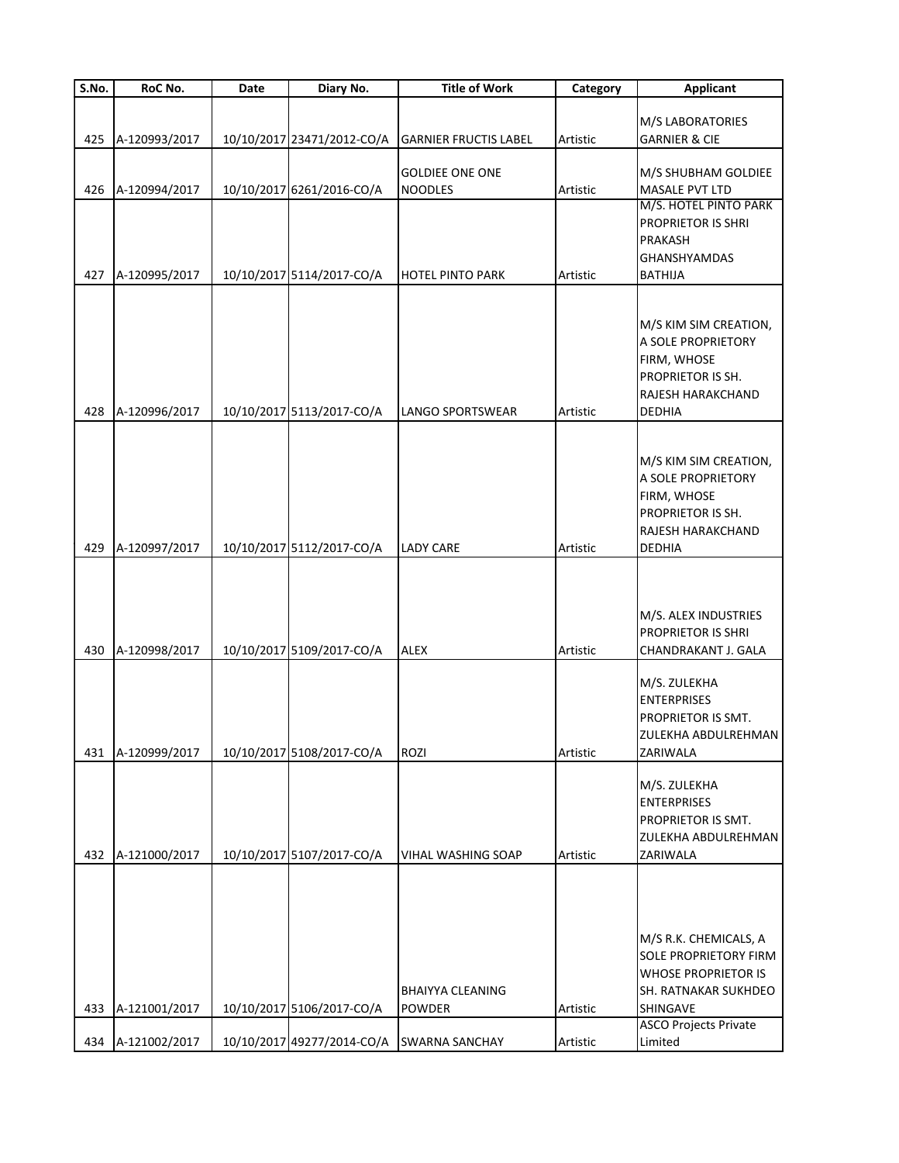| S.No. | RoC No.       | Date | Diary No.                  | <b>Title of Work</b>         | Category | <b>Applicant</b>             |
|-------|---------------|------|----------------------------|------------------------------|----------|------------------------------|
|       |               |      |                            |                              |          |                              |
|       |               |      |                            |                              |          | M/S LABORATORIES             |
| 425   | A-120993/2017 |      | 10/10/2017 23471/2012-CO/A | <b>GARNIER FRUCTIS LABEL</b> | Artistic | <b>GARNIER &amp; CIE</b>     |
|       |               |      |                            |                              |          |                              |
|       |               |      |                            | <b>GOLDIEE ONE ONE</b>       |          | M/S SHUBHAM GOLDIEE          |
| 426   | A-120994/2017 |      | 10/10/2017 6261/2016-CO/A  | <b>NOODLES</b>               | Artistic | MASALE PVT LTD               |
|       |               |      |                            |                              |          | M/S. HOTEL PINTO PARK        |
|       |               |      |                            |                              |          | PROPRIETOR IS SHRI           |
|       |               |      |                            |                              |          | PRAKASH                      |
|       |               |      |                            |                              |          | <b>GHANSHYAMDAS</b>          |
| 427   | A-120995/2017 |      | 10/10/2017 5114/2017-CO/A  | <b>HOTEL PINTO PARK</b>      | Artistic | <b>BATHIJA</b>               |
|       |               |      |                            |                              |          |                              |
|       |               |      |                            |                              |          |                              |
|       |               |      |                            |                              |          | M/S KIM SIM CREATION,        |
|       |               |      |                            |                              |          | A SOLE PROPRIETORY           |
|       |               |      |                            |                              |          | FIRM, WHOSE                  |
|       |               |      |                            |                              |          | PROPRIETOR IS SH.            |
|       |               |      |                            |                              |          | RAJESH HARAKCHAND            |
| 428   | A-120996/2017 |      | 10/10/2017 5113/2017-CO/A  | LANGO SPORTSWEAR             | Artistic | DEDHIA                       |
|       |               |      |                            |                              |          |                              |
|       |               |      |                            |                              |          |                              |
|       |               |      |                            |                              |          | M/S KIM SIM CREATION,        |
|       |               |      |                            |                              |          | A SOLE PROPRIETORY           |
|       |               |      |                            |                              |          | FIRM, WHOSE                  |
|       |               |      |                            |                              |          | PROPRIETOR IS SH.            |
|       |               |      |                            |                              |          | RAJESH HARAKCHAND            |
| 429   | A-120997/2017 |      | 10/10/2017 5112/2017-CO/A  | <b>LADY CARE</b>             | Artistic | <b>DEDHIA</b>                |
|       |               |      |                            |                              |          |                              |
|       |               |      |                            |                              |          |                              |
|       |               |      |                            |                              |          |                              |
|       |               |      |                            |                              |          | M/S. ALEX INDUSTRIES         |
|       |               |      |                            |                              |          | <b>PROPRIETOR IS SHRI</b>    |
| 430   | A-120998/2017 |      | 10/10/2017 5109/2017-CO/A  | <b>ALEX</b>                  | Artistic | CHANDRAKANT J. GALA          |
|       |               |      |                            |                              |          |                              |
|       |               |      |                            |                              |          | M/S. ZULEKHA                 |
|       |               |      |                            |                              |          | <b>ENTERPRISES</b>           |
|       |               |      |                            |                              |          | PROPRIETOR IS SMT.           |
|       |               |      |                            |                              |          | ZULEKHA ABDULREHMAN          |
| 431   | A-120999/2017 |      | 10/10/2017 5108/2017-CO/A  | ROZI                         | Artistic | ZARIWALA                     |
|       |               |      |                            |                              |          |                              |
|       |               |      |                            |                              |          | M/S. ZULEKHA                 |
|       |               |      |                            |                              |          | <b>ENTERPRISES</b>           |
|       |               |      |                            |                              |          | PROPRIETOR IS SMT.           |
|       |               |      |                            |                              |          | ZULEKHA ABDULREHMAN          |
| 432   | A-121000/2017 |      | 10/10/2017 5107/2017-CO/A  | <b>VIHAL WASHING SOAP</b>    | Artistic | ZARIWALA                     |
|       |               |      |                            |                              |          |                              |
|       |               |      |                            |                              |          |                              |
|       |               |      |                            |                              |          |                              |
|       |               |      |                            |                              |          |                              |
|       |               |      |                            |                              |          | M/S R.K. CHEMICALS, A        |
|       |               |      |                            |                              |          | <b>SOLE PROPRIETORY FIRM</b> |
|       |               |      |                            |                              |          | <b>WHOSE PROPRIETOR IS</b>   |
|       |               |      |                            | <b>BHAIYYA CLEANING</b>      |          | SH. RATNAKAR SUKHDEO         |
| 433   | A-121001/2017 |      | 10/10/2017 5106/2017-CO/A  | <b>POWDER</b>                | Artistic | SHINGAVE                     |
|       |               |      |                            |                              |          | <b>ASCO Projects Private</b> |
| 434   | A-121002/2017 |      | 10/10/2017 49277/2014-CO/A | <b>SWARNA SANCHAY</b>        | Artistic | Limited                      |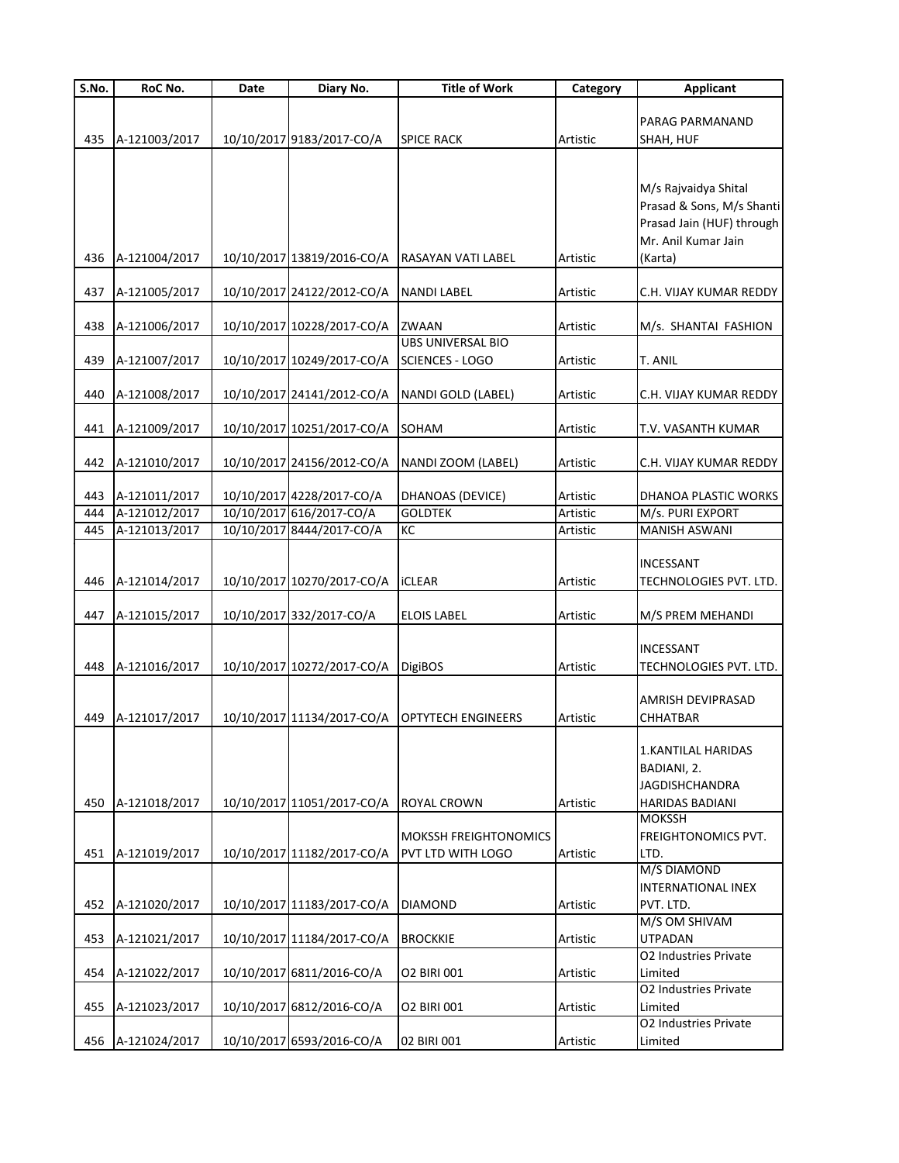| S.No. | RoC No.       | Date | Diary No.                  | <b>Title of Work</b>                               | Category | <b>Applicant</b>                                                                                                 |
|-------|---------------|------|----------------------------|----------------------------------------------------|----------|------------------------------------------------------------------------------------------------------------------|
| 435   | A-121003/2017 |      | 10/10/2017 9183/2017-CO/A  | <b>SPICE RACK</b>                                  | Artistic | PARAG PARMANAND<br>SHAH, HUF                                                                                     |
| 436   | A-121004/2017 |      | 10/10/2017 13819/2016-CO/A | RASAYAN VATI LABEL                                 | Artistic | M/s Rajvaidya Shital<br>Prasad & Sons, M/s Shanti<br>Prasad Jain (HUF) through<br>Mr. Anil Kumar Jain<br>(Karta) |
| 437   | A-121005/2017 |      | 10/10/2017 24122/2012-CO/A | <b>NANDI LABEL</b>                                 | Artistic | C.H. VIJAY KUMAR REDDY                                                                                           |
|       |               |      |                            |                                                    |          |                                                                                                                  |
| 438   | A-121006/2017 |      | 10/10/2017 10228/2017-CO/A | <b>ZWAAN</b>                                       | Artistic | M/s. SHANTAI FASHION                                                                                             |
| 439   | A-121007/2017 |      | 10/10/2017 10249/2017-CO/A | <b>UBS UNIVERSAL BIO</b><br><b>SCIENCES - LOGO</b> | Artistic | T. ANIL                                                                                                          |
| 440   | A-121008/2017 |      | 10/10/2017 24141/2012-CO/A | NANDI GOLD (LABEL)                                 | Artistic | C.H. VIJAY KUMAR REDDY                                                                                           |
| 441   | A-121009/2017 |      | 10/10/2017 10251/2017-CO/A | SOHAM                                              | Artistic | T.V. VASANTH KUMAR                                                                                               |
| 442   | A-121010/2017 |      | 10/10/2017 24156/2012-CO/A | NANDI ZOOM (LABEL)                                 | Artistic | C.H. VIJAY KUMAR REDDY                                                                                           |
| 443   | A-121011/2017 |      | 10/10/2017 4228/2017-CO/A  | DHANOAS (DEVICE)                                   | Artistic | DHANOA PLASTIC WORKS                                                                                             |
| 444   | A-121012/2017 |      | 10/10/2017 616/2017-CO/A   | <b>GOLDTEK</b>                                     | Artistic | M/s. PURI EXPORT                                                                                                 |
| 445   | A-121013/2017 |      | 10/10/2017 8444/2017-CO/A  | KC                                                 | Artistic | MANISH ASWANI                                                                                                    |
| 446   | A-121014/2017 |      | 10/10/2017 10270/2017-CO/A | <b>ICLEAR</b>                                      | Artistic | INCESSANT<br>TECHNOLOGIES PVT. LTD.                                                                              |
| 447   | A-121015/2017 |      | 10/10/2017 332/2017-CO/A   | <b>ELOIS LABEL</b>                                 | Artistic | M/S PREM MEHANDI                                                                                                 |
| 448   | A-121016/2017 |      | 10/10/2017 10272/2017-CO/A | <b>DigiBOS</b>                                     | Artistic | INCESSANT<br>TECHNOLOGIES PVT. LTD.                                                                              |
| 449   | A-121017/2017 |      | 10/10/2017 11134/2017-CO/A | <b>IOPTYTECH ENGINEERS</b>                         | Artistic | AMRISH DEVIPRASAD<br>CHHATBAR                                                                                    |
| 450   | A-121018/2017 |      | 10/10/2017 11051/2017-CO/A | <b>ROYAL CROWN</b>                                 | Artistic | <b>1.KANTILAL HARIDAS</b><br>BADIANI, 2.<br><b>JAGDISHCHANDRA</b><br><b>HARIDAS BADIANI</b>                      |
| 451   | A-121019/2017 |      | 10/10/2017 11182/2017-CO/A | MOKSSH FREIGHTONOMICS<br>PVT LTD WITH LOGO         | Artistic | <b>MOKSSH</b><br>FREIGHTONOMICS PVT.<br>LTD.                                                                     |
| 452   | A-121020/2017 |      | 10/10/2017 11183/2017-CO/A | <b>DIAMOND</b>                                     | Artistic | <b>M/S DIAMOND</b><br>INTERNATIONAL INEX<br>PVT. LTD.                                                            |
| 453   | A-121021/2017 |      | 10/10/2017 11184/2017-CO/A | <b>BROCKKIE</b>                                    | Artistic | M/S OM SHIVAM<br><b>UTPADAN</b>                                                                                  |
| 454   | A-121022/2017 |      | 10/10/2017 6811/2016-CO/A  | O2 BIRI 001                                        | Artistic | O2 Industries Private<br>Limited                                                                                 |
| 455   | A-121023/2017 |      | 10/10/2017 6812/2016-CO/A  | O2 BIRI 001                                        | Artistic | O2 Industries Private<br>Limited                                                                                 |
| 456   | A-121024/2017 |      | 10/10/2017 6593/2016-CO/A  | 02 BIRI 001                                        | Artistic | O2 Industries Private<br>Limited                                                                                 |
|       |               |      |                            |                                                    |          |                                                                                                                  |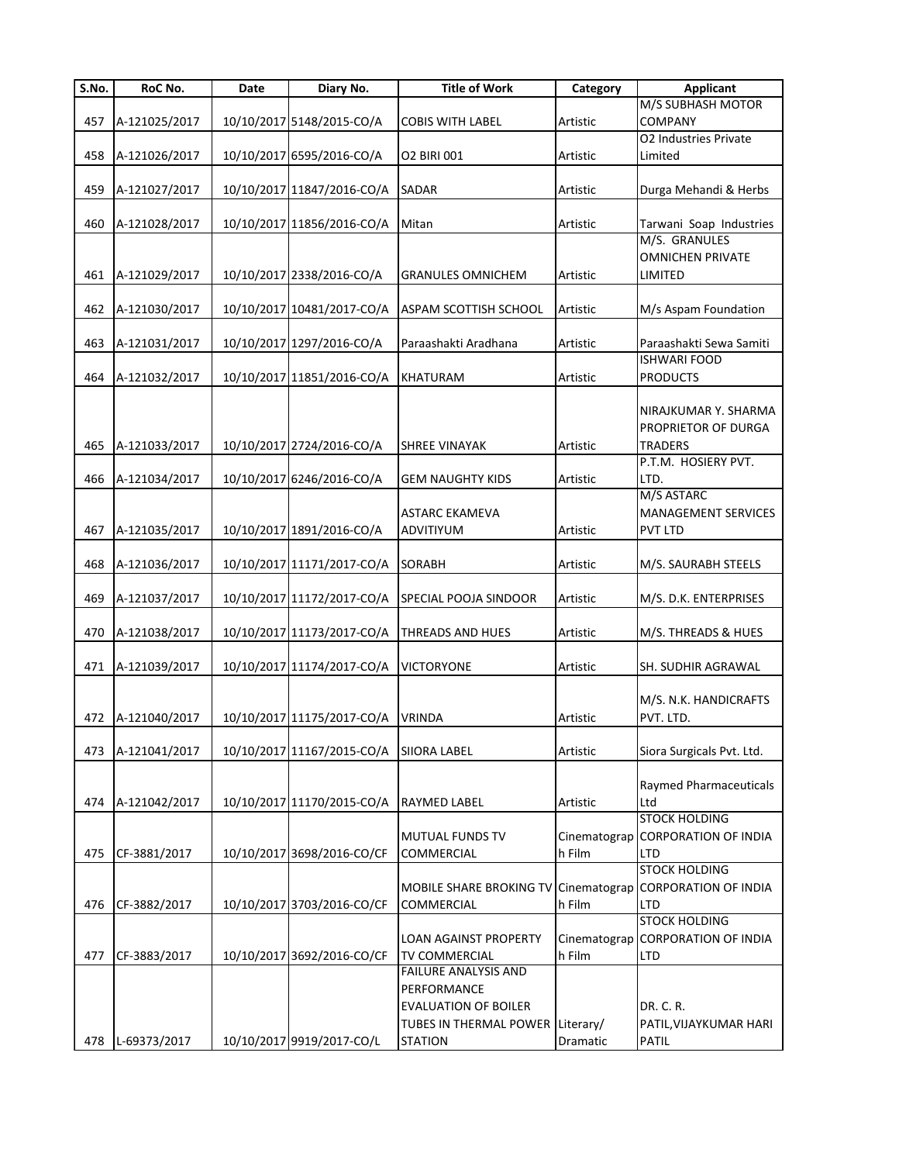| S.No. | RoC No.       | Date | Diary No.                  | <b>Title of Work</b>                 | Category     | <b>Applicant</b>                               |
|-------|---------------|------|----------------------------|--------------------------------------|--------------|------------------------------------------------|
|       |               |      |                            |                                      |              | M/S SUBHASH MOTOR                              |
| 457   | A-121025/2017 |      | 10/10/2017 5148/2015-CO/A  | <b>COBIS WITH LABEL</b>              | Artistic     | COMPANY                                        |
|       |               |      |                            |                                      |              | O2 Industries Private                          |
| 458   | A-121026/2017 |      | 10/10/2017 6595/2016-CO/A  | O2 BIRI 001                          | Artistic     | Limited                                        |
| 459   | A-121027/2017 |      | 10/10/2017 11847/2016-CO/A | <b>SADAR</b>                         | Artistic     | Durga Mehandi & Herbs                          |
|       |               |      |                            |                                      |              |                                                |
| 460   | A-121028/2017 |      | 10/10/2017 11856/2016-CO/A | Mitan                                | Artistic     | Tarwani Soap Industries                        |
|       |               |      |                            |                                      |              | M/S. GRANULES                                  |
|       |               |      |                            |                                      |              | <b>OMNICHEN PRIVATE</b>                        |
| 461   | A-121029/2017 |      | 10/10/2017 2338/2016-CO/A  | <b>GRANULES OMNICHEM</b>             | Artistic     | LIMITED                                        |
|       |               |      |                            |                                      |              |                                                |
| 462   | A-121030/2017 |      | 10/10/2017 10481/2017-CO/A | <b>ASPAM SCOTTISH SCHOOL</b>         | Artistic     | M/s Aspam Foundation                           |
|       |               |      |                            |                                      |              |                                                |
| 463   | A-121031/2017 |      | 10/10/2017 1297/2016-CO/A  | Paraashakti Aradhana                 | Artistic     | Paraashakti Sewa Samiti<br><b>ISHWARI FOOD</b> |
| 464   | A-121032/2017 |      | 10/10/2017 11851/2016-CO/A | <b>KHATURAM</b>                      | Artistic     | <b>PRODUCTS</b>                                |
|       |               |      |                            |                                      |              |                                                |
|       |               |      |                            |                                      |              | NIRAJKUMAR Y. SHARMA                           |
|       |               |      |                            |                                      |              | PROPRIETOR OF DURGA                            |
| 465   | A-121033/2017 |      | 10/10/2017 2724/2016-CO/A  | <b>SHREE VINAYAK</b>                 | Artistic     | <b>TRADERS</b>                                 |
|       |               |      |                            |                                      |              | P.T.M. HOSIERY PVT.                            |
| 466   | A-121034/2017 |      | 10/10/2017 6246/2016-CO/A  | <b>GEM NAUGHTY KIDS</b>              | Artistic     | LTD.                                           |
|       |               |      |                            |                                      |              | M/S ASTARC                                     |
|       |               |      |                            | <b>ASTARC EKAMEVA</b>                |              | <b>MANAGEMENT SERVICES</b>                     |
| 467   | A-121035/2017 |      | 10/10/2017 1891/2016-CO/A  | ADVITIYUM                            | Artistic     | <b>PVT LTD</b>                                 |
|       |               |      |                            |                                      |              |                                                |
| 468   | A-121036/2017 |      | 10/10/2017 11171/2017-CO/A | <b>SORABH</b>                        | Artistic     | M/S. SAURABH STEELS                            |
| 469   | A-121037/2017 |      | 10/10/2017 11172/2017-CO/A | SPECIAL POOJA SINDOOR                | Artistic     | M/S. D.K. ENTERPRISES                          |
|       |               |      |                            |                                      |              |                                                |
| 470   | A-121038/2017 |      | 10/10/2017 11173/2017-CO/A | <b>THREADS AND HUES</b>              | Artistic     | M/S. THREADS & HUES                            |
|       |               |      |                            |                                      |              |                                                |
| 471   | A-121039/2017 |      | 10/10/2017 11174/2017-CO/A | <b>VICTORYONE</b>                    | Artistic     | SH. SUDHIR AGRAWAL                             |
|       |               |      |                            |                                      |              |                                                |
|       |               |      |                            |                                      |              | M/S. N.K. HANDICRAFTS                          |
| 472   | A-121040/2017 |      | 10/10/2017 11175/2017-CO/A | <b>VRINDA</b>                        | Artistic     | PVT. LTD.                                      |
|       |               |      |                            |                                      |              |                                                |
| 473   | A-121041/2017 |      | 10/10/2017 11167/2015-CO/A | <b>SIIORA LABEL</b>                  | Artistic     | Siora Surgicals Pvt. Ltd.                      |
|       |               |      |                            |                                      |              |                                                |
| 474   | A-121042/2017 |      | 10/10/2017 11170/2015-CO/A | RAYMED LABEL                         | Artistic     | Raymed Pharmaceuticals<br>Ltd                  |
|       |               |      |                            |                                      |              | <b>STOCK HOLDING</b>                           |
|       |               |      |                            | <b>MUTUAL FUNDS TV</b>               | Cinematograp | <b>CORPORATION OF INDIA</b>                    |
| 475   | CF-3881/2017  |      | 10/10/2017 3698/2016-CO/CF | COMMERCIAL                           | h Film       | LTD                                            |
|       |               |      |                            |                                      |              | <b>STOCK HOLDING</b>                           |
|       |               |      |                            | MOBILE SHARE BROKING TV Cinematograp |              | <b>CORPORATION OF INDIA</b>                    |
| 476   | CF-3882/2017  |      | 10/10/2017 3703/2016-CO/CF | COMMERCIAL                           | h Film       | <b>LTD</b>                                     |
|       |               |      |                            |                                      |              | <b>STOCK HOLDING</b>                           |
|       |               |      |                            | LOAN AGAINST PROPERTY                | Cinematograp | <b>CORPORATION OF INDIA</b>                    |
| 477   | CF-3883/2017  |      | 10/10/2017 3692/2016-CO/CF | TV COMMERCIAL                        | h Film       | LTD                                            |
|       |               |      |                            | <b>FAILURE ANALYSIS AND</b>          |              |                                                |
|       |               |      |                            | PERFORMANCE                          |              |                                                |
|       |               |      |                            | <b>EVALUATION OF BOILER</b>          |              | DR. C. R.                                      |
|       |               |      |                            | TUBES IN THERMAL POWER               | Literary/    | PATIL, VIJAYKUMAR HARI                         |
| 478   | L-69373/2017  |      | 10/10/2017 9919/2017-CO/L  | <b>STATION</b>                       | Dramatic     | <b>PATIL</b>                                   |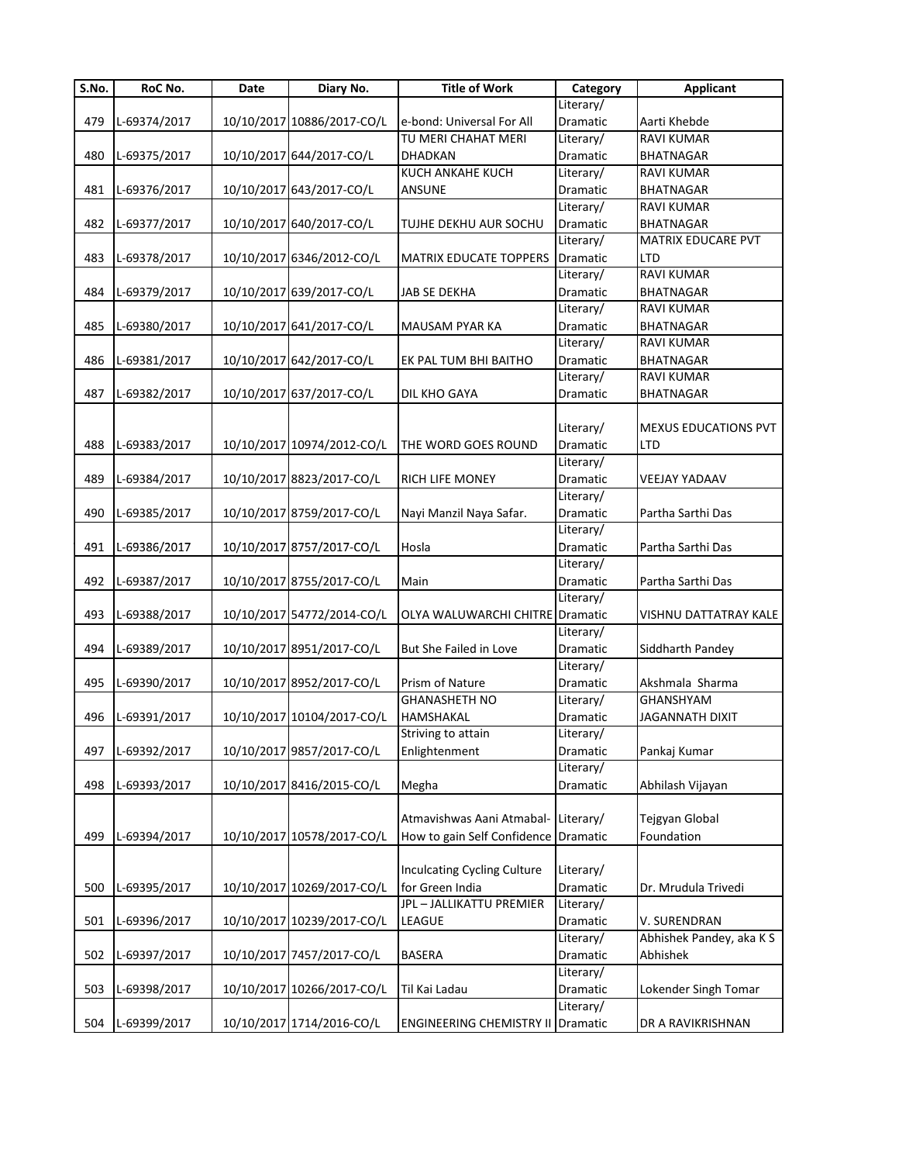| S.No. | RoC No.      | Date | Diary No.                  | <b>Title of Work</b>                     | Category        | <b>Applicant</b>            |
|-------|--------------|------|----------------------------|------------------------------------------|-----------------|-----------------------------|
|       |              |      |                            |                                          | Literary/       |                             |
| 479   | L-69374/2017 |      | 10/10/2017 10886/2017-CO/L | e-bond: Universal For All                | Dramatic        | Aarti Khebde                |
|       |              |      |                            | TU MERI CHAHAT MERI                      | Literary/       | <b>RAVI KUMAR</b>           |
| 480   | L-69375/2017 |      | 10/10/2017 644/2017-CO/L   | <b>DHADKAN</b>                           | Dramatic        | BHATNAGAR                   |
|       |              |      |                            | KUCH ANKAHE KUCH                         | Literary/       | <b>RAVI KUMAR</b>           |
| 481   | L-69376/2017 |      | 10/10/2017 643/2017-CO/L   | <b>ANSUNE</b>                            | Dramatic        | <b>BHATNAGAR</b>            |
|       |              |      |                            |                                          | Literary/       | RAVI KUMAR                  |
| 482   | L-69377/2017 |      | 10/10/2017 640/2017-CO/L   | TUJHE DEKHU AUR SOCHU                    | Dramatic        | BHATNAGAR                   |
|       |              |      |                            |                                          | Literary/       | MATRIX EDUCARE PVT          |
| 483   | L-69378/2017 |      | 10/10/2017 6346/2012-CO/L  | <b>MATRIX EDUCATE TOPPERS</b>            | Dramatic        | <b>LTD</b>                  |
|       |              |      |                            |                                          | Literary/       | <b>RAVI KUMAR</b>           |
| 484   | L-69379/2017 |      | 10/10/2017 639/2017-CO/L   | <b>JAB SE DEKHA</b>                      | Dramatic        | <b>BHATNAGAR</b>            |
|       |              |      |                            |                                          | Literary/       | <b>RAVI KUMAR</b>           |
| 485   | L-69380/2017 |      | 10/10/2017 641/2017-CO/L   | <b>MAUSAM PYAR KA</b>                    | Dramatic        | <b>BHATNAGAR</b>            |
|       |              |      |                            |                                          | Literary/       | RAVI KUMAR                  |
| 486   | L-69381/2017 |      | 10/10/2017 642/2017-CO/L   | EK PAL TUM BHI BAITHO                    | Dramatic        | <b>BHATNAGAR</b>            |
|       |              |      |                            |                                          | Literary/       | <b>RAVI KUMAR</b>           |
| 487   | L-69382/2017 |      | 10/10/2017 637/2017-CO/L   | DIL KHO GAYA                             | Dramatic        | BHATNAGAR                   |
|       |              |      |                            |                                          |                 |                             |
|       |              |      |                            |                                          | Literary/       | <b>MEXUS EDUCATIONS PVT</b> |
| 488   | L-69383/2017 |      | 10/10/2017 10974/2012-CO/L | THE WORD GOES ROUND                      | Dramatic        | LTD                         |
|       |              |      |                            |                                          | Literary/       |                             |
| 489   | L-69384/2017 |      | 10/10/2017 8823/2017-CO/L  | <b>RICH LIFE MONEY</b>                   | <b>Dramatic</b> | VEEJAY YADAAV               |
|       |              |      |                            |                                          | Literary/       |                             |
| 490   | L-69385/2017 |      | 10/10/2017 8759/2017-CO/L  | Nayi Manzil Naya Safar.                  | Dramatic        | Partha Sarthi Das           |
|       |              |      |                            |                                          | Literary/       |                             |
| 491   | L-69386/2017 |      | 10/10/2017 8757/2017-CO/L  | Hosla                                    | Dramatic        | Partha Sarthi Das           |
|       |              |      |                            |                                          | Literary/       |                             |
| 492   | L-69387/2017 |      | 10/10/2017 8755/2017-CO/L  | Main                                     | Dramatic        | Partha Sarthi Das           |
|       |              |      |                            |                                          | Literary/       |                             |
| 493   | L-69388/2017 |      | 10/10/2017 54772/2014-CO/L | OLYA WALUWARCHI CHITRE Dramatic          |                 | VISHNU DATTATRAY KALE       |
|       |              |      |                            |                                          | Literary/       |                             |
| 494   | L-69389/2017 |      | 10/10/2017 8951/2017-CO/L  | But She Failed in Love                   | Dramatic        | Siddharth Pandey            |
|       |              |      |                            |                                          | Literary/       |                             |
| 495   | L-69390/2017 |      | 10/10/2017 8952/2017-CO/L  | Prism of Nature                          | Dramatic        | Akshmala Sharma             |
|       |              |      |                            | <b>GHANASHETH NO</b>                     | Literary/       | GHANSHYAM                   |
| 496   | L-69391/2017 |      | 10/10/2017 10104/2017-CO/L | HAMSHAKAL                                | Dramatic        | <b>JAGANNATH DIXIT</b>      |
|       |              |      |                            | Striving to attain                       | Literary/       |                             |
| 497   | L-69392/2017 |      | 10/10/2017 9857/2017-CO/L  | Enlightenment                            | Dramatic        | Pankaj Kumar                |
|       |              |      |                            |                                          | Literary/       |                             |
| 498   | L-69393/2017 |      | 10/10/2017 8416/2015-CO/L  | Megha                                    | Dramatic        | Abhilash Vijayan            |
|       |              |      |                            |                                          |                 |                             |
|       |              |      |                            | Atmavishwas Aani Atmabal-                | Literary/       | Tejgyan Global              |
| 499   | L-69394/2017 |      | 10/10/2017 10578/2017-CO/L | How to gain Self Confidence              | Dramatic        | Foundation                  |
|       |              |      |                            |                                          |                 |                             |
|       |              |      |                            | <b>Inculcating Cycling Culture</b>       | Literary/       |                             |
| 500   | L-69395/2017 |      | 10/10/2017 10269/2017-CO/L | for Green India                          | Dramatic        | Dr. Mrudula Trivedi         |
|       |              |      |                            | JPL - JALLIKATTU PREMIER                 | Literary/       |                             |
|       |              |      |                            |                                          |                 |                             |
| 501   | L-69396/2017 |      | 10/10/2017 10239/2017-CO/L | LEAGUE                                   | Dramatic        | V. SURENDRAN                |
|       |              |      |                            |                                          | Literary/       | Abhishek Pandey, aka KS     |
| 502   | L-69397/2017 |      | 10/10/2017 7457/2017-CO/L  | <b>BASERA</b>                            | Dramatic        | Abhishek                    |
|       |              |      |                            |                                          | Literary/       |                             |
| 503   | L-69398/2017 |      | 10/10/2017 10266/2017-CO/L | Til Kai Ladau                            | Dramatic        | Lokender Singh Tomar        |
|       |              |      |                            |                                          | Literary/       |                             |
| 504   | L-69399/2017 |      | 10/10/2017 1714/2016-CO/L  | <b>ENGINEERING CHEMISTRY II Dramatic</b> |                 | DR A RAVIKRISHNAN           |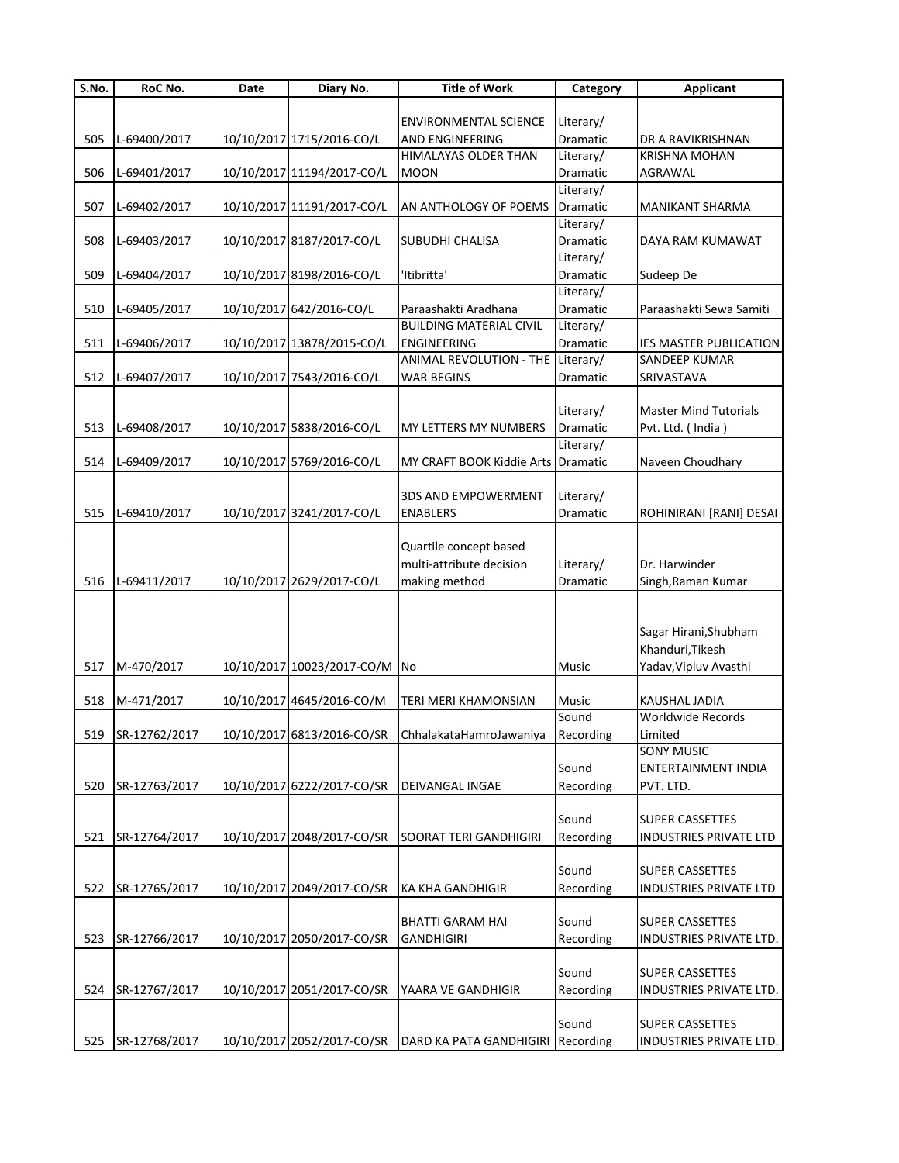| $\overline{\mathsf{S}}$ . No. | RoC No.            | Date | Diary No.                  | <b>Title of Work</b>                               | Category  | <b>Applicant</b>              |
|-------------------------------|--------------------|------|----------------------------|----------------------------------------------------|-----------|-------------------------------|
|                               |                    |      |                            |                                                    |           |                               |
|                               |                    |      |                            | <b>ENVIRONMENTAL SCIENCE</b>                       | Literary/ |                               |
| 505                           | L-69400/2017       |      | 10/10/2017 1715/2016-CO/L  | AND ENGINEERING                                    | Dramatic  | DR A RAVIKRISHNAN             |
|                               |                    |      |                            | HIMALAYAS OLDER THAN                               | Literary/ | <b>KRISHNA MOHAN</b>          |
| 506                           | L-69401/2017       |      | 10/10/2017 11194/2017-CO/L | <b>MOON</b>                                        | Dramatic  | <b>AGRAWAL</b>                |
|                               |                    |      |                            |                                                    | Literary/ |                               |
| 507                           | L-69402/2017       |      | 10/10/2017 11191/2017-CO/L | AN ANTHOLOGY OF POEMS                              | Dramatic  | <b>MANIKANT SHARMA</b>        |
|                               |                    |      |                            |                                                    | Literary/ |                               |
| 508                           | L-69403/2017       |      | 10/10/2017 8187/2017-CO/L  | SUBUDHI CHALISA                                    | Dramatic  | DAYA RAM KUMAWAT              |
|                               |                    |      |                            |                                                    | Literary/ |                               |
| 509                           | L-69404/2017       |      | 10/10/2017 8198/2016-CO/L  | 'Itibritta'                                        | Dramatic  | Sudeep De                     |
|                               |                    |      |                            |                                                    | Literary/ |                               |
| 510                           | L-69405/2017       |      | 10/10/2017 642/2016-CO/L   | Paraashakti Aradhana                               | Dramatic  | Paraashakti Sewa Samiti       |
|                               |                    |      |                            | <b>BUILDING MATERIAL CIVIL</b>                     | Literary/ |                               |
| 511                           | L-69406/2017       |      | 10/10/2017 13878/2015-CO/L | ENGINEERING                                        | Dramatic  | <b>IES MASTER PUBLICATION</b> |
|                               |                    |      |                            | ANIMAL REVOLUTION - THE Literary/                  |           | SANDEEP KUMAR                 |
| 512                           | L-69407/2017       |      | 10/10/2017 7543/2016-CO/L  | <b>WAR BEGINS</b>                                  | Dramatic  | SRIVASTAVA                    |
|                               |                    |      |                            |                                                    |           |                               |
|                               |                    |      |                            |                                                    | Literary/ | <b>Master Mind Tutorials</b>  |
| 513                           | L-69408/2017       |      | 10/10/2017 5838/2016-CO/L  | MY LETTERS MY NUMBERS                              | Dramatic  | Pvt. Ltd. (India)             |
|                               |                    |      |                            |                                                    | Literary/ |                               |
| 514                           | L-69409/2017       |      | 10/10/2017 5769/2016-CO/L  | MY CRAFT BOOK Kiddie Arts Dramatic                 |           | Naveen Choudhary              |
|                               |                    |      |                            |                                                    |           |                               |
|                               |                    |      |                            | <b>3DS AND EMPOWERMENT</b>                         | Literary/ |                               |
| 515                           | L-69410/2017       |      | 10/10/2017 3241/2017-CO/L  | <b>ENABLERS</b>                                    | Dramatic  | ROHINIRANI [RANI] DESAI       |
|                               |                    |      |                            |                                                    |           |                               |
|                               |                    |      |                            | Quartile concept based                             |           |                               |
|                               |                    |      |                            | multi-attribute decision                           | Literary/ | Dr. Harwinder                 |
| 516                           | L-69411/2017       |      | 10/10/2017 2629/2017-CO/L  | making method                                      | Dramatic  | Singh, Raman Kumar            |
|                               |                    |      |                            |                                                    |           |                               |
|                               |                    |      |                            |                                                    |           |                               |
|                               |                    |      |                            |                                                    |           | Sagar Hirani, Shubham         |
|                               |                    |      |                            |                                                    |           | Khanduri, Tikesh              |
| 517                           | M-470/2017         |      | 10/10/2017 10023/2017-CO/M | <b>No</b>                                          | Music     | Yadav, Vipluv Avasthi         |
|                               |                    |      |                            |                                                    |           |                               |
| 518                           | M-471/2017         |      | 10/10/2017 4645/2016-CO/M  | TERI MERI KHAMONSIAN                               | Music     | <b>KAUSHAL JADIA</b>          |
|                               |                    |      |                            |                                                    | Sound     | Worldwide Records             |
|                               | 519 ISR-12762/2017 |      |                            | 10/10/2017 6813/2016-CO/SR ChhalakataHamroJawaniya | Recording | Limited                       |
|                               |                    |      |                            |                                                    |           | <b>SONY MUSIC</b>             |
|                               |                    |      |                            |                                                    | Sound     | <b>ENTERTAINMENT INDIA</b>    |
| 520                           | SR-12763/2017      |      | 10/10/2017 6222/2017-CO/SR | <b>DEIVANGAL INGAE</b>                             | Recording | PVT. LTD.                     |
|                               |                    |      |                            |                                                    |           |                               |
|                               |                    |      |                            |                                                    | Sound     | <b>SUPER CASSETTES</b>        |
| 521                           | SR-12764/2017      |      | 10/10/2017 2048/2017-CO/SR | SOORAT TERI GANDHIGIRI                             | Recording | <b>INDUSTRIES PRIVATE LTD</b> |
|                               |                    |      |                            |                                                    |           |                               |
|                               |                    |      |                            |                                                    | Sound     | <b>SUPER CASSETTES</b>        |
| 522                           | SR-12765/2017      |      | 10/10/2017 2049/2017-CO/SR | KA KHA GANDHIGIR                                   | Recording | <b>INDUSTRIES PRIVATE LTD</b> |
|                               |                    |      |                            |                                                    |           |                               |
|                               |                    |      |                            | <b>BHATTI GARAM HAI</b>                            | Sound     | <b>SUPER CASSETTES</b>        |
| 523                           | SR-12766/2017      |      | 10/10/2017 2050/2017-CO/SR | <b>GANDHIGIRI</b>                                  | Recording | INDUSTRIES PRIVATE LTD.       |
|                               |                    |      |                            |                                                    |           |                               |
|                               |                    |      |                            |                                                    | Sound     | <b>SUPER CASSETTES</b>        |
| 524                           | SR-12767/2017      |      | 10/10/2017 2051/2017-CO/SR | YAARA VE GANDHIGIR                                 | Recording | INDUSTRIES PRIVATE LTD.       |
|                               |                    |      |                            |                                                    |           |                               |
|                               |                    |      |                            |                                                    | Sound     | <b>SUPER CASSETTES</b>        |
| 525                           | SR-12768/2017      |      | 10/10/2017 2052/2017-CO/SR | DARD KA PATA GANDHIGIRI                            | Recording | INDUSTRIES PRIVATE LTD.       |
|                               |                    |      |                            |                                                    |           |                               |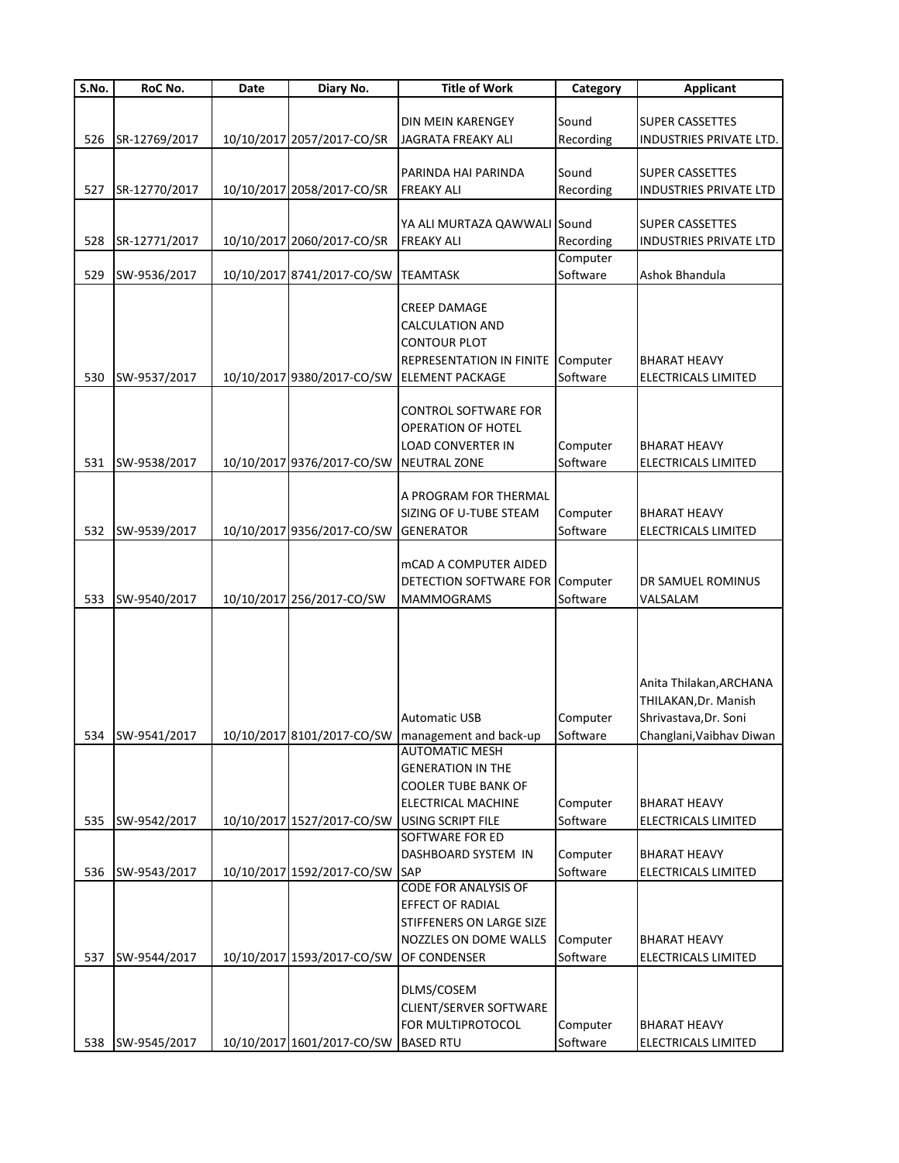| S.No. | RoC No.          | Date | Diary No.                                    | <b>Title of Work</b>                                | Category  | <b>Applicant</b>              |
|-------|------------------|------|----------------------------------------------|-----------------------------------------------------|-----------|-------------------------------|
|       |                  |      |                                              |                                                     |           |                               |
|       |                  |      |                                              | DIN MEIN KARENGEY                                   | Sound     | <b>SUPER CASSETTES</b>        |
| 526   | SR-12769/2017    |      | 10/10/2017 2057/2017-CO/SR                   | JAGRATA FREAKY ALI                                  | Recording | INDUSTRIES PRIVATE LTD.       |
|       |                  |      |                                              |                                                     |           |                               |
|       |                  |      |                                              | PARINDA HAI PARINDA                                 | Sound     | <b>SUPER CASSETTES</b>        |
| 527   | SR-12770/2017    |      | 10/10/2017 2058/2017-CO/SR                   | <b>FREAKY ALI</b>                                   | Recording | <b>INDUSTRIES PRIVATE LTD</b> |
|       |                  |      |                                              |                                                     |           |                               |
|       |                  |      |                                              | YA ALI MURTAZA QAWWALI Sound                        |           | <b>SUPER CASSETTES</b>        |
| 528   | SR-12771/2017    |      | 10/10/2017 2060/2017-CO/SR                   | <b>FREAKY ALI</b>                                   | Recording | <b>INDUSTRIES PRIVATE LTD</b> |
|       |                  |      |                                              |                                                     | Computer  |                               |
| 529   | SW-9536/2017     |      | 10/10/2017 8741/2017-CO/SW                   | <b>TEAMTASK</b>                                     | Software  | Ashok Bhandula                |
|       |                  |      |                                              | <b>CREEP DAMAGE</b>                                 |           |                               |
|       |                  |      |                                              | <b>CALCULATION AND</b>                              |           |                               |
|       |                  |      |                                              | <b>CONTOUR PLOT</b>                                 |           |                               |
|       |                  |      |                                              | REPRESENTATION IN FINITE Computer                   |           | <b>BHARAT HEAVY</b>           |
| 530   | SW-9537/2017     |      | 10/10/2017 9380/2017-CO/SW                   | <b>ELEMENT PACKAGE</b>                              | Software  | ELECTRICALS LIMITED           |
|       |                  |      |                                              |                                                     |           |                               |
|       |                  |      |                                              | <b>CONTROL SOFTWARE FOR</b>                         |           |                               |
|       |                  |      |                                              | OPERATION OF HOTEL                                  |           |                               |
|       |                  |      |                                              | <b>LOAD CONVERTER IN</b>                            | Computer  | <b>BHARAT HEAVY</b>           |
| 531   | SW-9538/2017     |      | 10/10/2017 9376/2017-CO/SW                   | <b>NEUTRAL ZONE</b>                                 | Software  | <b>ELECTRICALS LIMITED</b>    |
|       |                  |      |                                              |                                                     |           |                               |
|       |                  |      |                                              | A PROGRAM FOR THERMAL                               |           |                               |
|       |                  |      |                                              | SIZING OF U-TUBE STEAM                              | Computer  | <b>BHARAT HEAVY</b>           |
| 532   | SW-9539/2017     |      | 10/10/2017 9356/2017-CO/SW                   | <b>GENERATOR</b>                                    | Software  | ELECTRICALS LIMITED           |
|       |                  |      |                                              |                                                     |           |                               |
|       |                  |      |                                              | <b>mCAD A COMPUTER AIDED</b>                        |           |                               |
|       |                  |      |                                              | DETECTION SOFTWARE FOR Computer                     |           | DR SAMUEL ROMINUS             |
| 533   | SW-9540/2017     |      | 10/10/2017 256/2017-CO/SW                    | <b>MAMMOGRAMS</b>                                   | Software  | VALSALAM                      |
|       |                  |      |                                              |                                                     |           |                               |
|       |                  |      |                                              |                                                     |           |                               |
|       |                  |      |                                              |                                                     |           |                               |
|       |                  |      |                                              |                                                     |           |                               |
|       |                  |      |                                              |                                                     |           | Anita Thilakan, ARCHANA       |
|       |                  |      |                                              |                                                     |           | THILAKAN, Dr. Manish          |
|       |                  |      |                                              | <b>Automatic USB</b>                                | Computer  | Shrivastava, Dr. Soni         |
|       | 534 SW-9541/2017 |      |                                              | 10/10/2017 8101/2017-CO/SW   management and back-up | Software  | Changlani, Vaibhav Diwan      |
|       |                  |      |                                              | <b>AUTOMATIC MESH</b>                               |           |                               |
|       |                  |      |                                              | <b>GENERATION IN THE</b>                            |           |                               |
|       |                  |      |                                              | <b>COOLER TUBE BANK OF</b>                          |           |                               |
|       |                  |      |                                              | ELECTRICAL MACHINE                                  | Computer  | <b>BHARAT HEAVY</b>           |
| 535   | SW-9542/2017     |      | 10/10/2017 1527/2017-CO/SW USING SCRIPT FILE |                                                     | Software  | ELECTRICALS LIMITED           |
|       |                  |      |                                              | <b>SOFTWARE FOR ED</b>                              |           |                               |
|       |                  |      |                                              | DASHBOARD SYSTEM IN                                 | Computer  | <b>BHARAT HEAVY</b>           |
| 536   | SW-9543/2017     |      | 10/10/2017 1592/2017-CO/SW                   | <b>SAP</b><br><b>CODE FOR ANALYSIS OF</b>           | Software  | <b>ELECTRICALS LIMITED</b>    |
|       |                  |      |                                              | EFFECT OF RADIAL                                    |           |                               |
|       |                  |      |                                              |                                                     |           |                               |
|       |                  |      |                                              | STIFFENERS ON LARGE SIZE                            |           |                               |
|       |                  |      |                                              | NOZZLES ON DOME WALLS                               | Computer  | <b>BHARAT HEAVY</b>           |
| 537   | SW-9544/2017     |      | 10/10/2017 1593/2017-CO/SW                   | OF CONDENSER                                        | Software  | ELECTRICALS LIMITED           |
|       |                  |      |                                              |                                                     |           |                               |
|       |                  |      |                                              | DLMS/COSEM                                          |           |                               |
|       |                  |      |                                              | CLIENT/SERVER SOFTWARE                              |           |                               |
|       |                  |      |                                              | FOR MULTIPROTOCOL                                   | Computer  | <b>BHARAT HEAVY</b>           |
|       | 538 SW-9545/2017 |      | 10/10/2017 1601/2017-CO/SW                   | <b>BASED RTU</b>                                    | Software  | ELECTRICALS LIMITED           |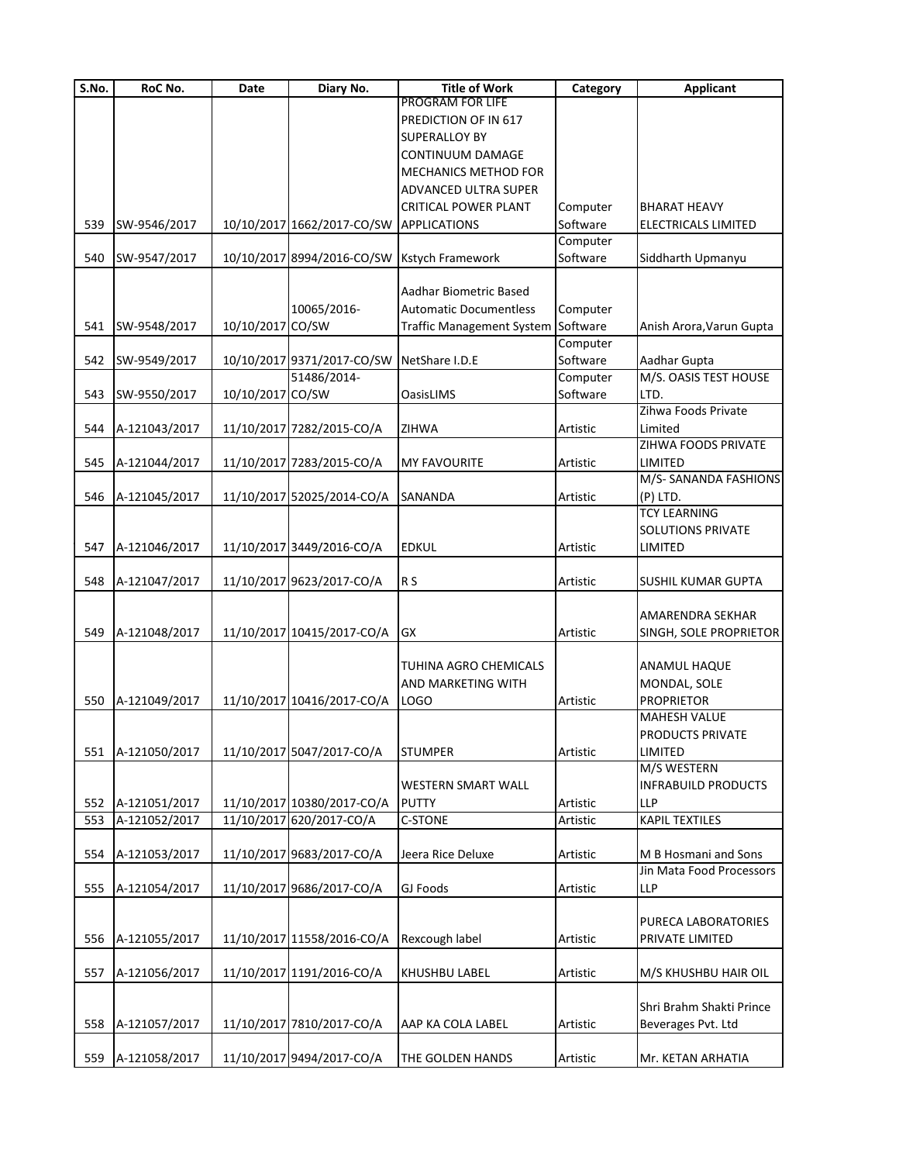| S.No. | RoC No.       | Date             | Diary No.                  | <b>Title of Work</b>             | Category | <b>Applicant</b>           |
|-------|---------------|------------------|----------------------------|----------------------------------|----------|----------------------------|
|       |               |                  |                            | PROGRAM FOR LIFE                 |          |                            |
|       |               |                  |                            | PREDICTION OF IN 617             |          |                            |
|       |               |                  |                            | <b>SUPERALLOY BY</b>             |          |                            |
|       |               |                  |                            | <b>CONTINUUM DAMAGE</b>          |          |                            |
|       |               |                  |                            | <b>MECHANICS METHOD FOR</b>      |          |                            |
|       |               |                  |                            | ADVANCED ULTRA SUPER             |          |                            |
|       |               |                  |                            | <b>CRITICAL POWER PLANT</b>      | Computer | <b>BHARAT HEAVY</b>        |
|       |               |                  |                            |                                  |          |                            |
| 539   | SW-9546/2017  |                  | 10/10/2017 1662/2017-CO/SW | <b>APPLICATIONS</b>              | Software | ELECTRICALS LIMITED        |
|       |               |                  |                            |                                  | Computer |                            |
| 540   | SW-9547/2017  |                  | 10/10/2017 8994/2016-CO/SW | Kstych Framework                 | Software | Siddharth Upmanyu          |
|       |               |                  |                            |                                  |          |                            |
|       |               |                  |                            | Aadhar Biometric Based           |          |                            |
|       |               |                  | 10065/2016-                | <b>Automatic Documentless</b>    | Computer |                            |
| 541   | SW-9548/2017  | 10/10/2017 CO/SW |                            | <b>Traffic Management System</b> | Software | Anish Arora, Varun Gupta   |
|       |               |                  |                            |                                  | Computer |                            |
| 542   | SW-9549/2017  |                  | 10/10/2017 9371/2017-CO/SW | NetShare I.D.E                   | Software | Aadhar Gupta               |
|       |               |                  | 51486/2014-                |                                  | Computer | M/S. OASIS TEST HOUSE      |
| 543   | SW-9550/2017  | 10/10/2017 CO/SW |                            | <b>OasisLIMS</b>                 | Software | LTD.                       |
|       |               |                  |                            |                                  |          | Zihwa Foods Private        |
|       |               |                  |                            |                                  |          |                            |
| 544   | A-121043/2017 |                  | 11/10/2017 7282/2015-CO/A  | <b>ZIHWA</b>                     | Artistic | Limited                    |
|       |               |                  |                            |                                  |          | ZIHWA FOODS PRIVATE        |
| 545   | A-121044/2017 |                  | 11/10/2017 7283/2015-CO/A  | <b>MY FAVOURITE</b>              | Artistic | LIMITED                    |
|       |               |                  |                            |                                  |          | M/S- SANANDA FASHIONS      |
| 546   | A-121045/2017 |                  | 11/10/2017 52025/2014-CO/A | <b>SANANDA</b>                   | Artistic | $(P)$ LTD.                 |
|       |               |                  |                            |                                  |          | <b>TCY LEARNING</b>        |
|       |               |                  |                            |                                  |          | <b>SOLUTIONS PRIVATE</b>   |
| 547   | A-121046/2017 |                  | 11/10/2017 3449/2016-CO/A  | <b>EDKUL</b>                     | Artistic | LIMITED                    |
|       |               |                  |                            |                                  |          |                            |
| 548   | A-121047/2017 |                  | 11/10/2017 9623/2017-CO/A  | R <sub>S</sub>                   | Artistic | SUSHIL KUMAR GUPTA         |
|       |               |                  |                            |                                  |          |                            |
|       |               |                  |                            |                                  |          | AMARENDRA SEKHAR           |
|       |               |                  |                            |                                  |          |                            |
| 549   | A-121048/2017 |                  | 11/10/2017 10415/2017-CO/A | GX                               | Artistic | SINGH, SOLE PROPRIETOR     |
|       |               |                  |                            |                                  |          |                            |
|       |               |                  |                            | TUHINA AGRO CHEMICALS            |          | ANAMUL HAQUE               |
|       |               |                  |                            | AND MARKETING WITH               |          | MONDAL, SOLE               |
| 550   | A-121049/2017 |                  | 11/10/2017 10416/2017-CO/A | LOGO                             | Artistic | <b>PROPRIETOR</b>          |
|       |               |                  |                            |                                  |          | MAHESH VALUE               |
|       |               |                  |                            |                                  |          | PRODUCTS PRIVATE           |
| 551   | A-121050/2017 |                  | 11/10/2017 5047/2017-CO/A  | <b>STUMPER</b>                   | Artistic | LIMITED                    |
|       |               |                  |                            |                                  |          | M/S WESTERN                |
|       |               |                  |                            | <b>WESTERN SMART WALL</b>        |          | <b>INFRABUILD PRODUCTS</b> |
| 552   | A-121051/2017 |                  | 11/10/2017 10380/2017-CO/A | <b>PUTTY</b>                     | Artistic | LLP                        |
| 553   | A-121052/2017 |                  | 11/10/2017 620/2017-CO/A   | C-STONE                          | Artistic | KAPIL TEXTILES             |
|       |               |                  |                            |                                  |          |                            |
|       |               |                  |                            |                                  |          |                            |
| 554   | A-121053/2017 |                  | 11/10/2017 9683/2017-CO/A  | Jeera Rice Deluxe                | Artistic | M B Hosmani and Sons       |
|       |               |                  |                            |                                  |          | Jin Mata Food Processors   |
| 555   | A-121054/2017 |                  | 11/10/2017 9686/2017-CO/A  | GJ Foods                         | Artistic | LLP                        |
|       |               |                  |                            |                                  |          |                            |
|       |               |                  |                            |                                  |          | PURECA LABORATORIES        |
| 556   | A-121055/2017 |                  | 11/10/2017 11558/2016-CO/A | Rexcough label                   | Artistic | PRIVATE LIMITED            |
|       |               |                  |                            |                                  |          |                            |
| 557   | A-121056/2017 |                  | 11/10/2017 1191/2016-CO/A  | KHUSHBU LABEL                    | Artistic | M/S KHUSHBU HAIR OIL       |
|       |               |                  |                            |                                  |          |                            |
|       |               |                  |                            |                                  |          | Shri Brahm Shakti Prince   |
|       |               |                  |                            |                                  |          |                            |
| 558   | A-121057/2017 |                  | 11/10/2017 7810/2017-CO/A  | AAP KA COLA LABEL                | Artistic | Beverages Pvt. Ltd         |
|       |               |                  |                            |                                  |          |                            |
| 559   | A-121058/2017 |                  | 11/10/2017 9494/2017-CO/A  | THE GOLDEN HANDS                 | Artistic | Mr. KETAN ARHATIA          |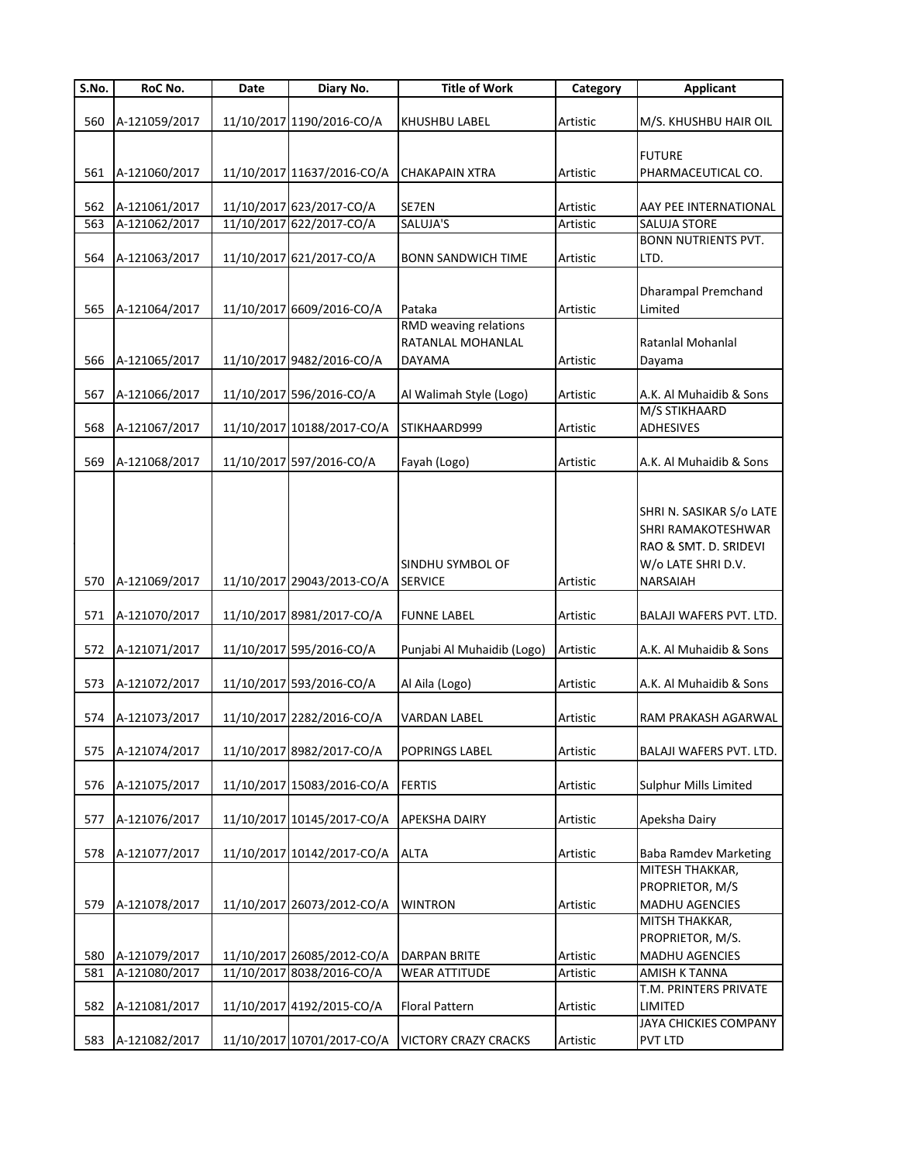| S.No. | RoC No.       | Date | Diary No.                  | <b>Title of Work</b>        | Category | <b>Applicant</b>                    |
|-------|---------------|------|----------------------------|-----------------------------|----------|-------------------------------------|
|       |               |      |                            |                             |          |                                     |
| 560   | A-121059/2017 |      | 11/10/2017 1190/2016-CO/A  | KHUSHBU LABEL               | Artistic | M/S. KHUSHBU HAIR OIL               |
|       |               |      |                            |                             |          |                                     |
|       | A-121060/2017 |      |                            |                             |          | <b>FUTURE</b><br>PHARMACEUTICAL CO. |
| 561   |               |      | 11/10/2017 11637/2016-CO/A | <b>CHAKAPAIN XTRA</b>       | Artistic |                                     |
| 562   | A-121061/2017 |      | 11/10/2017 623/2017-CO/A   | SE7EN                       | Artistic | AAY PEE INTERNATIONAL               |
| 563   | A-121062/2017 |      | 11/10/2017 622/2017-CO/A   | SALUJA'S                    | Artistic | <b>SALUJA STORE</b>                 |
|       |               |      |                            |                             |          | <b>BONN NUTRIENTS PVT.</b>          |
| 564   | A-121063/2017 |      | 11/10/2017 621/2017-CO/A   | <b>BONN SANDWICH TIME</b>   | Artistic | LTD.                                |
|       |               |      |                            |                             |          |                                     |
|       |               |      |                            |                             |          | <b>Dharampal Premchand</b>          |
| 565   | A-121064/2017 |      | 11/10/2017 6609/2016-CO/A  | Pataka                      | Artistic | Limited                             |
|       |               |      |                            | RMD weaving relations       |          |                                     |
|       |               |      |                            | RATANLAL MOHANLAL           |          | Ratanlal Mohanlal                   |
| 566   | A-121065/2017 |      | 11/10/2017 9482/2016-CO/A  | <b>DAYAMA</b>               | Artistic | Dayama                              |
|       |               |      |                            |                             |          |                                     |
| 567   | A-121066/2017 |      | 11/10/2017 596/2016-CO/A   | Al Walimah Style (Logo)     | Artistic | A.K. Al Muhaidib & Sons             |
|       |               |      |                            |                             |          | M/S STIKHAARD                       |
| 568   | A-121067/2017 |      | 11/10/2017 10188/2017-CO/A | STIKHAARD999                | Artistic | ADHESIVES                           |
| 569   | A-121068/2017 |      | 11/10/2017 597/2016-CO/A   | Fayah (Logo)                | Artistic | A.K. Al Muhaidib & Sons             |
|       |               |      |                            |                             |          |                                     |
|       |               |      |                            |                             |          |                                     |
|       |               |      |                            |                             |          | SHRI N. SASIKAR S/o LATE            |
|       |               |      |                            |                             |          | SHRI RAMAKOTESHWAR                  |
|       |               |      |                            |                             |          | RAO & SMT. D. SRIDEVI               |
|       |               |      |                            | SINDHU SYMBOL OF            |          | W/o LATE SHRI D.V.                  |
| 570   | A-121069/2017 |      | 11/10/2017 29043/2013-CO/A | <b>SERVICE</b>              | Artistic | NARSAIAH                            |
|       |               |      |                            |                             |          |                                     |
| 571   | A-121070/2017 |      | 11/10/2017 8981/2017-CO/A  | <b>FUNNE LABEL</b>          | Artistic | BALAJI WAFERS PVT. LTD.             |
|       |               |      |                            |                             |          |                                     |
| 572   | A-121071/2017 |      | 11/10/2017 595/2016-CO/A   | Punjabi Al Muhaidib (Logo)  | Artistic | A.K. Al Muhaidib & Sons             |
|       |               |      |                            |                             |          |                                     |
| 573   | A-121072/2017 |      | 11/10/2017 593/2016-CO/A   | Al Aila (Logo)              | Artistic | A.K. Al Muhaidib & Sons             |
|       |               |      |                            |                             |          |                                     |
| 574   | A-121073/2017 |      | 11/10/2017 2282/2016-CO/A  | <b>VARDAN LABEL</b>         | Artistic | RAM PRAKASH AGARWAL                 |
|       |               |      |                            |                             |          |                                     |
| 575   | A-121074/2017 |      | 11/10/2017 8982/2017-CO/A  | POPRINGS LABEL              | Artistic | BALAJI WAFERS PVT. LTD.             |
| 576   | A-121075/2017 |      | 11/10/2017 15083/2016-CO/A | <b>FERTIS</b>               | Artistic | Sulphur Mills Limited               |
|       |               |      |                            |                             |          |                                     |
| 577   | A-121076/2017 |      | 11/10/2017 10145/2017-CO/A | <b>APEKSHA DAIRY</b>        | Artistic | Apeksha Dairy                       |
|       |               |      |                            |                             |          |                                     |
| 578   | A-121077/2017 |      | 11/10/2017 10142/2017-CO/A | <b>ALTA</b>                 | Artistic | <b>Baba Ramdev Marketing</b>        |
|       |               |      |                            |                             |          | MITESH THAKKAR,                     |
|       |               |      |                            |                             |          | PROPRIETOR, M/S                     |
| 579   | A-121078/2017 |      | 11/10/2017 26073/2012-CO/A | <b>WINTRON</b>              | Artistic | MADHU AGENCIES                      |
|       |               |      |                            |                             |          | MITSH THAKKAR,                      |
|       |               |      |                            |                             |          | PROPRIETOR, M/S.                    |
| 580   | A-121079/2017 |      | 11/10/2017 26085/2012-CO/A | <b>DARPAN BRITE</b>         | Artistic | MADHU AGENCIES                      |
| 581   | A-121080/2017 |      | 11/10/2017 8038/2016-CO/A  | <b>WEAR ATTITUDE</b>        | Artistic | AMISH K TANNA                       |
|       |               |      |                            |                             |          | T.M. PRINTERS PRIVATE               |
| 582   | A-121081/2017 |      | 11/10/2017 4192/2015-CO/A  | <b>Floral Pattern</b>       | Artistic | LIMITED                             |
|       |               |      |                            |                             |          | JAYA CHICKIES COMPANY               |
| 583   | A-121082/2017 |      | 11/10/2017 10701/2017-CO/A | <b>VICTORY CRAZY CRACKS</b> | Artistic | PVT LTD                             |
|       |               |      |                            |                             |          |                                     |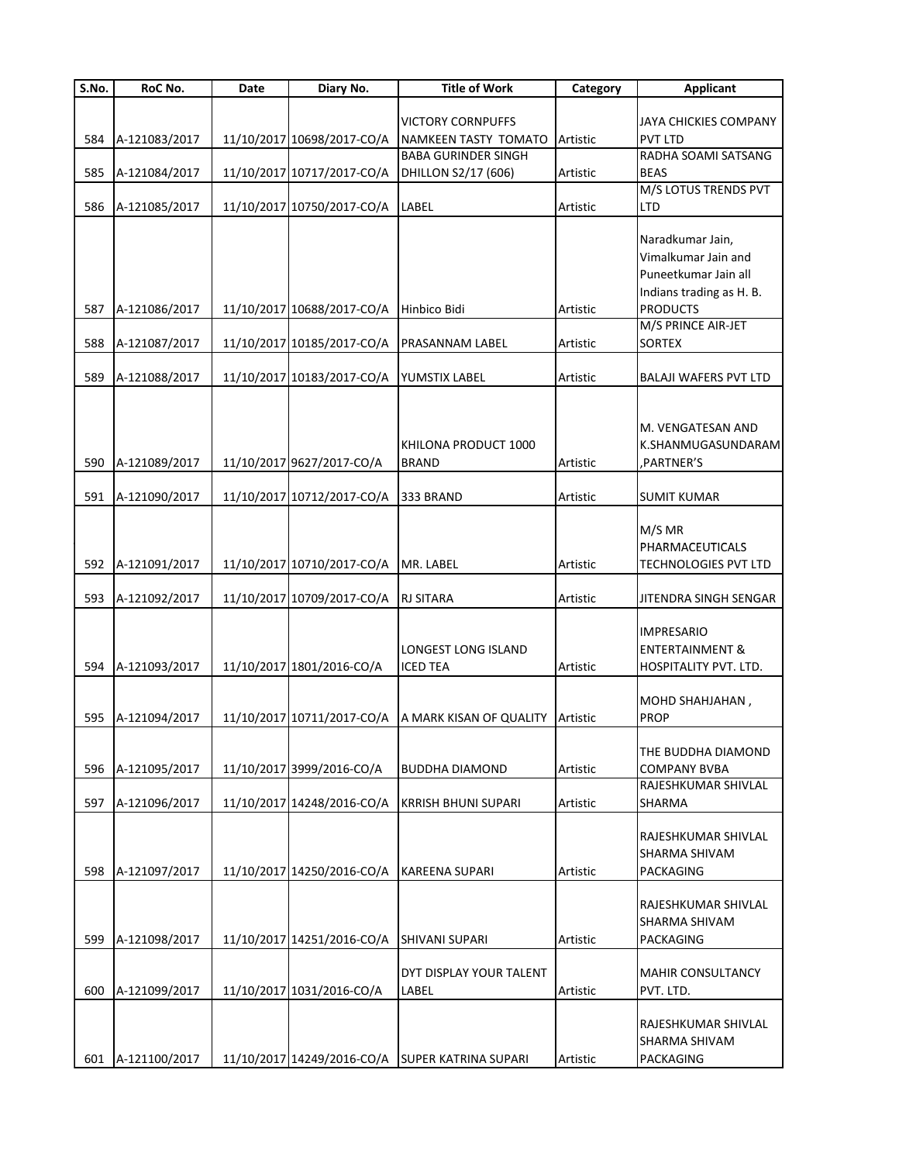| S.No. | <b>RoC No.</b>    | Date | Diary No.                  | <b>Title of Work</b>        | Category | <b>Applicant</b>             |
|-------|-------------------|------|----------------------------|-----------------------------|----------|------------------------------|
|       |                   |      |                            |                             |          |                              |
|       |                   |      |                            | <b>VICTORY CORNPUFFS</b>    |          | JAYA CHICKIES COMPANY        |
| 584   | A-121083/2017     |      | 11/10/2017 10698/2017-CO/A | NAMKEEN TASTY TOMATO        | Artistic | <b>PVT LTD</b>               |
|       |                   |      |                            | <b>BABA GURINDER SINGH</b>  |          | RADHA SOAMI SATSANG          |
| 585   | A-121084/2017     |      | 11/10/2017 10717/2017-CO/A | DHILLON S2/17 (606)         | Artistic | <b>BEAS</b>                  |
|       |                   |      |                            |                             |          | M/S LOTUS TRENDS PVT         |
| 586   | A-121085/2017     |      | 11/10/2017 10750/2017-CO/A | LABEL                       | Artistic | <b>LTD</b>                   |
|       |                   |      |                            |                             |          | Naradkumar Jain,             |
|       |                   |      |                            |                             |          | Vimalkumar Jain and          |
|       |                   |      |                            |                             |          | Puneetkumar Jain all         |
|       |                   |      |                            |                             |          |                              |
|       |                   |      |                            |                             |          | Indians trading as H. B.     |
| 587   | A-121086/2017     |      | 11/10/2017 10688/2017-CO/A | Hinbico Bidi                | Artistic | <b>PRODUCTS</b>              |
|       |                   |      |                            |                             |          | M/S PRINCE AIR-JET           |
| 588   | A-121087/2017     |      | 11/10/2017 10185/2017-CO/A | PRASANNAM LABEL             | Artistic | <b>SORTEX</b>                |
| 589   | A-121088/2017     |      | 11/10/2017 10183/2017-CO/A | YUMSTIX LABEL               | Artistic | <b>BALAJI WAFERS PVT LTD</b> |
|       |                   |      |                            |                             |          |                              |
|       |                   |      |                            |                             |          |                              |
|       |                   |      |                            |                             |          | M. VENGATESAN AND            |
|       |                   |      |                            | KHILONA PRODUCT 1000        |          | K.SHANMUGASUNDARAM           |
|       | 590 A-121089/2017 |      | 11/10/2017 9627/2017-CO/A  | <b>BRAND</b>                | Artistic | , PARTNER'S                  |
|       |                   |      |                            |                             |          |                              |
| 591   | A-121090/2017     |      | 11/10/2017 10712/2017-CO/A | 333 BRAND                   | Artistic | <b>SUMIT KUMAR</b>           |
|       |                   |      |                            |                             |          |                              |
|       |                   |      |                            |                             |          | M/S MR                       |
|       |                   |      |                            |                             |          | PHARMACEUTICALS              |
| 592   | A-121091/2017     |      | 11/10/2017 10710/2017-CO/A | MR. LABEL                   | Artistic | TECHNOLOGIES PVT LTD         |
|       |                   |      |                            |                             |          |                              |
| 593   | A-121092/2017     |      | 11/10/2017 10709/2017-CO/A | <b>RJ SITARA</b>            | Artistic | JITENDRA SINGH SENGAR        |
|       |                   |      |                            |                             |          |                              |
|       |                   |      |                            |                             |          | <b>IMPRESARIO</b>            |
|       |                   |      |                            | <b>LONGEST LONG ISLAND</b>  |          | <b>ENTERTAINMENT &amp;</b>   |
| 594   | A-121093/2017     |      | 11/10/2017 1801/2016-CO/A  | <b>ICED TEA</b>             | Artistic | HOSPITALITY PVT. LTD.        |
|       |                   |      |                            |                             |          |                              |
|       |                   |      |                            |                             |          | MOHD SHAHJAHAN,              |
|       | 595 A-121094/2017 |      | 11/10/2017 10711/2017-CO/A | A MARK KISAN OF QUALITY     | Artistic | <b>PROP</b>                  |
|       |                   |      |                            |                             |          |                              |
|       |                   |      |                            |                             |          | THE BUDDHA DIAMOND           |
| 596   | A-121095/2017     |      | 11/10/2017 3999/2016-CO/A  | <b>BUDDHA DIAMOND</b>       | Artistic | <b>COMPANY BVBA</b>          |
|       |                   |      |                            |                             |          | RAJESHKUMAR SHIVLAL          |
| 597   | A-121096/2017     |      | 11/10/2017 14248/2016-CO/A | <b>KRRISH BHUNI SUPARI</b>  | Artistic | SHARMA                       |
|       |                   |      |                            |                             |          |                              |
|       |                   |      |                            |                             |          | RAJESHKUMAR SHIVLAL          |
|       |                   |      |                            |                             |          | SHARMA SHIVAM                |
| 598   | A-121097/2017     |      | 11/10/2017 14250/2016-CO/A | <b>KAREENA SUPARI</b>       | Artistic | PACKAGING                    |
|       |                   |      |                            |                             |          |                              |
|       |                   |      |                            |                             |          | RAJESHKUMAR SHIVLAL          |
|       |                   |      |                            |                             |          | SHARMA SHIVAM                |
| 599   | A-121098/2017     |      | 11/10/2017 14251/2016-CO/A | <b>SHIVANI SUPARI</b>       | Artistic | PACKAGING                    |
|       |                   |      |                            |                             |          |                              |
|       |                   |      |                            | DYT DISPLAY YOUR TALENT     |          | <b>MAHIR CONSULTANCY</b>     |
| 600   | A-121099/2017     |      | 11/10/2017 1031/2016-CO/A  | LABEL                       | Artistic | PVT. LTD.                    |
|       |                   |      |                            |                             |          | RAJESHKUMAR SHIVLAL          |
|       |                   |      |                            |                             |          |                              |
|       |                   |      |                            |                             |          | SHARMA SHIVAM                |
| 601   | A-121100/2017     |      | 11/10/2017 14249/2016-CO/A | <b>SUPER KATRINA SUPARI</b> | Artistic | PACKAGING                    |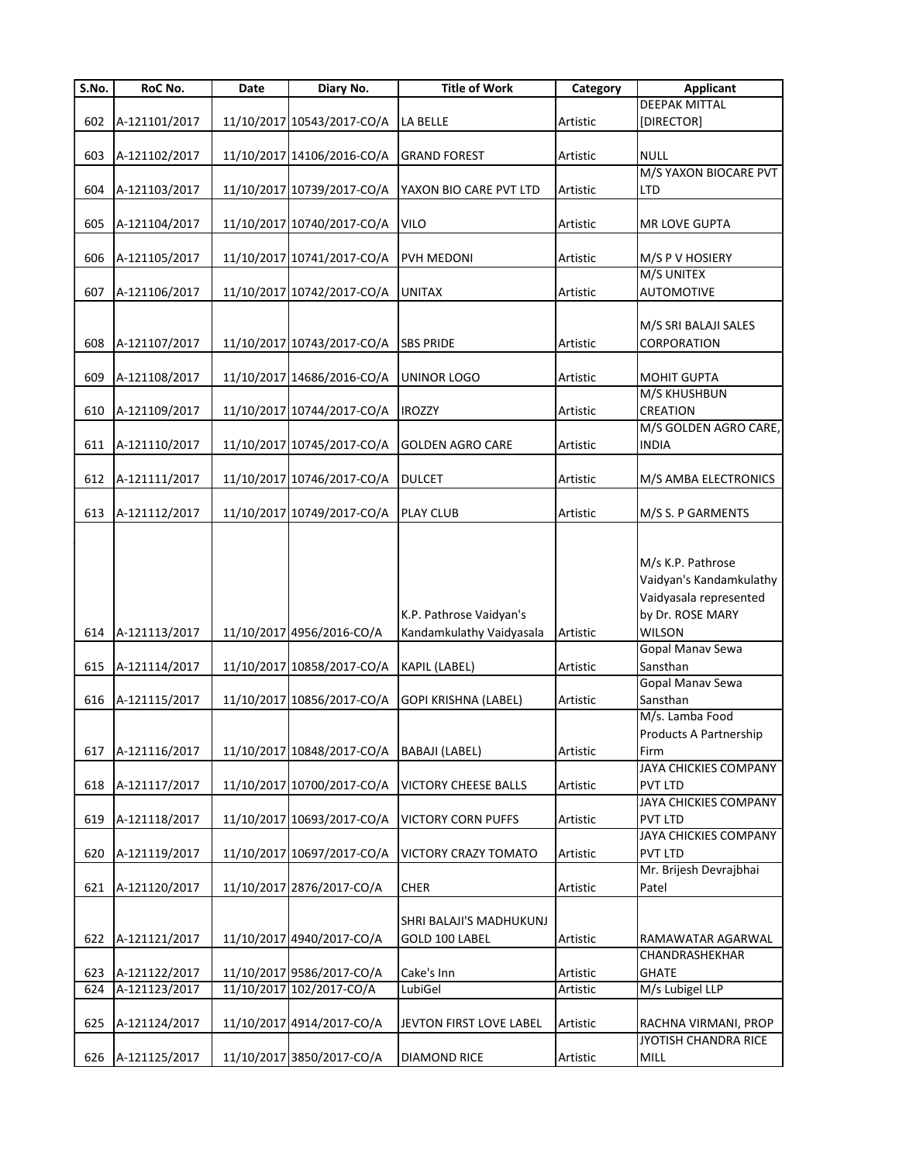| S.No. | RoC No.           | Date | Diary No.                  | <b>Title of Work</b>                      | Category | <b>Applicant</b>                                                                           |
|-------|-------------------|------|----------------------------|-------------------------------------------|----------|--------------------------------------------------------------------------------------------|
|       |                   |      |                            |                                           |          | <b>DEEPAK MITTAL</b>                                                                       |
| 602   | A-121101/2017     |      | 11/10/2017 10543/2017-CO/A | <b>LA BELLE</b>                           | Artistic | [DIRECTOR]                                                                                 |
|       |                   |      |                            |                                           |          |                                                                                            |
| 603   | A-121102/2017     |      | 11/10/2017 14106/2016-CO/A | <b>GRAND FOREST</b>                       | Artistic | <b>NULL</b>                                                                                |
|       |                   |      |                            |                                           |          | M/S YAXON BIOCARE PVT                                                                      |
| 604   | A-121103/2017     |      | 11/10/2017 10739/2017-CO/A | YAXON BIO CARE PVT LTD                    | Artistic | <b>LTD</b>                                                                                 |
|       |                   |      |                            |                                           |          |                                                                                            |
| 605   | A-121104/2017     |      | 11/10/2017 10740/2017-CO/A | <b>VILO</b>                               | Artistic | MR LOVE GUPTA                                                                              |
|       |                   |      |                            |                                           |          |                                                                                            |
| 606   | A-121105/2017     |      | 11/10/2017 10741/2017-CO/A | PVH MEDONI                                | Artistic | M/S P V HOSIERY                                                                            |
|       |                   |      |                            |                                           |          | M/S UNITEX                                                                                 |
| 607   | A-121106/2017     |      | 11/10/2017 10742/2017-CO/A | <b>UNITAX</b>                             | Artistic | <b>AUTOMOTIVE</b>                                                                          |
|       |                   |      |                            |                                           |          |                                                                                            |
|       |                   |      |                            |                                           |          | M/S SRI BALAJI SALES                                                                       |
| 608   | A-121107/2017     |      | 11/10/2017 10743/2017-CO/A | <b>SBS PRIDE</b>                          | Artistic | CORPORATION                                                                                |
|       |                   |      |                            |                                           |          |                                                                                            |
| 609   | A-121108/2017     |      | 11/10/2017 14686/2016-CO/A | <b>UNINOR LOGO</b>                        | Artistic | <b>MOHIT GUPTA</b>                                                                         |
|       |                   |      |                            |                                           |          | M/S KHUSHBUN                                                                               |
| 610   | A-121109/2017     |      | 11/10/2017 10744/2017-CO/A | <b>IROZZY</b>                             | Artistic | CREATION                                                                                   |
|       |                   |      |                            |                                           |          | M/S GOLDEN AGRO CARE,                                                                      |
| 611   | A-121110/2017     |      | 11/10/2017 10745/2017-CO/A | <b>GOLDEN AGRO CARE</b>                   | Artistic | <b>INDIA</b>                                                                               |
|       |                   |      |                            |                                           |          |                                                                                            |
| 612   | A-121111/2017     |      | 11/10/2017 10746/2017-CO/A | <b>DULCET</b>                             | Artistic | M/S AMBA ELECTRONICS                                                                       |
|       |                   |      |                            |                                           |          |                                                                                            |
| 613   | A-121112/2017     |      | 11/10/2017 10749/2017-CO/A | <b>PLAY CLUB</b>                          | Artistic | M/S S. P GARMENTS                                                                          |
|       |                   |      |                            |                                           |          |                                                                                            |
|       |                   |      |                            | K.P. Pathrose Vaidyan's                   |          | M/s K.P. Pathrose<br>Vaidyan's Kandamkulathy<br>Vaidyasala represented<br>by Dr. ROSE MARY |
| 614   | A-121113/2017     |      | 11/10/2017 4956/2016-CO/A  | Kandamkulathy Vaidyasala                  | Artistic | <b>WILSON</b>                                                                              |
|       |                   |      |                            |                                           |          | Gopal Manav Sewa                                                                           |
| 615   | A-121114/2017     |      | 11/10/2017 10858/2017-CO/A | KAPIL (LABEL)                             | Artistic | Sansthan                                                                                   |
|       |                   |      |                            |                                           |          | Gopal Manav Sewa                                                                           |
| 616   | A-121115/2017     |      | 11/10/2017 10856/2017-CO/A | GOPI KRISHNA (LABEL)                      | Artistic | Sansthan                                                                                   |
|       |                   |      |                            |                                           |          | M/s. Lamba Food                                                                            |
|       |                   |      |                            |                                           |          | Products A Partnership                                                                     |
| 617   | A-121116/2017     |      | 11/10/2017 10848/2017-CO/A | BABAJI (LABEL)                            | Artistic | Firm                                                                                       |
|       |                   |      |                            |                                           |          | JAYA CHICKIES COMPANY                                                                      |
| 618   | A-121117/2017     |      | 11/10/2017 10700/2017-CO/A | <b>VICTORY CHEESE BALLS</b>               | Artistic | <b>PVT LTD</b>                                                                             |
|       |                   |      |                            |                                           |          | JAYA CHICKIES COMPANY                                                                      |
| 619   | A-121118/2017     |      | 11/10/2017 10693/2017-CO/A | <b>VICTORY CORN PUFFS</b>                 | Artistic | <b>PVT LTD</b>                                                                             |
|       |                   |      |                            |                                           |          | JAYA CHICKIES COMPANY                                                                      |
| 620   | A-121119/2017     |      | 11/10/2017 10697/2017-CO/A | VICTORY CRAZY TOMATO                      | Artistic | <b>PVT LTD</b>                                                                             |
|       |                   |      |                            |                                           |          | Mr. Brijesh Devrajbhai                                                                     |
| 621   | A-121120/2017     |      | 11/10/2017 2876/2017-CO/A  | <b>CHER</b>                               | Artistic | Patel                                                                                      |
|       | 622 A-121121/2017 |      | 11/10/2017 4940/2017-CO/A  | SHRI BALAJI'S MADHUKUNJ<br>GOLD 100 LABEL | Artistic | RAMAWATAR AGARWAL                                                                          |
|       |                   |      |                            |                                           |          | CHANDRASHEKHAR                                                                             |
| 623   | A-121122/2017     |      | 11/10/2017 9586/2017-CO/A  | Cake's Inn                                | Artistic | <b>GHATE</b>                                                                               |
| 624   | A-121123/2017     |      | 11/10/2017 102/2017-CO/A   | LubiGel                                   | Artistic | M/s Lubigel LLP                                                                            |
| 625   | A-121124/2017     |      | 11/10/2017 4914/2017-CO/A  | JEVTON FIRST LOVE LABEL                   | Artistic | RACHNA VIRMANI, PROP                                                                       |
| 626   | A-121125/2017     |      | 11/10/2017 3850/2017-CO/A  | DIAMOND RICE                              | Artistic | JYOTISH CHANDRA RICE<br>MILL                                                               |
|       |                   |      |                            |                                           |          |                                                                                            |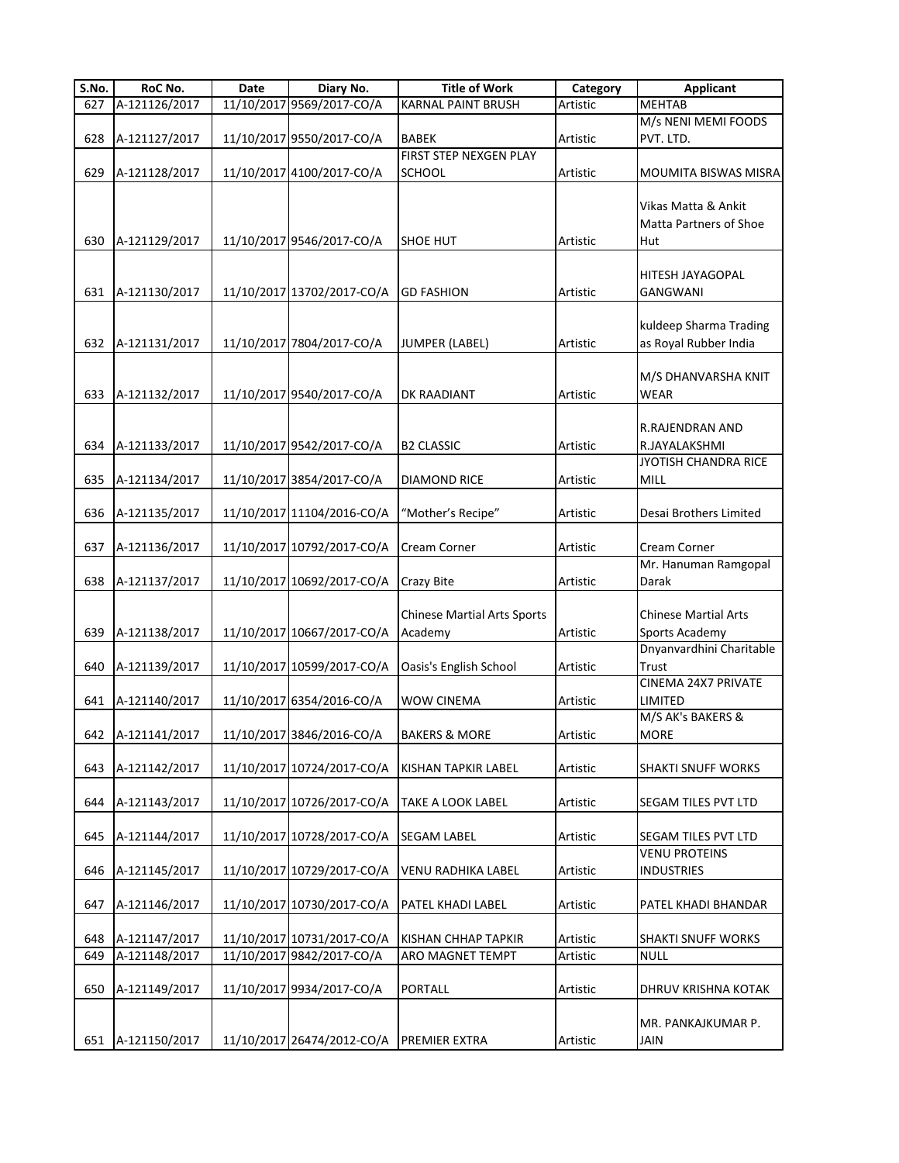| S.No.      | RoC No.                        | Date | Diary No.                                               | <b>Title of Work</b>                          | Category             | <b>Applicant</b>                                     |
|------------|--------------------------------|------|---------------------------------------------------------|-----------------------------------------------|----------------------|------------------------------------------------------|
| 627        | A-121126/2017                  |      | 11/10/2017 9569/2017-CO/A                               | <b>KARNAL PAINT BRUSH</b>                     | Artistic             | <b>MEHTAB</b>                                        |
| 628        | A-121127/2017                  |      | 11/10/2017 9550/2017-CO/A                               | <b>BABEK</b>                                  | Artistic             | M/s NENI MEMI FOODS<br>PVT. LTD.                     |
| 629        | A-121128/2017                  |      | 11/10/2017 4100/2017-CO/A                               | FIRST STEP NEXGEN PLAY<br><b>SCHOOL</b>       | Artistic             | MOUMITA BISWAS MISRA                                 |
| 630        | A-121129/2017                  |      | 11/10/2017 9546/2017-CO/A                               | <b>SHOE HUT</b>                               | Artistic             | Vikas Matta & Ankit<br>Matta Partners of Shoe<br>Hut |
| 631        | A-121130/2017                  |      | 11/10/2017 13702/2017-CO/A                              | <b>GD FASHION</b>                             | Artistic             | HITESH JAYAGOPAL<br><b>GANGWANI</b>                  |
| 632        | A-121131/2017                  |      | 11/10/2017 7804/2017-CO/A                               | <b>JUMPER (LABEL)</b>                         | Artistic             | kuldeep Sharma Trading<br>as Royal Rubber India      |
| 633        | A-121132/2017                  |      | 11/10/2017 9540/2017-CO/A                               | DK RAADIANT                                   | Artistic             | M/S DHANVARSHA KNIT<br>WEAR                          |
| 634        | A-121133/2017                  |      | 11/10/2017 9542/2017-CO/A                               | <b>B2 CLASSIC</b>                             | Artistic             | R.RAJENDRAN AND<br>R.JAYALAKSHMI                     |
| 635        | A-121134/2017                  |      | 11/10/2017 3854/2017-CO/A                               | <b>DIAMOND RICE</b>                           | Artistic             | JYOTISH CHANDRA RICE<br>MILL                         |
| 636        | A-121135/2017                  |      | 11/10/2017 11104/2016-CO/A                              | "Mother's Recipe"                             | Artistic             | Desai Brothers Limited                               |
| 637        | A-121136/2017                  |      | 11/10/2017 10792/2017-CO/A                              | <b>Cream Corner</b>                           | Artistic             | Cream Corner                                         |
| 638        | A-121137/2017                  |      | 11/10/2017 10692/2017-CO/A                              | <b>Crazy Bite</b>                             | Artistic             | Mr. Hanuman Ramgopal<br>Darak                        |
| 639        | A-121138/2017                  |      | 11/10/2017 10667/2017-CO/A                              | <b>Chinese Martial Arts Sports</b><br>Academy | Artistic             | <b>Chinese Martial Arts</b><br>Sports Academy        |
| 640        | A-121139/2017                  |      | 11/10/2017 10599/2017-CO/A                              | Oasis's English School                        | Artistic             | Dnyanvardhini Charitable<br>Trust                    |
| 641        | A-121140/2017                  |      | 11/10/2017 6354/2016-CO/A                               | <b>WOW CINEMA</b>                             | Artistic             | CINEMA 24X7 PRIVATE<br>LIMITED                       |
|            | 642 A-121141/2017              |      | 11/10/2017 3846/2016-CO/A                               | <b>BAKERS &amp; MORE</b>                      | Artistic             | M/S AK's BAKERS &<br>MORE                            |
| 643        | A-121142/2017                  |      | 11/10/2017 10724/2017-CO/A                              | KISHAN TAPKIR LABEL                           | Artistic             | <b>SHAKTI SNUFF WORKS</b>                            |
| 644        | A-121143/2017                  |      | 11/10/2017 10726/2017-CO/A                              | <b>TAKE A LOOK LABEL</b>                      | Artistic             | SEGAM TILES PVT LTD                                  |
| 645        | A-121144/2017                  |      | 11/10/2017 10728/2017-CO/A                              | <b>SEGAM LABEL</b>                            | Artistic             | SEGAM TILES PVT LTD                                  |
| 646        | A-121145/2017                  |      | 11/10/2017 10729/2017-CO/A                              | VENU RADHIKA LABEL                            | Artistic             | VENU PROTEINS<br><b>INDUSTRIES</b>                   |
| 647        | A-121146/2017                  |      | 11/10/2017 10730/2017-CO/A                              | <b>PATEL KHADI LABEL</b>                      | Artistic             | PATEL KHADI BHANDAR                                  |
| 648<br>649 | A-121147/2017                  |      | 11/10/2017 10731/2017-CO/A<br>11/10/2017 9842/2017-CO/A | <b>KISHAN CHHAP TAPKIR</b>                    | Artistic             | <b>SHAKTI SNUFF WORKS</b>                            |
| 650        | A-121148/2017<br>A-121149/2017 |      | 11/10/2017 9934/2017-CO/A                               | ARO MAGNET TEMPT<br><b>PORTALL</b>            | Artistic<br>Artistic | <b>NULL</b><br>DHRUV KRISHNA KOTAK                   |
| 651        | A-121150/2017                  |      | 11/10/2017 26474/2012-CO/A                              | <b>PREMIER EXTRA</b>                          | Artistic             | MR. PANKAJKUMAR P.<br>JAIN                           |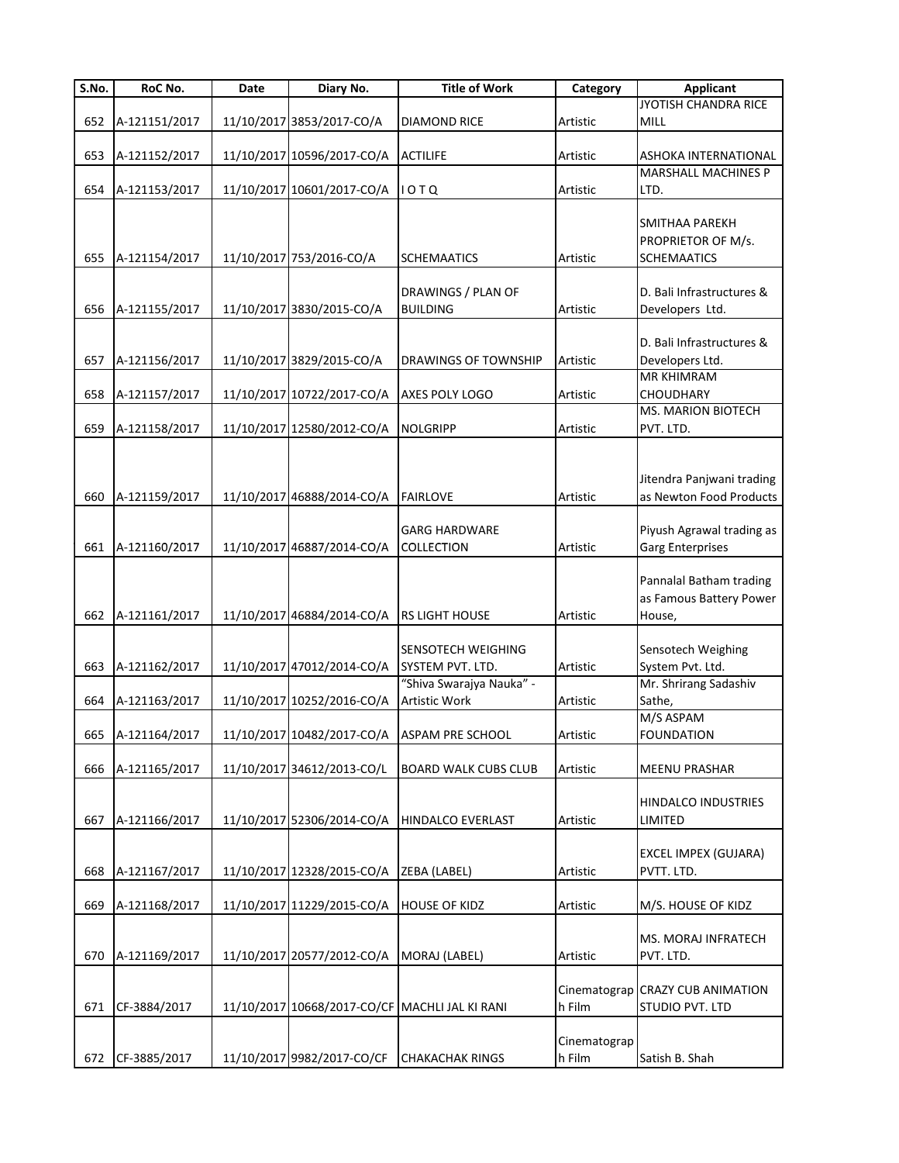| $\overline{\mathsf{S}}$ . No. | RoC No.       | Date | Diary No.                  | <b>Title of Work</b>                           | Category     | <b>Applicant</b>                                   |
|-------------------------------|---------------|------|----------------------------|------------------------------------------------|--------------|----------------------------------------------------|
|                               |               |      |                            |                                                |              | JYOTISH CHANDRA RICE                               |
| 652                           | A-121151/2017 |      | 11/10/2017 3853/2017-CO/A  | <b>DIAMOND RICE</b>                            | Artistic     | MILL                                               |
|                               |               |      |                            |                                                |              |                                                    |
| 653                           | A-121152/2017 |      | 11/10/2017 10596/2017-CO/A | <b>ACTILIFE</b>                                | Artistic     | ASHOKA INTERNATIONAL<br><b>MARSHALL MACHINES P</b> |
|                               |               |      |                            |                                                |              | LTD.                                               |
| 654                           | A-121153/2017 |      | 11/10/2017 10601/2017-CO/A | 10 T Q                                         | Artistic     |                                                    |
|                               |               |      |                            |                                                |              | SMITHAA PAREKH                                     |
|                               |               |      |                            |                                                |              | PROPRIETOR OF M/s.                                 |
| 655                           | A-121154/2017 |      | 11/10/2017 753/2016-CO/A   | <b>SCHEMAATICS</b>                             | Artistic     | <b>SCHEMAATICS</b>                                 |
|                               |               |      |                            |                                                |              |                                                    |
|                               |               |      |                            | DRAWINGS / PLAN OF                             |              | D. Bali Infrastructures &                          |
| 656                           | A-121155/2017 |      | 11/10/2017 3830/2015-CO/A  | <b>BUILDING</b>                                | Artistic     | Developers Ltd.                                    |
|                               |               |      |                            |                                                |              |                                                    |
|                               |               |      |                            |                                                |              | D. Bali Infrastructures &                          |
| 657                           | A-121156/2017 |      | 11/10/2017 3829/2015-CO/A  | DRAWINGS OF TOWNSHIP                           | Artistic     | Developers Ltd.                                    |
|                               |               |      |                            |                                                |              | <b>MR KHIMRAM</b>                                  |
| 658                           | A-121157/2017 |      | 11/10/2017 10722/2017-CO/A | AXES POLY LOGO                                 | Artistic     | <b>CHOUDHARY</b>                                   |
|                               |               |      |                            |                                                |              | <b>MS. MARION BIOTECH</b>                          |
| 659                           | A-121158/2017 |      | 11/10/2017 12580/2012-CO/A | <b>NOLGRIPP</b>                                | Artistic     | PVT. LTD.                                          |
|                               |               |      |                            |                                                |              |                                                    |
|                               |               |      |                            |                                                |              |                                                    |
|                               |               |      |                            |                                                |              | Jitendra Panjwani trading                          |
| 660                           | A-121159/2017 |      | 11/10/2017 46888/2014-CO/A | <b>FAIRLOVE</b>                                | Artistic     | as Newton Food Products                            |
|                               |               |      |                            | <b>GARG HARDWARE</b>                           |              | Piyush Agrawal trading as                          |
| 661                           | A-121160/2017 |      | 11/10/2017 46887/2014-CO/A | COLLECTION                                     | Artistic     | Garg Enterprises                                   |
|                               |               |      |                            |                                                |              |                                                    |
|                               |               |      |                            |                                                |              | Pannalal Batham trading                            |
|                               |               |      |                            |                                                |              | as Famous Battery Power                            |
| 662                           | A-121161/2017 |      | 11/10/2017 46884/2014-CO/A | <b>RS LIGHT HOUSE</b>                          | Artistic     | House,                                             |
|                               |               |      |                            |                                                |              |                                                    |
|                               |               |      |                            | <b>SENSOTECH WEIGHING</b>                      |              | Sensotech Weighing                                 |
| 663                           | A-121162/2017 |      | 11/10/2017 47012/2014-CO/A | SYSTEM PVT. LTD.                               | Artistic     | System Pvt. Ltd.                                   |
|                               |               |      |                            | "Shiva Swarajya Nauka" -                       |              | Mr. Shrirang Sadashiv                              |
| 664                           | A-121163/2017 |      | 11/10/2017 10252/2016-CO/A | <b>Artistic Work</b>                           | Artistic     | Sathe,                                             |
|                               |               |      |                            |                                                |              | M/S ASPAM                                          |
| 665                           | A-121164/2017 |      |                            | 11/10/2017 10482/2017-CO/A ASPAM PRE SCHOOL    | Artistic     | <b>FOUNDATION</b>                                  |
|                               |               |      |                            |                                                |              |                                                    |
| 666                           | A-121165/2017 |      | 11/10/2017 34612/2013-CO/L | <b>BOARD WALK CUBS CLUB</b>                    | Artistic     | <b>MEENU PRASHAR</b>                               |
|                               |               |      |                            |                                                |              |                                                    |
|                               |               |      |                            |                                                |              | HINDALCO INDUSTRIES                                |
| 667                           | A-121166/2017 |      | 11/10/2017 52306/2014-CO/A | <b>HINDALCO EVERLAST</b>                       | Artistic     | LIMITED                                            |
|                               |               |      |                            |                                                |              |                                                    |
|                               |               |      |                            |                                                |              | <b>EXCEL IMPEX (GUJARA)</b>                        |
| 668                           | A-121167/2017 |      | 11/10/2017 12328/2015-CO/A | ZEBA (LABEL)                                   | Artistic     | PVTT. LTD.                                         |
|                               |               |      |                            |                                                |              |                                                    |
| 669                           | A-121168/2017 |      | 11/10/2017 11229/2015-CO/A | <b>HOUSE OF KIDZ</b>                           | Artistic     | M/S. HOUSE OF KIDZ                                 |
|                               |               |      |                            |                                                |              | MS. MORAJ INFRATECH                                |
| 670                           | A-121169/2017 |      | 11/10/2017 20577/2012-CO/A | MORAJ (LABEL)                                  | Artistic     | PVT. LTD.                                          |
|                               |               |      |                            |                                                |              |                                                    |
|                               |               |      |                            |                                                |              | Cinematograp CRAZY CUB ANIMATION                   |
| 671                           | CF-3884/2017  |      |                            | 11/10/2017 10668/2017-CO/CF MACHLI JAL KI RANI | h Film       | STUDIO PVT. LTD                                    |
|                               |               |      |                            |                                                |              |                                                    |
|                               |               |      |                            |                                                | Cinematograp |                                                    |
| 672                           | CF-3885/2017  |      | 11/10/2017 9982/2017-CO/CF | <b>CHAKACHAK RINGS</b>                         | h Film       | Satish B. Shah                                     |
|                               |               |      |                            |                                                |              |                                                    |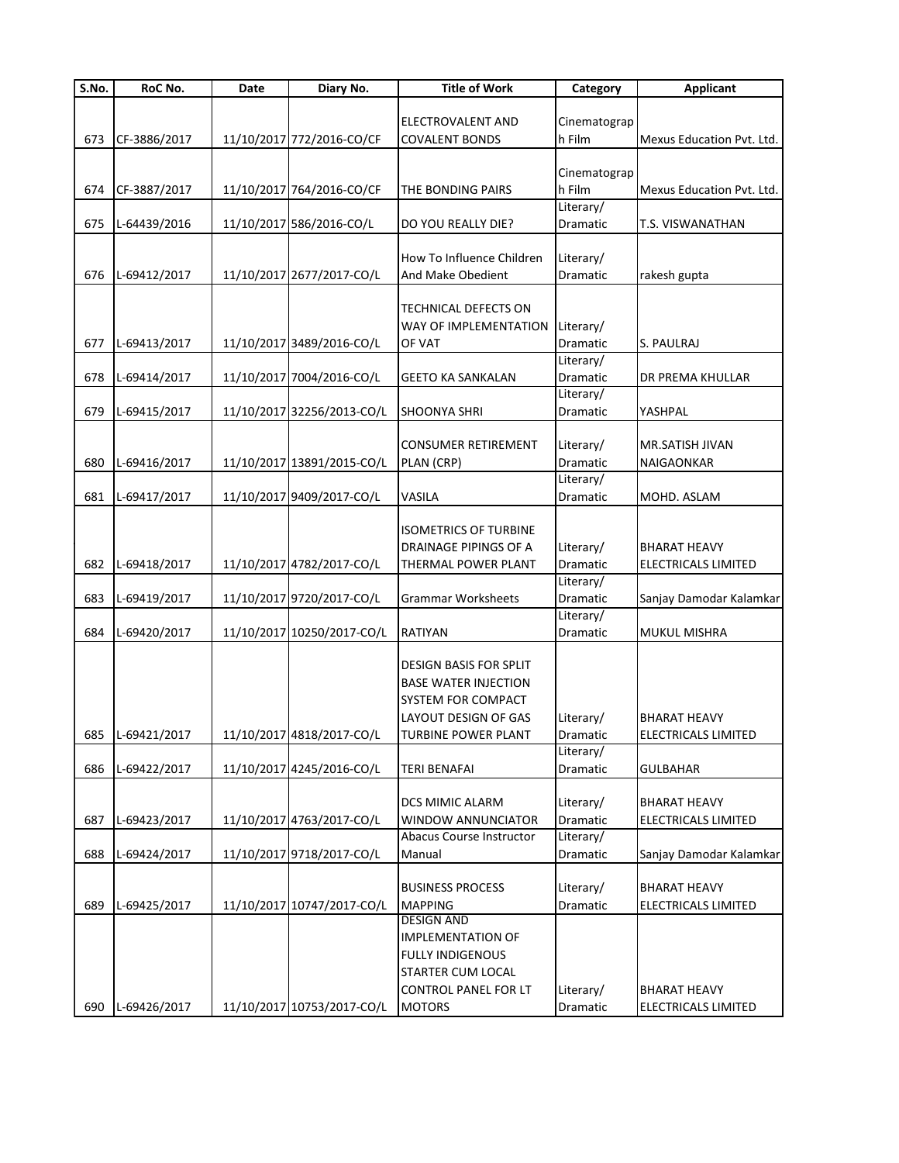| S.No. | RoC No.          | Date | Diary No.                  | <b>Title of Work</b>         | Category        | <b>Applicant</b>           |
|-------|------------------|------|----------------------------|------------------------------|-----------------|----------------------------|
|       |                  |      |                            |                              |                 |                            |
|       |                  |      |                            | ELECTROVALENT AND            | Cinematograp    |                            |
| 673   | CF-3886/2017     |      | 11/10/2017 772/2016-CO/CF  | <b>COVALENT BONDS</b>        | h Film          | Mexus Education Pvt. Ltd.  |
|       |                  |      |                            |                              |                 |                            |
|       |                  |      |                            |                              | Cinematograp    |                            |
| 674   | CF-3887/2017     |      | 11/10/2017 764/2016-CO/CF  | THE BONDING PAIRS            | h Film          | Mexus Education Pvt. Ltd.  |
|       |                  |      |                            |                              | Literary/       |                            |
| 675   | L-64439/2016     |      | 11/10/2017 586/2016-CO/L   | DO YOU REALLY DIE?           | Dramatic        | T.S. VISWANATHAN           |
|       |                  |      |                            |                              |                 |                            |
|       |                  |      |                            | How To Influence Children    | Literary/       |                            |
|       |                  |      |                            |                              |                 |                            |
| 676   | L-69412/2017     |      | 11/10/2017 2677/2017-CO/L  | And Make Obedient            | Dramatic        | rakesh gupta               |
|       |                  |      |                            |                              |                 |                            |
|       |                  |      |                            | TECHNICAL DEFECTS ON         |                 |                            |
|       |                  |      |                            | WAY OF IMPLEMENTATION        | Literary/       |                            |
| 677   | L-69413/2017     |      | 11/10/2017 3489/2016-CO/L  | OF VAT                       | Dramatic        | S. PAULRAJ                 |
|       |                  |      |                            |                              | Literary/       |                            |
| 678   | L-69414/2017     |      | 11/10/2017 7004/2016-CO/L  | <b>GEETO KA SANKALAN</b>     | Dramatic        | DR PREMA KHULLAR           |
|       |                  |      |                            |                              | Literary/       |                            |
| 679   | L-69415/2017     |      | 11/10/2017 32256/2013-CO/L | <b>SHOONYA SHRI</b>          | Dramatic        | YASHPAL                    |
|       |                  |      |                            |                              |                 |                            |
|       |                  |      |                            | <b>CONSUMER RETIREMENT</b>   | Literary/       | MR.SATISH JIVAN            |
| 680   | L-69416/2017     |      | 11/10/2017 13891/2015-CO/L | PLAN (CRP)                   | Dramatic        | NAIGAONKAR                 |
|       |                  |      |                            |                              | Literary/       |                            |
| 681   | L-69417/2017     |      | 11/10/2017 9409/2017-CO/L  | VASILA                       | <b>Dramatic</b> | MOHD. ASLAM                |
|       |                  |      |                            |                              |                 |                            |
|       |                  |      |                            | <b>ISOMETRICS OF TURBINE</b> |                 |                            |
|       |                  |      |                            |                              |                 |                            |
|       |                  |      |                            | DRAINAGE PIPINGS OF A        | Literary/       | <b>BHARAT HEAVY</b>        |
| 682   | L-69418/2017     |      | 11/10/2017 4782/2017-CO/L  | THERMAL POWER PLANT          | Dramatic        | ELECTRICALS LIMITED        |
|       |                  |      |                            |                              | Literary/       |                            |
| 683   | L-69419/2017     |      | 11/10/2017 9720/2017-CO/L  | <b>Grammar Worksheets</b>    | Dramatic        | Sanjay Damodar Kalamkar    |
|       |                  |      |                            |                              | Literary/       |                            |
| 684   | L-69420/2017     |      | 11/10/2017 10250/2017-CO/L | <b>RATIYAN</b>               | Dramatic        | <b>MUKUL MISHRA</b>        |
|       |                  |      |                            |                              |                 |                            |
|       |                  |      |                            | DESIGN BASIS FOR SPLIT       |                 |                            |
|       |                  |      |                            | <b>BASE WATER INJECTION</b>  |                 |                            |
|       |                  |      |                            | SYSTEM FOR COMPACT           |                 |                            |
|       |                  |      |                            | LAYOUT DESIGN OF GAS         | Literary/       | <b>BHARAT HEAVY</b>        |
|       | 685 L-69421/2017 |      | 11/10/2017 4818/2017-CO/L  | <b>TURBINE POWER PLANT</b>   | Dramatic        | <b>ELECTRICALS LIMITED</b> |
|       |                  |      |                            |                              | Literary/       |                            |
| 686   | L-69422/2017     |      | 11/10/2017 4245/2016-CO/L  | <b>TERI BENAFAI</b>          | Dramatic        | <b>GULBAHAR</b>            |
|       |                  |      |                            |                              |                 |                            |
|       |                  |      |                            | DCS MIMIC ALARM              | Literary/       | BHARAT HEAVY               |
| 687   | L-69423/2017     |      | 11/10/2017 4763/2017-CO/L  | WINDOW ANNUNCIATOR           | Dramatic        | ELECTRICALS LIMITED        |
|       |                  |      |                            | Abacus Course Instructor     | Literary/       |                            |
|       |                  |      |                            |                              |                 |                            |
| 688   | L-69424/2017     |      | 11/10/2017 9718/2017-CO/L  | Manual                       | Dramatic        | Sanjay Damodar Kalamkar    |
|       |                  |      |                            |                              |                 |                            |
|       |                  |      |                            | <b>BUSINESS PROCESS</b>      | Literary/       | <b>BHARAT HEAVY</b>        |
| 689   | L-69425/2017     |      | 11/10/2017 10747/2017-CO/L | <b>MAPPING</b>               | Dramatic        | ELECTRICALS LIMITED        |
|       |                  |      |                            | <b>DESIGN AND</b>            |                 |                            |
|       |                  |      |                            | <b>IMPLEMENTATION OF</b>     |                 |                            |
|       |                  |      |                            | <b>FULLY INDIGENOUS</b>      |                 |                            |
|       |                  |      |                            | STARTER CUM LOCAL            |                 |                            |
|       |                  |      |                            | <b>CONTROL PANEL FOR LT</b>  | Literary/       | <b>BHARAT HEAVY</b>        |
| 690   | L-69426/2017     |      | 11/10/2017 10753/2017-CO/L | <b>MOTORS</b>                | Dramatic        | ELECTRICALS LIMITED        |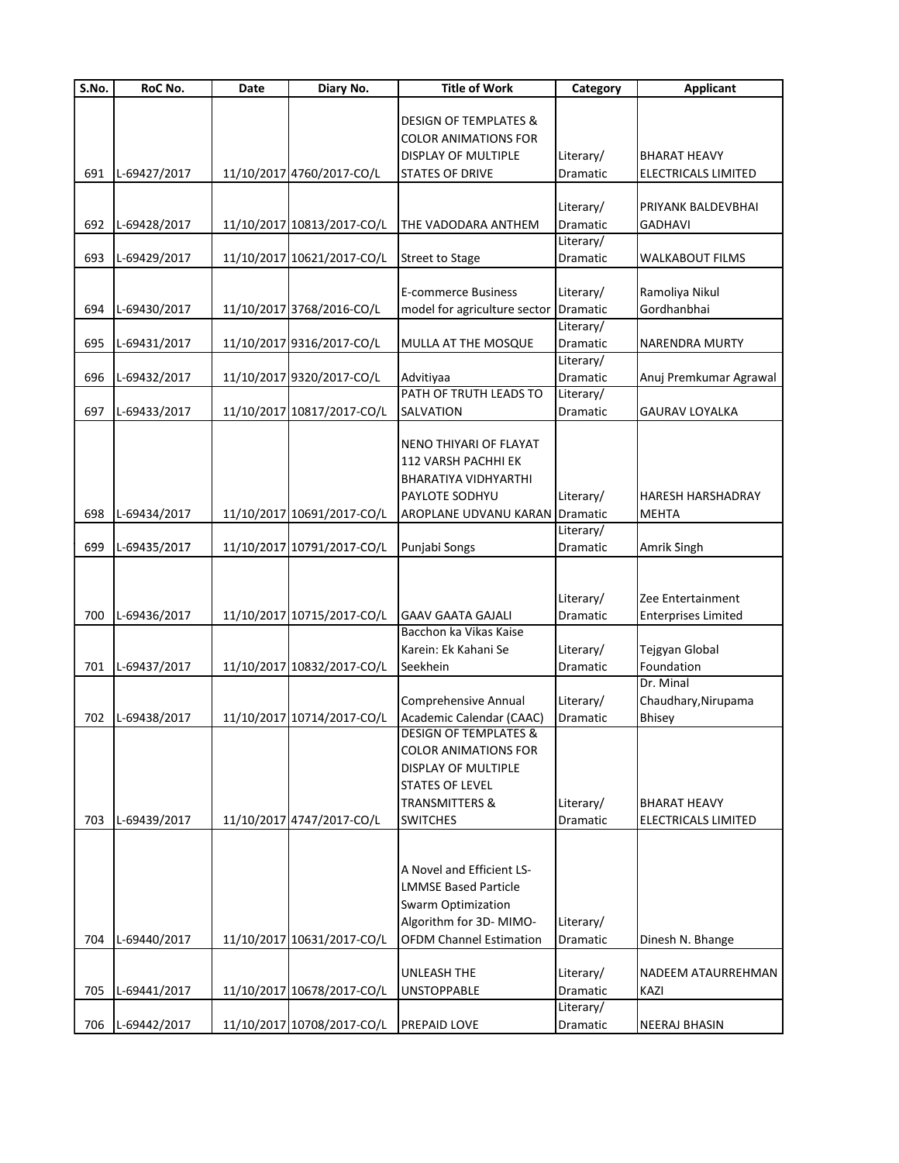| $\overline{\mathsf{S}}$ . No. | RoC No.      | Date | Diary No.                  | <b>Title of Work</b>                                         | Category              | <b>Applicant</b>                           |
|-------------------------------|--------------|------|----------------------------|--------------------------------------------------------------|-----------------------|--------------------------------------------|
|                               |              |      |                            |                                                              |                       |                                            |
|                               |              |      |                            | <b>DESIGN OF TEMPLATES &amp;</b>                             |                       |                                            |
|                               |              |      |                            | <b>COLOR ANIMATIONS FOR</b>                                  |                       |                                            |
|                               |              |      |                            | DISPLAY OF MULTIPLE                                          | Literary/             | <b>BHARAT HEAVY</b>                        |
| 691                           | L-69427/2017 |      | 11/10/2017 4760/2017-CO/L  | <b>STATES OF DRIVE</b>                                       | Dramatic              | <b>ELECTRICALS LIMITED</b>                 |
|                               |              |      |                            |                                                              |                       |                                            |
|                               |              |      |                            |                                                              | Literary/             | PRIYANK BALDEVBHAI                         |
| 692                           | L-69428/2017 |      | 11/10/2017 10813/2017-CO/L | THE VADODARA ANTHEM                                          | Dramatic              | <b>GADHAVI</b>                             |
|                               |              |      |                            |                                                              | Literary/             |                                            |
| 693                           | L-69429/2017 |      | 11/10/2017 10621/2017-CO/L | <b>Street to Stage</b>                                       | Dramatic              | <b>WALKABOUT FILMS</b>                     |
|                               |              |      |                            | <b>E-commerce Business</b>                                   | Literary/             | Ramoliya Nikul                             |
|                               |              |      |                            |                                                              | Dramatic              | Gordhanbhai                                |
| 694                           | L-69430/2017 |      | 11/10/2017 3768/2016-CO/L  | model for agriculture sector                                 | Literary/             |                                            |
|                               |              |      |                            |                                                              |                       |                                            |
| 695                           | L-69431/2017 |      | 11/10/2017 9316/2017-CO/L  | MULLA AT THE MOSQUE                                          | Dramatic              | NARENDRA MURTY                             |
| 696                           |              |      | 11/10/2017 9320/2017-CO/L  |                                                              | Literary/             |                                            |
|                               | L-69432/2017 |      |                            | Advitiyaa<br>PATH OF TRUTH LEADS TO                          | Dramatic              | Anuj Premkumar Agrawal                     |
| 697                           | L-69433/2017 |      | 11/10/2017 10817/2017-CO/L | SALVATION                                                    | Literary/<br>Dramatic | <b>GAURAV LOYALKA</b>                      |
|                               |              |      |                            |                                                              |                       |                                            |
|                               |              |      |                            | NENO THIYARI OF FLAYAT                                       |                       |                                            |
|                               |              |      |                            | 112 VARSH PACHHI EK                                          |                       |                                            |
|                               |              |      |                            | BHARATIYA VIDHYARTHI                                         |                       |                                            |
|                               |              |      |                            | PAYLOTE SODHYU                                               | Literary/             | HARESH HARSHADRAY                          |
| 698                           | L-69434/2017 |      |                            | <b>AROPLANE UDVANU KARAN Dramatic</b>                        |                       | <b>MEHTA</b>                               |
|                               |              |      | 11/10/2017 10691/2017-CO/L |                                                              | Literary/             |                                            |
| 699                           | L-69435/2017 |      | 11/10/2017 10791/2017-CO/L | Punjabi Songs                                                | Dramatic              | Amrik Singh                                |
|                               |              |      |                            |                                                              |                       |                                            |
|                               |              |      |                            |                                                              |                       |                                            |
|                               |              |      |                            |                                                              |                       | Zee Entertainment                          |
| 700                           | L-69436/2017 |      | 11/10/2017 10715/2017-CO/L | <b>GAAV GAATA GAJALI</b>                                     | Literary/<br>Dramatic |                                            |
|                               |              |      |                            | Bacchon ka Vikas Kaise                                       |                       | <b>Enterprises Limited</b>                 |
|                               |              |      |                            | Karein: Ek Kahani Se                                         | Literary/             | Tejgyan Global                             |
| 701                           | L-69437/2017 |      | 11/10/2017 10832/2017-CO/L | Seekhein                                                     | Dramatic              | Foundation                                 |
|                               |              |      |                            |                                                              |                       | Dr. Minal                                  |
|                               |              |      |                            | <b>Comprehensive Annual</b>                                  |                       | Chaudhary, Nirupama                        |
|                               |              |      |                            |                                                              | Literary/             |                                            |
| 702                           | L-69438/2017 |      | 11/10/2017 10714/2017-CO/L | Academic Calendar (CAAC)<br><b>DESIGN OF TEMPLATES &amp;</b> | Dramatic              | Bhisey                                     |
|                               |              |      |                            | <b>COLOR ANIMATIONS FOR</b>                                  |                       |                                            |
|                               |              |      |                            | <b>DISPLAY OF MULTIPLE</b>                                   |                       |                                            |
|                               |              |      |                            | <b>STATES OF LEVEL</b>                                       |                       |                                            |
|                               |              |      |                            | <b>TRANSMITTERS &amp;</b>                                    |                       |                                            |
| 703                           | L-69439/2017 |      | 11/10/2017 4747/2017-CO/L  | <b>SWITCHES</b>                                              | Literary/<br>Dramatic | <b>BHARAT HEAVY</b><br>ELECTRICALS LIMITED |
|                               |              |      |                            |                                                              |                       |                                            |
|                               |              |      |                            |                                                              |                       |                                            |
|                               |              |      |                            | A Novel and Efficient LS-                                    |                       |                                            |
|                               |              |      |                            | <b>LMMSE Based Particle</b>                                  |                       |                                            |
|                               |              |      |                            | Swarm Optimization                                           |                       |                                            |
|                               |              |      |                            | Algorithm for 3D-MIMO-                                       | Literary/             |                                            |
|                               |              |      | 11/10/2017 10631/2017-CO/L |                                                              |                       |                                            |
| 704                           | L-69440/2017 |      |                            | <b>OFDM Channel Estimation</b>                               | Dramatic              | Dinesh N. Bhange                           |
|                               |              |      |                            | <b>UNLEASH THE</b>                                           |                       | NADEEM ATAURREHMAN                         |
|                               |              |      |                            |                                                              | Literary/             |                                            |
| 705                           | L-69441/2017 |      | 11/10/2017 10678/2017-CO/L | <b>UNSTOPPABLE</b>                                           | Dramatic              | KAZI                                       |
|                               |              |      |                            |                                                              | Literary/             |                                            |
| 706                           | L-69442/2017 |      | 11/10/2017 10708/2017-CO/L | <b>PREPAID LOVE</b>                                          | Dramatic              | <b>NEERAJ BHASIN</b>                       |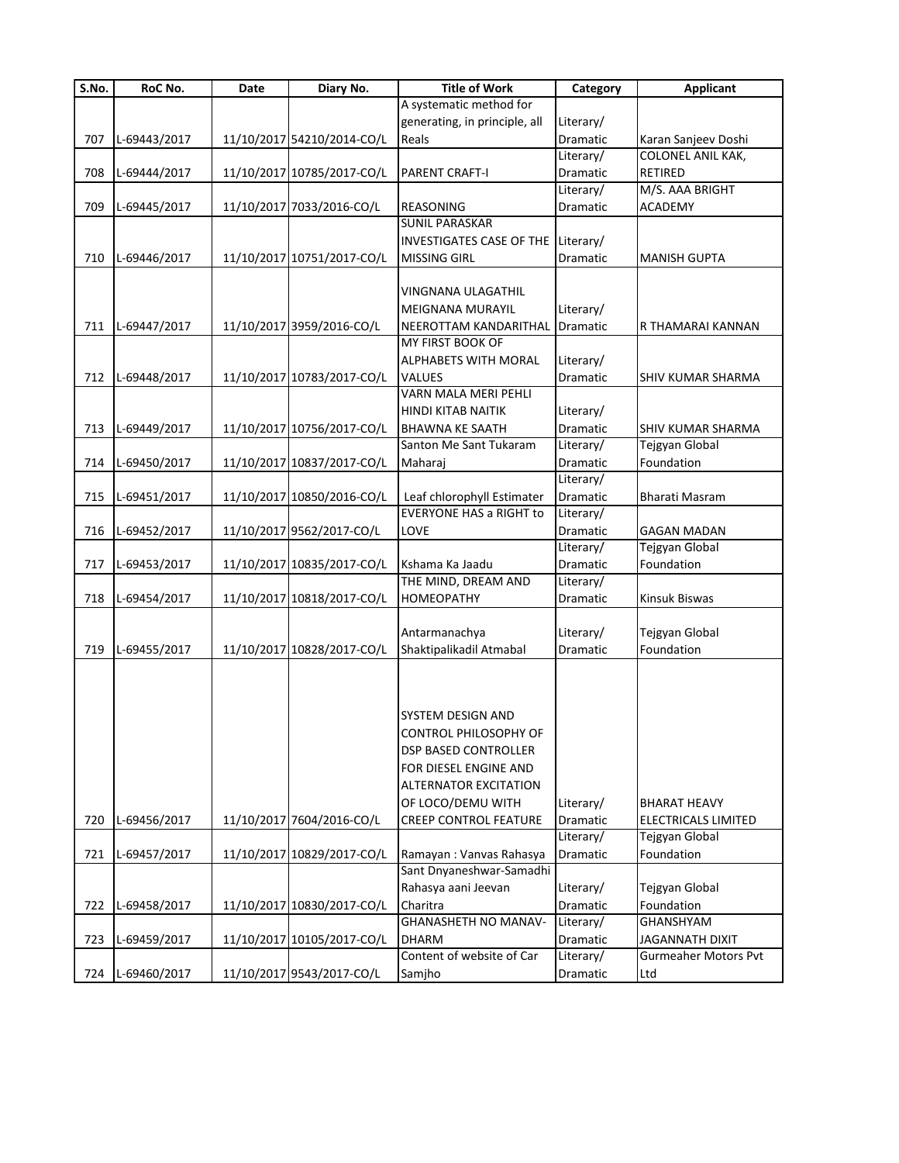| S.No. | RoC No.      | Date | Diary No.                  | <b>Title of Work</b>            | Category              | <b>Applicant</b>             |
|-------|--------------|------|----------------------------|---------------------------------|-----------------------|------------------------------|
|       |              |      |                            | A systematic method for         |                       |                              |
|       |              |      |                            | generating, in principle, all   | Literary/             |                              |
| 707   | L-69443/2017 |      | 11/10/2017 54210/2014-CO/L | Reals                           | Dramatic              | Karan Sanjeev Doshi          |
|       |              |      |                            |                                 | Literary/             | COLONEL ANIL KAK,            |
| 708   | L-69444/2017 |      | 11/10/2017 10785/2017-CO/L | <b>PARENT CRAFT-I</b>           | Dramatic              | RETIRED                      |
|       |              |      |                            |                                 | Literary/             | M/S. AAA BRIGHT              |
| 709   | L-69445/2017 |      | 11/10/2017 7033/2016-CO/L  | <b>REASONING</b>                | Dramatic              | <b>ACADEMY</b>               |
|       |              |      |                            | <b>SUNIL PARASKAR</b>           |                       |                              |
|       |              |      |                            | <b>INVESTIGATES CASE OF THE</b> | Literary/             |                              |
| 710   | L-69446/2017 |      | 11/10/2017 10751/2017-CO/L | <b>MISSING GIRL</b>             | Dramatic              | <b>MANISH GUPTA</b>          |
|       |              |      |                            |                                 |                       |                              |
|       |              |      |                            | VINGNANA ULAGATHIL              |                       |                              |
|       |              |      |                            | <b>MEIGNANA MURAYIL</b>         | Literary/             |                              |
| 711   | L-69447/2017 |      | 11/10/2017 3959/2016-CO/L  | NEEROTTAM KANDARITHAL           | Dramatic              | R THAMARAI KANNAN            |
|       |              |      |                            | MY FIRST BOOK OF                |                       |                              |
|       |              |      |                            | ALPHABETS WITH MORAL            | Literary/             |                              |
| 712   | L-69448/2017 |      | 11/10/2017 10783/2017-CO/L | VALUES                          | Dramatic              | SHIV KUMAR SHARMA            |
|       |              |      |                            | VARN MALA MERI PEHLI            |                       |                              |
|       |              |      |                            | <b>HINDI KITAB NAITIK</b>       | Literary/             |                              |
| 713   | L-69449/2017 |      | 11/10/2017 10756/2017-CO/L | <b>BHAWNA KE SAATH</b>          | <b>Dramatic</b>       | SHIV KUMAR SHARMA            |
|       |              |      |                            | Santon Me Sant Tukaram          | Literary/             | Tejgyan Global               |
| 714   | L-69450/2017 |      | 11/10/2017 10837/2017-CO/L | Maharaj                         | Dramatic              | Foundation                   |
|       |              |      |                            |                                 | Literary/             |                              |
| 715   | L-69451/2017 |      | 11/10/2017 10850/2016-CO/L | Leaf chlorophyll Estimater      | Dramatic              | Bharati Masram               |
|       |              |      |                            | <b>EVERYONE HAS a RIGHT to</b>  | Literary/             |                              |
| 716   | L-69452/2017 |      | 11/10/2017 9562/2017-CO/L  | LOVE                            | Dramatic              | <b>GAGAN MADAN</b>           |
|       |              |      |                            |                                 | Literary/             | Tejgyan Global               |
| 717   | L-69453/2017 |      | 11/10/2017 10835/2017-CO/L | Kshama Ka Jaadu                 | Dramatic              | Foundation                   |
|       |              |      |                            | THE MIND, DREAM AND             | Literary/             |                              |
| 718   | L-69454/2017 |      | 11/10/2017 10818/2017-CO/L | <b>HOMEOPATHY</b>               | Dramatic              | Kinsuk Biswas                |
|       |              |      |                            |                                 |                       |                              |
|       |              |      |                            | Antarmanachya                   | Literary/             | Tejgyan Global               |
| 719   | L-69455/2017 |      | 11/10/2017 10828/2017-CO/L | Shaktipalikadil Atmabal         | Dramatic              | Foundation                   |
|       |              |      |                            |                                 |                       |                              |
|       |              |      |                            |                                 |                       |                              |
|       |              |      |                            | SYSTEM DESIGN AND               |                       |                              |
|       |              |      |                            | <b>CONTROL PHILOSOPHY OF</b>    |                       |                              |
|       |              |      |                            | <b>DSP BASED CONTROLLER</b>     |                       |                              |
|       |              |      |                            | FOR DIESEL ENGINE AND           |                       |                              |
|       |              |      |                            | <b>ALTERNATOR EXCITATION</b>    |                       |                              |
|       |              |      |                            | OF LOCO/DEMU WITH               |                       | BHARAT HEAVY                 |
| 720   | L-69456/2017 |      |                            | <b>CREEP CONTROL FEATURE</b>    | Literary/<br>Dramatic | ELECTRICALS LIMITED          |
|       |              |      | 11/10/2017 7604/2016-CO/L  |                                 | Literary/             |                              |
| 721   | L-69457/2017 |      | 11/10/2017 10829/2017-CO/L | Ramayan: Vanvas Rahasya         | Dramatic              | Tejgyan Global<br>Foundation |
|       |              |      |                            | Sant Dnyaneshwar-Samadhi        |                       |                              |
|       |              |      |                            | Rahasya aani Jeevan             | Literary/             | Tejgyan Global               |
| 722   |              |      | 11/10/2017 10830/2017-CO/L | Charitra                        | Dramatic              | Foundation                   |
|       | L-69458/2017 |      |                            | <b>GHANASHETH NO MANAV-</b>     | Literary/             | GHANSHYAM                    |
| 723   | L-69459/2017 |      | 11/10/2017 10105/2017-CO/L | <b>DHARM</b>                    | Dramatic              | <b>JAGANNATH DIXIT</b>       |
|       |              |      |                            | Content of website of Car       | Literary/             | <b>Gurmeaher Motors Pvt</b>  |
| 724   | L-69460/2017 |      | 11/10/2017 9543/2017-CO/L  | Samjho                          | Dramatic              | Ltd                          |
|       |              |      |                            |                                 |                       |                              |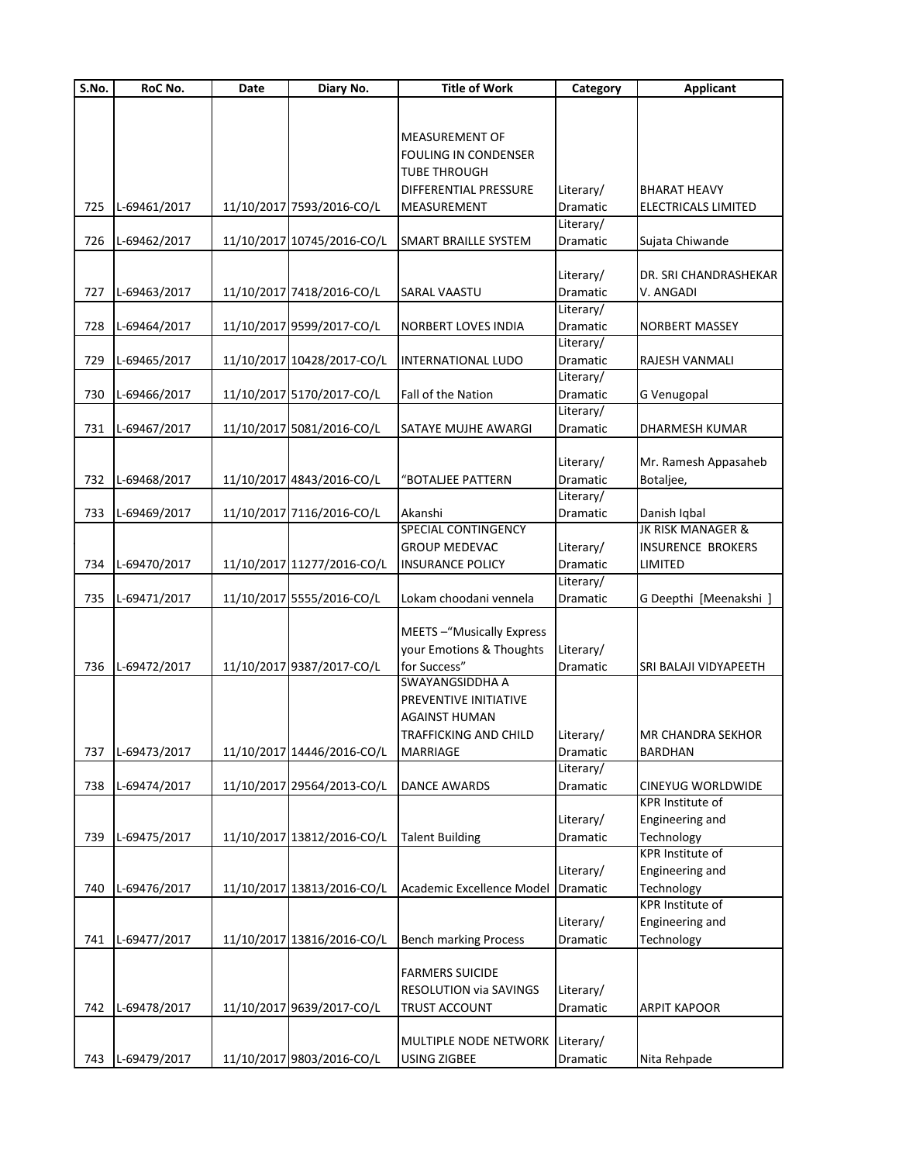| S.No. | RoC No.      | Date | Diary No.                  | <b>Title of Work</b>         | Category        | <b>Applicant</b>           |
|-------|--------------|------|----------------------------|------------------------------|-----------------|----------------------------|
|       |              |      |                            |                              |                 |                            |
|       |              |      |                            |                              |                 |                            |
|       |              |      |                            | <b>MEASUREMENT OF</b>        |                 |                            |
|       |              |      |                            | FOULING IN CONDENSER         |                 |                            |
|       |              |      |                            | <b>TUBE THROUGH</b>          |                 |                            |
|       |              |      |                            | <b>DIFFERENTIAL PRESSURE</b> | Literary/       | <b>BHARAT HEAVY</b>        |
| 725   | L-69461/2017 |      | 11/10/2017 7593/2016-CO/L  | MEASUREMENT                  | Dramatic        | <b>ELECTRICALS LIMITED</b> |
|       |              |      |                            |                              | Literary/       |                            |
| 726   | L-69462/2017 |      | 11/10/2017 10745/2016-CO/L | <b>SMART BRAILLE SYSTEM</b>  | Dramatic        | Sujata Chiwande            |
|       |              |      |                            |                              |                 |                            |
|       |              |      |                            |                              | Literary/       | DR. SRI CHANDRASHEKAR      |
| 727   | L-69463/2017 |      | 11/10/2017 7418/2016-CO/L  | SARAL VAASTU                 | <b>Dramatic</b> | V. ANGADI                  |
|       |              |      |                            |                              | Literary/       |                            |
| 728   | L-69464/2017 |      | 11/10/2017 9599/2017-CO/L  | <b>NORBERT LOVES INDIA</b>   | Dramatic        | NORBERT MASSEY             |
|       |              |      |                            |                              | Literary/       |                            |
| 729   | L-69465/2017 |      | 11/10/2017 10428/2017-CO/L | INTERNATIONAL LUDO           | Dramatic        | RAJESH VANMALI             |
|       |              |      |                            |                              | Literary/       |                            |
| 730   | L-69466/2017 |      | 11/10/2017 5170/2017-CO/L  | Fall of the Nation           | Dramatic        | G Venugopal                |
|       |              |      |                            |                              | Literary/       |                            |
| 731   | L-69467/2017 |      | 11/10/2017 5081/2016-CO/L  | SATAYE MUJHE AWARGI          | Dramatic        | DHARMESH KUMAR             |
|       |              |      |                            |                              |                 |                            |
|       |              |      |                            |                              | Literary/       | Mr. Ramesh Appasaheb       |
| 732   | L-69468/2017 |      | 11/10/2017 4843/2016-CO/L  | "BOTALJEE PATTERN            | Dramatic        | Botaljee,                  |
|       |              |      |                            |                              | Literary/       |                            |
| 733   | L-69469/2017 |      | 11/10/2017 7116/2016-CO/L  | Akanshi                      | Dramatic        | Danish Iqbal               |
|       |              |      |                            | SPECIAL CONTINGENCY          |                 | JK RISK MANAGER &          |
|       |              |      |                            | <b>GROUP MEDEVAC</b>         | Literary/       | <b>INSURENCE BROKERS</b>   |
| 734   | L-69470/2017 |      | 11/10/2017 11277/2016-CO/L | <b>INSURANCE POLICY</b>      | Dramatic        | LIMITED                    |
|       |              |      |                            |                              | Literary/       |                            |
| 735   | L-69471/2017 |      | 11/10/2017 5555/2016-CO/L  | Lokam choodani vennela       | Dramatic        | G Deepthi [Meenakshi ]     |
|       |              |      |                            |                              |                 |                            |
|       |              |      |                            | MEETS-"Musically Express     |                 |                            |
|       |              |      |                            | your Emotions & Thoughts     | Literary/       |                            |
| 736   | L-69472/2017 |      | 11/10/2017 9387/2017-CO/L  | for Success"                 | Dramatic        | SRI BALAJI VIDYAPEETH      |
|       |              |      |                            | <b>SWAYANGSIDDHA A</b>       |                 |                            |
|       |              |      |                            | PREVENTIVE INITIATIVE        |                 |                            |
|       |              |      |                            | <b>AGAINST HUMAN</b>         |                 |                            |
|       |              |      |                            | TRAFFICKING AND CHILD        | Literary/       | IMR CHANDRA SEKHOR         |
| 737   | L-69473/2017 |      | 11/10/2017 14446/2016-CO/L | <b>MARRIAGE</b>              | Dramatic        | <b>BARDHAN</b>             |
|       |              |      |                            |                              | Literary/       |                            |
| 738   | L-69474/2017 |      | 11/10/2017 29564/2013-CO/L | <b>DANCE AWARDS</b>          | Dramatic        | CINEYUG WORLDWIDE          |
|       |              |      |                            |                              |                 | KPR Institute of           |
|       |              |      |                            |                              | Literary/       | Engineering and            |
| 739   | L-69475/2017 |      | 11/10/2017 13812/2016-CO/L | <b>Talent Building</b>       | Dramatic        | Technology                 |
|       |              |      |                            |                              |                 | <b>KPR</b> Institute of    |
|       |              |      |                            |                              | Literary/       | Engineering and            |
| 740   | L-69476/2017 |      | 11/10/2017 13813/2016-CO/L | Academic Excellence Model    | Dramatic        | Technology                 |
|       |              |      |                            |                              |                 | <b>KPR</b> Institute of    |
|       |              |      |                            |                              | Literary/       | Engineering and            |
| 741   | L-69477/2017 |      | 11/10/2017 13816/2016-CO/L | <b>Bench marking Process</b> | Dramatic        | Technology                 |
|       |              |      |                            |                              |                 |                            |
|       |              |      |                            | <b>FARMERS SUICIDE</b>       |                 |                            |
|       |              |      |                            | RESOLUTION via SAVINGS       | Literary/       |                            |
| 742   | L-69478/2017 |      | 11/10/2017 9639/2017-CO/L  | TRUST ACCOUNT                | Dramatic        | <b>ARPIT KAPOOR</b>        |
|       |              |      |                            |                              |                 |                            |
|       |              |      |                            | MULTIPLE NODE NETWORK        | Literary/       |                            |
|       | L-69479/2017 |      | 11/10/2017 9803/2016-CO/L  |                              |                 |                            |
| 743   |              |      |                            | USING ZIGBEE                 | Dramatic        | Nita Rehpade               |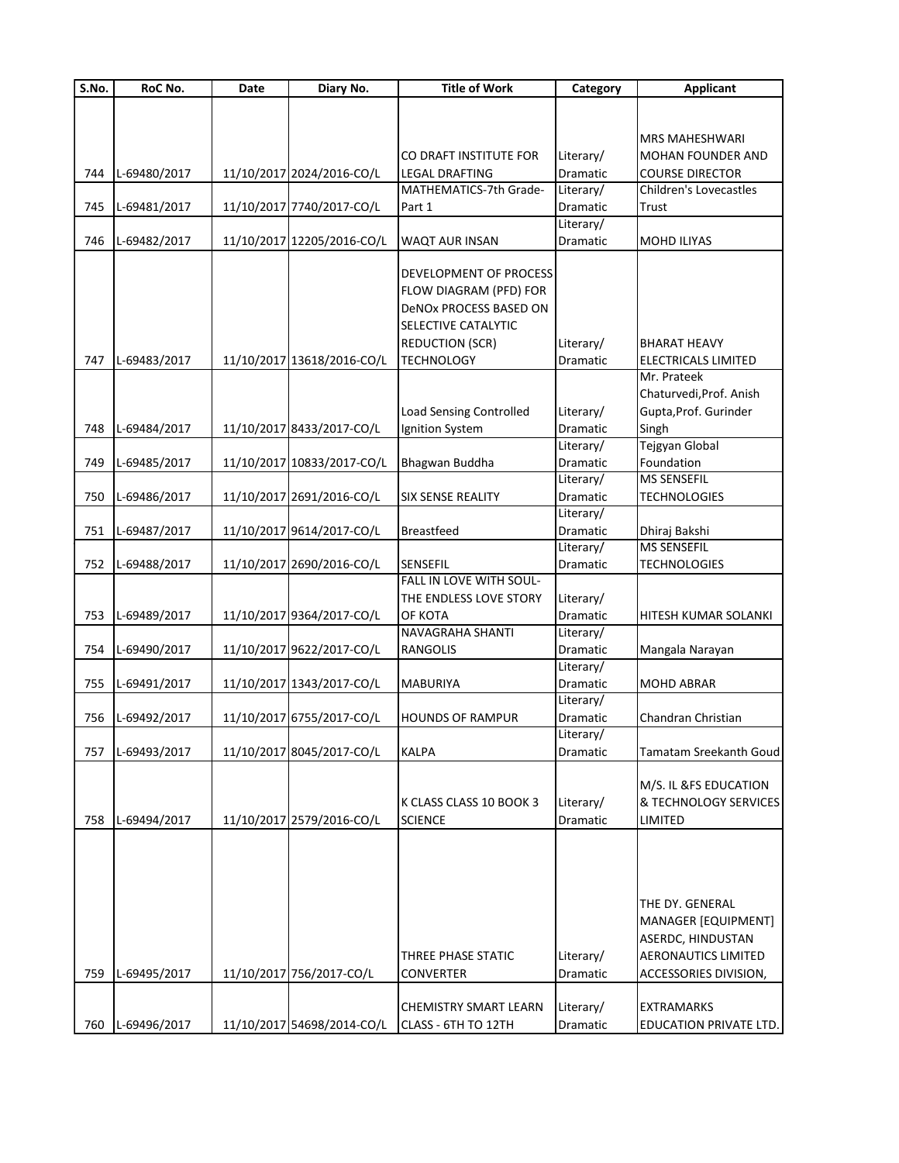| S.No. | RoC No.      | Date | Diary No.                  | <b>Title of Work</b>           | Category  | <b>Applicant</b>              |
|-------|--------------|------|----------------------------|--------------------------------|-----------|-------------------------------|
|       |              |      |                            |                                |           |                               |
|       |              |      |                            |                                |           |                               |
|       |              |      |                            |                                |           | <b>MRS MAHESHWARI</b>         |
|       |              |      |                            | CO DRAFT INSTITUTE FOR         | Literary/ | <b>MOHAN FOUNDER AND</b>      |
| 744   | L-69480/2017 |      | 11/10/2017 2024/2016-CO/L  | <b>LEGAL DRAFTING</b>          | Dramatic  | <b>COURSE DIRECTOR</b>        |
|       |              |      |                            | MATHEMATICS-7th Grade-         | Literary/ | Children's Lovecastles        |
| 745   | L-69481/2017 |      | 11/10/2017 7740/2017-CO/L  | Part 1                         | Dramatic  | Trust                         |
|       |              |      |                            |                                | Literary/ |                               |
| 746   | L-69482/2017 |      | 11/10/2017 12205/2016-CO/L | <b>WAQT AUR INSAN</b>          | Dramatic  | <b>MOHD ILIYAS</b>            |
|       |              |      |                            |                                |           |                               |
|       |              |      |                            | DEVELOPMENT OF PROCESS         |           |                               |
|       |              |      |                            | FLOW DIAGRAM (PFD) FOR         |           |                               |
|       |              |      |                            | DeNOx PROCESS BASED ON         |           |                               |
|       |              |      |                            | SELECTIVE CATALYTIC            |           |                               |
|       |              |      |                            | <b>REDUCTION (SCR)</b>         | Literary/ | <b>BHARAT HEAVY</b>           |
| 747   | L-69483/2017 |      | 11/10/2017 13618/2016-CO/L | <b>TECHNOLOGY</b>              | Dramatic  | <b>ELECTRICALS LIMITED</b>    |
|       |              |      |                            |                                |           | Mr. Prateek                   |
|       |              |      |                            |                                |           | Chaturvedi, Prof. Anish       |
|       |              |      |                            | <b>Load Sensing Controlled</b> | Literary/ | Gupta, Prof. Gurinder         |
| 748   | L-69484/2017 |      | 11/10/2017 8433/2017-CO/L  | Ignition System                | Dramatic  | Singh                         |
|       |              |      |                            |                                | Literary/ | Tejgyan Global                |
| 749   | L-69485/2017 |      | 11/10/2017 10833/2017-CO/L | Bhagwan Buddha                 | Dramatic  | Foundation                    |
|       |              |      |                            |                                | Literary/ | MS SENSEFIL                   |
| 750   | L-69486/2017 |      | 11/10/2017 2691/2016-CO/L  | <b>SIX SENSE REALITY</b>       | Dramatic  | <b>TECHNOLOGIES</b>           |
|       |              |      |                            |                                | Literary/ |                               |
| 751   | L-69487/2017 |      | 11/10/2017 9614/2017-CO/L  | <b>Breastfeed</b>              | Dramatic  | Dhiraj Bakshi                 |
|       |              |      |                            |                                | Literary/ | <b>MS SENSEFIL</b>            |
| 752   | L-69488/2017 |      | 11/10/2017 2690/2016-CO/L  | SENSEFIL                       | Dramatic  | <b>TECHNOLOGIES</b>           |
|       |              |      |                            | FALL IN LOVE WITH SOUL-        |           |                               |
|       |              |      |                            | THE ENDLESS LOVE STORY         | Literary/ |                               |
| 753   | L-69489/2017 |      | 11/10/2017 9364/2017-CO/L  | ОҒ КОТА                        | Dramatic  | HITESH KUMAR SOLANKI          |
|       |              |      |                            | <b>NAVAGRAHA SHANTI</b>        | Literary/ |                               |
| 754   | L-69490/2017 |      | 11/10/2017 9622/2017-CO/L  | RANGOLIS                       | Dramatic  | Mangala Narayan               |
|       |              |      |                            |                                | Literary/ |                               |
| 755   | L-69491/2017 |      | 11/10/2017 1343/2017-CO/L  | <b>MABURIYA</b>                | Dramatic  | <b>MOHD ABRAR</b>             |
|       |              |      |                            |                                | Literary/ |                               |
| 756   | L-69492/2017 |      | 11/10/2017 6755/2017-CO/L  | <b>HOUNDS OF RAMPUR</b>        | Dramatic  | Chandran Christian            |
|       |              |      |                            |                                | Literary/ |                               |
| 757   | L-69493/2017 |      | 11/10/2017 8045/2017-CO/L  | KALPA                          | Dramatic  | <b>Tamatam Sreekanth Goud</b> |
|       |              |      |                            |                                |           |                               |
|       |              |      |                            |                                |           | M/S. IL &FS EDUCATION         |
|       |              |      |                            | K CLASS CLASS 10 BOOK 3        | Literary/ | & TECHNOLOGY SERVICES         |
| 758   | L-69494/2017 |      | 11/10/2017 2579/2016-CO/L  | SCIENCE                        | Dramatic  | LIMITED                       |
|       |              |      |                            |                                |           |                               |
|       |              |      |                            |                                |           |                               |
|       |              |      |                            |                                |           |                               |
|       |              |      |                            |                                |           |                               |
|       |              |      |                            |                                |           | THE DY. GENERAL               |
|       |              |      |                            |                                |           | MANAGER [EQUIPMENT]           |
|       |              |      |                            |                                |           | ASERDC, HINDUSTAN             |
|       |              |      |                            | THREE PHASE STATIC             | Literary/ | <b>AERONAUTICS LIMITED</b>    |
| 759   | L-69495/2017 |      | 11/10/2017 756/2017-CO/L   | <b>CONVERTER</b>               | Dramatic  | ACCESSORIES DIVISION,         |
|       |              |      |                            |                                |           |                               |
|       |              |      |                            | <b>CHEMISTRY SMART LEARN</b>   | Literary/ | <b>EXTRAMARKS</b>             |
| 760   | L-69496/2017 |      | 11/10/2017 54698/2014-CO/L | CLASS - 6TH TO 12TH            | Dramatic  | EDUCATION PRIVATE LTD.        |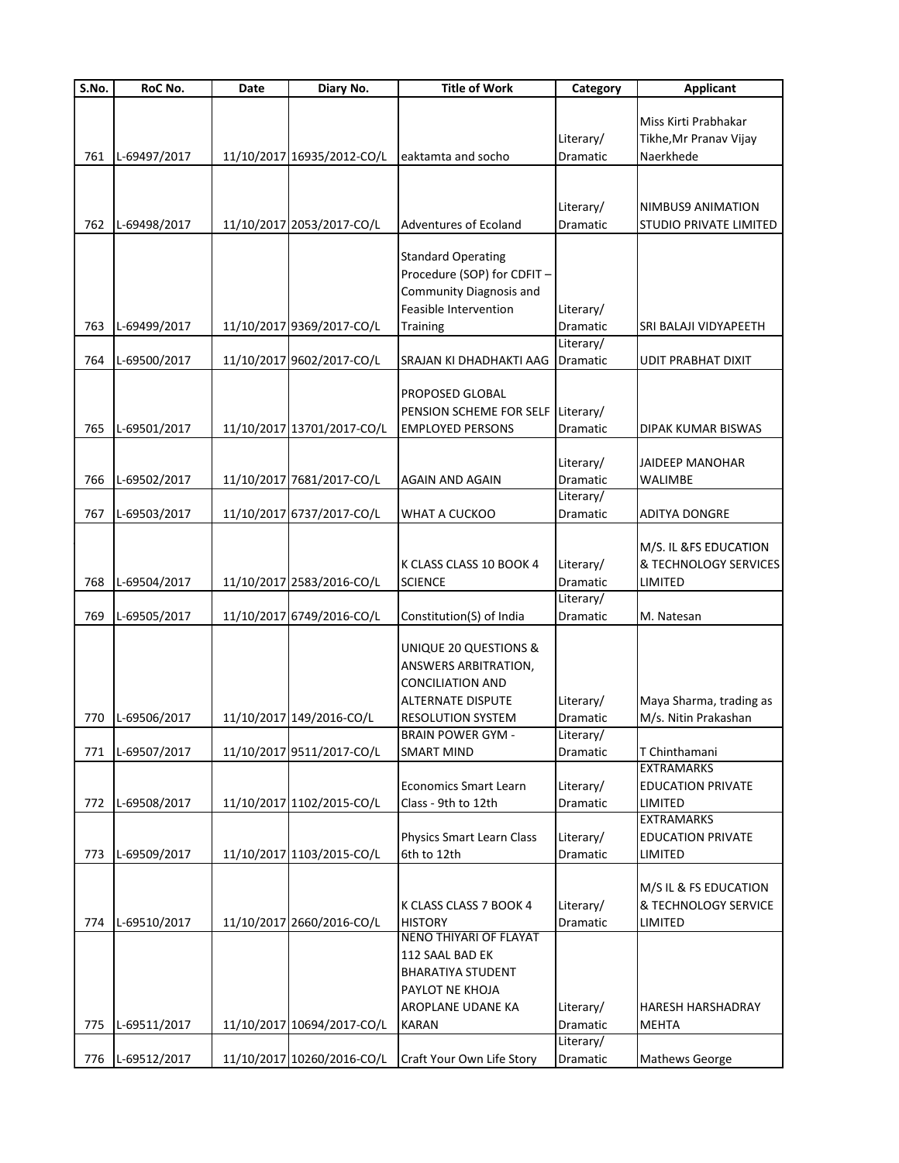| S.No. | RoC No.      | Date | Diary No.                  | <b>Title of Work</b>           | Category  | <b>Applicant</b>                   |
|-------|--------------|------|----------------------------|--------------------------------|-----------|------------------------------------|
|       |              |      |                            |                                |           |                                    |
|       |              |      |                            |                                |           | Miss Kirti Prabhakar               |
|       |              |      |                            |                                | Literary/ | Tikhe, Mr Pranav Vijay             |
| 761   | L-69497/2017 |      | 11/10/2017 16935/2012-CO/L | eaktamta and socho             | Dramatic  | Naerkhede                          |
|       |              |      |                            |                                |           |                                    |
|       |              |      |                            |                                |           |                                    |
|       |              |      |                            |                                | Literary/ | NIMBUS9 ANIMATION                  |
| 762   | L-69498/2017 |      | 11/10/2017 2053/2017-CO/L  | <b>Adventures of Ecoland</b>   | Dramatic  | STUDIO PRIVATE LIMITED             |
|       |              |      |                            | <b>Standard Operating</b>      |           |                                    |
|       |              |      |                            | Procedure (SOP) for CDFIT -    |           |                                    |
|       |              |      |                            | <b>Community Diagnosis and</b> |           |                                    |
|       |              |      |                            | Feasible Intervention          | Literary/ |                                    |
| 763   | L-69499/2017 |      | 11/10/2017 9369/2017-CO/L  | <b>Training</b>                | Dramatic  | SRI BALAJI VIDYAPEETH              |
|       |              |      |                            |                                | Literary/ |                                    |
| 764   | L-69500/2017 |      | 11/10/2017 9602/2017-CO/L  | SRAJAN KI DHADHAKTI AAG        | Dramatic  | <b>UDIT PRABHAT DIXIT</b>          |
|       |              |      |                            |                                |           |                                    |
|       |              |      |                            | PROPOSED GLOBAL                |           |                                    |
|       |              |      |                            | PENSION SCHEME FOR SELF        | Literary/ |                                    |
| 765   | L-69501/2017 |      | 11/10/2017 13701/2017-CO/L | <b>EMPLOYED PERSONS</b>        | Dramatic  | DIPAK KUMAR BISWAS                 |
|       |              |      |                            |                                |           |                                    |
|       |              |      |                            |                                | Literary/ | <b>JAIDEEP MANOHAR</b>             |
| 766   | L-69502/2017 |      | 11/10/2017 7681/2017-CO/L  | <b>AGAIN AND AGAIN</b>         | Dramatic  | WALIMBE                            |
|       |              |      |                            |                                | Literary/ |                                    |
| 767   | L-69503/2017 |      | 11/10/2017 6737/2017-CO/L  | WHAT A CUCKOO                  | Dramatic  | <b>ADITYA DONGRE</b>               |
|       |              |      |                            |                                |           |                                    |
|       |              |      |                            |                                |           | M/S. IL &FS EDUCATION              |
|       |              |      |                            | K CLASS CLASS 10 BOOK 4        | Literary/ | & TECHNOLOGY SERVICES              |
| 768   | L-69504/2017 |      | 11/10/2017 2583/2016-CO/L  | <b>SCIENCE</b>                 | Dramatic  | LIMITED                            |
|       |              |      |                            |                                | Literary/ |                                    |
| 769   | L-69505/2017 |      | 11/10/2017 6749/2016-CO/L  | Constitution(S) of India       | Dramatic  | M. Natesan                         |
|       |              |      |                            |                                |           |                                    |
|       |              |      |                            | UNIQUE 20 QUESTIONS &          |           |                                    |
|       |              |      |                            | ANSWERS ARBITRATION,           |           |                                    |
|       |              |      |                            | <b>CONCILIATION AND</b>        |           |                                    |
|       |              |      |                            | <b>ALTERNATE DISPUTE</b>       | Literary/ | Maya Sharma, trading as            |
| 770   | L-69506/2017 |      | 11/10/2017 149/2016-CO/L   | <b>RESOLUTION SYSTEM</b>       | Dramatic  | M/s. Nitin Prakashan               |
|       |              |      |                            | <b>BRAIN POWER GYM -</b>       | Literary/ |                                    |
| 771   | L-69507/2017 |      | 11/10/2017 9511/2017-CO/L  | <b>SMART MIND</b>              | Dramatic  | T Chinthamani<br><b>EXTRAMARKS</b> |
|       |              |      |                            | <b>Economics Smart Learn</b>   | Literary/ | <b>EDUCATION PRIVATE</b>           |
| 772   | L-69508/2017 |      | 11/10/2017 1102/2015-CO/L  | Class - 9th to 12th            | Dramatic  | LIMITED                            |
|       |              |      |                            |                                |           | <b>EXTRAMARKS</b>                  |
|       |              |      |                            | Physics Smart Learn Class      | Literary/ | <b>EDUCATION PRIVATE</b>           |
| 773   | L-69509/2017 |      | 11/10/2017 1103/2015-CO/L  | 6th to 12th                    | Dramatic  | LIMITED                            |
|       |              |      |                            |                                |           |                                    |
|       |              |      |                            |                                |           | M/S IL & FS EDUCATION              |
|       |              |      |                            | K CLASS CLASS 7 BOOK 4         | Literary/ | & TECHNOLOGY SERVICE               |
| 774   | L-69510/2017 |      | 11/10/2017 2660/2016-CO/L  | <b>HISTORY</b>                 | Dramatic  | LIMITED                            |
|       |              |      |                            | <b>NENO THIYARI OF FLAYAT</b>  |           |                                    |
|       |              |      |                            | 112 SAAL BAD EK                |           |                                    |
|       |              |      |                            | <b>BHARATIYA STUDENT</b>       |           |                                    |
|       |              |      |                            | PAYLOT NE KHOJA                |           |                                    |
|       |              |      |                            | AROPLANE UDANE KA              | Literary/ | HARESH HARSHADRAY                  |
| 775   | L-69511/2017 |      | 11/10/2017 10694/2017-CO/L | <b>KARAN</b>                   | Dramatic  | <b>MEHTA</b>                       |
|       |              |      |                            |                                | Literary/ |                                    |
| 776   | L-69512/2017 |      | 11/10/2017 10260/2016-CO/L | Craft Your Own Life Story      | Dramatic  | Mathews George                     |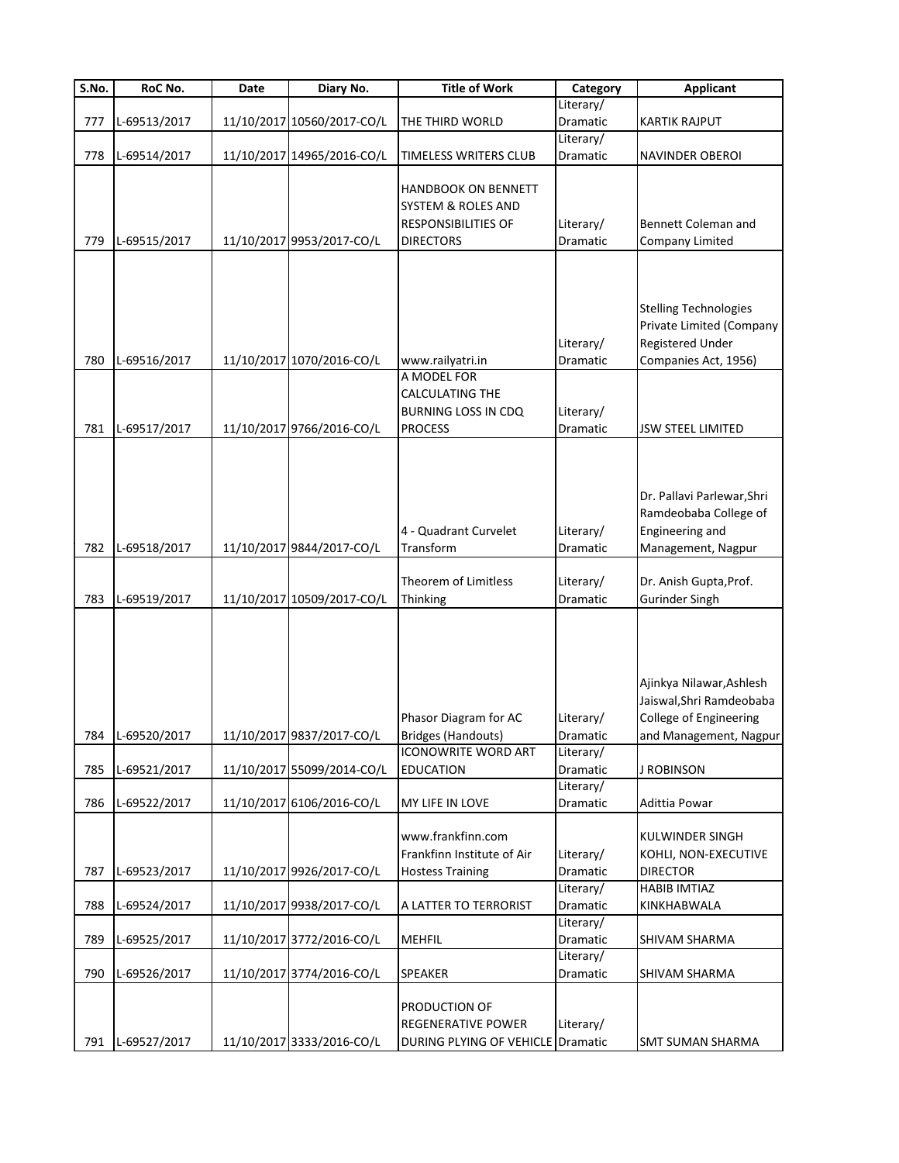| S.No. | RoC No.      | Date | Diary No.                  | <b>Title of Work</b>                                                                        | Category                           | <b>Applicant</b>                                                                                         |
|-------|--------------|------|----------------------------|---------------------------------------------------------------------------------------------|------------------------------------|----------------------------------------------------------------------------------------------------------|
|       |              |      |                            |                                                                                             | Literary/                          |                                                                                                          |
| 777   | L-69513/2017 |      | 11/10/2017 10560/2017-CO/L | THE THIRD WORLD                                                                             | Dramatic                           | <b>KARTIK RAJPUT</b>                                                                                     |
|       |              |      |                            |                                                                                             | Literary/                          |                                                                                                          |
| 778   | L-69514/2017 |      | 11/10/2017 14965/2016-CO/L | <b>TIMELESS WRITERS CLUB</b>                                                                | Dramatic                           | NAVINDER OBEROI                                                                                          |
| 779   | L-69515/2017 |      | 11/10/2017 9953/2017-CO/L  | <b>HANDBOOK ON BENNETT</b><br>SYSTEM & ROLES AND<br>RESPONSIBILITIES OF<br><b>DIRECTORS</b> | Literary/<br>Dramatic              | Bennett Coleman and<br>Company Limited                                                                   |
| 780   | L-69516/2017 |      | 11/10/2017 1070/2016-CO/L  | www.railyatri.in<br>A MODEL FOR                                                             | Literary/<br>Dramatic              | <b>Stelling Technologies</b><br>Private Limited (Company<br>Registered Under<br>Companies Act, 1956)     |
|       |              |      |                            | CALCULATING THE                                                                             |                                    |                                                                                                          |
|       |              |      |                            | <b>BURNING LOSS IN CDQ</b>                                                                  | Literary/                          |                                                                                                          |
| 781   | L-69517/2017 |      | 11/10/2017 9766/2016-CO/L  | <b>PROCESS</b>                                                                              | Dramatic                           | <b>JSW STEEL LIMITED</b>                                                                                 |
| 782   | L-69518/2017 |      | 11/10/2017 9844/2017-CO/L  | 4 - Quadrant Curvelet<br>Transform                                                          | Literary/<br>Dramatic              | Dr. Pallavi Parlewar, Shri<br>Ramdeobaba College of<br>Engineering and<br>Management, Nagpur             |
|       |              |      |                            | Theorem of Limitless                                                                        | Literary/                          | Dr. Anish Gupta, Prof.                                                                                   |
| 783   | L-69519/2017 |      | 11/10/2017 10509/2017-CO/L | Thinking                                                                                    | Dramatic                           | <b>Gurinder Singh</b>                                                                                    |
| 784   | L-69520/2017 |      | 11/10/2017 9837/2017-CO/L  | Phasor Diagram for AC<br><b>Bridges (Handouts)</b><br><b>ICONOWRITE WORD ART</b>            | Literary/<br>Dramatic<br>Literary/ | Ajinkya Nilawar, Ashlesh<br>Jaiswal, Shri Ramdeobaba<br>College of Engineering<br>and Management, Nagpur |
| 785   | L-69521/2017 |      | 11/10/2017 55099/2014-CO/L | <b>EDUCATION</b>                                                                            | Dramatic                           | <b>J ROBINSON</b>                                                                                        |
| 786   | L-69522/2017 |      | 11/10/2017 6106/2016-CO/L  | MY LIFE IN LOVE                                                                             | Literary/<br>Dramatic              | Adittia Powar                                                                                            |
| 787   | L-69523/2017 |      | 11/10/2017 9926/2017-CO/L  | www.frankfinn.com<br>Frankfinn Institute of Air<br><b>Hostess Training</b>                  | Literary/<br>Dramatic              | KULWINDER SINGH<br>KOHLI, NON-EXECUTIVE<br><b>DIRECTOR</b>                                               |
|       |              |      |                            |                                                                                             | Literary/                          | <b>HABIB IMTIAZ</b>                                                                                      |
| 788   | L-69524/2017 |      | 11/10/2017 9938/2017-CO/L  | A LATTER TO TERRORIST                                                                       | Dramatic                           | KINKHABWALA                                                                                              |
|       |              |      |                            |                                                                                             | Literary/                          |                                                                                                          |
| 789   | L-69525/2017 |      | 11/10/2017 3772/2016-CO/L  | <b>MEHFIL</b>                                                                               | Dramatic                           | SHIVAM SHARMA                                                                                            |
| 790   | L-69526/2017 |      | 11/10/2017 3774/2016-CO/L  | SPEAKER                                                                                     | Literary/<br>Dramatic              | SHIVAM SHARMA                                                                                            |
| 791   | L-69527/2017 |      | 11/10/2017 3333/2016-CO/L  | PRODUCTION OF<br>REGENERATIVE POWER<br>DURING PLYING OF VEHICLE                             | Literary/<br>Dramatic              | <b>SMT SUMAN SHARMA</b>                                                                                  |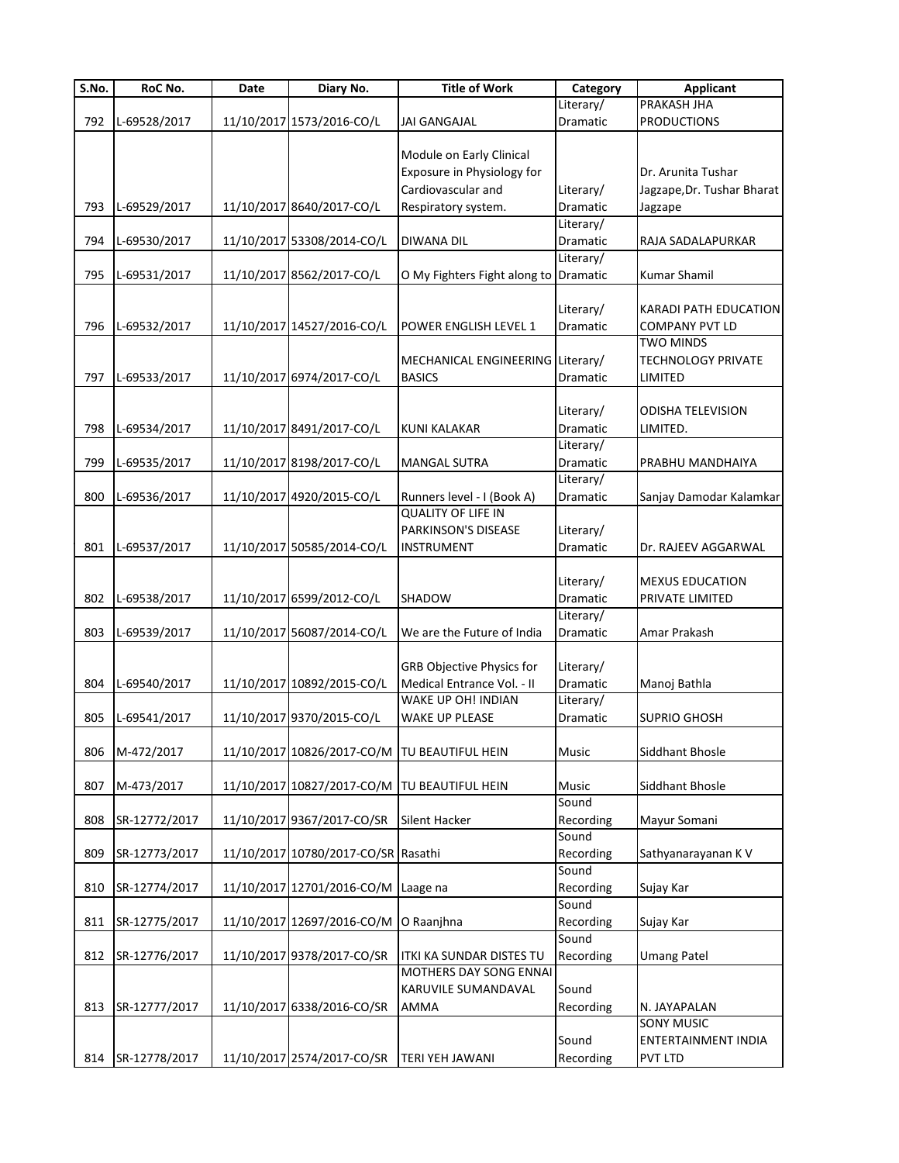| $\overline{\mathsf{S}}$ . No. | RoC No.       | Date | Diary No.                           | <b>Title of Work</b>                         | Category  | <b>Applicant</b>             |
|-------------------------------|---------------|------|-------------------------------------|----------------------------------------------|-----------|------------------------------|
|                               |               |      |                                     |                                              | Literary/ | <b>PRAKASH JHA</b>           |
| 792                           | L-69528/2017  |      | 11/10/2017 1573/2016-CO/L           | <b>JAI GANGAJAL</b>                          | Dramatic  | <b>PRODUCTIONS</b>           |
|                               |               |      |                                     |                                              |           |                              |
|                               |               |      |                                     | Module on Early Clinical                     |           |                              |
|                               |               |      |                                     | Exposure in Physiology for                   |           | Dr. Arunita Tushar           |
|                               |               |      |                                     | Cardiovascular and                           | Literary/ | Jagzape, Dr. Tushar Bharat   |
| 793                           | L-69529/2017  |      | 11/10/2017 8640/2017-CO/L           |                                              | Dramatic  |                              |
|                               |               |      |                                     | Respiratory system.                          |           | Jagzape                      |
|                               |               |      |                                     |                                              | Literary/ |                              |
| 794                           | L-69530/2017  |      | 11/10/2017 53308/2014-CO/L          | <b>DIWANA DIL</b>                            | Dramatic  | RAJA SADALAPURKAR            |
|                               |               |      |                                     |                                              | Literary/ |                              |
| 795                           | L-69531/2017  |      | 11/10/2017 8562/2017-CO/L           | O My Fighters Fight along to Dramatic        |           | Kumar Shamil                 |
|                               |               |      |                                     |                                              |           |                              |
|                               |               |      |                                     |                                              | Literary/ | <b>KARADI PATH EDUCATION</b> |
| 796                           | L-69532/2017  |      | 11/10/2017 14527/2016-CO/L          | POWER ENGLISH LEVEL 1                        | Dramatic  | <b>COMPANY PVT LD</b>        |
|                               |               |      |                                     |                                              |           | <b>TWO MINDS</b>             |
|                               |               |      |                                     | MECHANICAL ENGINEERING Literary/             |           | TECHNOLOGY PRIVATE           |
|                               |               |      |                                     |                                              |           |                              |
| 797                           | L-69533/2017  |      | 11/10/2017 6974/2017-CO/L           | <b>BASICS</b>                                | Dramatic  | LIMITED                      |
|                               |               |      |                                     |                                              |           |                              |
|                               |               |      |                                     |                                              | Literary/ | <b>ODISHA TELEVISION</b>     |
| 798                           | L-69534/2017  |      | 11/10/2017 8491/2017-CO/L           | KUNI KALAKAR                                 | Dramatic  | LIMITED.                     |
|                               |               |      |                                     |                                              | Literary/ |                              |
| 799                           | L-69535/2017  |      | 11/10/2017 8198/2017-CO/L           | <b>MANGAL SUTRA</b>                          | Dramatic  | PRABHU MANDHAIYA             |
|                               |               |      |                                     |                                              | Literary/ |                              |
| 800                           | L-69536/2017  |      | 11/10/2017 4920/2015-CO/L           |                                              | Dramatic  |                              |
|                               |               |      |                                     | Runners level - I (Book A)                   |           | Sanjay Damodar Kalamkar      |
|                               |               |      |                                     | <b>QUALITY OF LIFE IN</b>                    |           |                              |
|                               |               |      |                                     | PARKINSON'S DISEASE                          | Literary/ |                              |
| 801                           | L-69537/2017  |      | 11/10/2017 50585/2014-CO/L          | <b>INSTRUMENT</b>                            | Dramatic  | Dr. RAJEEV AGGARWAL          |
|                               |               |      |                                     |                                              |           |                              |
|                               |               |      |                                     |                                              | Literary/ | <b>MEXUS EDUCATION</b>       |
| 802                           | L-69538/2017  |      | 11/10/2017 6599/2012-CO/L           | <b>SHADOW</b>                                | Dramatic  | PRIVATE LIMITED              |
|                               |               |      |                                     |                                              | Literary/ |                              |
| 803                           | L-69539/2017  |      | 11/10/2017 56087/2014-CO/L          | We are the Future of India                   | Dramatic  | Amar Prakash                 |
|                               |               |      |                                     |                                              |           |                              |
|                               |               |      |                                     |                                              |           |                              |
|                               |               |      |                                     | <b>GRB Objective Physics for</b>             | Literary/ |                              |
| 804                           | L-69540/2017  |      | 11/10/2017 10892/2015-CO/L          | Medical Entrance Vol. - II                   | Dramatic  | Manoj Bathla                 |
|                               |               |      |                                     | WAKE UP OH! INDIAN                           | Literary/ |                              |
| 805                           | L-69541/2017  |      | 11/10/2017 9370/2015-CO/L           | WAKE UP PLEASE                               | Dramatic  | <b>SUPRIO GHOSH</b>          |
|                               |               |      |                                     |                                              |           |                              |
| 806                           | M-472/2017    |      |                                     | 11/10/2017 10826/2017-CO/M TU BEAUTIFUL HEIN | Music     | Siddhant Bhosle              |
|                               |               |      |                                     |                                              |           |                              |
| 807                           |               |      |                                     | 11/10/2017 10827/2017-CO/M TU BEAUTIFUL HEIN | Music     | Siddhant Bhosle              |
|                               | M-473/2017    |      |                                     |                                              |           |                              |
|                               |               |      |                                     |                                              | Sound     |                              |
| 808                           | SR-12772/2017 |      | 11/10/2017 9367/2017-CO/SR          | <b>Silent Hacker</b>                         | Recording | Mayur Somani                 |
|                               |               |      |                                     |                                              | Sound     |                              |
| 809                           | SR-12773/2017 |      | 11/10/2017 10780/2017-CO/SR Rasathi |                                              | Recording | Sathyanarayanan K V          |
|                               |               |      |                                     |                                              | Sound     |                              |
| 810                           | SR-12774/2017 |      | 11/10/2017 12701/2016-CO/M Laage na |                                              | Recording | Sujay Kar                    |
|                               |               |      |                                     |                                              | Sound     |                              |
| 811                           | SR-12775/2017 |      | 11/10/2017 12697/2016-CO/M          | O Raanjhna                                   | Recording | Sujay Kar                    |
|                               |               |      |                                     |                                              | Sound     |                              |
|                               |               |      |                                     |                                              |           |                              |
| 812                           | SR-12776/2017 |      | 11/10/2017 9378/2017-CO/SR          | <b>ITKI KA SUNDAR DISTES TU</b>              | Recording | <b>Umang Patel</b>           |
|                               |               |      |                                     | MOTHERS DAY SONG ENNAI                       |           |                              |
|                               |               |      |                                     | KARUVILE SUMANDAVAL                          | Sound     |                              |
| 813                           | SR-12777/2017 |      | 11/10/2017 6338/2016-CO/SR          | <b>AMMA</b>                                  | Recording | N. JAYAPALAN                 |
|                               |               |      |                                     |                                              |           | <b>SONY MUSIC</b>            |
|                               |               |      |                                     |                                              | Sound     | ENTERTAINMENT INDIA          |
| 814                           | SR-12778/2017 |      | 11/10/2017 2574/2017-CO/SR          | <b>TERI YEH JAWANI</b>                       | Recording | PVT LTD                      |
|                               |               |      |                                     |                                              |           |                              |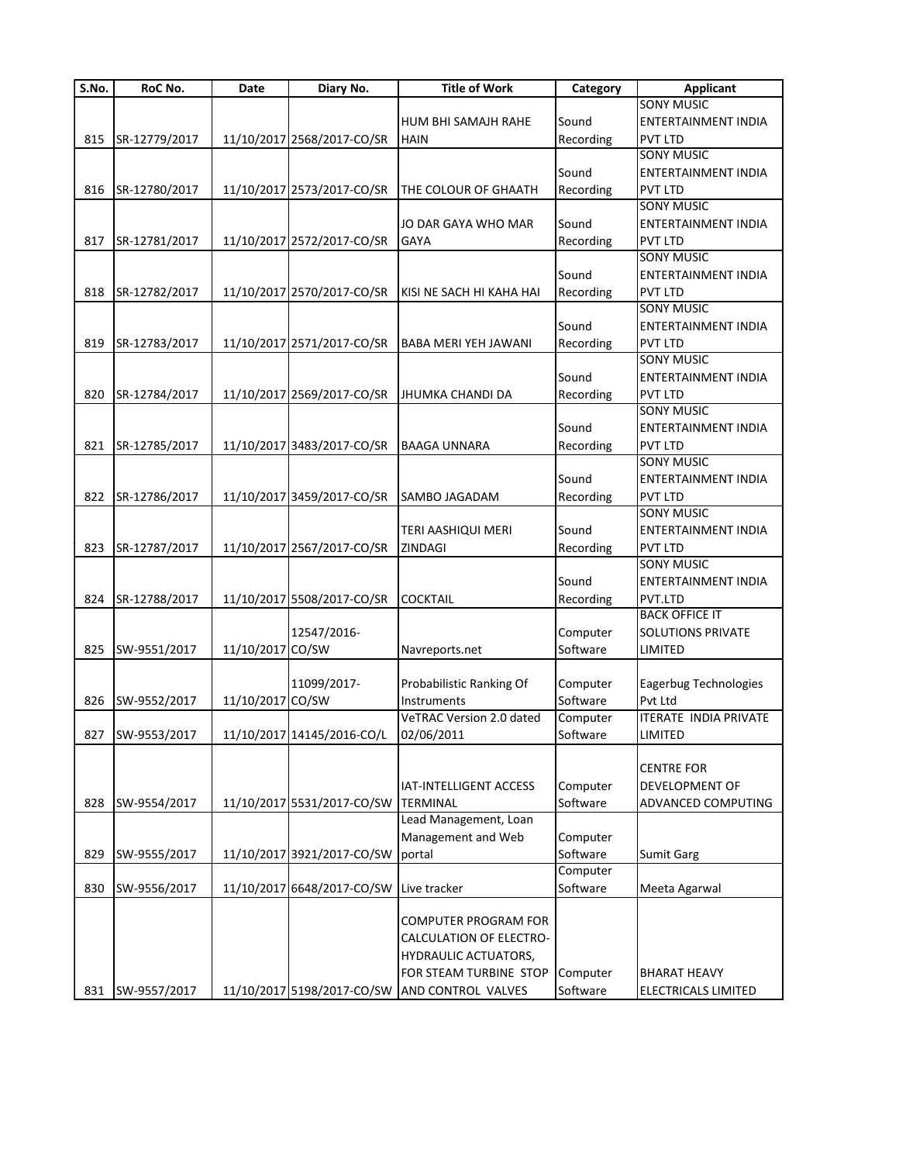| S.No. | RoC No.       | Date       | Diary No.                           | <b>Title of Work</b>                          | Category  | <b>Applicant</b>                    |
|-------|---------------|------------|-------------------------------------|-----------------------------------------------|-----------|-------------------------------------|
|       |               |            |                                     |                                               |           | <b>SONY MUSIC</b>                   |
|       |               |            |                                     | HUM BHI SAMAJH RAHE                           | Sound     | ENTERTAINMENT INDIA                 |
| 815   | SR-12779/2017 |            | 11/10/2017 2568/2017-CO/SR          | <b>HAIN</b>                                   | Recording | <b>PVT LTD</b>                      |
|       |               |            |                                     |                                               |           | <b>SONY MUSIC</b>                   |
|       |               |            |                                     |                                               | Sound     | ENTERTAINMENT INDIA                 |
| 816   | SR-12780/2017 |            | 11/10/2017 2573/2017-CO/SR          | THE COLOUR OF GHAATH                          | Recording | <b>PVT LTD</b>                      |
|       |               |            |                                     |                                               |           | <b>SONY MUSIC</b>                   |
|       |               |            |                                     | JO DAR GAYA WHO MAR                           | Sound     | ENTERTAINMENT INDIA                 |
| 817   | SR-12781/2017 |            | 11/10/2017 2572/2017-CO/SR          | <b>GAYA</b>                                   | Recording | <b>PVT LTD</b>                      |
|       |               |            |                                     |                                               |           | <b>SONY MUSIC</b>                   |
|       |               |            |                                     |                                               | Sound     | <b>ENTERTAINMENT INDIA</b>          |
|       | SR-12782/2017 |            | 11/10/2017 2570/2017-CO/SR          |                                               | Recording |                                     |
| 818   |               |            |                                     | KISI NE SACH HI KAHA HAI                      |           | <b>PVT LTD</b><br><b>SONY MUSIC</b> |
|       |               |            |                                     |                                               |           |                                     |
|       |               |            |                                     |                                               | Sound     | ENTERTAINMENT INDIA                 |
| 819   | SR-12783/2017 |            | 11/10/2017 2571/2017-CO/SR          | <b>BABA MERI YEH JAWANI</b>                   | Recording | <b>PVT LTD</b>                      |
|       |               |            |                                     |                                               |           | <b>SONY MUSIC</b>                   |
|       |               |            |                                     |                                               | Sound     | ENTERTAINMENT INDIA                 |
| 820   | SR-12784/2017 |            | 11/10/2017 2569/2017-CO/SR          | JHUMKA CHANDI DA                              | Recording | <b>PVT LTD</b>                      |
|       |               |            |                                     |                                               |           | <b>SONY MUSIC</b>                   |
|       |               |            |                                     |                                               | Sound     | <b>ENTERTAINMENT INDIA</b>          |
| 821   | SR-12785/2017 |            | 11/10/2017 3483/2017-CO/SR          | <b>BAAGA UNNARA</b>                           | Recording | <b>PVT LTD</b>                      |
|       |               |            |                                     |                                               |           | <b>SONY MUSIC</b>                   |
|       |               |            |                                     |                                               | Sound     | ENTERTAINMENT INDIA                 |
| 822   | SR-12786/2017 |            | 11/10/2017 3459/2017-CO/SR          | <b>SAMBO JAGADAM</b>                          | Recording | <b>PVT LTD</b>                      |
|       |               |            |                                     |                                               |           | <b>SONY MUSIC</b>                   |
|       |               |            |                                     | TERI AASHIQUI MERI                            | Sound     | ENTERTAINMENT INDIA                 |
| 823   | SR-12787/2017 |            | 11/10/2017 2567/2017-CO/SR          | <b>ZINDAGI</b>                                | Recording | <b>PVT LTD</b>                      |
|       |               |            |                                     |                                               |           | <b>SONY MUSIC</b>                   |
|       |               |            |                                     |                                               | Sound     | <b>ENTERTAINMENT INDIA</b>          |
| 824   | SR-12788/2017 |            | 11/10/2017 5508/2017-CO/SR          | <b>COCKTAIL</b>                               | Recording | PVT.LTD                             |
|       |               |            |                                     |                                               |           | <b>BACK OFFICE IT</b>               |
|       |               |            | 12547/2016-                         |                                               |           | <b>SOLUTIONS PRIVATE</b>            |
|       |               |            | CO/SW                               |                                               | Computer  |                                     |
| 825   | SW-9551/2017  | 11/10/2017 |                                     | Navreports.net                                | Software  | LIMITED                             |
|       |               |            |                                     |                                               |           |                                     |
|       |               |            | 11099/2017-                         | Probabilistic Ranking Of                      | Computer  | Eagerbug Technologies               |
| 826   | SW-9552/2017  | 11/10/2017 | CO/SW                               | Instruments                                   | Software  | Pvt Ltd                             |
|       |               |            |                                     | VeTRAC Version 2.0 dated                      | Computer  | <b>ITERATE INDIA PRIVATE</b>        |
| 827   | SW-9553/2017  |            | 11/10/2017 14145/2016-CO/L          | 02/06/2011                                    | Software  | LIMITED                             |
|       |               |            |                                     |                                               |           |                                     |
|       |               |            |                                     |                                               |           | <b>CENTRE FOR</b>                   |
|       |               |            |                                     | IAT-INTELLIGENT ACCESS                        | Computer  | <b>DEVELOPMENT OF</b>               |
| 828   | SW-9554/2017  |            | 11/10/2017 5531/2017-CO/SW TERMINAL |                                               | Software  | ADVANCED COMPUTING                  |
|       |               |            |                                     | Lead Management, Loan                         |           |                                     |
|       |               |            |                                     | Management and Web                            | Computer  |                                     |
| 829   | SW-9555/2017  |            | 11/10/2017 3921/2017-CO/SW portal   |                                               | Software  | <b>Sumit Garg</b>                   |
|       |               |            |                                     |                                               | Computer  |                                     |
| 830   | SW-9556/2017  |            | 11/10/2017 6648/2017-CO/SW          | Live tracker                                  | Software  | Meeta Agarwal                       |
|       |               |            |                                     |                                               |           |                                     |
|       |               |            |                                     | <b>COMPUTER PROGRAM FOR</b>                   |           |                                     |
|       |               |            |                                     | CALCULATION OF ELECTRO-                       |           |                                     |
|       |               |            |                                     | <b>HYDRAULIC ACTUATORS,</b>                   |           |                                     |
|       |               |            |                                     |                                               |           |                                     |
|       |               |            |                                     | FOR STEAM TURBINE STOP                        | Computer  | <b>BHARAT HEAVY</b>                 |
| 831   | SW-9557/2017  |            |                                     | 11/10/2017 5198/2017-CO/SW AND CONTROL VALVES | Software  | ELECTRICALS LIMITED                 |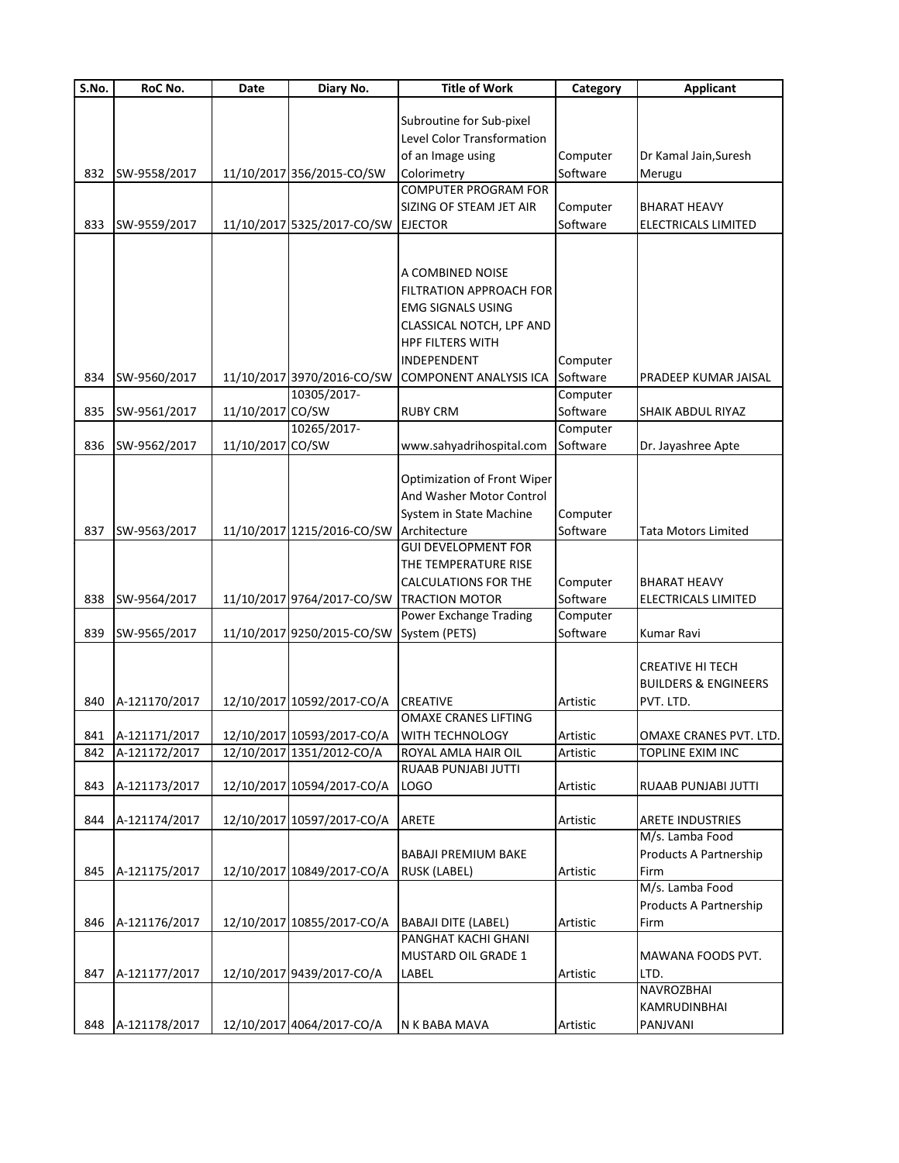| S.No. | RoC No.       | Date             | Diary No.                  | <b>Title of Work</b>           | Category | <b>Applicant</b>                |
|-------|---------------|------------------|----------------------------|--------------------------------|----------|---------------------------------|
|       |               |                  |                            |                                |          |                                 |
|       |               |                  |                            | Subroutine for Sub-pixel       |          |                                 |
|       |               |                  |                            | Level Color Transformation     |          |                                 |
|       |               |                  |                            | of an Image using              | Computer | Dr Kamal Jain, Suresh           |
| 832   | SW-9558/2017  |                  | 11/10/2017 356/2015-CO/SW  | Colorimetry                    | Software | Merugu                          |
|       |               |                  |                            | COMPUTER PROGRAM FOR           |          |                                 |
|       |               |                  |                            | SIZING OF STEAM JET AIR        | Computer | <b>BHARAT HEAVY</b>             |
| 833   | SW-9559/2017  |                  | 11/10/2017 5325/2017-CO/SW | <b>EJECTOR</b>                 | Software | ELECTRICALS LIMITED             |
|       |               |                  |                            |                                |          |                                 |
|       |               |                  |                            |                                |          |                                 |
|       |               |                  |                            | A COMBINED NOISE               |          |                                 |
|       |               |                  |                            | <b>FILTRATION APPROACH FOR</b> |          |                                 |
|       |               |                  |                            | EMG SIGNALS USING              |          |                                 |
|       |               |                  |                            | CLASSICAL NOTCH, LPF AND       |          |                                 |
|       |               |                  |                            | <b>HPF FILTERS WITH</b>        |          |                                 |
|       |               |                  |                            | INDEPENDENT                    | Computer |                                 |
| 834   | SW-9560/2017  |                  | 11/10/2017 3970/2016-CO/SW | <b>COMPONENT ANALYSIS ICA</b>  | Software | PRADEEP KUMAR JAISAL            |
|       |               |                  | 10305/2017-                |                                | Computer |                                 |
| 835   | SW-9561/2017  | 11/10/2017 CO/SW |                            | <b>RUBY CRM</b>                | Software | SHAIK ABDUL RIYAZ               |
|       |               |                  | 10265/2017-                |                                | Computer |                                 |
| 836   | SW-9562/2017  | 11/10/2017       | CO/SW                      | www.sahyadrihospital.com       | Software | Dr. Jayashree Apte              |
|       |               |                  |                            |                                |          |                                 |
|       |               |                  |                            | Optimization of Front Wiper    |          |                                 |
|       |               |                  |                            | And Washer Motor Control       |          |                                 |
|       |               |                  |                            | System in State Machine        | Computer |                                 |
| 837   | SW-9563/2017  |                  | 11/10/2017 1215/2016-CO/SW | Architecture                   | Software | <b>Tata Motors Limited</b>      |
|       |               |                  |                            | <b>GUI DEVELOPMENT FOR</b>     |          |                                 |
|       |               |                  |                            | THE TEMPERATURE RISE           |          |                                 |
|       |               |                  |                            | CALCULATIONS FOR THE           | Computer | <b>BHARAT HEAVY</b>             |
| 838   | SW-9564/2017  |                  | 11/10/2017 9764/2017-CO/SW | <b>TRACTION MOTOR</b>          | Software | ELECTRICALS LIMITED             |
|       |               |                  |                            | Power Exchange Trading         | Computer |                                 |
| 839   | SW-9565/2017  |                  | 11/10/2017 9250/2015-CO/SW | System (PETS)                  | Software | Kumar Ravi                      |
|       |               |                  |                            |                                |          |                                 |
|       |               |                  |                            |                                |          | <b>CREATIVE HI TECH</b>         |
|       |               |                  |                            |                                |          | <b>BUILDERS &amp; ENGINEERS</b> |
| 840   | A-121170/2017 |                  | 12/10/2017 10592/2017-CO/A | <b>CREATIVE</b>                | Artistic | PVT. LTD.                       |
|       |               |                  |                            | <b>OMAXE CRANES LIFTING</b>    |          |                                 |
| 841   | A-121171/2017 |                  | 12/10/2017 10593/2017-CO/A | <b>WITH TECHNOLOGY</b>         | Artistic | OMAXE CRANES PVT. LTD.          |
| 842   | A-121172/2017 |                  | 12/10/2017 1351/2012-CO/A  | ROYAL AMLA HAIR OIL            | Artistic | TOPLINE EXIM INC                |
|       |               |                  |                            | RUAAB PUNJABI JUTTI            |          |                                 |
| 843   | A-121173/2017 |                  | 12/10/2017 10594/2017-CO/A | LOGO                           | Artistic | RUAAB PUNJABI JUTTI             |
|       |               |                  |                            |                                |          |                                 |
| 844   | A-121174/2017 |                  | 12/10/2017 10597/2017-CO/A | ARETE                          | Artistic | <b>ARETE INDUSTRIES</b>         |
|       |               |                  |                            |                                |          | M/s. Lamba Food                 |
|       |               |                  |                            | BABAJI PREMIUM BAKE            |          | Products A Partnership          |
| 845   | A-121175/2017 |                  | 12/10/2017 10849/2017-CO/A | <b>RUSK (LABEL)</b>            | Artistic | Firm                            |
|       |               |                  |                            |                                |          | M/s. Lamba Food                 |
|       |               |                  |                            |                                |          | Products A Partnership          |
| 846   | A-121176/2017 |                  | 12/10/2017 10855/2017-CO/A | BABAJI DITE (LABEL)            | Artistic | Firm                            |
|       |               |                  |                            | PANGHAT KACHI GHANI            |          |                                 |
|       |               |                  |                            | <b>MUSTARD OIL GRADE 1</b>     |          | MAWANA FOODS PVT.               |
| 847   | A-121177/2017 |                  | 12/10/2017 9439/2017-CO/A  | LABEL                          | Artistic | LTD.                            |
|       |               |                  |                            |                                |          | <b>NAVROZBHAI</b>               |
|       |               |                  |                            |                                |          | KAMRUDINBHAI                    |
| 848   | A-121178/2017 |                  | 12/10/2017 4064/2017-CO/A  | N K BABA MAVA                  | Artistic | PANJVANI                        |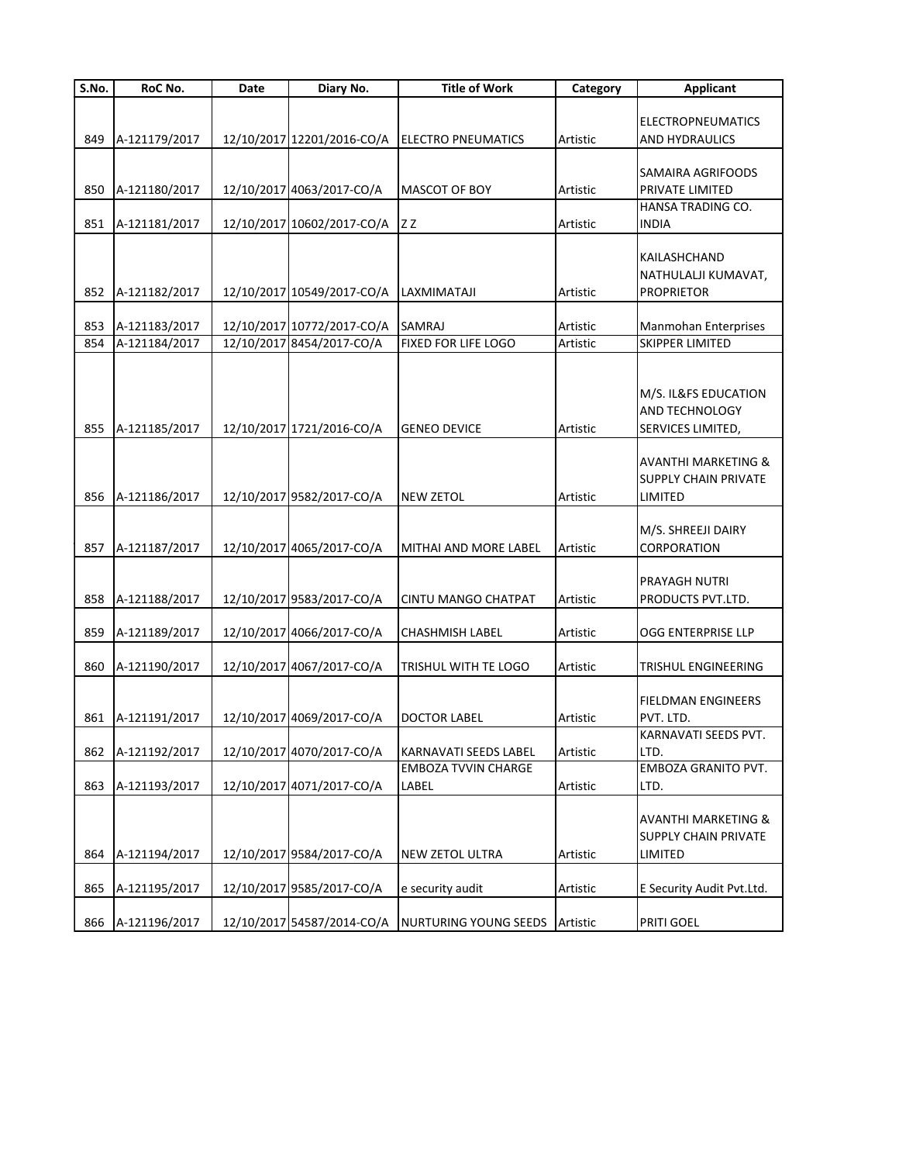| S.No. | RoC No.       | Date | Diary No.                  | <b>Title of Work</b>                                       | Category | <b>Applicant</b>               |
|-------|---------------|------|----------------------------|------------------------------------------------------------|----------|--------------------------------|
|       |               |      |                            |                                                            |          |                                |
|       |               |      |                            |                                                            |          | <b>ELECTROPNEUMATICS</b>       |
| 849   | A-121179/2017 |      |                            | 12/10/2017 12201/2016-CO/A ELECTRO PNEUMATICS              | Artistic | AND HYDRAULICS                 |
|       |               |      |                            |                                                            |          | SAMAIRA AGRIFOODS              |
| 850   | A-121180/2017 |      | 12/10/2017 4063/2017-CO/A  | <b>MASCOT OF BOY</b>                                       | Artistic | PRIVATE LIMITED                |
|       |               |      |                            |                                                            |          | HANSA TRADING CO.              |
| 851   | A-121181/2017 |      | 12/10/2017 10602/2017-CO/A | IZ Z                                                       | Artistic | <b>INDIA</b>                   |
|       |               |      |                            |                                                            |          | KAILASHCHAND                   |
|       |               |      |                            |                                                            |          | NATHULALJI KUMAVAT,            |
| 852   | A-121182/2017 |      | 12/10/2017 10549/2017-CO/A | LAXMIMATAJI                                                | Artistic | <b>PROPRIETOR</b>              |
|       |               |      |                            |                                                            |          |                                |
| 853   | A-121183/2017 |      | 12/10/2017 10772/2017-CO/A | SAMRAJ                                                     | Artistic | Manmohan Enterprises           |
| 854   | A-121184/2017 |      | 12/10/2017 8454/2017-CO/A  | FIXED FOR LIFE LOGO                                        | Artistic | SKIPPER LIMITED                |
|       |               |      |                            |                                                            |          |                                |
|       |               |      |                            |                                                            |          | M/S. IL&FS EDUCATION           |
|       |               |      |                            |                                                            |          | <b>AND TECHNOLOGY</b>          |
| 855   | A-121185/2017 |      | 12/10/2017 1721/2016-CO/A  | <b>GENEO DEVICE</b>                                        | Artistic | SERVICES LIMITED,              |
|       |               |      |                            |                                                            |          |                                |
|       |               |      |                            |                                                            |          | <b>AVANTHI MARKETING &amp;</b> |
|       |               |      |                            |                                                            |          | <b>SUPPLY CHAIN PRIVATE</b>    |
| 856   | A-121186/2017 |      | 12/10/2017 9582/2017-CO/A  | <b>NEW ZETOL</b>                                           | Artistic | LIMITED                        |
|       |               |      |                            |                                                            |          | M/S. SHREEJI DAIRY             |
| 857   | A-121187/2017 |      | 12/10/2017 4065/2017-CO/A  | MITHAI AND MORE LABEL                                      | Artistic | CORPORATION                    |
|       |               |      |                            |                                                            |          |                                |
|       |               |      |                            |                                                            |          | PRAYAGH NUTRI                  |
| 858   | A-121188/2017 |      | 12/10/2017 9583/2017-CO/A  | <b>CINTU MANGO CHATPAT</b>                                 | Artistic | PRODUCTS PVT.LTD.              |
| 859   | A-121189/2017 |      | 12/10/2017 4066/2017-CO/A  | <b>CHASHMISH LABEL</b>                                     | Artistic | OGG ENTERPRISE LLP             |
|       |               |      |                            |                                                            |          |                                |
| 860   | A-121190/2017 |      | 12/10/2017 4067/2017-CO/A  | TRISHUL WITH TE LOGO                                       | Artistic | TRISHUL ENGINEERING            |
|       |               |      |                            |                                                            |          |                                |
|       |               |      |                            |                                                            |          | <b>FIELDMAN ENGINEERS</b>      |
| 861   | A-121191/2017 |      | 12/10/2017 4069/2017-CO/A  | <b>DOCTOR LABEL</b>                                        | Artistic | PVT. LTD.                      |
|       |               |      | 12/10/2017 4070/2017-CO/A  |                                                            |          | KARNAVATI SEEDS PVT.           |
| 862   | A-121192/2017 |      |                            | <b>KARNAVATI SEEDS LABEL</b><br><b>EMBOZA TVVIN CHARGE</b> | Artistic | LTD.<br>EMBOZA GRANITO PVT.    |
| 863   | A-121193/2017 |      | 12/10/2017 4071/2017-CO/A  | LABEL                                                      | Artistic | LTD.                           |
|       |               |      |                            |                                                            |          |                                |
|       |               |      |                            |                                                            |          | AVANTHI MARKETING &            |
|       |               |      |                            |                                                            |          | SUPPLY CHAIN PRIVATE           |
| 864   | A-121194/2017 |      | 12/10/2017 9584/2017-CO/A  | <b>NEW ZETOL ULTRA</b>                                     | Artistic | LIMITED                        |
|       |               |      |                            |                                                            |          |                                |
| 865   | A-121195/2017 |      | 12/10/2017 9585/2017-CO/A  | e security audit                                           | Artistic | E Security Audit Pvt.Ltd.      |
| 866   | A-121196/2017 |      | 12/10/2017 54587/2014-CO/A | NURTURING YOUNG SEEDS                                      | Artistic | PRITI GOEL                     |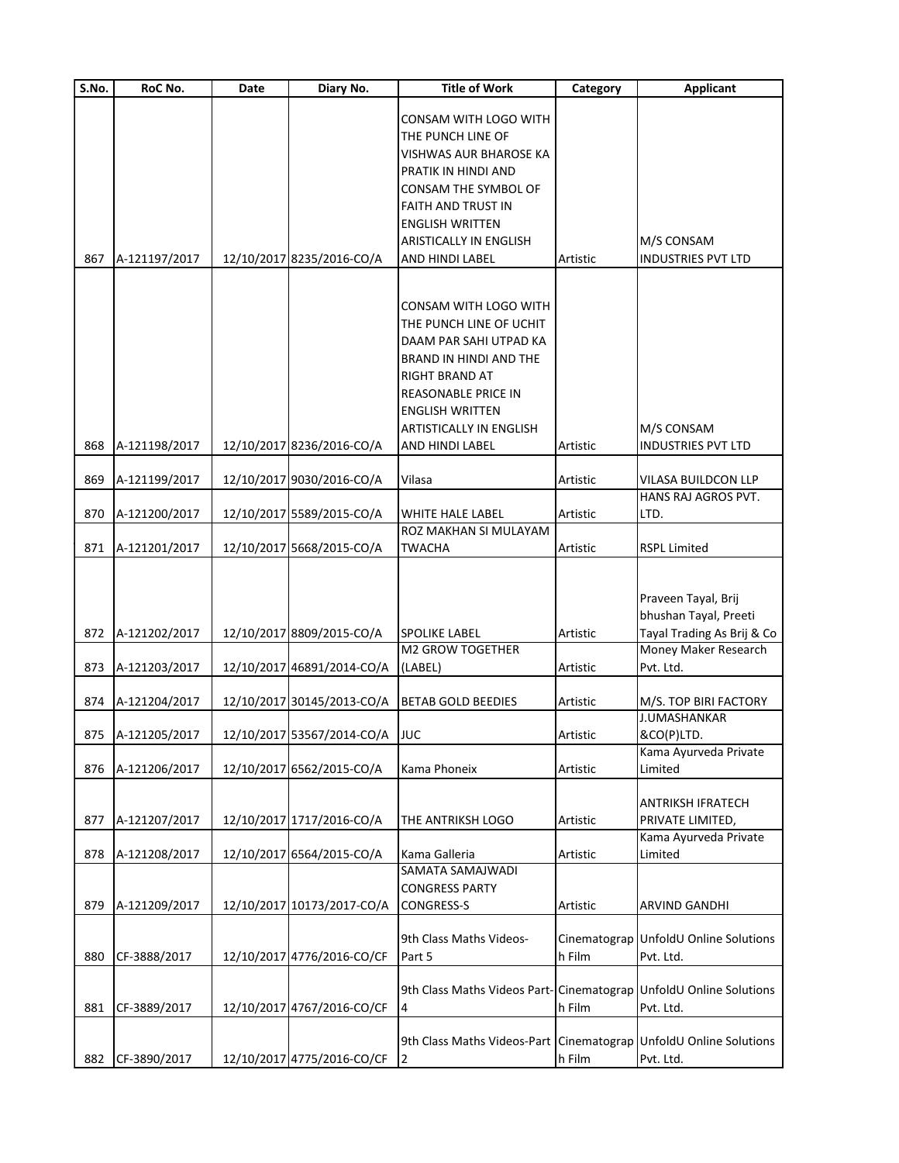| S.No.      | RoC No.                              | Date | Diary No.                                                    | <b>Title of Work</b>                                                                                                                                                                                                  | Category             | <b>Applicant</b>                                                                                                |
|------------|--------------------------------------|------|--------------------------------------------------------------|-----------------------------------------------------------------------------------------------------------------------------------------------------------------------------------------------------------------------|----------------------|-----------------------------------------------------------------------------------------------------------------|
| 867        | A-121197/2017                        |      | 12/10/2017 8235/2016-CO/A                                    | CONSAM WITH LOGO WITH<br>THE PUNCH LINE OF<br>VISHWAS AUR BHAROSE KA<br>PRATIK IN HINDI AND<br>CONSAM THE SYMBOL OF<br>FAITH AND TRUST IN<br>ENGLISH WRITTEN<br>ARISTICALLY IN ENGLISH<br>AND HINDI LABEL             | Artistic             | M/S CONSAM<br><b>INDUSTRIES PVT LTD</b>                                                                         |
| 868        | A-121198/2017                        |      | 12/10/2017 8236/2016-CO/A                                    | CONSAM WITH LOGO WITH<br>THE PUNCH LINE OF UCHIT<br>DAAM PAR SAHI UTPAD KA<br>BRAND IN HINDI AND THE<br>RIGHT BRAND AT<br>REASONABLE PRICE IN<br><b>ENGLISH WRITTEN</b><br>ARTISTICALLY IN ENGLISH<br>AND HINDI LABEL | Artistic             | M/S CONSAM<br><b>INDUSTRIES PVT LTD</b>                                                                         |
| 869        | A-121199/2017                        |      | 12/10/2017 9030/2016-CO/A                                    | Vilasa                                                                                                                                                                                                                | Artistic             | VILASA BUILDCON LLP                                                                                             |
|            |                                      |      |                                                              |                                                                                                                                                                                                                       |                      | HANS RAJ AGROS PVT.                                                                                             |
| 870        | A-121200/2017                        |      | 12/10/2017 5589/2015-CO/A                                    | WHITE HALE LABEL                                                                                                                                                                                                      | Artistic             | LTD.                                                                                                            |
| 871        | A-121201/2017                        |      | 12/10/2017 5668/2015-CO/A                                    | ROZ MAKHAN SI MULAYAM<br>TWACHA                                                                                                                                                                                       | Artistic             | <b>RSPL Limited</b>                                                                                             |
| 872<br>873 | A-121202/2017<br>A-121203/2017       |      | 12/10/2017 8809/2015-CO/A<br>12/10/2017 46891/2014-CO/A      | <b>SPOLIKE LABEL</b><br><b>M2 GROW TOGETHER</b><br>(LABEL)                                                                                                                                                            | Artistic<br>Artistic | Praveen Tayal, Brij<br>bhushan Tayal, Preeti<br>Tayal Trading As Brij & Co<br>Money Maker Research<br>Pvt. Ltd. |
|            |                                      |      |                                                              |                                                                                                                                                                                                                       |                      |                                                                                                                 |
| 874        | A-121204/2017<br>875   A-121205/2017 |      | 12/10/2017 30145/2013-CO/A<br>12/10/2017 53567/2014-CO/A JUC | <b>BETAB GOLD BEEDIES</b>                                                                                                                                                                                             | Artistic<br>Artistic | M/S. TOP BIRI FACTORY<br><b>J.UMASHANKAR</b><br>&CO(P)LTD.<br>Kama Ayurveda Private                             |
| 876        | A-121206/2017                        |      | 12/10/2017 6562/2015-CO/A                                    | Kama Phoneix                                                                                                                                                                                                          | Artistic             | Limited                                                                                                         |
| 877        | A-121207/2017                        |      | 12/10/2017 1717/2016-CO/A                                    | THE ANTRIKSH LOGO                                                                                                                                                                                                     | Artistic             | ANTRIKSH IFRATECH<br>PRIVATE LIMITED,<br>Kama Ayurveda Private                                                  |
| 878<br>879 | A-121208/2017<br>A-121209/2017       |      | 12/10/2017 6564/2015-CO/A<br>12/10/2017 10173/2017-CO/A      | Kama Galleria<br>SAMATA SAMAJWADI<br><b>CONGRESS PARTY</b><br>CONGRESS-S                                                                                                                                              | Artistic<br>Artistic | Limited<br><b>ARVIND GANDHI</b>                                                                                 |
| 880        | CF-3888/2017                         |      | 12/10/2017 4776/2016-CO/CF                                   | 9th Class Maths Videos-<br>Part 5                                                                                                                                                                                     | h Film               | Cinematograp UnfoldU Online Solutions<br>Pvt. Ltd.                                                              |
| 881        | CF-3889/2017                         |      | 12/10/2017 4767/2016-CO/CF                                   | 9th Class Maths Videos Part- Cinematograp UnfoldU Online Solutions<br>4                                                                                                                                               | h Film               | Pvt. Ltd.                                                                                                       |
| 882        | CF-3890/2017                         |      | 12/10/2017 4775/2016-CO/CF                                   | 9th Class Maths Videos-Part Cinematograp UnfoldU Online Solutions<br>2                                                                                                                                                | h Film               | Pvt. Ltd.                                                                                                       |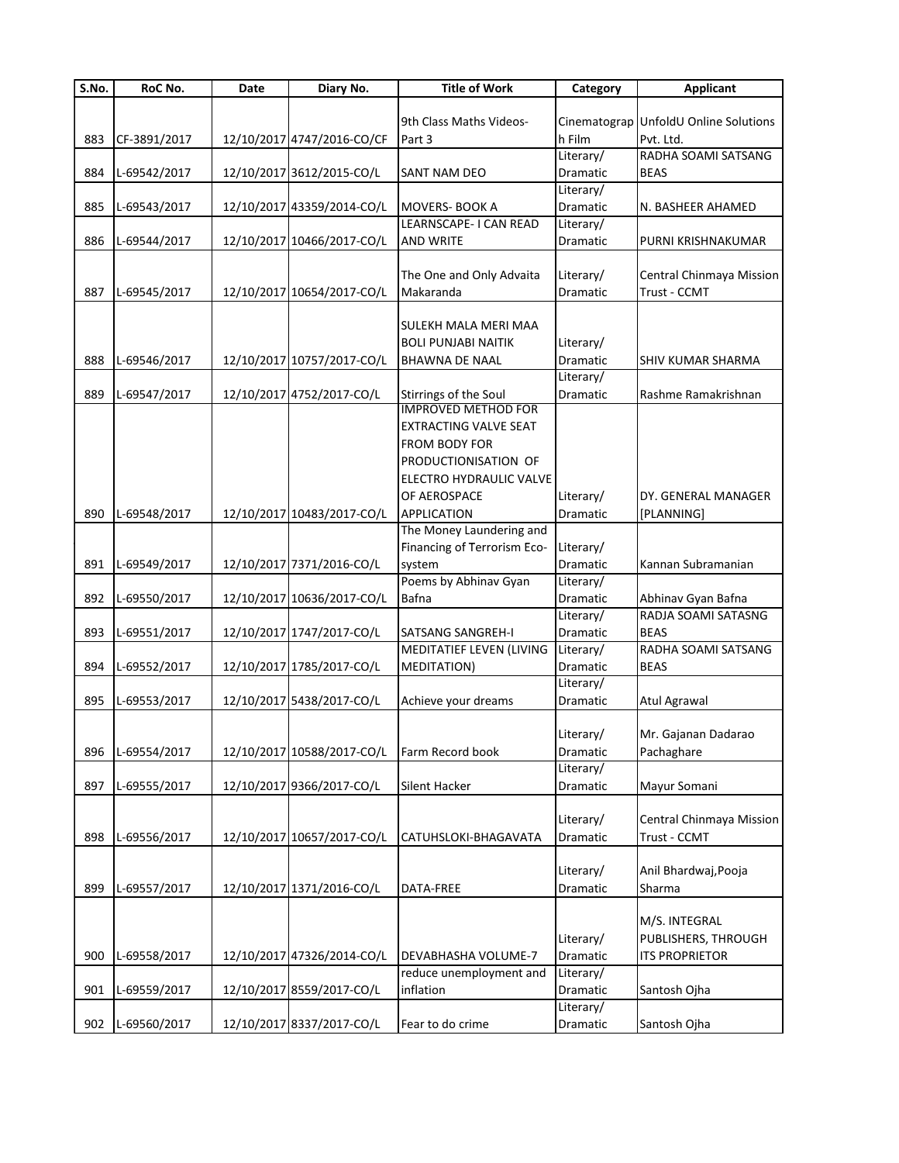| S.No. | RoC No.      | Date | Diary No.                  | <b>Title of Work</b>                                | Category  | <b>Applicant</b>                      |
|-------|--------------|------|----------------------------|-----------------------------------------------------|-----------|---------------------------------------|
|       |              |      |                            |                                                     |           |                                       |
|       |              |      |                            | 9th Class Maths Videos-                             |           | Cinematograp UnfoldU Online Solutions |
| 883   | CF-3891/2017 |      | 12/10/2017 4747/2016-CO/CF | Part 3                                              | h Film    | Pvt. Ltd.                             |
|       |              |      |                            |                                                     | Literary/ | RADHA SOAMI SATSANG                   |
| 884   | L-69542/2017 |      | 12/10/2017 3612/2015-CO/L  | SANT NAM DEO                                        | Dramatic  | <b>BEAS</b>                           |
|       |              |      |                            |                                                     | Literary/ |                                       |
| 885   | L-69543/2017 |      | 12/10/2017 43359/2014-CO/L | <b>MOVERS-BOOK A</b>                                | Dramatic  | N. BASHEER AHAMED                     |
|       |              |      |                            | LEARNSCAPE- I CAN READ                              | Literary/ |                                       |
| 886   | L-69544/2017 |      | 12/10/2017 10466/2017-CO/L | <b>AND WRITE</b>                                    | Dramatic  | PURNI KRISHNAKUMAR                    |
|       |              |      |                            |                                                     |           |                                       |
|       |              |      |                            | The One and Only Advaita                            | Literary/ | Central Chinmaya Mission              |
| 887   | L-69545/2017 |      | 12/10/2017 10654/2017-CO/L | Makaranda                                           | Dramatic  | Trust - CCMT                          |
|       |              |      |                            |                                                     |           |                                       |
|       |              |      |                            | SULEKH MALA MERI MAA                                |           |                                       |
|       |              |      |                            | <b>BOLI PUNJABI NAITIK</b>                          | Literary/ |                                       |
| 888   | L-69546/2017 |      | 12/10/2017 10757/2017-CO/L | <b>BHAWNA DE NAAL</b>                               | Dramatic  |                                       |
|       |              |      |                            |                                                     | Literary/ | SHIV KUMAR SHARMA                     |
| 889   |              |      | 12/10/2017 4752/2017-CO/L  |                                                     |           | Rashme Ramakrishnan                   |
|       | L-69547/2017 |      |                            | Stirrings of the Soul<br><b>IMPROVED METHOD FOR</b> | Dramatic  |                                       |
|       |              |      |                            | <b>EXTRACTING VALVE SEAT</b>                        |           |                                       |
|       |              |      |                            |                                                     |           |                                       |
|       |              |      |                            | <b>FROM BODY FOR</b>                                |           |                                       |
|       |              |      |                            | PRODUCTIONISATION OF                                |           |                                       |
|       |              |      |                            | <b>ELECTRO HYDRAULIC VALVE</b>                      |           |                                       |
|       |              |      |                            | OF AEROSPACE                                        | Literary/ | DY. GENERAL MANAGER                   |
| 890   | L-69548/2017 |      | 12/10/2017 10483/2017-CO/L | <b>APPLICATION</b>                                  | Dramatic  | [PLANNING]                            |
|       |              |      |                            | The Money Laundering and                            |           |                                       |
|       |              |      |                            | Financing of Terrorism Eco-                         | Literary/ |                                       |
| 891   | L-69549/2017 |      | 12/10/2017 7371/2016-CO/L  | system                                              | Dramatic  | Kannan Subramanian                    |
|       |              |      |                            | Poems by Abhinav Gyan                               | Literary/ |                                       |
| 892   | L-69550/2017 |      | 12/10/2017 10636/2017-CO/L | Bafna                                               | Dramatic  | Abhinav Gyan Bafna                    |
|       |              |      |                            |                                                     | Literary/ | RADJA SOAMI SATASNG                   |
| 893   | L-69551/2017 |      | 12/10/2017 1747/2017-CO/L  | <b>SATSANG SANGREH-I</b>                            | Dramatic  | <b>BEAS</b>                           |
|       |              |      |                            | MEDITATIEF LEVEN (LIVING                            | Literary/ | RADHA SOAMI SATSANG                   |
| 894   | L-69552/2017 |      | 12/10/2017 1785/2017-CO/L  | <b>MEDITATION)</b>                                  | Dramatic  | <b>BEAS</b>                           |
|       |              |      |                            |                                                     | Literary/ |                                       |
| 895   | L-69553/2017 |      | 12/10/2017 5438/2017-CO/L  | Achieve your dreams                                 | Dramatic  | Atul Agrawal                          |
|       |              |      |                            |                                                     |           |                                       |
|       |              |      |                            |                                                     | Literary/ | Mr. Gajanan Dadarao                   |
| 896   | L-69554/2017 |      | 12/10/2017 10588/2017-CO/L | Farm Record book                                    | Dramatic  | Pachaghare                            |
|       |              |      |                            |                                                     | Literary/ |                                       |
| 897   | L-69555/2017 |      | 12/10/2017 9366/2017-CO/L  | Silent Hacker                                       | Dramatic  | Mayur Somani                          |
|       |              |      |                            |                                                     |           |                                       |
|       |              |      |                            |                                                     | Literary/ | Central Chinmaya Mission              |
|       |              |      | 12/10/2017 10657/2017-CO/L |                                                     | Dramatic  |                                       |
| 898   | L-69556/2017 |      |                            | CATUHSLOKI-BHAGAVATA                                |           | Trust - CCMT                          |
|       |              |      |                            |                                                     |           |                                       |
|       |              |      |                            |                                                     | Literary/ | Anil Bhardwaj, Pooja                  |
| 899   | L-69557/2017 |      | 12/10/2017 1371/2016-CO/L  | DATA-FREE                                           | Dramatic  | Sharma                                |
|       |              |      |                            |                                                     |           |                                       |
|       |              |      |                            |                                                     |           | M/S. INTEGRAL                         |
|       |              |      |                            |                                                     | Literary/ | PUBLISHERS, THROUGH                   |
| 900   | L-69558/2017 |      | 12/10/2017 47326/2014-CO/L | DEVABHASHA VOLUME-7                                 | Dramatic  | <b>ITS PROPRIETOR</b>                 |
|       |              |      |                            | reduce unemployment and                             | Literary/ |                                       |
| 901   | L-69559/2017 |      | 12/10/2017 8559/2017-CO/L  | inflation                                           | Dramatic  | Santosh Ojha                          |
|       |              |      |                            |                                                     | Literary/ |                                       |
| 902   | L-69560/2017 |      | 12/10/2017 8337/2017-CO/L  | Fear to do crime                                    | Dramatic  | Santosh Ojha                          |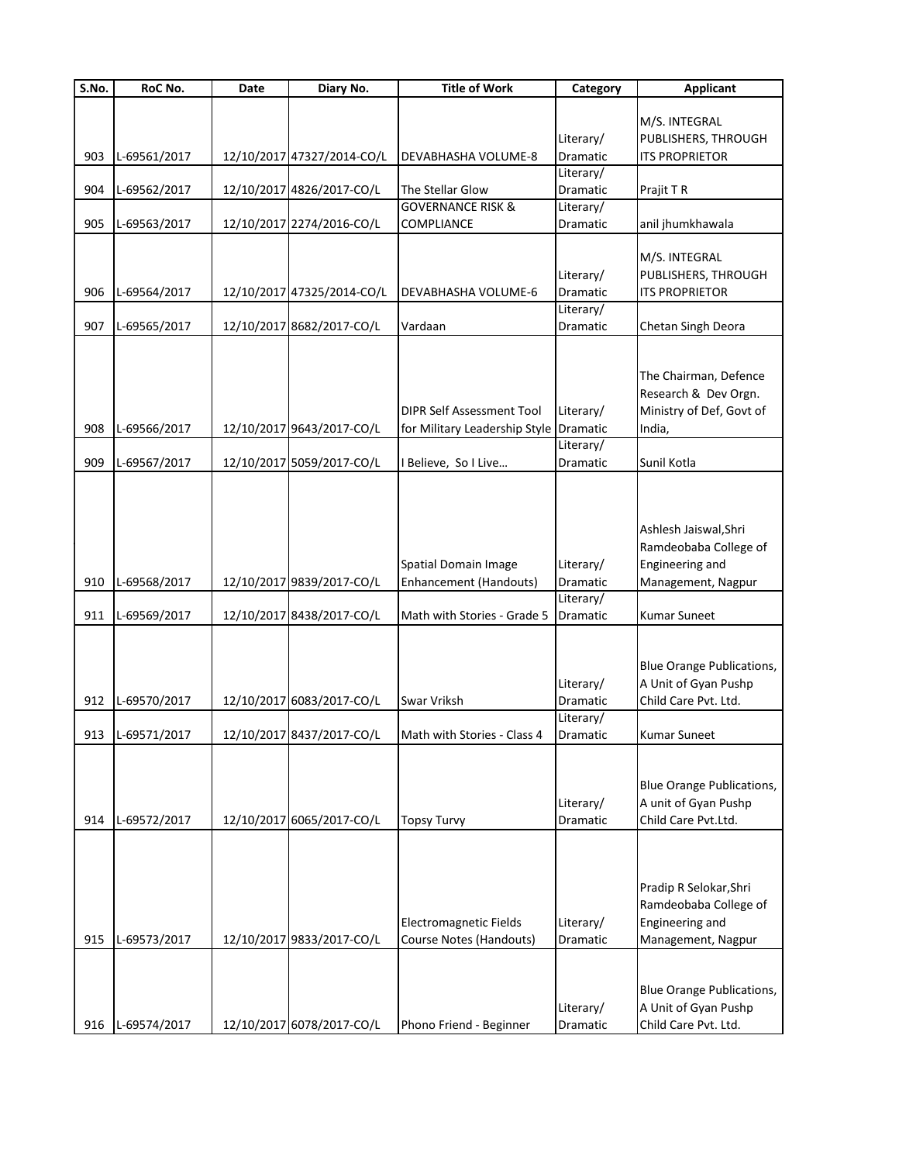| S.No. | RoC No.      | Date | Diary No.                  | <b>Title of Work</b>                                              | Category                           | <b>Applicant</b>                                                                         |
|-------|--------------|------|----------------------------|-------------------------------------------------------------------|------------------------------------|------------------------------------------------------------------------------------------|
|       |              |      |                            |                                                                   | Literary/                          | M/S. INTEGRAL<br>PUBLISHERS, THROUGH                                                     |
| 903   | L-69561/2017 |      | 12/10/2017 47327/2014-CO/L | <b>DEVABHASHA VOLUME-8</b>                                        | Dramatic                           | <b>ITS PROPRIETOR</b>                                                                    |
| 904   | L-69562/2017 |      | 12/10/2017 4826/2017-CO/L  | The Stellar Glow                                                  | Literary/<br>Dramatic              | Prajit T R                                                                               |
|       |              |      |                            | <b>GOVERNANCE RISK &amp;</b>                                      | Literary/                          |                                                                                          |
| 905   | L-69563/2017 |      | 12/10/2017 2274/2016-CO/L  | COMPLIANCE                                                        | Dramatic                           | anil jhumkhawala                                                                         |
| 906   | L-69564/2017 |      | 12/10/2017 47325/2014-CO/L | DEVABHASHA VOLUME-6                                               | Literary/<br>Dramatic<br>Literary/ | M/S. INTEGRAL<br>PUBLISHERS, THROUGH<br><b>ITS PROPRIETOR</b>                            |
| 907   | L-69565/2017 |      | 12/10/2017 8682/2017-CO/L  | Vardaan                                                           | Dramatic                           | Chetan Singh Deora                                                                       |
| 908   | L-69566/2017 |      | 12/10/2017 9643/2017-CO/L  | <b>DIPR Self Assessment Tool</b><br>for Military Leadership Style | Literary/<br>Dramatic<br>Literary/ | The Chairman, Defence<br>Research & Dev Orgn.<br>Ministry of Def, Govt of<br>India,      |
| 909   | L-69567/2017 |      | 12/10/2017 5059/2017-CO/L  | Believe, So I Live                                                | <b>Dramatic</b>                    | Sunil Kotla                                                                              |
| 910   | L-69568/2017 |      | 12/10/2017 9839/2017-CO/L  | Spatial Domain Image<br><b>Enhancement (Handouts)</b>             | Literary/<br>Dramatic<br>Literary/ | Ashlesh Jaiswal, Shri<br>Ramdeobaba College of<br>Engineering and<br>Management, Nagpur  |
| 911   | L-69569/2017 |      | 12/10/2017 8438/2017-CO/L  | Math with Stories - Grade 5                                       | Dramatic                           | <b>Kumar Suneet</b>                                                                      |
| 912   | L-69570/2017 |      | 12/10/2017 6083/2017-CO/L  | Swar Vriksh                                                       | Literary/<br>Dramatic<br>Literary/ | <b>Blue Orange Publications,</b><br>A Unit of Gyan Pushp<br>Child Care Pvt. Ltd.         |
| 913   | L-69571/2017 |      | 12/10/2017 8437/2017-CO/L  | Math with Stories - Class 4                                       | <b>Dramatic</b>                    | <b>Kumar Suneet</b>                                                                      |
| 914   | L-69572/2017 |      | 12/10/2017 6065/2017-CO/L  | <b>Topsy Turvy</b>                                                | Literary/<br>Dramatic              | <b>Blue Orange Publications,</b><br>A unit of Gyan Pushp<br>Child Care Pvt.Ltd.          |
| 915   | L-69573/2017 |      | 12/10/2017 9833/2017-CO/L  | <b>Electromagnetic Fields</b><br>Course Notes (Handouts)          | Literary/<br>Dramatic              | Pradip R Selokar, Shri<br>Ramdeobaba College of<br>Engineering and<br>Management, Nagpur |
| 916   | L-69574/2017 |      | 12/10/2017 6078/2017-CO/L  | Phono Friend - Beginner                                           | Literary/<br>Dramatic              | <b>Blue Orange Publications,</b><br>A Unit of Gyan Pushp<br>Child Care Pvt. Ltd.         |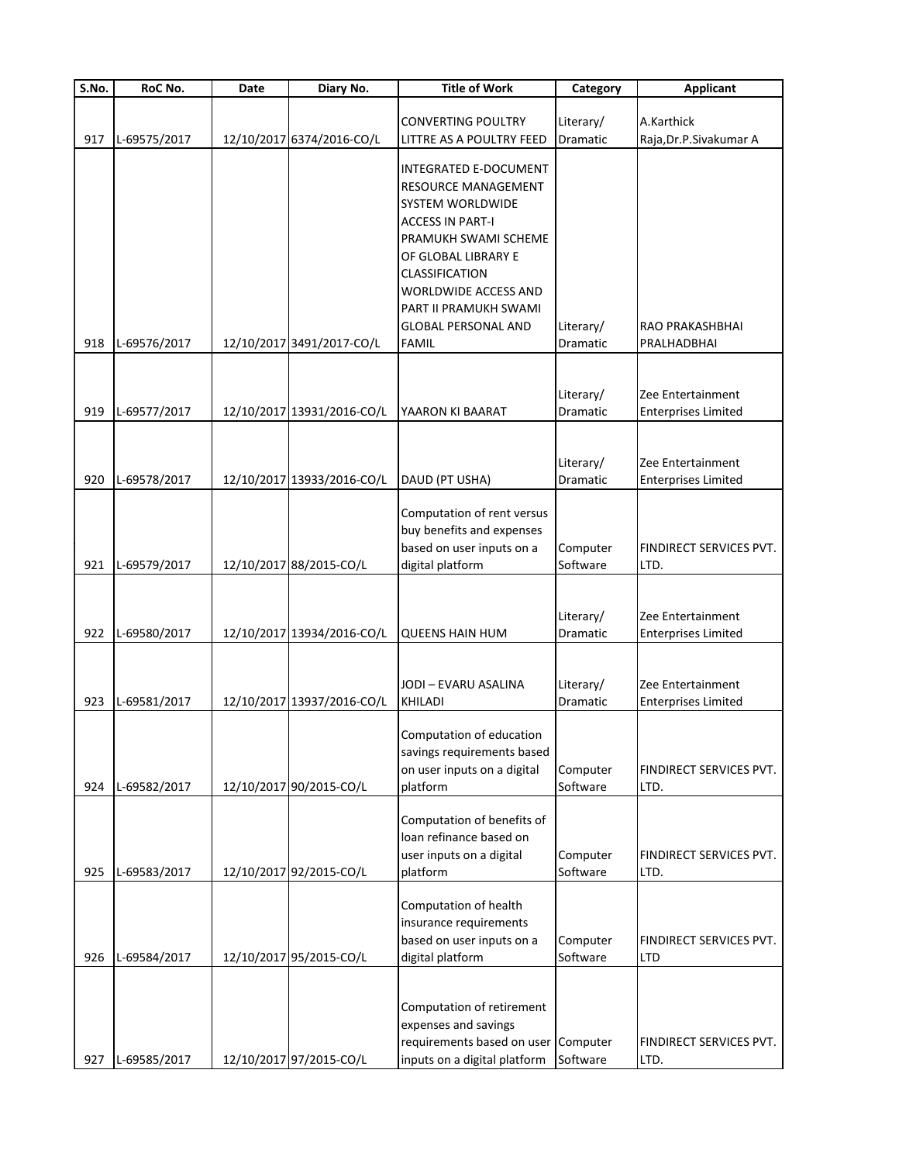| $\overline{\mathsf{S}}$ . No. | RoC No.      | Date | Diary No.                  | <b>Title of Work</b>                         | Category             | <b>Applicant</b>           |
|-------------------------------|--------------|------|----------------------------|----------------------------------------------|----------------------|----------------------------|
|                               |              |      |                            |                                              |                      |                            |
|                               |              |      |                            | <b>CONVERTING POULTRY</b>                    | Literary/            | A.Karthick                 |
| 917                           | L-69575/2017 |      | 12/10/2017 6374/2016-CO/L  | LITTRE AS A POULTRY FEED                     | Dramatic             | Raja, Dr.P. Sivakumar A    |
|                               |              |      |                            | <b>INTEGRATED E-DOCUMENT</b>                 |                      |                            |
|                               |              |      |                            | RESOURCE MANAGEMENT                          |                      |                            |
|                               |              |      |                            | SYSTEM WORLDWIDE                             |                      |                            |
|                               |              |      |                            |                                              |                      |                            |
|                               |              |      |                            | <b>ACCESS IN PART-I</b>                      |                      |                            |
|                               |              |      |                            | PRAMUKH SWAMI SCHEME                         |                      |                            |
|                               |              |      |                            | OF GLOBAL LIBRARY E<br><b>CLASSIFICATION</b> |                      |                            |
|                               |              |      |                            |                                              |                      |                            |
|                               |              |      |                            | WORLDWIDE ACCESS AND                         |                      |                            |
|                               |              |      |                            | PART II PRAMUKH SWAMI                        |                      |                            |
|                               |              |      |                            | <b>GLOBAL PERSONAL AND</b>                   | Literary/            | RAO PRAKASHBHAI            |
| 918                           | L-69576/2017 |      | 12/10/2017 3491/2017-CO/L  | <b>FAMIL</b>                                 | Dramatic             | PRALHADBHAI                |
|                               |              |      |                            |                                              |                      |                            |
|                               |              |      |                            |                                              | Literary/            | Zee Entertainment          |
|                               |              |      |                            |                                              |                      |                            |
| 919                           | L-69577/2017 |      | 12/10/2017 13931/2016-CO/L | YAARON KI BAARAT                             | Dramatic             | <b>Enterprises Limited</b> |
|                               |              |      |                            |                                              |                      |                            |
|                               |              |      |                            |                                              | Literary/            | Zee Entertainment          |
| 920                           | L-69578/2017 |      | 12/10/2017 13933/2016-CO/L | DAUD (PT USHA)                               | Dramatic             | <b>Enterprises Limited</b> |
|                               |              |      |                            |                                              |                      |                            |
|                               |              |      |                            | Computation of rent versus                   |                      |                            |
|                               |              |      |                            | buy benefits and expenses                    |                      |                            |
|                               |              |      |                            | based on user inputs on a                    | Computer             | FINDIRECT SERVICES PVT.    |
| 921                           | L-69579/2017 |      | 12/10/2017 88/2015-CO/L    | digital platform                             | Software             | LTD.                       |
|                               |              |      |                            |                                              |                      |                            |
|                               |              |      |                            |                                              |                      |                            |
|                               |              |      |                            |                                              | Literary/            | Zee Entertainment          |
| 922                           | L-69580/2017 |      | 12/10/2017 13934/2016-CO/L | <b>QUEENS HAIN HUM</b>                       | Dramatic             | <b>Enterprises Limited</b> |
|                               |              |      |                            |                                              |                      |                            |
|                               |              |      |                            |                                              |                      |                            |
|                               |              |      |                            | JODI - EVARU ASALINA                         | Literary/            | Zee Entertainment          |
| 923                           | L-69581/2017 |      | 12/10/2017 13937/2016-CO/L | <b>KHILADI</b>                               | Dramatic             | <b>Enterprises Limited</b> |
|                               |              |      |                            |                                              |                      |                            |
|                               |              |      |                            | Computation of education                     |                      |                            |
|                               |              |      |                            | savings requirements based                   |                      |                            |
|                               |              |      |                            | on user inputs on a digital                  | Computer<br>Software | FINDIRECT SERVICES PVT.    |
| 924                           | L-69582/2017 |      | 12/10/2017 90/2015-CO/L    | platform                                     |                      | LTD.                       |
|                               |              |      |                            | Computation of benefits of                   |                      |                            |
|                               |              |      |                            | loan refinance based on                      |                      |                            |
|                               |              |      |                            | user inputs on a digital                     | Computer             | FINDIRECT SERVICES PVT.    |
| 925                           | L-69583/2017 |      | 12/10/2017 92/2015-CO/L    | platform                                     | Software             | LTD.                       |
|                               |              |      |                            |                                              |                      |                            |
|                               |              |      |                            | Computation of health                        |                      |                            |
|                               |              |      |                            | insurance requirements                       |                      |                            |
|                               |              |      |                            | based on user inputs on a                    | Computer             | FINDIRECT SERVICES PVT.    |
| 926                           | L-69584/2017 |      | 12/10/2017 95/2015-CO/L    | digital platform                             | Software             | <b>LTD</b>                 |
|                               |              |      |                            |                                              |                      |                            |
|                               |              |      |                            |                                              |                      |                            |
|                               |              |      |                            | Computation of retirement                    |                      |                            |
|                               |              |      |                            | expenses and savings                         |                      |                            |
|                               |              |      |                            | requirements based on user                   | Computer             | FINDIRECT SERVICES PVT.    |
| 927                           | L-69585/2017 |      | 12/10/2017 97/2015-CO/L    | inputs on a digital platform                 | Software             | LTD.                       |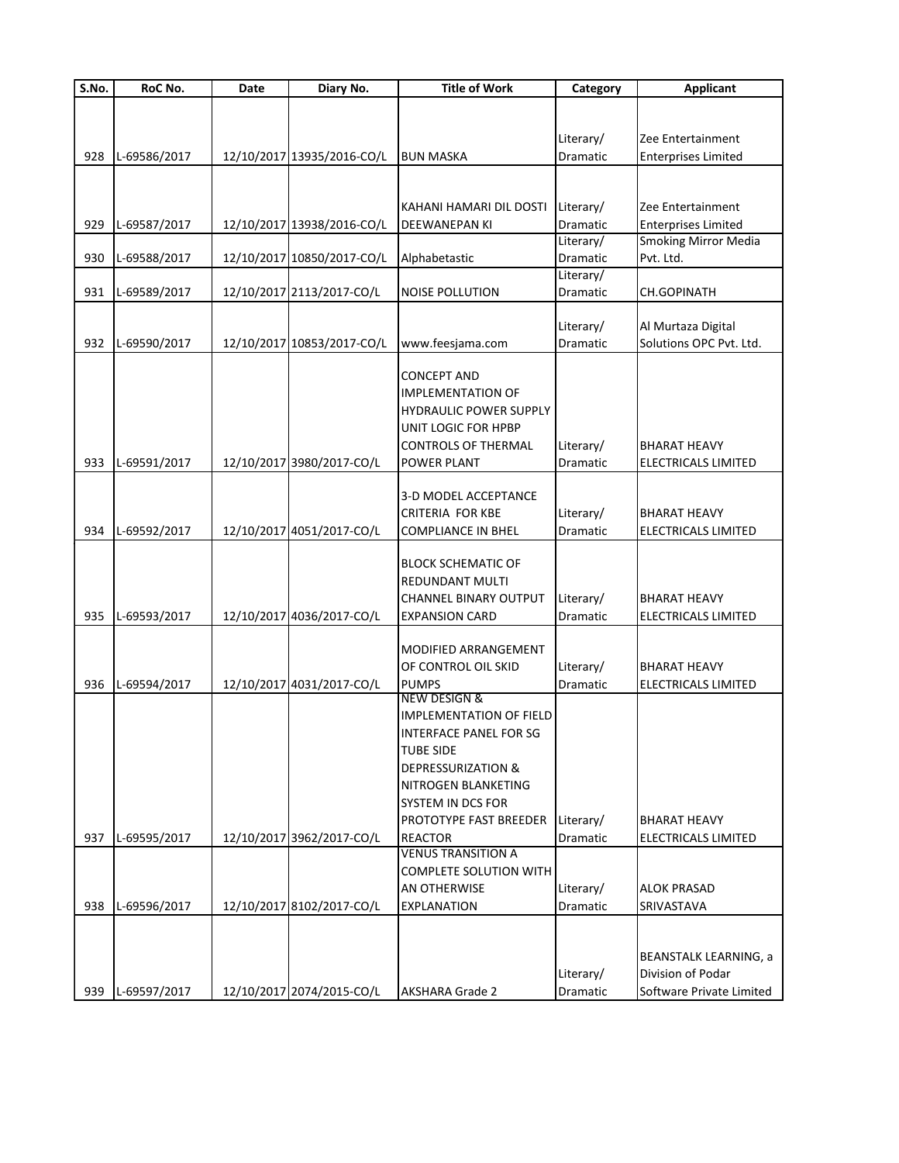| S.No. | RoC No.      | Date | Diary No.                  | <b>Title of Work</b>                        | Category              | <b>Applicant</b>             |
|-------|--------------|------|----------------------------|---------------------------------------------|-----------------------|------------------------------|
|       |              |      |                            |                                             |                       |                              |
|       |              |      |                            |                                             |                       |                              |
|       |              |      |                            |                                             | Literary/             | Zee Entertainment            |
| 928   | L-69586/2017 |      | 12/10/2017 13935/2016-CO/L | <b>BUN MASKA</b>                            | Dramatic              | <b>Enterprises Limited</b>   |
|       |              |      |                            |                                             |                       |                              |
|       |              |      |                            |                                             |                       |                              |
|       |              |      |                            | KAHANI HAMARI DIL DOSTI                     | Literary/             | Zee Entertainment            |
| 929   | L-69587/2017 |      | 12/10/2017 13938/2016-CO/L | DEEWANEPAN KI                               | Dramatic              | <b>Enterprises Limited</b>   |
|       |              |      |                            |                                             | Literary/             | <b>Smoking Mirror Media</b>  |
| 930   | L-69588/2017 |      | 12/10/2017 10850/2017-CO/L | Alphabetastic                               | Dramatic              | Pvt. Ltd.                    |
|       |              |      |                            |                                             | Literary/             |                              |
| 931   | L-69589/2017 |      | 12/10/2017 2113/2017-CO/L  | <b>NOISE POLLUTION</b>                      | Dramatic              | CH.GOPINATH                  |
|       |              |      |                            |                                             |                       |                              |
|       |              |      |                            |                                             | Literary/             | Al Murtaza Digital           |
| 932   | L-69590/2017 |      | 12/10/2017 10853/2017-CO/L | www.feesjama.com                            | Dramatic              | Solutions OPC Pvt. Ltd.      |
|       |              |      |                            | CONCEPT AND                                 |                       |                              |
|       |              |      |                            | <b>IMPLEMENTATION OF</b>                    |                       |                              |
|       |              |      |                            | <b>HYDRAULIC POWER SUPPLY</b>               |                       |                              |
|       |              |      |                            | UNIT LOGIC FOR HPBP                         |                       |                              |
|       |              |      |                            | <b>CONTROLS OF THERMAL</b>                  | Literary/             | <b>BHARAT HEAVY</b>          |
| 933   | L-69591/2017 |      | 12/10/2017 3980/2017-CO/L  | POWER PLANT                                 | Dramatic              | ELECTRICALS LIMITED          |
|       |              |      |                            |                                             |                       |                              |
|       |              |      |                            | 3-D MODEL ACCEPTANCE                        |                       |                              |
|       |              |      |                            | <b>CRITERIA FOR KBE</b>                     | Literary/             | <b>BHARAT HEAVY</b>          |
| 934   | L-69592/2017 |      | 12/10/2017 4051/2017-CO/L  | <b>COMPLIANCE IN BHEL</b>                   | Dramatic              | ELECTRICALS LIMITED          |
|       |              |      |                            |                                             |                       |                              |
|       |              |      |                            | <b>BLOCK SCHEMATIC OF</b>                   |                       |                              |
|       |              |      |                            | REDUNDANT MULTI                             |                       |                              |
|       |              |      |                            | <b>CHANNEL BINARY OUTPUT</b>                | Literary/             | BHARAT HEAVY                 |
| 935   | L-69593/2017 |      | 12/10/2017 4036/2017-CO/L  | <b>EXPANSION CARD</b>                       | Dramatic              | ELECTRICALS LIMITED          |
|       |              |      |                            |                                             |                       |                              |
|       |              |      |                            | MODIFIED ARRANGEMENT                        |                       |                              |
|       |              |      |                            | OF CONTROL OIL SKID                         | Literary/             | BHARAT HEAVY                 |
| 936   | L-69594/2017 |      | 12/10/2017 4031/2017-CO/L  | <b>PUMPS</b>                                | Dramatic              | ELECTRICALS LIMITED          |
|       |              |      |                            | NEW DESIGN &                                |                       |                              |
|       |              |      |                            | <b>IMPLEMENTATION OF FIELD</b>              |                       |                              |
|       |              |      |                            | <b>INTERFACE PANEL FOR SG</b>               |                       |                              |
|       |              |      |                            | TUBE SIDE                                   |                       |                              |
|       |              |      |                            | DEPRESSURIZATION &                          |                       |                              |
|       |              |      |                            | NITROGEN BLANKETING                         |                       |                              |
|       |              |      |                            | SYSTEM IN DCS FOR                           |                       |                              |
|       |              |      |                            | PROTOTYPE FAST BREEDER                      | Literary/             | BHARAT HEAVY                 |
| 937   | L-69595/2017 |      | 12/10/2017 3962/2017-CO/L  | <b>REACTOR</b><br><b>VENUS TRANSITION A</b> | Dramatic              | ELECTRICALS LIMITED          |
|       |              |      |                            | COMPLETE SOLUTION WITH                      |                       |                              |
|       |              |      |                            | AN OTHERWISE                                |                       | <b>ALOK PRASAD</b>           |
| 938   | L-69596/2017 |      | 12/10/2017 8102/2017-CO/L  | <b>EXPLANATION</b>                          | Literary/<br>Dramatic | SRIVASTAVA                   |
|       |              |      |                            |                                             |                       |                              |
|       |              |      |                            |                                             |                       |                              |
|       |              |      |                            |                                             |                       | <b>BEANSTALK LEARNING, a</b> |
|       |              |      |                            |                                             | Literary/             | Division of Podar            |
| 939   | L-69597/2017 |      | 12/10/2017 2074/2015-CO/L  | <b>AKSHARA Grade 2</b>                      | Dramatic              | Software Private Limited     |
|       |              |      |                            |                                             |                       |                              |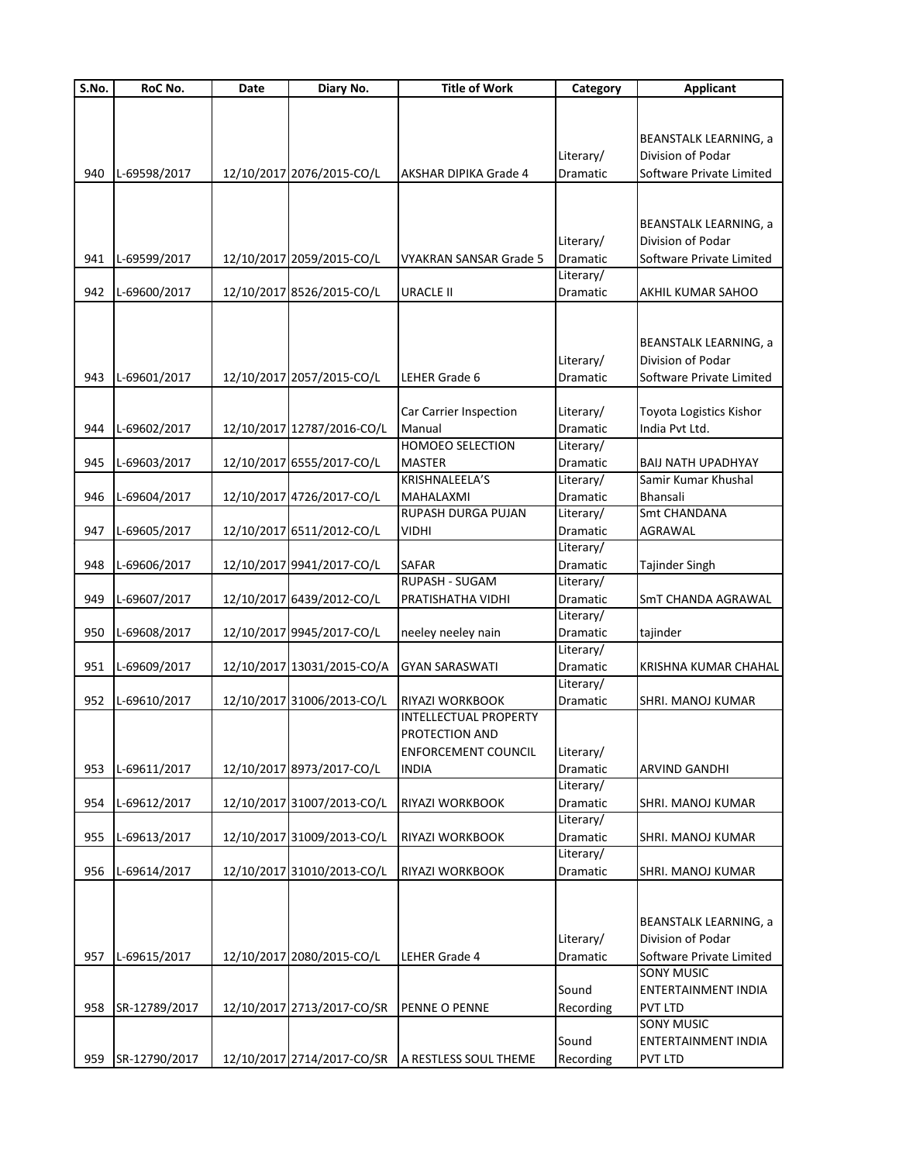| S.No. | RoC No.       | Date | Diary No.                  | <b>Title of Work</b>                   | Category              | <b>Applicant</b>             |
|-------|---------------|------|----------------------------|----------------------------------------|-----------------------|------------------------------|
|       |               |      |                            |                                        |                       |                              |
|       |               |      |                            |                                        |                       |                              |
|       |               |      |                            |                                        |                       | BEANSTALK LEARNING, a        |
|       |               |      |                            |                                        | Literary/             | Division of Podar            |
| 940   | L-69598/2017  |      | 12/10/2017 2076/2015-CO/L  | <b>AKSHAR DIPIKA Grade 4</b>           | <b>Dramatic</b>       | Software Private Limited     |
|       |               |      |                            |                                        |                       |                              |
|       |               |      |                            |                                        |                       |                              |
|       |               |      |                            |                                        |                       | BEANSTALK LEARNING, a        |
|       |               |      |                            |                                        | Literary/             | Division of Podar            |
| 941   | L-69599/2017  |      | 12/10/2017 2059/2015-CO/L  | <b>VYAKRAN SANSAR Grade 5</b>          | Dramatic              | Software Private Limited     |
|       |               |      |                            |                                        | Literary/             |                              |
| 942   | L-69600/2017  |      | 12/10/2017 8526/2015-CO/L  | <b>URACLE II</b>                       | Dramatic              | AKHIL KUMAR SAHOO            |
|       |               |      |                            |                                        |                       |                              |
|       |               |      |                            |                                        |                       |                              |
|       |               |      |                            |                                        |                       | <b>BEANSTALK LEARNING, a</b> |
|       |               |      |                            |                                        | Literary/             | Division of Podar            |
| 943   | L-69601/2017  |      | 12/10/2017 2057/2015-CO/L  | LEHER Grade 6                          | Dramatic              | Software Private Limited     |
|       |               |      |                            |                                        |                       |                              |
|       |               |      |                            | Car Carrier Inspection                 | Literary/             | Toyota Logistics Kishor      |
| 944   | L-69602/2017  |      | 12/10/2017 12787/2016-CO/L | Manual                                 | Dramatic              | India Pvt Ltd.               |
|       |               |      |                            | <b>HOMOEO SELECTION</b>                | Literary/             |                              |
| 945   | L-69603/2017  |      | 12/10/2017 6555/2017-CO/L  | <b>MASTER</b><br><b>KRISHNALEELA'S</b> | Dramatic              | <b>BAIJ NATH UPADHYAY</b>    |
|       |               |      |                            |                                        | Literary/             | Samir Kumar Khushal          |
| 946   | L-69604/2017  |      | 12/10/2017 4726/2017-CO/L  | MAHALAXMI                              | Dramatic              | Bhansali                     |
|       |               |      |                            | RUPASH DURGA PUJAN                     | Literary/<br>Dramatic | Smt CHANDANA                 |
| 947   | L-69605/2017  |      | 12/10/2017 6511/2012-CO/L  | <b>VIDHI</b>                           | Literary/             | AGRAWAL                      |
| 948   |               |      | 12/10/2017 9941/2017-CO/L  | <b>SAFAR</b>                           | Dramatic              |                              |
|       | L-69606/2017  |      |                            | RUPASH - SUGAM                         | Literary/             | Tajinder Singh               |
| 949   | L-69607/2017  |      | 12/10/2017 6439/2012-CO/L  | PRATISHATHA VIDHI                      | Dramatic              | SmT CHANDA AGRAWAL           |
|       |               |      |                            |                                        | Literary/             |                              |
| 950   | L-69608/2017  |      | 12/10/2017 9945/2017-CO/L  | neeley neeley nain                     | Dramatic              | tajinder                     |
|       |               |      |                            |                                        | Literary/             |                              |
| 951   | L-69609/2017  |      | 12/10/2017 13031/2015-CO/A | <b>GYAN SARASWATI</b>                  | Dramatic              | KRISHNA KUMAR CHAHAL         |
|       |               |      |                            |                                        | Literary/             |                              |
| 952   | L-69610/2017  |      | 12/10/2017 31006/2013-CO/L | RIYAZI WORKBOOK                        | Dramatic              | SHRI. MANOJ KUMAR            |
|       |               |      |                            | <b>INTELLECTUAL PROPERTY</b>           |                       |                              |
|       |               |      |                            | PROTECTION AND                         |                       |                              |
|       |               |      |                            | <b>ENFORCEMENT COUNCIL</b>             | Literary/             |                              |
| 953   | L-69611/2017  |      | 12/10/2017 8973/2017-CO/L  | <b>INDIA</b>                           | Dramatic              | ARVIND GANDHI                |
|       |               |      |                            |                                        | Literary/             |                              |
| 954   | L-69612/2017  |      | 12/10/2017 31007/2013-CO/L | RIYAZI WORKBOOK                        | Dramatic              | SHRI. MANOJ KUMAR            |
|       |               |      |                            |                                        | Literary/             |                              |
| 955   | L-69613/2017  |      | 12/10/2017 31009/2013-CO/L | RIYAZI WORKBOOK                        | Dramatic              | SHRI. MANOJ KUMAR            |
|       |               |      |                            |                                        | Literary/             |                              |
| 956   | L-69614/2017  |      | 12/10/2017 31010/2013-CO/L | RIYAZI WORKBOOK                        | Dramatic              | SHRI. MANOJ KUMAR            |
|       |               |      |                            |                                        |                       |                              |
|       |               |      |                            |                                        |                       |                              |
|       |               |      |                            |                                        |                       | <b>BEANSTALK LEARNING, a</b> |
|       |               |      |                            |                                        | Literary/             | Division of Podar            |
| 957   | L-69615/2017  |      | 12/10/2017 2080/2015-CO/L  | LEHER Grade 4                          | Dramatic              | Software Private Limited     |
|       |               |      |                            |                                        |                       | <b>SONY MUSIC</b>            |
|       |               |      |                            |                                        | Sound                 | ENTERTAINMENT INDIA          |
| 958   | SR-12789/2017 |      | 12/10/2017 2713/2017-CO/SR | PENNE O PENNE                          | Recording             | <b>PVT LTD</b>               |
|       |               |      |                            |                                        |                       | <b>SONY MUSIC</b>            |
|       |               |      |                            |                                        | Sound                 | ENTERTAINMENT INDIA          |
| 959   | SR-12790/2017 |      | 12/10/2017 2714/2017-CO/SR | A RESTLESS SOUL THEME                  | Recording             | <b>PVT LTD</b>               |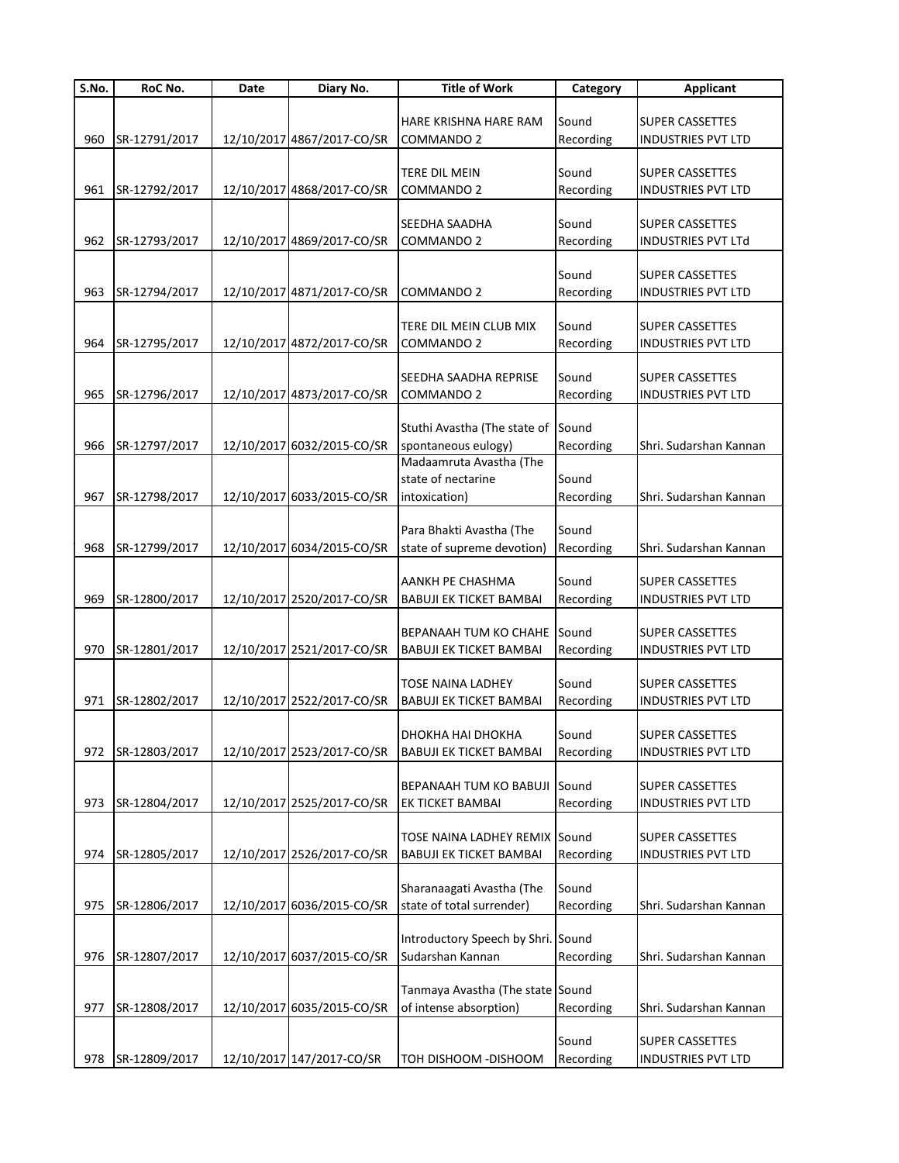| S.No. | RoC No.       | Date | Diary No.                  | <b>Title of Work</b>               | Category  | <b>Applicant</b>          |
|-------|---------------|------|----------------------------|------------------------------------|-----------|---------------------------|
|       |               |      |                            |                                    |           |                           |
|       |               |      |                            | HARE KRISHNA HARE RAM              | Sound     | <b>SUPER CASSETTES</b>    |
| 960   | SR-12791/2017 |      | 12/10/2017 4867/2017-CO/SR | <b>COMMANDO 2</b>                  | Recording | <b>INDUSTRIES PVT LTD</b> |
|       |               |      |                            |                                    |           |                           |
|       |               |      |                            | <b>TERE DIL MEIN</b>               | Sound     | <b>SUPER CASSETTES</b>    |
| 961   | SR-12792/2017 |      | 12/10/2017 4868/2017-CO/SR | <b>COMMANDO 2</b>                  | Recording | <b>INDUSTRIES PVT LTD</b> |
|       |               |      |                            |                                    |           |                           |
|       |               |      |                            | SEEDHA SAADHA                      | Sound     | <b>SUPER CASSETTES</b>    |
| 962   | SR-12793/2017 |      | 12/10/2017 4869/2017-CO/SR | COMMANDO 2                         | Recording | <b>INDUSTRIES PVT LTd</b> |
|       |               |      |                            |                                    |           |                           |
|       |               |      |                            |                                    | Sound     | <b>SUPER CASSETTES</b>    |
| 963   | SR-12794/2017 |      | 12/10/2017 4871/2017-CO/SR | COMMANDO 2                         | Recording | <b>INDUSTRIES PVT LTD</b> |
|       |               |      |                            |                                    |           |                           |
|       |               |      |                            | TERE DIL MEIN CLUB MIX             | Sound     | <b>SUPER CASSETTES</b>    |
| 964   | SR-12795/2017 |      | 12/10/2017 4872/2017-CO/SR | COMMANDO 2                         | Recording | <b>INDUSTRIES PVT LTD</b> |
|       |               |      |                            |                                    |           |                           |
|       |               |      |                            | SEEDHA SAADHA REPRISE              | Sound     | <b>SUPER CASSETTES</b>    |
|       |               |      |                            |                                    |           |                           |
| 965   | SR-12796/2017 |      | 12/10/2017 4873/2017-CO/SR | COMMANDO 2                         | Recording | <b>INDUSTRIES PVT LTD</b> |
|       |               |      |                            |                                    |           |                           |
|       |               |      |                            | Stuthi Avastha (The state of       | Sound     |                           |
| 966   | SR-12797/2017 |      | 12/10/2017 6032/2015-CO/SR | spontaneous eulogy)                | Recording | Shri. Sudarshan Kannan    |
|       |               |      |                            | Madaamruta Avastha (The            |           |                           |
|       |               |      |                            | state of nectarine                 | Sound     |                           |
| 967   | SR-12798/2017 |      | 12/10/2017 6033/2015-CO/SR | intoxication)                      | Recording | Shri. Sudarshan Kannan    |
|       |               |      |                            |                                    |           |                           |
|       |               |      |                            | Para Bhakti Avastha (The           | Sound     |                           |
| 968   | SR-12799/2017 |      | 12/10/2017 6034/2015-CO/SR | state of supreme devotion)         | Recording | Shri. Sudarshan Kannan    |
|       |               |      |                            |                                    |           |                           |
|       |               |      |                            | AANKH PE CHASHMA                   | Sound     | <b>SUPER CASSETTES</b>    |
| 969   | SR-12800/2017 |      | 12/10/2017 2520/2017-CO/SR | <b>BABUJI EK TICKET BAMBAI</b>     | Recording | <b>INDUSTRIES PVT LTD</b> |
|       |               |      |                            |                                    |           |                           |
|       |               |      |                            | <b>BEPANAAH TUM KO CHAHE</b>       | Sound     | <b>SUPER CASSETTES</b>    |
| 970   | SR-12801/2017 |      | 12/10/2017 2521/2017-CO/SR | <b>BABUJI EK TICKET BAMBAI</b>     | Recording | <b>INDUSTRIES PVT LTD</b> |
|       |               |      |                            |                                    |           |                           |
|       |               |      |                            | <b>TOSE NAINA LADHEY</b>           | Sound     | <b>SUPER CASSETTES</b>    |
| 971   | SR-12802/2017 |      | 12/10/2017 2522/2017-CO/SR | <b>BABUJI EK TICKET BAMBAI</b>     | Recording | <b>INDUSTRIES PVT LTD</b> |
|       |               |      |                            |                                    |           |                           |
|       |               |      |                            | DHOKHA HAI DHOKHA                  | Sound     | <b>SUPER CASSETTES</b>    |
| 972   | SR-12803/2017 |      | 12/10/2017 2523/2017-CO/SR | <b>BABUJI EK TICKET BAMBAI</b>     | Recording | <b>INDUSTRIES PVT LTD</b> |
|       |               |      |                            |                                    |           |                           |
|       |               |      |                            | BEPANAAH TUM KO BABUJI             | Sound     | <b>SUPER CASSETTES</b>    |
| 973   | SR-12804/2017 |      | 12/10/2017 2525/2017-CO/SR | EK TICKET BAMBAI                   | Recording | <b>INDUSTRIES PVT LTD</b> |
|       |               |      |                            |                                    |           |                           |
|       |               |      |                            | TOSE NAINA LADHEY REMIX Sound      |           | <b>SUPER CASSETTES</b>    |
| 974   | SR-12805/2017 |      | 12/10/2017 2526/2017-CO/SR | <b>BABUJI EK TICKET BAMBAI</b>     | Recording | INDUSTRIES PVT LTD        |
|       |               |      |                            |                                    |           |                           |
|       |               |      |                            | Sharanaagati Avastha (The          | Sound     |                           |
| 975   | SR-12806/2017 |      | 12/10/2017 6036/2015-CO/SR | state of total surrender)          |           | Shri. Sudarshan Kannan    |
|       |               |      |                            |                                    | Recording |                           |
|       |               |      |                            |                                    |           |                           |
|       |               |      |                            | Introductory Speech by Shri. Sound |           |                           |
| 976   | SR-12807/2017 |      | 12/10/2017 6037/2015-CO/SR | Sudarshan Kannan                   | Recording | Shri. Sudarshan Kannan    |
|       |               |      |                            |                                    |           |                           |
|       |               |      |                            | Tanmaya Avastha (The state Sound   |           |                           |
| 977   | SR-12808/2017 |      | 12/10/2017 6035/2015-CO/SR | of intense absorption)             | Recording | Shri. Sudarshan Kannan    |
|       |               |      |                            |                                    |           |                           |
|       |               |      |                            |                                    | Sound     | <b>SUPER CASSETTES</b>    |
| 978   | SR-12809/2017 |      | 12/10/2017 147/2017-CO/SR  | TOH DISHOOM -DISHOOM               | Recording | INDUSTRIES PVT LTD        |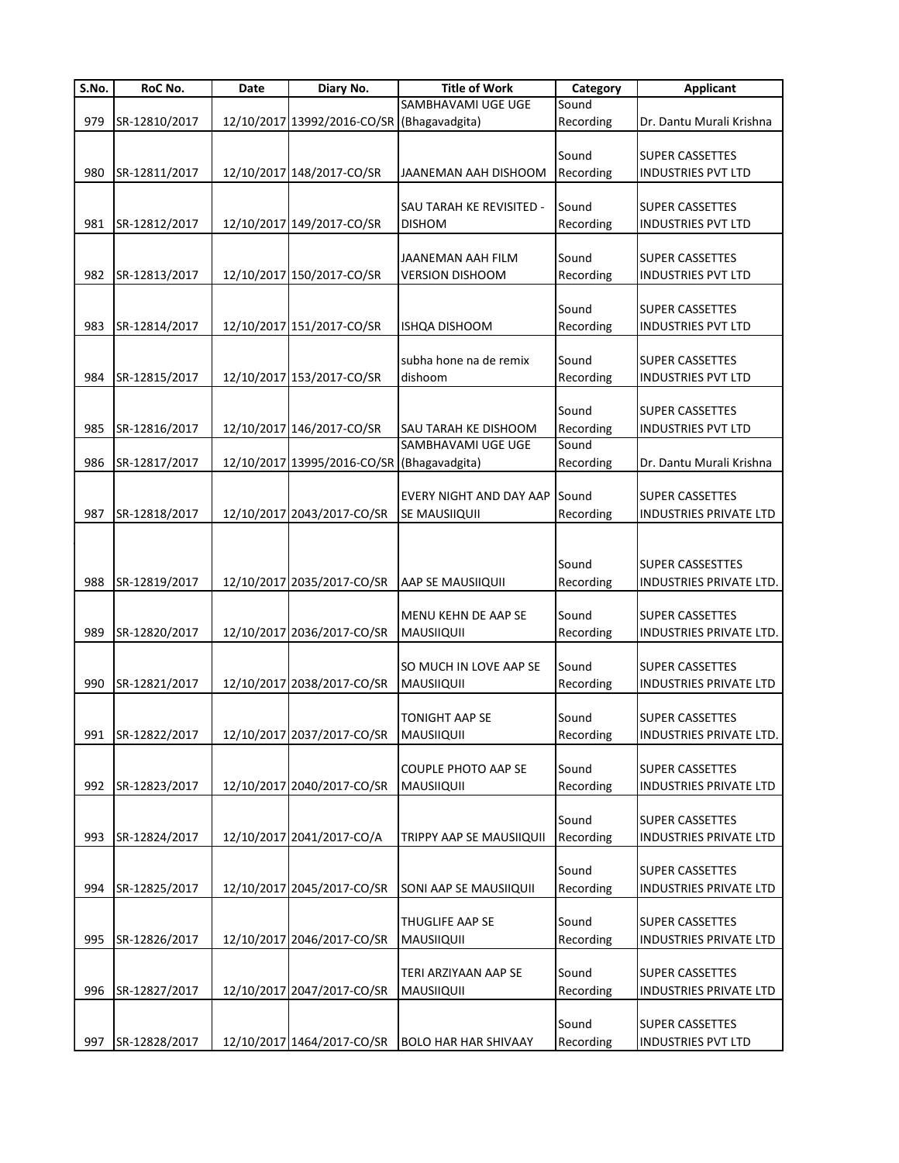| S.No. | RoC No.       | Date | Diary No.                                  | <b>Title of Work</b>           | Category  | <b>Applicant</b>              |
|-------|---------------|------|--------------------------------------------|--------------------------------|-----------|-------------------------------|
|       |               |      |                                            | SAMBHAVAMI UGE UGE             | Sound     |                               |
| 979   | SR-12810/2017 |      | 12/10/2017 13992/2016-CO/SR (Bhagavadgita) |                                | Recording | Dr. Dantu Murali Krishna      |
|       |               |      |                                            |                                |           |                               |
|       |               |      |                                            |                                | Sound     | <b>SUPER CASSETTES</b>        |
| 980   | SR-12811/2017 |      | 12/10/2017 148/2017-CO/SR                  | JAANEMAN AAH DISHOOM           | Recording | <b>INDUSTRIES PVT LTD</b>     |
|       |               |      |                                            | SAU TARAH KE REVISITED -       | Sound     | <b>SUPER CASSETTES</b>        |
| 981   | SR-12812/2017 |      | 12/10/2017 149/2017-CO/SR                  | <b>DISHOM</b>                  | Recording | <b>INDUSTRIES PVT LTD</b>     |
|       |               |      |                                            |                                |           |                               |
|       |               |      |                                            | JAANEMAN AAH FILM              | Sound     | <b>SUPER CASSETTES</b>        |
| 982   | SR-12813/2017 |      | 12/10/2017 150/2017-CO/SR                  | <b>VERSION DISHOOM</b>         | Recording | <b>INDUSTRIES PVT LTD</b>     |
|       |               |      |                                            |                                |           |                               |
|       |               |      |                                            |                                | Sound     | <b>SUPER CASSETTES</b>        |
| 983   | SR-12814/2017 |      | 12/10/2017 151/2017-CO/SR                  | ISHQA DISHOOM                  | Recording | <b>INDUSTRIES PVT LTD</b>     |
|       |               |      |                                            |                                |           |                               |
|       |               |      |                                            | subha hone na de remix         | Sound     | <b>SUPER CASSETTES</b>        |
| 984   | SR-12815/2017 |      | 12/10/2017 153/2017-CO/SR                  | dishoom                        | Recording | <b>INDUSTRIES PVT LTD</b>     |
|       |               |      |                                            |                                |           |                               |
|       |               |      |                                            |                                | Sound     | <b>SUPER CASSETTES</b>        |
| 985   | SR-12816/2017 |      | 12/10/2017 146/2017-CO/SR                  | SAU TARAH KE DISHOOM           | Recording | <b>INDUSTRIES PVT LTD</b>     |
|       |               |      |                                            | SAMBHAVAMI UGE UGE             | Sound     |                               |
| 986   | SR-12817/2017 |      | 12/10/2017 13995/2016-CO/SR (Bhagavadgita) |                                | Recording | Dr. Dantu Murali Krishna      |
|       |               |      |                                            | <b>EVERY NIGHT AND DAY AAP</b> | Sound     | <b>SUPER CASSETTES</b>        |
| 987   | SR-12818/2017 |      | 12/10/2017 2043/2017-CO/SR                 | SE MAUSIIQUII                  | Recording | INDUSTRIES PRIVATE LTD        |
|       |               |      |                                            |                                |           |                               |
|       |               |      |                                            |                                |           |                               |
|       |               |      |                                            |                                | Sound     | <b>SUPER CASSESTTES</b>       |
| 988   | SR-12819/2017 |      | 12/10/2017 2035/2017-CO/SR                 | AAP SE MAUSIIQUII              | Recording | INDUSTRIES PRIVATE LTD.       |
|       |               |      |                                            |                                |           |                               |
|       |               |      |                                            | MENU KEHN DE AAP SE            | Sound     | <b>SUPER CASSETTES</b>        |
| 989   | SR-12820/2017 |      | 12/10/2017 2036/2017-CO/SR                 | <b>MAUSIIQUII</b>              | Recording | INDUSTRIES PRIVATE LTD.       |
|       |               |      |                                            |                                |           |                               |
|       |               |      |                                            | SO MUCH IN LOVE AAP SE         | Sound     | <b>SUPER CASSETTES</b>        |
| 990   | SR-12821/2017 |      | 12/10/2017 2038/2017-CO/SR                 | <b>MAUSIIQUII</b>              | Recording | INDUSTRIES PRIVATE LTD        |
|       |               |      |                                            |                                |           |                               |
|       |               |      |                                            | <b>TONIGHT AAP SE</b>          | Sound     | <b>SUPER CASSETTES</b>        |
| 991   | SR-12822/2017 |      | 12/10/2017 2037/2017-CO/SR                 | <b>MAUSIIQUII</b>              | Recording | INDUSTRIES PRIVATE LTD.       |
|       |               |      |                                            |                                |           |                               |
|       |               |      |                                            | <b>COUPLE PHOTO AAP SE</b>     | Sound     | <b>SUPER CASSETTES</b>        |
| 992   | SR-12823/2017 |      | 12/10/2017 2040/2017-CO/SR                 | <b>MAUSIIQUII</b>              | Recording | <b>INDUSTRIES PRIVATE LTD</b> |
|       |               |      |                                            |                                |           |                               |
|       |               |      |                                            |                                | Sound     | <b>SUPER CASSETTES</b>        |
| 993   | SR-12824/2017 |      | 12/10/2017 2041/2017-CO/A                  | TRIPPY AAP SE MAUSIIQUII       | Recording | INDUSTRIES PRIVATE LTD        |
|       |               |      |                                            |                                |           |                               |
|       |               |      |                                            |                                | Sound     | <b>SUPER CASSETTES</b>        |
| 994   | SR-12825/2017 |      | 12/10/2017 2045/2017-CO/SR                 | SONI AAP SE MAUSIIQUII         | Recording | INDUSTRIES PRIVATE LTD        |
|       |               |      |                                            | THUGLIFE AAP SE                | Sound     | <b>SUPER CASSETTES</b>        |
| 995   | SR-12826/2017 |      | 12/10/2017 2046/2017-CO/SR                 | <b>MAUSIIQUII</b>              | Recording | INDUSTRIES PRIVATE LTD        |
|       |               |      |                                            |                                |           |                               |
|       |               |      |                                            | TERI ARZIYAAN AAP SE           | Sound     | <b>SUPER CASSETTES</b>        |
| 996   | SR-12827/2017 |      | 12/10/2017 2047/2017-CO/SR                 | <b>MAUSIIQUII</b>              | Recording | INDUSTRIES PRIVATE LTD        |
|       |               |      |                                            |                                |           |                               |
|       |               |      |                                            |                                | Sound     | <b>SUPER CASSETTES</b>        |
| 997   | SR-12828/2017 |      | 12/10/2017 1464/2017-CO/SR                 | <b>BOLO HAR HAR SHIVAAY</b>    | Recording | <b>INDUSTRIES PVT LTD</b>     |
|       |               |      |                                            |                                |           |                               |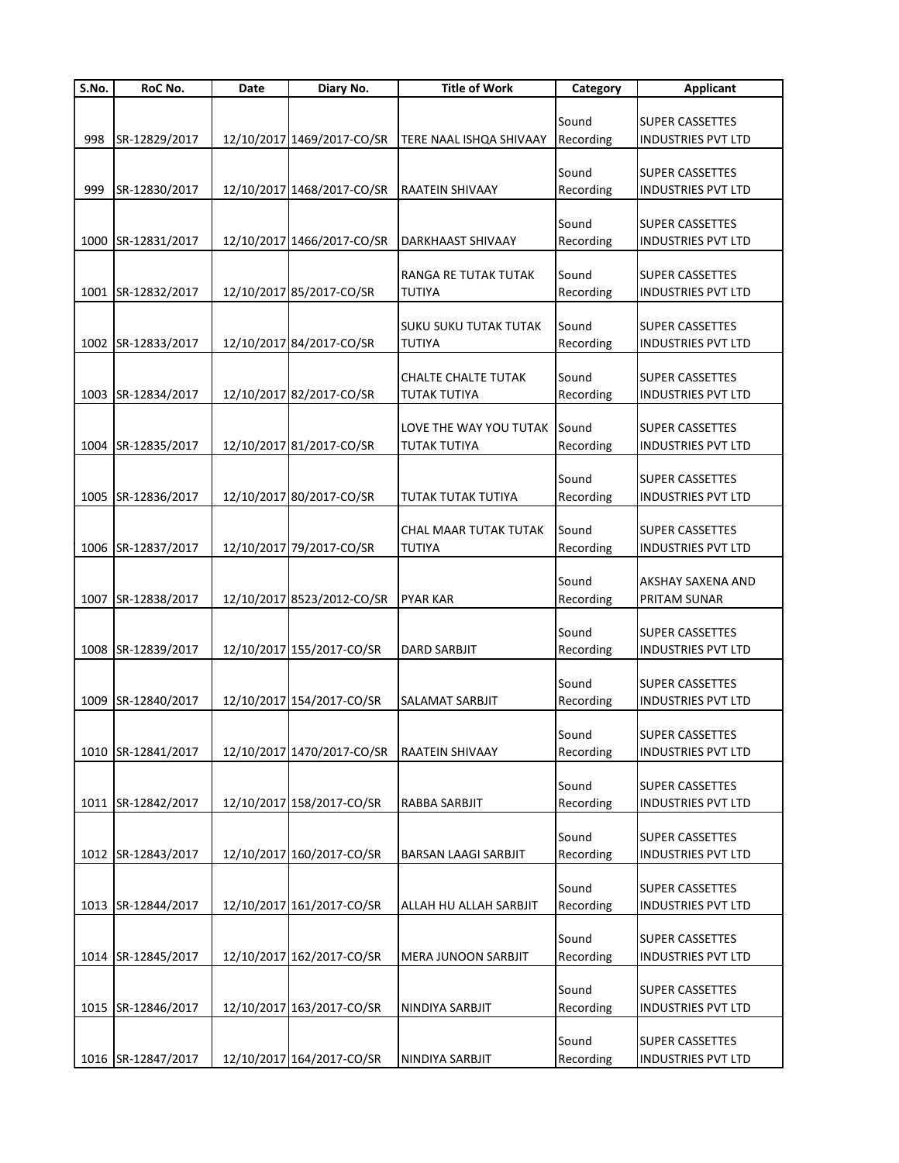| S.No. | RoC No.            | Date | Diary No.                  | <b>Title of Work</b>       | Category  | <b>Applicant</b>          |
|-------|--------------------|------|----------------------------|----------------------------|-----------|---------------------------|
|       |                    |      |                            |                            |           |                           |
|       |                    |      |                            |                            | Sound     | <b>SUPER CASSETTES</b>    |
| 998   | SR-12829/2017      |      | 12/10/2017 1469/2017-CO/SR | TERE NAAL ISHQA SHIVAAY    | Recording | <b>INDUSTRIES PVT LTD</b> |
|       |                    |      |                            |                            |           |                           |
|       |                    |      |                            |                            | Sound     | <b>SUPER CASSETTES</b>    |
| 999   | SR-12830/2017      |      | 12/10/2017 1468/2017-CO/SR | <b>RAATEIN SHIVAAY</b>     | Recording | <b>INDUSTRIES PVT LTD</b> |
|       |                    |      |                            |                            |           |                           |
|       |                    |      |                            |                            | Sound     | <b>SUPER CASSETTES</b>    |
|       | 1000 SR-12831/2017 |      | 12/10/2017 1466/2017-CO/SR | DARKHAAST SHIVAAY          | Recording | <b>INDUSTRIES PVT LTD</b> |
|       |                    |      |                            |                            |           |                           |
|       |                    |      |                            | RANGA RE TUTAK TUTAK       | Sound     | <b>SUPER CASSETTES</b>    |
|       |                    |      |                            |                            |           |                           |
|       | 1001 SR-12832/2017 |      | 12/10/2017 85/2017-CO/SR   | TUTIYA                     | Recording | <b>INDUSTRIES PVT LTD</b> |
|       |                    |      |                            |                            |           |                           |
|       |                    |      |                            | SUKU SUKU TUTAK TUTAK      | Sound     | <b>SUPER CASSETTES</b>    |
|       | 1002 SR-12833/2017 |      | 12/10/2017 84/2017-CO/SR   | TUTIYA                     | Recording | <b>INDUSTRIES PVT LTD</b> |
|       |                    |      |                            |                            |           |                           |
|       |                    |      |                            | CHALTE CHALTE TUTAK        | Sound     | <b>SUPER CASSETTES</b>    |
|       | 1003 SR-12834/2017 |      | 12/10/2017 82/2017-CO/SR   | <b>TUTAK TUTIYA</b>        | Recording | <b>INDUSTRIES PVT LTD</b> |
|       |                    |      |                            |                            |           |                           |
|       |                    |      |                            | LOVE THE WAY YOU TUTAK     | Sound     | <b>SUPER CASSETTES</b>    |
|       | 1004 SR-12835/2017 |      | 12/10/2017 81/2017-CO/SR   | <b>TUTAK TUTIYA</b>        | Recording | <b>INDUSTRIES PVT LTD</b> |
|       |                    |      |                            |                            |           |                           |
|       |                    |      |                            |                            | Sound     | <b>SUPER CASSETTES</b>    |
|       | 1005 SR-12836/2017 |      | 12/10/2017 80/2017-CO/SR   | TUTAK TUTAK TUTIYA         | Recording | <b>INDUSTRIES PVT LTD</b> |
|       |                    |      |                            |                            |           |                           |
|       |                    |      |                            | CHAL MAAR TUTAK TUTAK      | Sound     | <b>SUPER CASSETTES</b>    |
|       | 1006 SR-12837/2017 |      | 12/10/2017 79/2017-CO/SR   | TUTIYA                     | Recording | <b>INDUSTRIES PVT LTD</b> |
|       |                    |      |                            |                            |           |                           |
|       |                    |      |                            |                            | Sound     | AKSHAY SAXENA AND         |
|       | 1007 SR-12838/2017 |      | 12/10/2017 8523/2012-CO/SR | <b>PYAR KAR</b>            | Recording | PRITAM SUNAR              |
|       |                    |      |                            |                            |           |                           |
|       |                    |      |                            |                            | Sound     | <b>SUPER CASSETTES</b>    |
|       | 1008 SR-12839/2017 |      |                            | <b>DARD SARBJIT</b>        |           |                           |
|       |                    |      | 12/10/2017 155/2017-CO/SR  |                            | Recording | <b>INDUSTRIES PVT LTD</b> |
|       |                    |      |                            |                            |           |                           |
|       |                    |      |                            |                            | Sound     | <b>SUPER CASSETTES</b>    |
|       | 1009 SR-12840/2017 |      | 12/10/2017 154/2017-CO/SR  | SALAMAT SARBJIT            | Recording | <b>INDUSTRIES PVT LTD</b> |
|       |                    |      |                            |                            |           |                           |
|       |                    |      |                            |                            | Sound     | <b>SUPER CASSETTES</b>    |
|       | 1010 SR-12841/2017 |      | 12/10/2017 1470/2017-CO/SR | RAATEIN SHIVAAY            | Recording | <b>INDUSTRIES PVT LTD</b> |
|       |                    |      |                            |                            |           |                           |
|       |                    |      |                            |                            | Sound     | <b>SUPER CASSETTES</b>    |
|       | 1011 SR-12842/2017 |      | 12/10/2017 158/2017-CO/SR  | RABBA SARBJIT              | Recording | INDUSTRIES PVT LTD        |
|       |                    |      |                            |                            |           |                           |
|       |                    |      |                            |                            | Sound     | <b>SUPER CASSETTES</b>    |
|       | 1012 SR-12843/2017 |      | 12/10/2017 160/2017-CO/SR  | BARSAN LAAGI SARBJIT       | Recording | <b>INDUSTRIES PVT LTD</b> |
|       |                    |      |                            |                            |           |                           |
|       |                    |      |                            |                            | Sound     | <b>SUPER CASSETTES</b>    |
|       | 1013 SR-12844/2017 |      | 12/10/2017 161/2017-CO/SR  | ALLAH HU ALLAH SARBJIT     | Recording | <b>INDUSTRIES PVT LTD</b> |
|       |                    |      |                            |                            |           |                           |
|       |                    |      |                            |                            | Sound     | <b>SUPER CASSETTES</b>    |
|       | 1014 SR-12845/2017 |      | 12/10/2017 162/2017-CO/SR  | <b>MERA JUNOON SARBJIT</b> | Recording | <b>INDUSTRIES PVT LTD</b> |
|       |                    |      |                            |                            |           |                           |
|       |                    |      |                            |                            | Sound     |                           |
|       |                    |      |                            |                            |           | <b>SUPER CASSETTES</b>    |
|       | 1015 SR-12846/2017 |      | 12/10/2017 163/2017-CO/SR  | NINDIYA SARBJIT            | Recording | <b>INDUSTRIES PVT LTD</b> |
|       |                    |      |                            |                            |           |                           |
|       |                    |      |                            |                            | Sound     | <b>SUPER CASSETTES</b>    |
|       | 1016 SR-12847/2017 |      | 12/10/2017 164/2017-CO/SR  | NINDIYA SARBJIT            | Recording | INDUSTRIES PVT LTD        |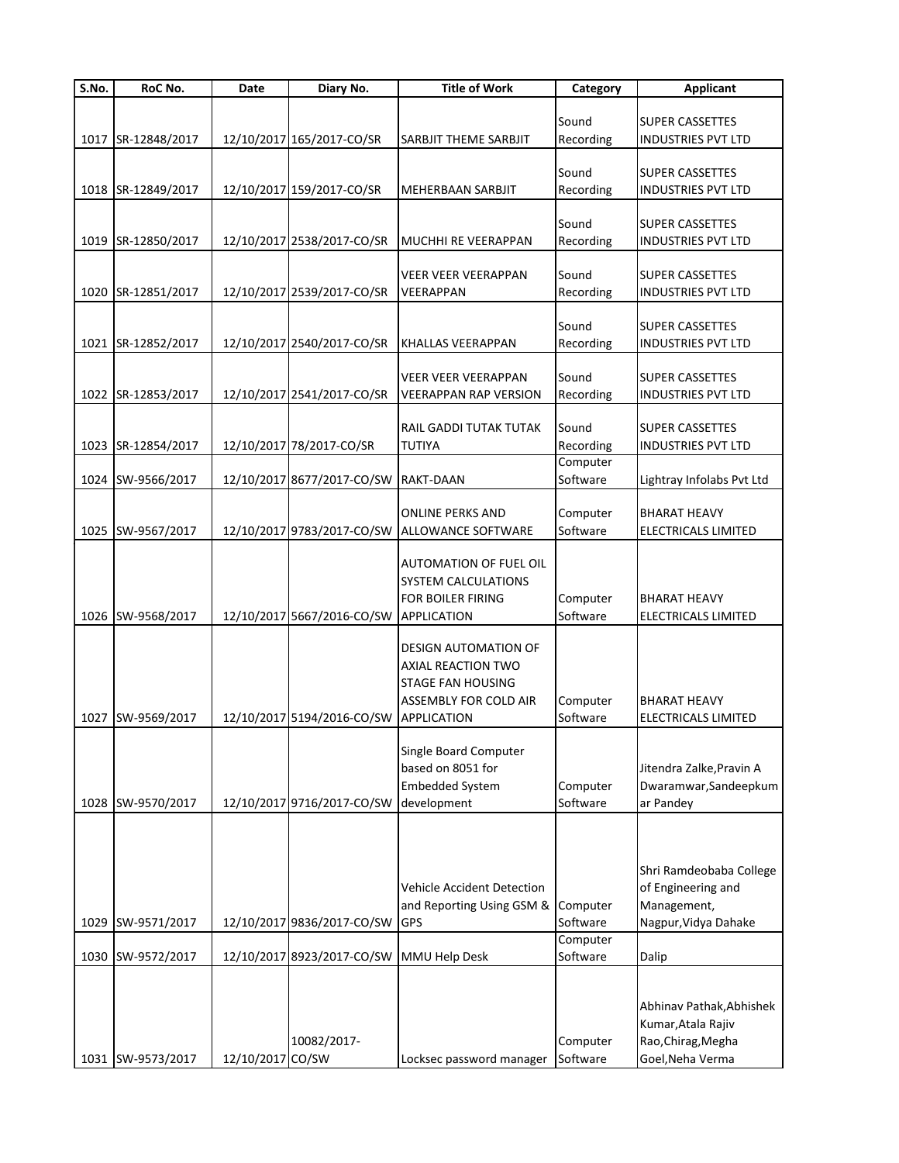| S.No. | RoC No.            | Date             | Diary No.                              | <b>Title of Work</b>                          | Category  | <b>Applicant</b>           |
|-------|--------------------|------------------|----------------------------------------|-----------------------------------------------|-----------|----------------------------|
|       |                    |                  |                                        |                                               |           |                            |
|       |                    |                  |                                        |                                               | Sound     | <b>SUPER CASSETTES</b>     |
| 1017  | SR-12848/2017      |                  | 12/10/2017 165/2017-CO/SR              | SARBJIT THEME SARBJIT                         | Recording | INDUSTRIES PVT LTD         |
|       |                    |                  |                                        |                                               |           |                            |
|       |                    |                  |                                        |                                               | Sound     | <b>SUPER CASSETTES</b>     |
|       | 1018 SR-12849/2017 |                  | 12/10/2017 159/2017-CO/SR              | <b>MEHERBAAN SARBJIT</b>                      | Recording | <b>INDUSTRIES PVT LTD</b>  |
|       |                    |                  |                                        |                                               |           |                            |
|       |                    |                  |                                        |                                               | Sound     | <b>SUPER CASSETTES</b>     |
|       | 1019 SR-12850/2017 |                  | 12/10/2017 2538/2017-CO/SR             | <b>MUCHHI RE VEERAPPAN</b>                    | Recording | <b>INDUSTRIES PVT LTD</b>  |
|       |                    |                  |                                        | <b>VEER VEER VEERAPPAN</b>                    | Sound     | <b>SUPER CASSETTES</b>     |
|       | SR-12851/2017      |                  | 12/10/2017 2539/2017-CO/SR             | VEERAPPAN                                     | Recording | <b>INDUSTRIES PVT LTD</b>  |
| 1020  |                    |                  |                                        |                                               |           |                            |
|       |                    |                  |                                        |                                               | Sound     | <b>SUPER CASSETTES</b>     |
| 1021  | SR-12852/2017      |                  | 12/10/2017 2540/2017-CO/SR             | <b>KHALLAS VEERAPPAN</b>                      | Recording | <b>INDUSTRIES PVT LTD</b>  |
|       |                    |                  |                                        |                                               |           |                            |
|       |                    |                  |                                        | <b>VEER VEER VEERAPPAN</b>                    | Sound     | <b>SUPER CASSETTES</b>     |
|       | 1022 SR-12853/2017 |                  | 12/10/2017 2541/2017-CO/SR             | <b>VEERAPPAN RAP VERSION</b>                  | Recording | INDUSTRIES PVT LTD         |
|       |                    |                  |                                        |                                               |           |                            |
|       |                    |                  |                                        | <b>RAIL GADDI TUTAK TUTAK</b>                 | Sound     | <b>SUPER CASSETTES</b>     |
|       | 1023 SR-12854/2017 |                  | 12/10/2017 78/2017-CO/SR               | <b>TUTIYA</b>                                 | Recording | <b>INDUSTRIES PVT LTD</b>  |
|       |                    |                  |                                        |                                               | Computer  |                            |
| 1024  | SW-9566/2017       |                  | 12/10/2017 8677/2017-CO/SW             | <b>RAKT-DAAN</b>                              | Software  | Lightray Infolabs Pvt Ltd  |
|       |                    |                  |                                        |                                               |           |                            |
|       |                    |                  |                                        | <b>ONLINE PERKS AND</b>                       | Computer  | <b>BHARAT HEAVY</b>        |
|       | 1025 SW-9567/2017  |                  |                                        | 12/10/2017 9783/2017-CO/SW ALLOWANCE SOFTWARE | Software  | ELECTRICALS LIMITED        |
|       |                    |                  |                                        |                                               |           |                            |
|       |                    |                  |                                        | <b>AUTOMATION OF FUEL OIL</b>                 |           |                            |
|       |                    |                  |                                        | SYSTEM CALCULATIONS                           |           |                            |
|       |                    |                  |                                        | <b>FOR BOILER FIRING</b>                      | Computer  | <b>BHARAT HEAVY</b>        |
|       | 1026 SW-9568/2017  |                  | 12/10/2017 5667/2016-CO/SW APPLICATION |                                               | Software  | ELECTRICALS LIMITED        |
|       |                    |                  |                                        |                                               |           |                            |
|       |                    |                  |                                        | <b>DESIGN AUTOMATION OF</b>                   |           |                            |
|       |                    |                  |                                        | <b>AXIAL REACTION TWO</b>                     |           |                            |
|       |                    |                  |                                        | <b>STAGE FAN HOUSING</b>                      |           |                            |
|       |                    |                  |                                        | <b>ASSEMBLY FOR COLD AIR</b>                  | Computer  | <b>BHARAT HEAVY</b>        |
| 1027  | SW-9569/2017       |                  | 12/10/2017 5194/2016-CO/SW             | <b>APPLICATION</b>                            | Software  | <b>ELECTRICALS LIMITED</b> |
|       |                    |                  |                                        |                                               |           |                            |
|       |                    |                  |                                        | Single Board Computer                         |           |                            |
|       |                    |                  |                                        | based on 8051 for                             |           | Jitendra Zalke, Pravin A   |
|       |                    |                  |                                        | <b>Embedded System</b>                        | Computer  | Dwaramwar, Sandeepkum      |
|       | 1028 SW-9570/2017  |                  | 12/10/2017 9716/2017-CO/SW             | development                                   | Software  | ar Pandey                  |
|       |                    |                  |                                        |                                               |           |                            |
|       |                    |                  |                                        |                                               |           |                            |
|       |                    |                  |                                        |                                               |           |                            |
|       |                    |                  |                                        |                                               |           | Shri Ramdeobaba College    |
|       |                    |                  |                                        | <b>Vehicle Accident Detection</b>             |           | of Engineering and         |
|       |                    |                  |                                        | and Reporting Using GSM & Computer            |           | Management,                |
| 1029  | SW-9571/2017       |                  | 12/10/2017 9836/2017-CO/SW             | <b>GPS</b>                                    | Software  | Nagpur, Vidya Dahake       |
|       |                    |                  |                                        |                                               | Computer  |                            |
| 1030  | SW-9572/2017       |                  | 12/10/2017 8923/2017-CO/SW             | MMU Help Desk                                 | Software  | Dalip                      |
|       |                    |                  |                                        |                                               |           |                            |
|       |                    |                  |                                        |                                               |           | Abhinav Pathak, Abhishek   |
|       |                    |                  |                                        |                                               |           | Kumar, Atala Rajiv         |
|       |                    |                  | 10082/2017-                            |                                               | Computer  | Rao, Chirag, Megha         |
|       | 1031 SW-9573/2017  | 12/10/2017 CO/SW |                                        | Locksec password manager                      | Software  | Goel, Neha Verma           |
|       |                    |                  |                                        |                                               |           |                            |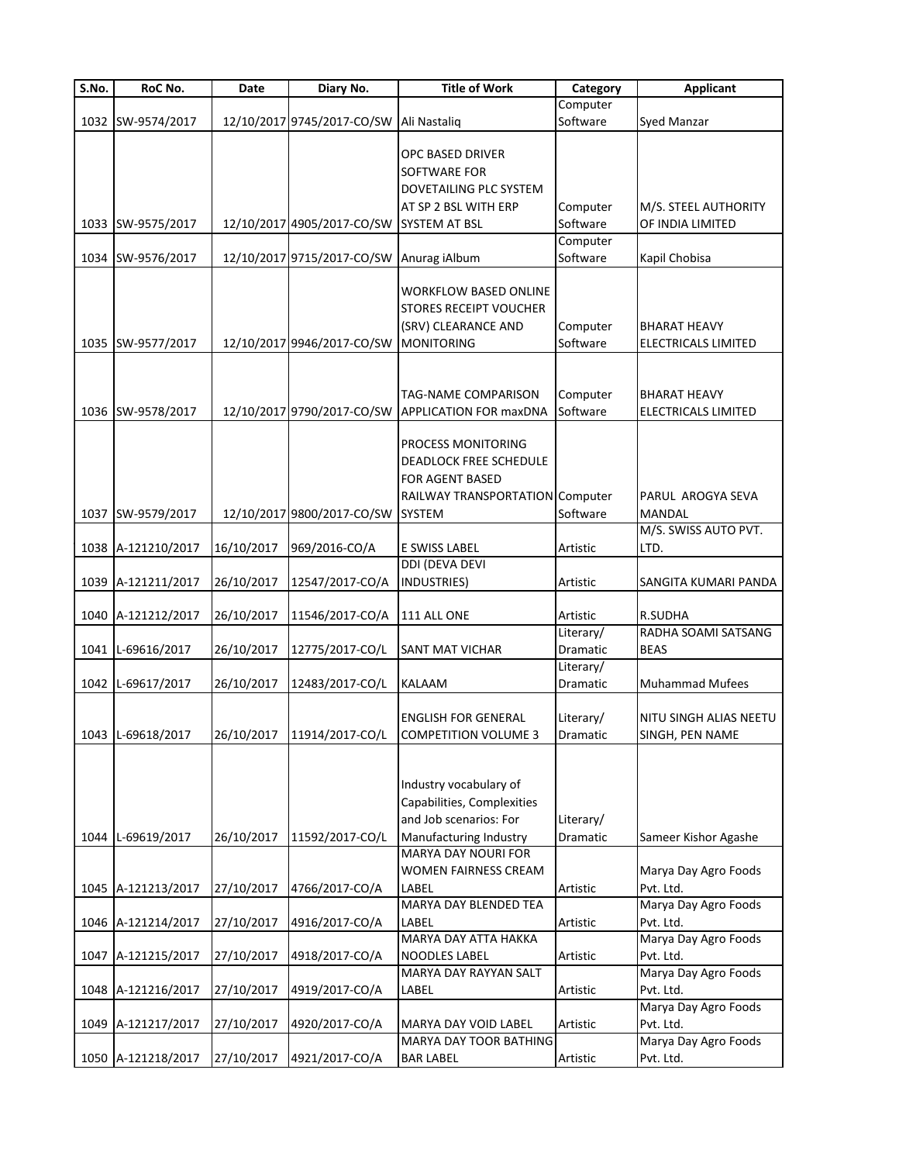| $\overline{\mathsf{S}}$ . No. | RoC No.            | Date       | Diary No.                                | <b>Title of Work</b>                                                                                                            | Category                     | <b>Applicant</b>                                  |
|-------------------------------|--------------------|------------|------------------------------------------|---------------------------------------------------------------------------------------------------------------------------------|------------------------------|---------------------------------------------------|
|                               |                    |            |                                          |                                                                                                                                 | Computer                     |                                                   |
|                               | 1032 SW-9574/2017  |            | 12/10/2017 9745/2017-CO/SW               | Ali Nastaliq                                                                                                                    | Software                     | Syed Manzar                                       |
|                               |                    |            |                                          | <b>OPC BASED DRIVER</b><br><b>SOFTWARE FOR</b><br>DOVETAILING PLC SYSTEM<br>AT SP 2 BSL WITH ERP                                | Computer                     | M/S. STEEL AUTHORITY                              |
|                               | 1033 SW-9575/2017  |            | 12/10/2017 4905/2017-CO/SW SYSTEM AT BSL |                                                                                                                                 | Software                     | OF INDIA LIMITED                                  |
|                               |                    |            |                                          |                                                                                                                                 | Computer                     |                                                   |
|                               | 1034 SW-9576/2017  |            | 12/10/2017 9715/2017-CO/SW Anurag iAlbum |                                                                                                                                 | Software                     | Kapil Chobisa                                     |
|                               | 1035 SW-9577/2017  |            | 12/10/2017 9946/2017-CO/SW               | <b>WORKFLOW BASED ONLINE</b><br><b>STORES RECEIPT VOUCHER</b><br>(SRV) CLEARANCE AND<br><b>MONITORING</b>                       | Computer<br>Software         | <b>BHARAT HEAVY</b><br><b>ELECTRICALS LIMITED</b> |
|                               | 1036 SW-9578/2017  |            | 12/10/2017 9790/2017-CO/SW               | TAG-NAME COMPARISON<br><b>APPLICATION FOR maxDNA</b>                                                                            | Computer<br>Software         | <b>BHARAT HEAVY</b><br>ELECTRICALS LIMITED        |
|                               | 1037 SW-9579/2017  |            | 12/10/2017 9800/2017-CO/SW SYSTEM        | PROCESS MONITORING<br>DEADLOCK FREE SCHEDULE<br>FOR AGENT BASED<br>RAILWAY TRANSPORTATION Computer                              | Software                     | PARUL AROGYA SEVA<br><b>MANDAL</b>                |
|                               |                    |            |                                          |                                                                                                                                 |                              | M/S. SWISS AUTO PVT.                              |
|                               | 1038 A-121210/2017 | 16/10/2017 | 969/2016-CO/A                            | E SWISS LABEL                                                                                                                   | Artistic                     | LTD.                                              |
|                               |                    |            |                                          | DDI (DEVA DEVI                                                                                                                  |                              |                                                   |
|                               | 1039 A-121211/2017 | 26/10/2017 | 12547/2017-CO/A                          | INDUSTRIES)                                                                                                                     | Artistic                     | SANGITA KUMARI PANDA                              |
|                               |                    |            |                                          |                                                                                                                                 |                              | R.SUDHA                                           |
|                               | 1040 A-121212/2017 | 26/10/2017 | 11546/2017-CO/A                          | 111 ALL ONE                                                                                                                     | Artistic<br>Literary/        | RADHA SOAMI SATSANG                               |
|                               | 1041 L-69616/2017  | 26/10/2017 | 12775/2017-CO/L                          | <b>SANT MAT VICHAR</b>                                                                                                          | Dramatic                     | <b>BEAS</b>                                       |
|                               |                    |            |                                          |                                                                                                                                 | Literary/                    |                                                   |
|                               | 1042 L-69617/2017  | 26/10/2017 | 12483/2017-CO/L                          | <b>KALAAM</b>                                                                                                                   | Dramatic                     | <b>Muhammad Mufees</b>                            |
|                               | 1043 L-69618/2017  |            | 26/10/2017 11914/2017-CO/L               | <b>ENGLISH FOR GENERAL</b><br><b>COMPETITION VOLUME 3</b>                                                                       | Literary/<br><b>Dramatic</b> | NITU SINGH ALIAS NEETU<br>SINGH, PEN NAME         |
|                               | 1044 L-69619/2017  | 26/10/2017 | 11592/2017-CO/L                          | Industry vocabulary of<br>Capabilities, Complexities<br>and Job scenarios: For<br>Manufacturing Industry<br>MARYA DAY NOURI FOR | Literary/<br>Dramatic        | Sameer Kishor Agashe                              |
|                               |                    |            |                                          | WOMEN FAIRNESS CREAM                                                                                                            |                              | Marya Day Agro Foods                              |
|                               | 1045 A-121213/2017 | 27/10/2017 | 4766/2017-CO/A                           | LABEL                                                                                                                           | Artistic                     | Pvt. Ltd.                                         |
|                               |                    |            |                                          | MARYA DAY BLENDED TEA<br>LABEL                                                                                                  |                              | Marya Day Agro Foods                              |
|                               | 1046 A-121214/2017 | 27/10/2017 | 4916/2017-CO/A                           | MARYA DAY ATTA HAKKA                                                                                                            | Artistic                     | Pvt. Ltd.<br>Marya Day Agro Foods                 |
|                               | 1047 A-121215/2017 | 27/10/2017 | 4918/2017-CO/A                           | <b>NOODLES LABEL</b>                                                                                                            | Artistic                     | Pvt. Ltd.                                         |
|                               |                    |            |                                          | MARYA DAY RAYYAN SALT                                                                                                           |                              | Marya Day Agro Foods                              |
|                               | 1048 A-121216/2017 | 27/10/2017 | 4919/2017-CO/A                           | LABEL                                                                                                                           | Artistic                     | Pvt. Ltd.                                         |
|                               |                    |            |                                          |                                                                                                                                 |                              | Marya Day Agro Foods                              |
|                               | 1049 A-121217/2017 | 27/10/2017 | 4920/2017-CO/A                           | MARYA DAY VOID LABEL                                                                                                            | Artistic                     | Pvt. Ltd.                                         |
|                               |                    |            |                                          | MARYA DAY TOOR BATHING                                                                                                          |                              | Marya Day Agro Foods                              |
|                               | 1050 A-121218/2017 | 27/10/2017 | 4921/2017-CO/A                           | <b>BAR LABEL</b>                                                                                                                | Artistic                     | Pvt. Ltd.                                         |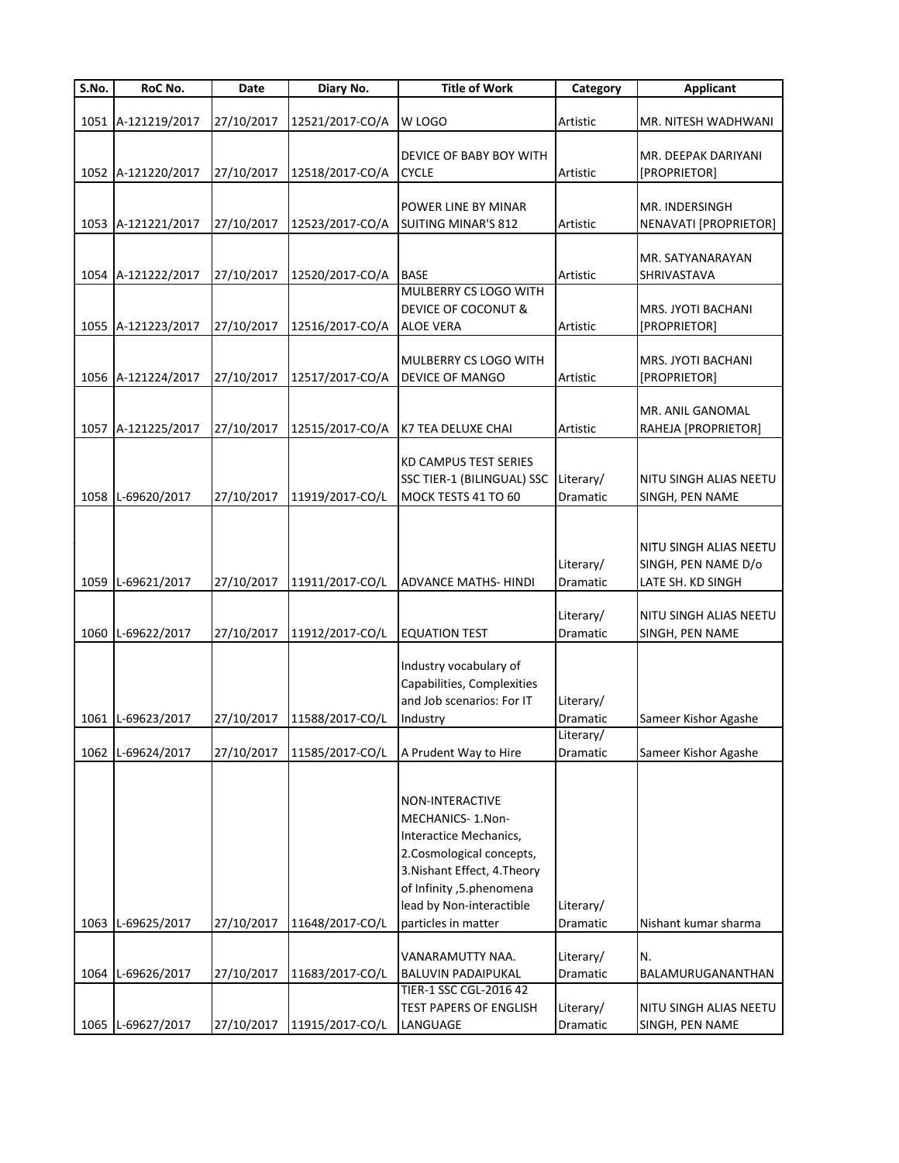| S.No. | RoC No.            | Date       | Diary No.       | <b>Title of Work</b>                 | Category              | <b>Applicant</b>                          |
|-------|--------------------|------------|-----------------|--------------------------------------|-----------------------|-------------------------------------------|
|       |                    |            |                 |                                      |                       |                                           |
|       | 1051 A-121219/2017 | 27/10/2017 | 12521/2017-CO/A | W LOGO                               | Artistic              | MR. NITESH WADHWANI                       |
|       |                    |            |                 | DEVICE OF BABY BOY WITH              |                       | MR. DEEPAK DARIYANI                       |
|       | 1052 A-121220/2017 | 27/10/2017 | 12518/2017-CO/A | <b>CYCLE</b>                         | Artistic              | [PROPRIETOR]                              |
|       |                    |            |                 |                                      |                       |                                           |
|       |                    |            |                 | POWER LINE BY MINAR                  |                       | MR. INDERSINGH                            |
|       | 1053 A-121221/2017 | 27/10/2017 | 12523/2017-CO/A | <b>SUITING MINAR'S 812</b>           | Artistic              | NENAVATI [PROPRIETOR]                     |
|       |                    |            |                 |                                      |                       |                                           |
|       |                    |            |                 |                                      |                       | MR. SATYANARAYAN                          |
|       | 1054 A-121222/2017 | 27/10/2017 | 12520/2017-CO/A | <b>BASE</b><br>MULBERRY CS LOGO WITH | Artistic              | SHRIVASTAVA                               |
|       |                    |            |                 | DEVICE OF COCONUT &                  |                       | MRS. JYOTI BACHANI                        |
|       | 1055 A-121223/2017 | 27/10/2017 | 12516/2017-CO/A | <b>ALOE VERA</b>                     | Artistic              | [PROPRIETOR]                              |
|       |                    |            |                 |                                      |                       |                                           |
|       |                    |            |                 | <b>MULBERRY CS LOGO WITH</b>         |                       | MRS. JYOTI BACHANI                        |
|       | 1056 A-121224/2017 | 27/10/2017 | 12517/2017-CO/A | <b>DEVICE OF MANGO</b>               | Artistic              | [PROPRIETOR]                              |
|       |                    |            |                 |                                      |                       |                                           |
|       |                    |            |                 |                                      |                       | MR. ANIL GANOMAL                          |
|       | 1057 A-121225/2017 | 27/10/2017 | 12515/2017-CO/A | K7 TEA DELUXE CHAI                   | Artistic              | RAHEJA [PROPRIETOR]                       |
|       |                    |            |                 | <b>KD CAMPUS TEST SERIES</b>         |                       |                                           |
|       |                    |            |                 | SSC TIER-1 (BILINGUAL) SSC           | Literary/             | NITU SINGH ALIAS NEETU                    |
|       | 1058 L-69620/2017  | 27/10/2017 | 11919/2017-CO/L | MOCK TESTS 41 TO 60                  | Dramatic              | SINGH, PEN NAME                           |
|       |                    |            |                 |                                      |                       |                                           |
|       |                    |            |                 |                                      |                       |                                           |
|       |                    |            |                 |                                      |                       | NITU SINGH ALIAS NEETU                    |
|       |                    |            |                 |                                      | Literary/             | SINGH, PEN NAME D/o                       |
|       | 1059 L-69621/2017  | 27/10/2017 | 11911/2017-CO/L | <b>ADVANCE MATHS- HINDI</b>          | Dramatic              | LATE SH. KD SINGH                         |
|       |                    |            |                 |                                      |                       |                                           |
|       | 1060 L-69622/2017  | 27/10/2017 | 11912/2017-CO/L | <b>EQUATION TEST</b>                 | Literary/<br>Dramatic | NITU SINGH ALIAS NEETU<br>SINGH, PEN NAME |
|       |                    |            |                 |                                      |                       |                                           |
|       |                    |            |                 | Industry vocabulary of               |                       |                                           |
|       |                    |            |                 | Capabilities, Complexities           |                       |                                           |
|       |                    |            |                 | and Job scenarios: For IT            | Literary/             |                                           |
|       | 1061 L-69623/2017  | 27/10/2017 | 11588/2017-CO/L | Industry                             | Dramatic              | Sameer Kishor Agashe                      |
|       |                    |            |                 |                                      | Literary/             |                                           |
|       | 1062 L-69624/2017  | 27/10/2017 | 11585/2017-CO/L | A Prudent Way to Hire                | Dramatic              | Sameer Kishor Agashe                      |
|       |                    |            |                 |                                      |                       |                                           |
|       |                    |            |                 | NON-INTERACTIVE                      |                       |                                           |
|       |                    |            |                 | MECHANICS- 1.Non-                    |                       |                                           |
|       |                    |            |                 | Interactice Mechanics,               |                       |                                           |
|       |                    |            |                 | 2.Cosmological concepts,             |                       |                                           |
|       |                    |            |                 | 3. Nishant Effect, 4. Theory         |                       |                                           |
|       |                    |            |                 | of Infinity , 5. phenomena           |                       |                                           |
|       |                    |            |                 | lead by Non-interactible             | Literary/             |                                           |
|       | 1063 L-69625/2017  | 27/10/2017 | 11648/2017-CO/L | particles in matter                  | Dramatic              | Nishant kumar sharma                      |
|       |                    |            |                 |                                      |                       |                                           |
|       |                    |            |                 | VANARAMUTTY NAA.                     | Literary/             | N.                                        |
|       | 1064 L-69626/2017  | 27/10/2017 | 11683/2017-CO/L | <b>BALUVIN PADAIPUKAL</b>            | Dramatic              | BALAMURUGANANTHAN                         |
|       |                    |            |                 | TIER-1 SSC CGL-2016 42               |                       |                                           |
|       |                    |            |                 | <b>TEST PAPERS OF ENGLISH</b>        | Literary/             | NITU SINGH ALIAS NEETU                    |
|       | 1065 L-69627/2017  | 27/10/2017 | 11915/2017-CO/L | LANGUAGE                             | Dramatic              | SINGH, PEN NAME                           |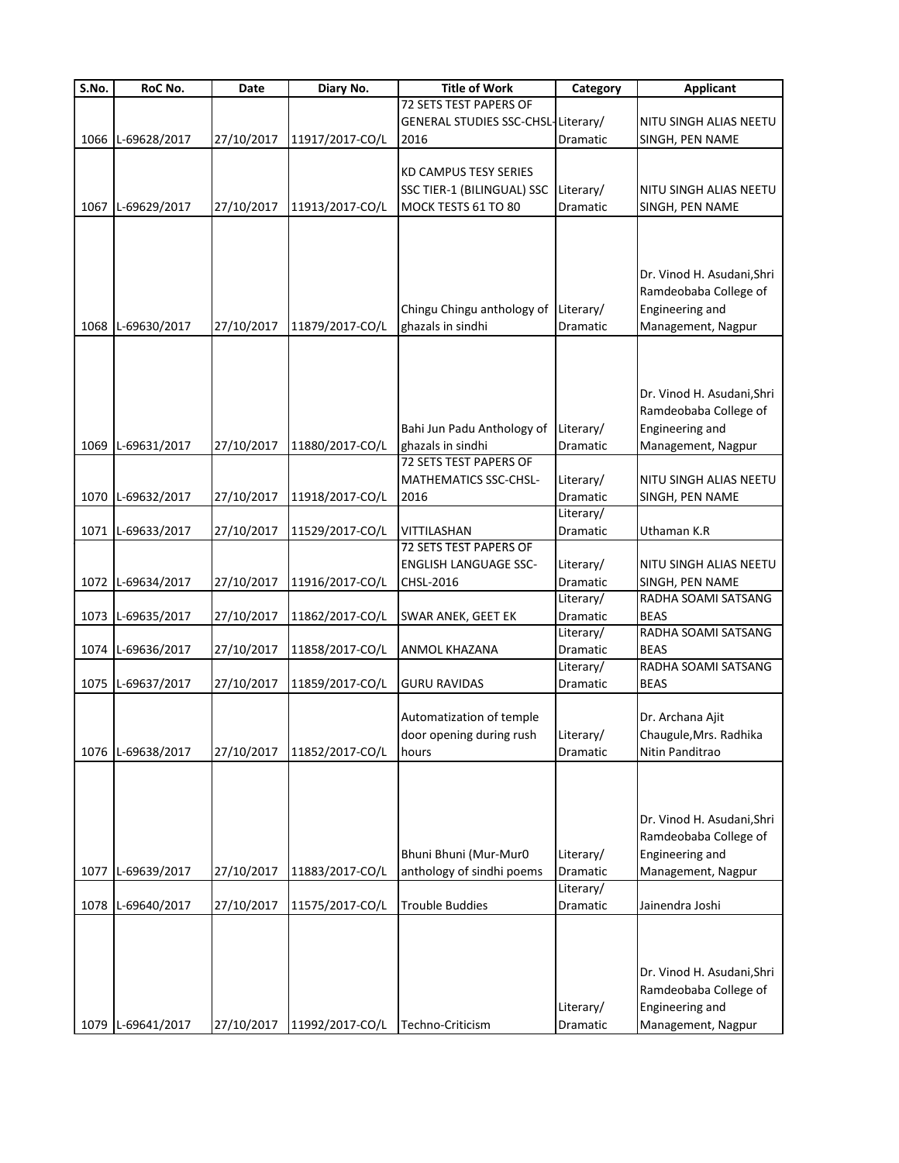| S.No. | RoC No.           | Date       | Diary No.       | <b>Title of Work</b>               | Category              | <b>Applicant</b>                   |
|-------|-------------------|------------|-----------------|------------------------------------|-----------------------|------------------------------------|
|       |                   |            |                 | 72 SETS TEST PAPERS OF             |                       |                                    |
|       |                   |            |                 | GENERAL STUDIES SSC-CHSL-Literary/ |                       | NITU SINGH ALIAS NEETU             |
| 1066  | L-69628/2017      | 27/10/2017 | 11917/2017-CO/L | 2016                               | Dramatic              | SINGH, PEN NAME                    |
|       |                   |            |                 |                                    |                       |                                    |
|       |                   |            |                 | <b>KD CAMPUS TESY SERIES</b>       |                       |                                    |
|       |                   |            |                 | SSC TIER-1 (BILINGUAL) SSC         | Literary/             | NITU SINGH ALIAS NEETU             |
| 1067  | L-69629/2017      | 27/10/2017 | 11913/2017-CO/L | MOCK TESTS 61 TO 80                | Dramatic              | SINGH, PEN NAME                    |
|       |                   |            |                 |                                    |                       |                                    |
|       |                   |            |                 |                                    |                       |                                    |
|       |                   |            |                 |                                    |                       | Dr. Vinod H. Asudani, Shri         |
|       |                   |            |                 |                                    |                       | Ramdeobaba College of              |
|       |                   |            |                 | Chingu Chingu anthology of         | Literary/             | Engineering and                    |
| 1068  | L-69630/2017      | 27/10/2017 | 11879/2017-CO/L | ghazals in sindhi                  | Dramatic              | Management, Nagpur                 |
|       |                   |            |                 |                                    |                       |                                    |
|       |                   |            |                 |                                    |                       |                                    |
|       |                   |            |                 |                                    |                       |                                    |
|       |                   |            |                 |                                    |                       | Dr. Vinod H. Asudani, Shri         |
|       |                   |            |                 |                                    |                       | Ramdeobaba College of              |
|       |                   |            |                 | Bahi Jun Padu Anthology of         | Literary/             | Engineering and                    |
|       | 1069 L-69631/2017 | 27/10/2017 | 11880/2017-CO/L | ghazals in sindhi                  | Dramatic              | Management, Nagpur                 |
|       |                   |            |                 | 72 SETS TEST PAPERS OF             |                       |                                    |
|       |                   |            |                 | MATHEMATICS SSC-CHSL-              | Literary/             | NITU SINGH ALIAS NEETU             |
|       | 1070 L-69632/2017 | 27/10/2017 | 11918/2017-CO/L | 2016                               | Dramatic              | SINGH, PEN NAME                    |
|       |                   |            |                 |                                    | Literary/             |                                    |
| 1071  | L-69633/2017      | 27/10/2017 | 11529/2017-CO/L | VITTILASHAN                        | Dramatic              | Uthaman K.R                        |
|       |                   |            |                 | 72 SETS TEST PAPERS OF             |                       |                                    |
|       |                   |            |                 | <b>ENGLISH LANGUAGE SSC-</b>       | Literary/             | NITU SINGH ALIAS NEETU             |
| 1072  | L-69634/2017      | 27/10/2017 | 11916/2017-CO/L | CHSL-2016                          | Dramatic              | SINGH, PEN NAME                    |
|       |                   |            |                 |                                    | Literary/             | RADHA SOAMI SATSANG                |
| 1073  | L-69635/2017      | 27/10/2017 | 11862/2017-CO/L | SWAR ANEK, GEET EK                 | Dramatic              | <b>BEAS</b>                        |
|       |                   |            |                 |                                    | Literary/             | RADHA SOAMI SATSANG<br><b>BEAS</b> |
| 1074  | L-69636/2017      | 27/10/2017 | 11858/2017-CO/L | ANMOL KHAZANA                      | Dramatic<br>Literary/ | RADHA SOAMI SATSANG                |
| 1075  | L-69637/2017      | 27/10/2017 | 11859/2017-CO/L | <b>GURU RAVIDAS</b>                | Dramatic              | <b>BEAS</b>                        |
|       |                   |            |                 |                                    |                       |                                    |
|       |                   |            |                 | Automatization of temple           |                       | Dr. Archana Ajit                   |
|       |                   |            |                 | door opening during rush           | Literary/             | Chaugule, Mrs. Radhika             |
|       | 1076 L-69638/2017 | 27/10/2017 | 11852/2017-CO/L | hours                              | Dramatic              | Nitin Panditrao                    |
|       |                   |            |                 |                                    |                       |                                    |
|       |                   |            |                 |                                    |                       |                                    |
|       |                   |            |                 |                                    |                       |                                    |
|       |                   |            |                 |                                    |                       | Dr. Vinod H. Asudani, Shri         |
|       |                   |            |                 |                                    |                       | Ramdeobaba College of              |
|       |                   |            |                 | Bhuni Bhuni (Mur-Mur0              | Literary/             | Engineering and                    |
| 1077  | L-69639/2017      | 27/10/2017 | 11883/2017-CO/L | anthology of sindhi poems          | Dramatic              | Management, Nagpur                 |
|       |                   |            |                 |                                    | Literary/             |                                    |
| 1078  | L-69640/2017      | 27/10/2017 | 11575/2017-CO/L | <b>Trouble Buddies</b>             | Dramatic              | Jainendra Joshi                    |
|       |                   |            |                 |                                    |                       |                                    |
|       |                   |            |                 |                                    |                       |                                    |
|       |                   |            |                 |                                    |                       |                                    |
|       |                   |            |                 |                                    |                       | Dr. Vinod H. Asudani, Shri         |
|       |                   |            |                 |                                    |                       | Ramdeobaba College of              |
|       |                   |            |                 |                                    | Literary/             | Engineering and                    |
|       | 1079 L-69641/2017 | 27/10/2017 | 11992/2017-CO/L | Techno-Criticism                   | Dramatic              | Management, Nagpur                 |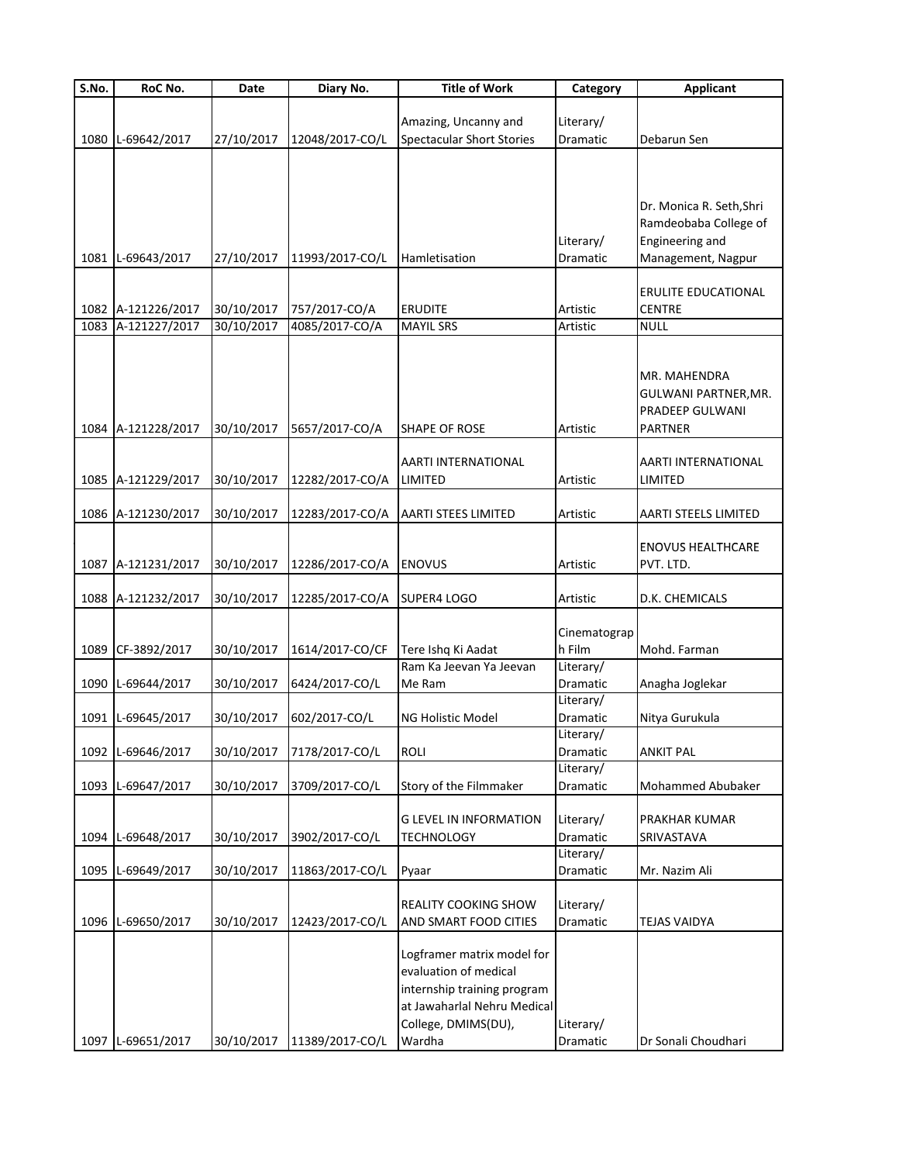| $\overline{S}$ .No. | RoC No.            | Date       | Diary No.       | <b>Title of Work</b>                                                                                                                               | Category              | <b>Applicant</b>                                                          |
|---------------------|--------------------|------------|-----------------|----------------------------------------------------------------------------------------------------------------------------------------------------|-----------------------|---------------------------------------------------------------------------|
|                     |                    |            |                 |                                                                                                                                                    |                       |                                                                           |
|                     |                    |            |                 | Amazing, Uncanny and                                                                                                                               | Literary/             |                                                                           |
| 1080                | L-69642/2017       | 27/10/2017 | 12048/2017-CO/L | <b>Spectacular Short Stories</b>                                                                                                                   | Dramatic              | Debarun Sen                                                               |
|                     |                    |            |                 |                                                                                                                                                    |                       | Dr. Monica R. Seth, Shri<br>Ramdeobaba College of                         |
|                     |                    |            |                 |                                                                                                                                                    | Literary/             | Engineering and                                                           |
|                     | 1081 L-69643/2017  | 27/10/2017 | 11993/2017-CO/L | Hamletisation                                                                                                                                      | Dramatic              | Management, Nagpur                                                        |
|                     |                    |            |                 |                                                                                                                                                    |                       |                                                                           |
|                     |                    |            |                 |                                                                                                                                                    |                       | ERULITE EDUCATIONAL                                                       |
|                     | 1082 A-121226/2017 | 30/10/2017 | 757/2017-CO/A   | <b>ERUDITE</b>                                                                                                                                     | Artistic              | <b>CENTRE</b>                                                             |
| 1083                | A-121227/2017      | 30/10/2017 | 4085/2017-CO/A  | <b>MAYIL SRS</b>                                                                                                                                   | Artistic              | <b>NULL</b>                                                               |
|                     | 1084 A-121228/2017 | 30/10/2017 | 5657/2017-CO/A  | SHAPE OF ROSE                                                                                                                                      | Artistic              | MR. MAHENDRA<br>GULWANI PARTNER, MR.<br>PRADEEP GULWANI<br><b>PARTNER</b> |
|                     | 1085 A-121229/2017 | 30/10/2017 | 12282/2017-CO/A | AARTI INTERNATIONAL<br>LIMITED                                                                                                                     | Artistic              | AARTI INTERNATIONAL<br>LIMITED                                            |
|                     |                    |            |                 |                                                                                                                                                    |                       |                                                                           |
|                     | 1086 A-121230/2017 | 30/10/2017 | 12283/2017-CO/A | AARTI STEES LIMITED                                                                                                                                | Artistic              | AARTI STEELS LIMITED                                                      |
|                     | 1087 A-121231/2017 | 30/10/2017 | 12286/2017-CO/A | <b>ENOVUS</b>                                                                                                                                      | Artistic              | <b>ENOVUS HEALTHCARE</b><br>PVT. LTD.                                     |
|                     | 1088 A-121232/2017 | 30/10/2017 | 12285/2017-CO/A | <b>SUPER4 LOGO</b>                                                                                                                                 | Artistic              | D.K. CHEMICALS                                                            |
|                     |                    |            |                 |                                                                                                                                                    | Cinematograp          |                                                                           |
|                     | 1089 CF-3892/2017  | 30/10/2017 | 1614/2017-CO/CF | Tere Ishq Ki Aadat<br>Ram Ka Jeevan Ya Jeevan                                                                                                      | h Film<br>Literary/   | Mohd. Farman                                                              |
|                     | 1090 L-69644/2017  | 30/10/2017 | 6424/2017-CO/L  | Me Ram                                                                                                                                             | Dramatic              | Anagha Joglekar                                                           |
|                     |                    |            |                 |                                                                                                                                                    | Literary/             |                                                                           |
|                     | 1091 L-69645/2017  | 30/10/2017 | 602/2017-CO/L   | NG Holistic Model                                                                                                                                  | Dramatic              | Nitya Gurukula                                                            |
|                     |                    |            |                 |                                                                                                                                                    | Literary/             |                                                                           |
|                     | 1092 L-69646/2017  | 30/10/2017 | 7178/2017-CO/L  | ROLI                                                                                                                                               | Dramatic              | <b>ANKIT PAL</b>                                                          |
|                     |                    |            |                 |                                                                                                                                                    | Literary/             |                                                                           |
|                     | 1093 L-69647/2017  | 30/10/2017 | 3709/2017-CO/L  | Story of the Filmmaker                                                                                                                             | Dramatic              | Mohammed Abubaker                                                         |
|                     |                    |            |                 |                                                                                                                                                    |                       |                                                                           |
|                     |                    |            |                 | <b>G LEVEL IN INFORMATION</b>                                                                                                                      | Literary/             | PRAKHAR KUMAR                                                             |
|                     | 1094 L-69648/2017  | 30/10/2017 | 3902/2017-CO/L  | <b>TECHNOLOGY</b>                                                                                                                                  | Dramatic<br>Literary/ | SRIVASTAVA                                                                |
| 1095                | L-69649/2017       | 30/10/2017 | 11863/2017-CO/L | Pyaar                                                                                                                                              | Dramatic              | Mr. Nazim Ali                                                             |
|                     |                    |            |                 |                                                                                                                                                    |                       |                                                                           |
|                     | 1096 L-69650/2017  | 30/10/2017 | 12423/2017-CO/L | REALITY COOKING SHOW<br>AND SMART FOOD CITIES                                                                                                      | Literary/<br>Dramatic | <b>TEJAS VAIDYA</b>                                                       |
|                     | 1097 L-69651/2017  | 30/10/2017 | 11389/2017-CO/L | Logframer matrix model for<br>evaluation of medical<br>internship training program<br>at Jawaharlal Nehru Medical<br>College, DMIMS(DU),<br>Wardha | Literary/<br>Dramatic | Dr Sonali Choudhari                                                       |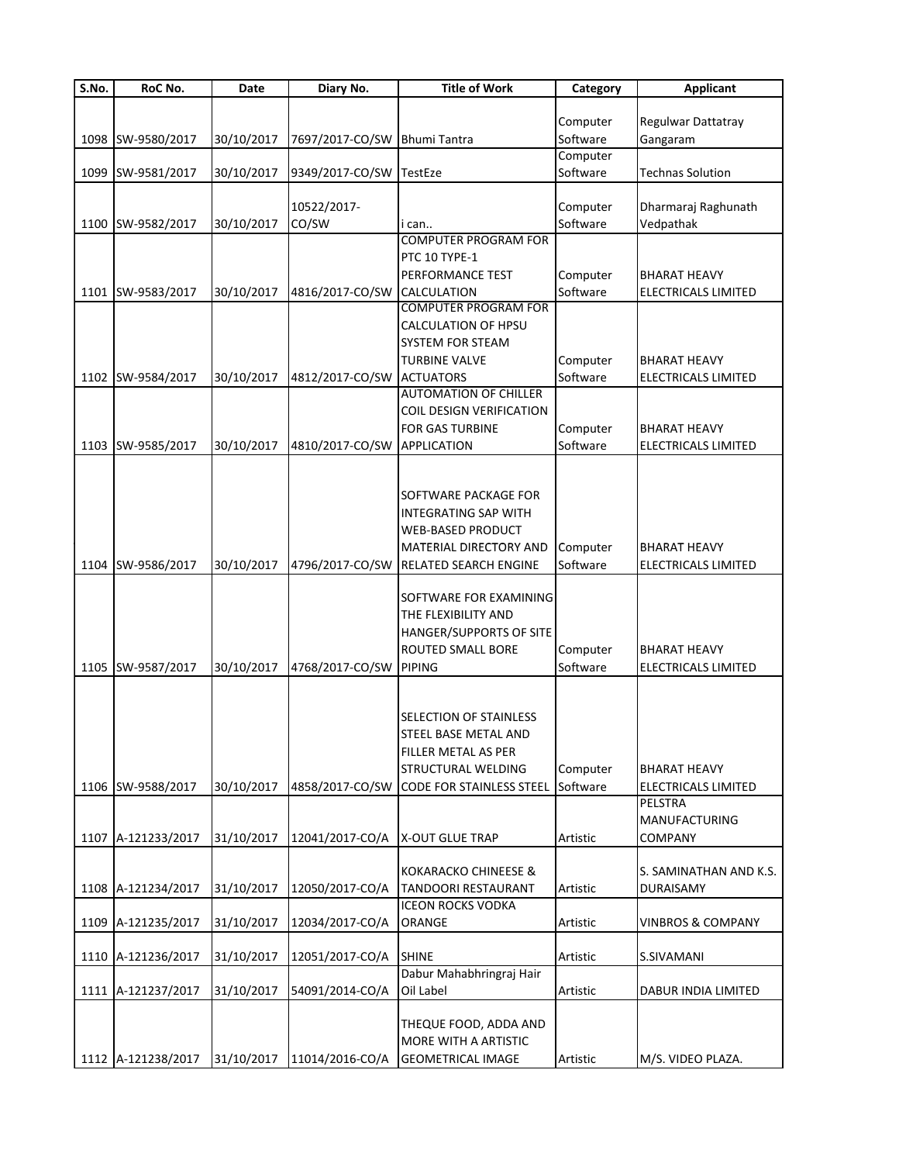| S.No. | RoC No.            | Date       | Diary No.       | <b>Title of Work</b>                             | Category | <b>Applicant</b>               |
|-------|--------------------|------------|-----------------|--------------------------------------------------|----------|--------------------------------|
|       |                    |            |                 |                                                  |          |                                |
|       |                    |            |                 |                                                  | Computer | Regulwar Dattatray             |
|       | 1098 SW-9580/2017  | 30/10/2017 | 7697/2017-CO/SW | <b>Bhumi Tantra</b>                              | Software | Gangaram                       |
|       |                    |            |                 |                                                  | Computer |                                |
|       | 1099 SW-9581/2017  | 30/10/2017 | 9349/2017-CO/SW | TestEze                                          | Software | <b>Technas Solution</b>        |
|       |                    |            |                 |                                                  |          |                                |
|       |                    |            | 10522/2017-     |                                                  | Computer | Dharmaraj Raghunath            |
|       | 1100 SW-9582/2017  | 30/10/2017 | CO/SW           | i can                                            | Software | Vedpathak                      |
|       |                    |            |                 | <b>COMPUTER PROGRAM FOR</b>                      |          |                                |
|       |                    |            |                 | PTC 10 TYPE-1                                    |          |                                |
|       |                    |            |                 | PERFORMANCE TEST                                 | Computer | <b>BHARAT HEAVY</b>            |
|       | 1101 SW-9583/2017  | 30/10/2017 | 4816/2017-CO/SW | <b>CALCULATION</b>                               | Software | ELECTRICALS LIMITED            |
|       |                    |            |                 | <b>COMPUTER PROGRAM FOR</b>                      |          |                                |
|       |                    |            |                 | CALCULATION OF HPSU                              |          |                                |
|       |                    |            |                 | SYSTEM FOR STEAM                                 |          |                                |
|       |                    |            |                 | <b>TURBINE VALVE</b>                             | Computer | BHARAT HEAVY                   |
|       |                    |            |                 |                                                  | Software |                                |
|       | 1102 SW-9584/2017  | 30/10/2017 | 4812/2017-CO/SW | <b>ACTUATORS</b><br><b>AUTOMATION OF CHILLER</b> |          | ELECTRICALS LIMITED            |
|       |                    |            |                 |                                                  |          |                                |
|       |                    |            |                 | COIL DESIGN VERIFICATION                         |          |                                |
|       |                    |            |                 | <b>FOR GAS TURBINE</b>                           | Computer | BHARAT HEAVY                   |
|       | 1103 SW-9585/2017  | 30/10/2017 | 4810/2017-CO/SW | <b>APPLICATION</b>                               | Software | ELECTRICALS LIMITED            |
|       |                    |            |                 |                                                  |          |                                |
|       |                    |            |                 |                                                  |          |                                |
|       |                    |            |                 | SOFTWARE PACKAGE FOR                             |          |                                |
|       |                    |            |                 | INTEGRATING SAP WITH                             |          |                                |
|       |                    |            |                 | WEB-BASED PRODUCT                                |          |                                |
|       |                    |            |                 | MATERIAL DIRECTORY AND                           | Computer | BHARAT HEAVY                   |
|       | 1104 SW-9586/2017  | 30/10/2017 | 4796/2017-CO/SW | RELATED SEARCH ENGINE                            | Software | ELECTRICALS LIMITED            |
|       |                    |            |                 |                                                  |          |                                |
|       |                    |            |                 | SOFTWARE FOR EXAMINING                           |          |                                |
|       |                    |            |                 | THE FLEXIBILITY AND                              |          |                                |
|       |                    |            |                 | HANGER/SUPPORTS OF SITE                          |          |                                |
|       |                    |            |                 | ROUTED SMALL BORE                                | Computer | BHARAT HEAVY                   |
|       | 1105 SW-9587/2017  | 30/10/2017 | 4768/2017-CO/SW | <b>PIPING</b>                                    | Software | <b>ELECTRICALS LIMITED</b>     |
|       |                    |            |                 |                                                  |          |                                |
|       |                    |            |                 |                                                  |          |                                |
|       |                    |            |                 | SELECTION OF STAINLESS                           |          |                                |
|       |                    |            |                 | STEEL BASE METAL AND                             |          |                                |
|       |                    |            |                 | FILLER METAL AS PER                              |          |                                |
|       |                    |            |                 | STRUCTURAL WELDING                               | Computer | BHARAT HEAVY                   |
|       |                    |            |                 |                                                  | Software |                                |
|       | 1106 SW-9588/2017  | 30/10/2017 | 4858/2017-CO/SW | <b>CODE FOR STAINLESS STEEL</b>                  |          | ELECTRICALS LIMITED<br>PELSTRA |
|       |                    |            |                 |                                                  |          |                                |
|       |                    |            |                 |                                                  |          | MANUFACTURING                  |
| 1107  | A-121233/2017      | 31/10/2017 | 12041/2017-CO/A | <b>X-OUT GLUE TRAP</b>                           | Artistic | COMPANY                        |
|       |                    |            |                 |                                                  |          |                                |
|       |                    |            |                 | KOKARACKO CHINEESE &                             |          | S. SAMINATHAN AND K.S.         |
|       | 1108 A-121234/2017 | 31/10/2017 | 12050/2017-CO/A | TANDOORI RESTAURANT                              | Artistic | <b>DURAISAMY</b>               |
|       |                    |            |                 | <b>ICEON ROCKS VODKA</b>                         |          |                                |
|       | 1109 A-121235/2017 | 31/10/2017 | 12034/2017-CO/A | ORANGE                                           | Artistic | <b>VINBROS &amp; COMPANY</b>   |
|       |                    |            |                 |                                                  |          |                                |
|       | 1110 A-121236/2017 | 31/10/2017 | 12051/2017-CO/A | <b>SHINE</b>                                     | Artistic | S.SIVAMANI                     |
|       |                    |            |                 | Dabur Mahabhringraj Hair                         |          |                                |
|       | 1111 A-121237/2017 | 31/10/2017 | 54091/2014-CO/A | Oil Label                                        | Artistic | DABUR INDIA LIMITED            |
|       |                    |            |                 |                                                  |          |                                |
|       |                    |            |                 | THEQUE FOOD, ADDA AND                            |          |                                |
|       |                    |            |                 | MORE WITH A ARTISTIC                             |          |                                |
|       | 1112 A-121238/2017 | 31/10/2017 | 11014/2016-CO/A | <b>GEOMETRICAL IMAGE</b>                         | Artistic | M/S. VIDEO PLAZA.              |
|       |                    |            |                 |                                                  |          |                                |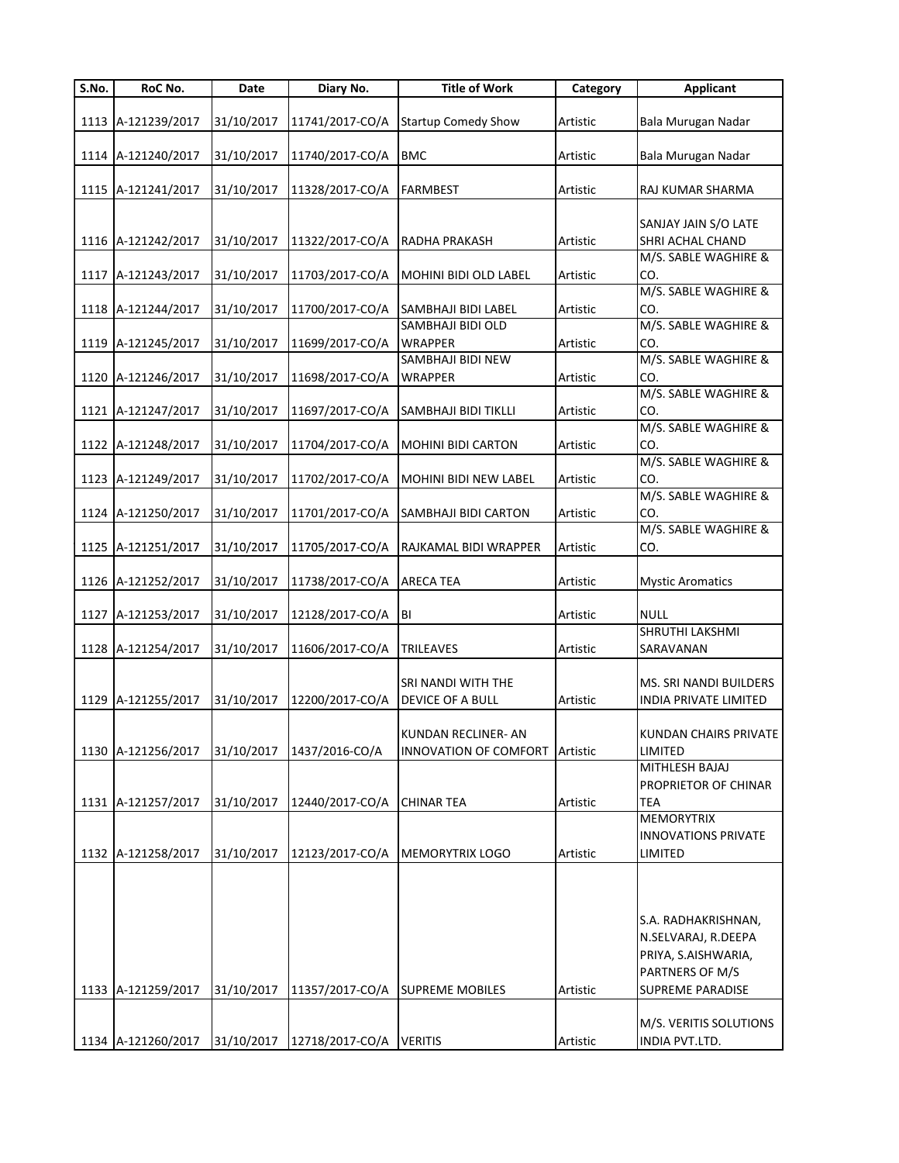| S.No. | RoC No.            | Date       | Diary No.       | <b>Title of Work</b>         | Category | <b>Applicant</b>             |
|-------|--------------------|------------|-----------------|------------------------------|----------|------------------------------|
|       |                    |            |                 |                              |          |                              |
|       | 1113 A-121239/2017 | 31/10/2017 | 11741/2017-CO/A | <b>Startup Comedy Show</b>   | Artistic | Bala Murugan Nadar           |
|       | 1114 A-121240/2017 | 31/10/2017 | 11740/2017-CO/A | <b>BMC</b>                   | Artistic | Bala Murugan Nadar           |
|       |                    |            |                 |                              |          |                              |
|       | 1115 A-121241/2017 | 31/10/2017 | 11328/2017-CO/A | <b>FARMBEST</b>              | Artistic | RAJ KUMAR SHARMA             |
|       |                    |            |                 |                              |          |                              |
|       |                    |            |                 |                              |          | SANJAY JAIN S/O LATE         |
|       | 1116 A-121242/2017 | 31/10/2017 | 11322/2017-CO/A | <b>RADHA PRAKASH</b>         | Artistic | SHRI ACHAL CHAND             |
|       |                    |            |                 |                              |          | M/S. SABLE WAGHIRE &         |
|       | 1117 A-121243/2017 | 31/10/2017 | 11703/2017-CO/A | MOHINI BIDI OLD LABEL        | Artistic | CO.                          |
|       |                    |            |                 |                              |          | M/S. SABLE WAGHIRE &         |
|       | 1118 A-121244/2017 | 31/10/2017 | 11700/2017-CO/A | <b>SAMBHAJI BIDI LABEL</b>   | Artistic | CO.                          |
|       |                    |            |                 | SAMBHAJI BIDI OLD            |          | M/S. SABLE WAGHIRE &         |
|       | 1119 A-121245/2017 | 31/10/2017 | 11699/2017-CO/A | <b>WRAPPER</b>               | Artistic | CO.                          |
|       |                    |            |                 | SAMBHAJI BIDI NEW            |          | M/S. SABLE WAGHIRE &         |
|       | 1120 A-121246/2017 | 31/10/2017 | 11698/2017-CO/A | <b>WRAPPER</b>               | Artistic | CO.                          |
|       |                    |            |                 |                              |          | M/S. SABLE WAGHIRE &         |
|       | 1121 A-121247/2017 | 31/10/2017 | 11697/2017-CO/A | SAMBHAJI BIDI TIKLLI         | Artistic | CO.<br>M/S. SABLE WAGHIRE &  |
|       | 1122 A-121248/2017 | 31/10/2017 | 11704/2017-CO/A | <b>MOHINI BIDI CARTON</b>    | Artistic | CO.                          |
|       |                    |            |                 |                              |          | M/S. SABLE WAGHIRE &         |
|       | 1123 A-121249/2017 | 31/10/2017 | 11702/2017-CO/A | MOHINI BIDI NEW LABEL        | Artistic | CO.                          |
|       |                    |            |                 |                              |          | M/S. SABLE WAGHIRE &         |
|       | 1124 A-121250/2017 | 31/10/2017 | 11701/2017-CO/A | <b>SAMBHAJI BIDI CARTON</b>  | Artistic | CO.                          |
|       |                    |            |                 |                              |          | M/S. SABLE WAGHIRE &         |
|       | 1125 A-121251/2017 | 31/10/2017 | 11705/2017-CO/A | <b>RAJKAMAL BIDI WRAPPER</b> | Artistic | CO.                          |
|       |                    |            |                 |                              |          |                              |
|       | 1126 A-121252/2017 | 31/10/2017 | 11738/2017-CO/A | <b>ARECA TEA</b>             | Artistic | <b>Mystic Aromatics</b>      |
|       |                    |            |                 |                              |          |                              |
|       | 1127 A-121253/2017 | 31/10/2017 | 12128/2017-CO/A | <b>IBI</b>                   | Artistic | <b>NULL</b>                  |
|       |                    |            |                 |                              |          | SHRUTHI LAKSHMI              |
|       | 1128 A-121254/2017 | 31/10/2017 | 11606/2017-CO/A | <b>TRILEAVES</b>             | Artistic | SARAVANAN                    |
|       |                    |            |                 |                              |          |                              |
|       |                    |            |                 | <b>SRI NANDI WITH THE</b>    |          | MS. SRI NANDI BUILDERS       |
|       | 1129 A-121255/2017 | 31/10/2017 | 12200/2017-CO/A | <b>DEVICE OF A BULL</b>      | Artistic | INDIA PRIVATE LIMITED        |
|       |                    |            |                 |                              |          |                              |
|       |                    |            |                 | <b>KUNDAN RECLINER- AN</b>   |          | <b>KUNDAN CHAIRS PRIVATE</b> |
|       | 1130 A-121256/2017 | 31/10/2017 | 1437/2016-CO/A  | INNOVATION OF COMFORT        | Artistic | LIMITED<br>MITHLESH BAJAJ    |
|       |                    |            |                 |                              |          | PROPRIETOR OF CHINAR         |
|       | 1131 A-121257/2017 | 31/10/2017 | 12440/2017-CO/A | <b>CHINAR TEA</b>            | Artistic | TEA                          |
|       |                    |            |                 |                              |          | <b>MEMORYTRIX</b>            |
|       |                    |            |                 |                              |          | <b>INNOVATIONS PRIVATE</b>   |
|       | 1132 A-121258/2017 | 31/10/2017 | 12123/2017-CO/A | MEMORYTRIX LOGO              | Artistic | LIMITED                      |
|       |                    |            |                 |                              |          |                              |
|       |                    |            |                 |                              |          |                              |
|       |                    |            |                 |                              |          |                              |
|       |                    |            |                 |                              |          | S.A. RADHAKRISHNAN,          |
|       |                    |            |                 |                              |          | N.SELVARAJ, R.DEEPA          |
|       |                    |            |                 |                              |          | PRIYA, S.AISHWARIA,          |
|       |                    |            |                 |                              |          | PARTNERS OF M/S              |
|       | 1133 A-121259/2017 | 31/10/2017 | 11357/2017-CO/A | <b>SUPREME MOBILES</b>       | Artistic | <b>SUPREME PARADISE</b>      |
|       |                    |            |                 |                              |          |                              |
|       |                    |            |                 |                              |          | M/S. VERITIS SOLUTIONS       |
|       | 1134 A-121260/2017 | 31/10/2017 | 12718/2017-CO/A | <b>VERITIS</b>               | Artistic | INDIA PVT.LTD.               |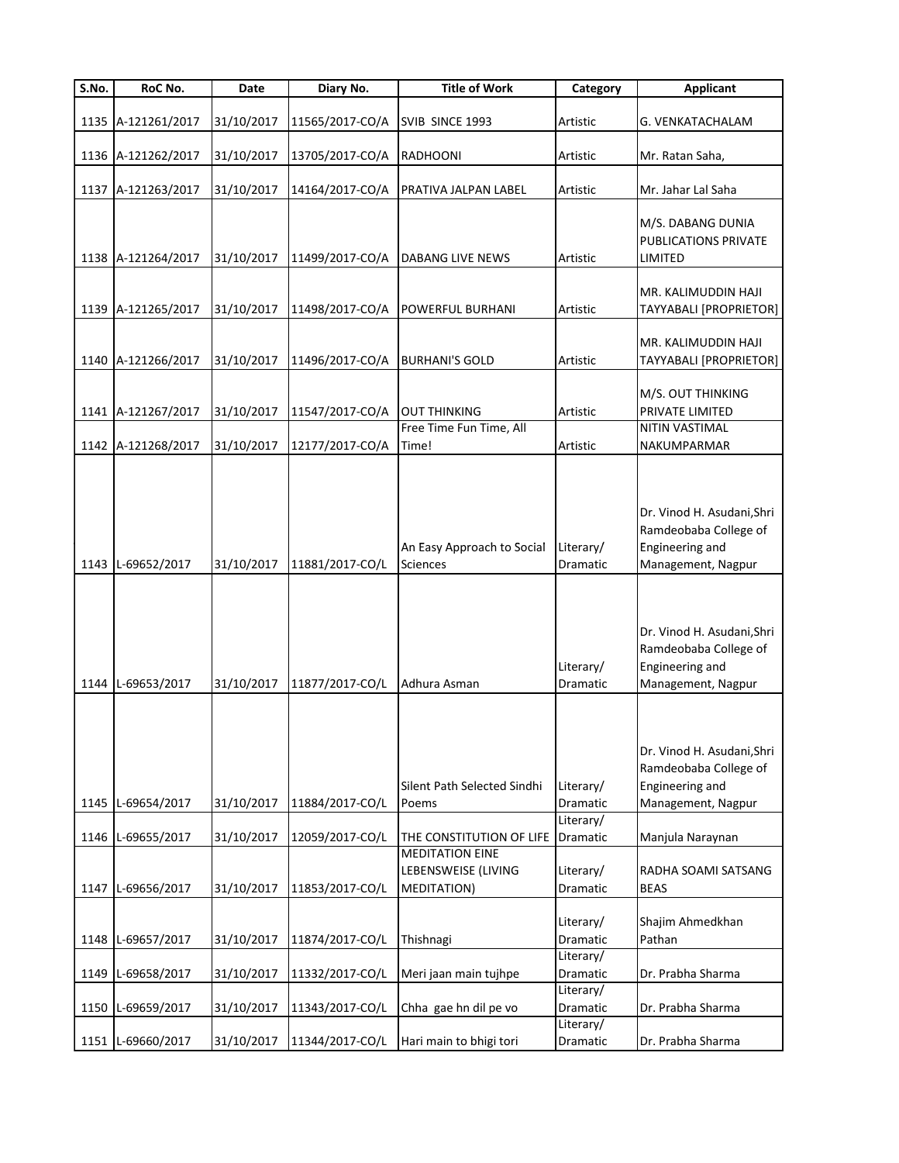| $\overline{\mathsf{S}}$ . No. | RoC No.            | Date       | Diary No.       | <b>Title of Work</b>                                                | Category                           | <b>Applicant</b>                                                                             |
|-------------------------------|--------------------|------------|-----------------|---------------------------------------------------------------------|------------------------------------|----------------------------------------------------------------------------------------------|
|                               |                    |            |                 |                                                                     |                                    |                                                                                              |
|                               | 1135 A-121261/2017 | 31/10/2017 | 11565/2017-CO/A | SVIB SINCE 1993                                                     | Artistic                           | G. VENKATACHALAM                                                                             |
|                               | 1136 A-121262/2017 | 31/10/2017 | 13705/2017-CO/A | <b>RADHOONI</b>                                                     | Artistic                           | Mr. Ratan Saha,                                                                              |
|                               |                    |            |                 |                                                                     |                                    |                                                                                              |
|                               | 1137 A-121263/2017 | 31/10/2017 | 14164/2017-CO/A | PRATIVA JALPAN LABEL                                                | Artistic                           | Mr. Jahar Lal Saha                                                                           |
|                               |                    |            |                 |                                                                     |                                    | M/S. DABANG DUNIA<br><b>PUBLICATIONS PRIVATE</b>                                             |
|                               | 1138 A-121264/2017 | 31/10/2017 | 11499/2017-CO/A | <b>DABANG LIVE NEWS</b>                                             | Artistic                           | LIMITED                                                                                      |
|                               | 1139 A-121265/2017 | 31/10/2017 | 11498/2017-CO/A | <b>POWERFUL BURHANI</b>                                             | Artistic                           | MR. KALIMUDDIN HAJI<br>TAYYABALI [PROPRIETOR]                                                |
|                               |                    |            |                 |                                                                     |                                    |                                                                                              |
|                               | 1140 A-121266/2017 | 31/10/2017 | 11496/2017-CO/A | <b>BURHANI'S GOLD</b>                                               | Artistic                           | MR. KALIMUDDIN HAJI<br>TAYYABALI [PROPRIETOR]                                                |
|                               |                    |            |                 |                                                                     |                                    | M/S. OUT THINKING                                                                            |
|                               | 1141 A-121267/2017 | 31/10/2017 | 11547/2017-CO/A | <b>OUT THINKING</b>                                                 | Artistic                           | PRIVATE LIMITED                                                                              |
|                               |                    |            |                 | Free Time Fun Time, All                                             |                                    | NITIN VASTIMAL                                                                               |
|                               | 1142 A-121268/2017 | 31/10/2017 | 12177/2017-CO/A | Time!                                                               | Artistic                           | NAKUMPARMAR                                                                                  |
|                               | 1143 L-69652/2017  | 31/10/2017 | 11881/2017-CO/L | An Easy Approach to Social<br><b>Sciences</b>                       | Literary/<br>Dramatic              | Dr. Vinod H. Asudani, Shri<br>Ramdeobaba College of<br>Engineering and<br>Management, Nagpur |
|                               | 1144 L-69653/2017  | 31/10/2017 | 11877/2017-CO/L | Adhura Asman                                                        | Literary/<br>Dramatic              | Dr. Vinod H. Asudani, Shri<br>Ramdeobaba College of<br>Engineering and<br>Management, Nagpur |
|                               | 1145 L-69654/2017  | 31/10/2017 | 11884/2017-CO/L | Silent Path Selected Sindhi<br>Poems                                | Literary/<br>Dramatic<br>Literary/ | Dr. Vinod H. Asudani, Shri<br>Ramdeobaba College of<br>Engineering and<br>Management, Nagpur |
|                               | 1146 L-69655/2017  | 31/10/2017 | 12059/2017-CO/L | THE CONSTITUTION OF LIFE                                            | Dramatic                           | Manjula Naraynan                                                                             |
| 1147                          | L-69656/2017       | 31/10/2017 | 11853/2017-CO/L | <b>MEDITATION EINE</b><br>LEBENSWEISE (LIVING<br><b>MEDITATION)</b> | Literary/<br>Dramatic              | RADHA SOAMI SATSANG<br><b>BEAS</b>                                                           |
|                               | 1148 L-69657/2017  | 31/10/2017 | 11874/2017-CO/L | Thishnagi                                                           | Literary/<br>Dramatic              | Shajim Ahmedkhan<br>Pathan                                                                   |
|                               | 1149 L-69658/2017  | 31/10/2017 | 11332/2017-CO/L | Meri jaan main tujhpe                                               | Literary/<br>Dramatic              | Dr. Prabha Sharma                                                                            |
|                               | 1150 L-69659/2017  | 31/10/2017 | 11343/2017-CO/L | Chha gae hn dil pe vo                                               | Literary/<br>Dramatic<br>Literary/ | Dr. Prabha Sharma                                                                            |
|                               | 1151 L-69660/2017  | 31/10/2017 | 11344/2017-CO/L | Hari main to bhigi tori                                             | Dramatic                           | Dr. Prabha Sharma                                                                            |
|                               |                    |            |                 |                                                                     |                                    |                                                                                              |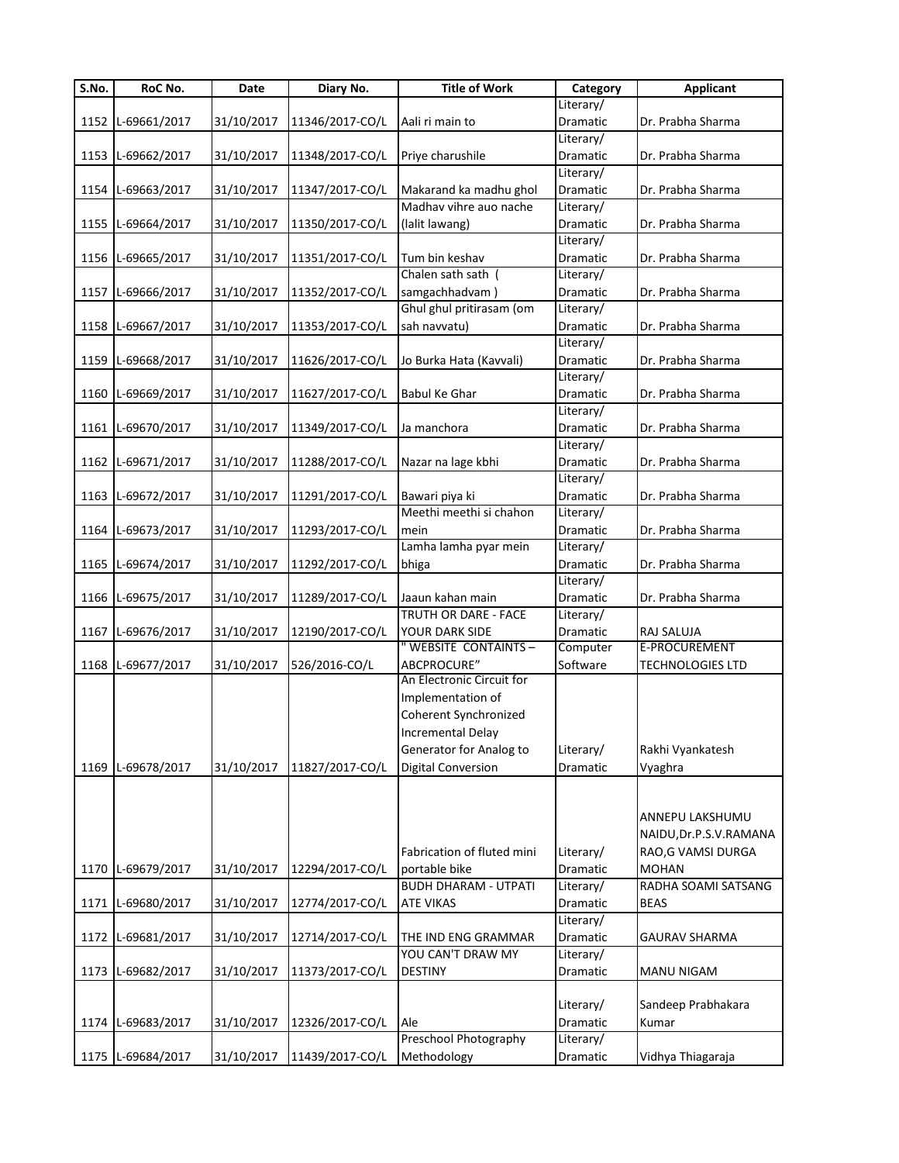| S.No. | RoC No.           | Date       | Diary No.       | <b>Title of Work</b>        | Category  | <b>Applicant</b>       |
|-------|-------------------|------------|-----------------|-----------------------------|-----------|------------------------|
|       |                   |            |                 |                             | Literary/ |                        |
|       | 1152 L-69661/2017 | 31/10/2017 | 11346/2017-CO/L | Aali ri main to             | Dramatic  | Dr. Prabha Sharma      |
|       |                   |            |                 |                             | Literary/ |                        |
|       | 1153 L-69662/2017 | 31/10/2017 | 11348/2017-CO/L | Priye charushile            | Dramatic  | Dr. Prabha Sharma      |
|       |                   |            |                 |                             | Literary/ |                        |
|       | 1154 L-69663/2017 | 31/10/2017 | 11347/2017-CO/L | Makarand ka madhu ghol      | Dramatic  | Dr. Prabha Sharma      |
|       |                   |            |                 | Madhav vihre auo nache      | Literary/ |                        |
|       | 1155 L-69664/2017 | 31/10/2017 | 11350/2017-CO/L | (lalit lawang)              | Dramatic  | Dr. Prabha Sharma      |
|       |                   |            |                 |                             | Literary/ |                        |
|       | 1156 L-69665/2017 | 31/10/2017 | 11351/2017-CO/L | Tum bin keshav              | Dramatic  | Dr. Prabha Sharma      |
|       |                   |            |                 | Chalen sath sath (          | Literary/ |                        |
|       | 1157 L-69666/2017 | 31/10/2017 | 11352/2017-CO/L | samgachhadvam)              | Dramatic  | Dr. Prabha Sharma      |
|       |                   |            |                 | Ghul ghul pritirasam (om    | Literary/ |                        |
|       |                   |            |                 | sah navvatu)                |           |                        |
|       | 1158 L-69667/2017 | 31/10/2017 | 11353/2017-CO/L |                             | Dramatic  | Dr. Prabha Sharma      |
|       |                   |            |                 |                             | Literary/ |                        |
|       | 1159 L-69668/2017 | 31/10/2017 | 11626/2017-CO/L | Jo Burka Hata (Kavvali)     | Dramatic  | Dr. Prabha Sharma      |
|       |                   |            |                 |                             | Literary/ |                        |
|       | 1160 L-69669/2017 | 31/10/2017 | 11627/2017-CO/L | <b>Babul Ke Ghar</b>        | Dramatic  | Dr. Prabha Sharma      |
|       |                   |            |                 |                             | Literary/ |                        |
|       | 1161 L-69670/2017 | 31/10/2017 | 11349/2017-CO/L | Ja manchora                 | Dramatic  | Dr. Prabha Sharma      |
|       |                   |            |                 |                             | Literary/ |                        |
|       | 1162 L-69671/2017 | 31/10/2017 | 11288/2017-CO/L | Nazar na lage kbhi          | Dramatic  | Dr. Prabha Sharma      |
|       |                   |            |                 |                             | Literary/ |                        |
|       | 1163 L-69672/2017 | 31/10/2017 | 11291/2017-CO/L | Bawari piya ki              | Dramatic  | Dr. Prabha Sharma      |
|       |                   |            |                 | Meethi meethi si chahon     | Literary/ |                        |
|       | 1164 L-69673/2017 | 31/10/2017 | 11293/2017-CO/L | mein                        | Dramatic  | Dr. Prabha Sharma      |
|       |                   |            |                 | Lamha lamha pyar mein       | Literary/ |                        |
|       | 1165 L-69674/2017 | 31/10/2017 | 11292/2017-CO/L | bhiga                       | Dramatic  | Dr. Prabha Sharma      |
|       |                   |            |                 |                             | Literary/ |                        |
|       | 1166 L-69675/2017 | 31/10/2017 | 11289/2017-CO/L | Jaaun kahan main            | Dramatic  | Dr. Prabha Sharma      |
|       |                   |            |                 | TRUTH OR DARE - FACE        | Literary/ |                        |
|       | 1167 L-69676/2017 | 31/10/2017 | 12190/2017-CO/L | YOUR DARK SIDE              | Dramatic  | RAJ SALUJA             |
|       |                   |            |                 | " WEBSITE CONTAINTS -       | Computer  | E-PROCUREMENT          |
|       |                   |            |                 | ABCPROCURE"                 | Software  |                        |
|       | 1168 L-69677/2017 | 31/10/2017 | 526/2016-CO/L   | An Electronic Circuit for   |           | TECHNOLOGIES LTD       |
|       |                   |            |                 | Implementation of           |           |                        |
|       |                   |            |                 |                             |           |                        |
|       |                   |            |                 | Coherent Synchronized       |           |                        |
|       |                   |            |                 | <b>Incremental Delay</b>    |           |                        |
|       |                   |            |                 | Generator for Analog to     | Literary/ | Rakhi Vyankatesh       |
|       | 1169 L-69678/2017 | 31/10/2017 | 11827/2017-CO/L | Digital Conversion          | Dramatic  | Vyaghra                |
|       |                   |            |                 |                             |           |                        |
|       |                   |            |                 |                             |           |                        |
|       |                   |            |                 |                             |           | ANNEPU LAKSHUMU        |
|       |                   |            |                 |                             |           | NAIDU, Dr.P.S.V.RAMANA |
|       |                   |            |                 | Fabrication of fluted mini  | Literary/ | RAO, G VAMSI DURGA     |
|       | 1170 L-69679/2017 | 31/10/2017 | 12294/2017-CO/L | portable bike               | Dramatic  | <b>MOHAN</b>           |
|       |                   |            |                 | <b>BUDH DHARAM - UTPATI</b> | Literary/ | RADHA SOAMI SATSANG    |
|       | 1171 L-69680/2017 | 31/10/2017 | 12774/2017-CO/L | <b>ATE VIKAS</b>            | Dramatic  | <b>BEAS</b>            |
|       |                   |            |                 |                             | Literary/ |                        |
|       | 1172 L-69681/2017 | 31/10/2017 | 12714/2017-CO/L | THE IND ENG GRAMMAR         | Dramatic  | <b>GAURAV SHARMA</b>   |
|       |                   |            |                 | YOU CAN'T DRAW MY           | Literary/ |                        |
|       | 1173 L-69682/2017 | 31/10/2017 | 11373/2017-CO/L | <b>DESTINY</b>              |           | <b>MANU NIGAM</b>      |
|       |                   |            |                 |                             | Dramatic  |                        |
|       |                   |            |                 |                             |           |                        |
|       |                   |            |                 |                             | Literary/ | Sandeep Prabhakara     |
|       | 1174 L-69683/2017 | 31/10/2017 | 12326/2017-CO/L | Ale                         | Dramatic  | Kumar                  |
|       |                   |            |                 | Preschool Photography       | Literary/ |                        |
|       | 1175 L-69684/2017 | 31/10/2017 | 11439/2017-CO/L | Methodology                 | Dramatic  | Vidhya Thiagaraja      |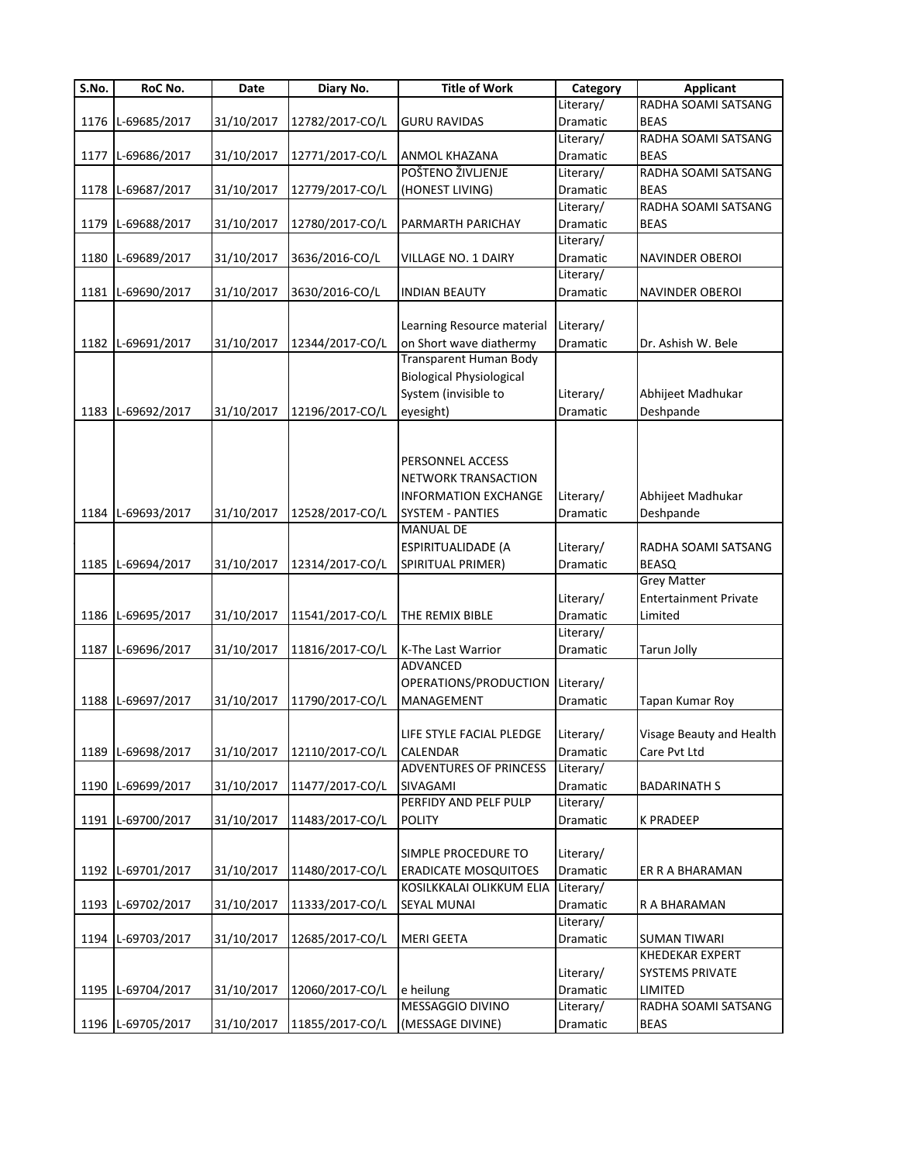| $\overline{\mathsf{S}}$ . No. | RoC No.           | Date       | Diary No.       | <b>Title of Work</b>            | Category  | <b>Applicant</b>             |
|-------------------------------|-------------------|------------|-----------------|---------------------------------|-----------|------------------------------|
|                               |                   |            |                 |                                 | Literary/ | RADHA SOAMI SATSANG          |
|                               | 1176 L-69685/2017 | 31/10/2017 | 12782/2017-CO/L | <b>GURU RAVIDAS</b>             | Dramatic  | <b>BEAS</b>                  |
|                               |                   |            |                 |                                 | Literary/ | RADHA SOAMI SATSANG          |
|                               | 1177 L-69686/2017 | 31/10/2017 | 12771/2017-CO/L | <b>ANMOL KHAZANA</b>            | Dramatic  | <b>BEAS</b>                  |
|                               |                   |            |                 | POŠTENO ŽIVLJENJE               | Literary/ | RADHA SOAMI SATSANG          |
|                               | 1178 L-69687/2017 | 31/10/2017 | 12779/2017-CO/L | (HONEST LIVING)                 | Dramatic  | <b>BEAS</b>                  |
|                               |                   |            |                 |                                 | Literary/ | RADHA SOAMI SATSANG          |
|                               | 1179 L-69688/2017 | 31/10/2017 | 12780/2017-CO/L | PARMARTH PARICHAY               | Dramatic  | <b>BEAS</b>                  |
|                               |                   |            |                 |                                 | Literary/ |                              |
|                               | 1180 L-69689/2017 | 31/10/2017 | 3636/2016-CO/L  | VILLAGE NO. 1 DAIRY             | Dramatic  | <b>NAVINDER OBEROI</b>       |
|                               |                   |            |                 |                                 | Literary/ |                              |
|                               | 1181 L-69690/2017 | 31/10/2017 | 3630/2016-CO/L  | <b>INDIAN BEAUTY</b>            | Dramatic  | <b>NAVINDER OBEROI</b>       |
|                               |                   |            |                 |                                 |           |                              |
|                               |                   |            |                 | Learning Resource material      | Literary/ |                              |
|                               | 1182 L-69691/2017 | 31/10/2017 | 12344/2017-CO/L | on Short wave diathermy         | Dramatic  | Dr. Ashish W. Bele           |
|                               |                   |            |                 | Transparent Human Body          |           |                              |
|                               |                   |            |                 | <b>Biological Physiological</b> |           |                              |
|                               |                   |            |                 | System (invisible to            | Literary/ | Abhijeet Madhukar            |
|                               | 1183 L-69692/2017 | 31/10/2017 | 12196/2017-CO/L | eyesight)                       | Dramatic  | Deshpande                    |
|                               |                   |            |                 |                                 |           |                              |
|                               |                   |            |                 |                                 |           |                              |
|                               |                   |            |                 | PERSONNEL ACCESS                |           |                              |
|                               |                   |            |                 | NETWORK TRANSACTION             |           |                              |
|                               |                   |            |                 | <b>INFORMATION EXCHANGE</b>     | Literary/ | Abhijeet Madhukar            |
|                               | 1184 L-69693/2017 | 31/10/2017 | 12528/2017-CO/L | <b>SYSTEM - PANTIES</b>         | Dramatic  | Deshpande                    |
|                               |                   |            |                 | <b>MANUAL DE</b>                |           |                              |
|                               |                   |            |                 | ESPIRITUALIDADE (A              | Literary/ | RADHA SOAMI SATSANG          |
|                               | 1185 L-69694/2017 | 31/10/2017 | 12314/2017-CO/L | SPIRITUAL PRIMER)               | Dramatic  | <b>BEASQ</b>                 |
|                               |                   |            |                 |                                 |           | <b>Grey Matter</b>           |
|                               |                   |            |                 |                                 | Literary/ | <b>Entertainment Private</b> |
|                               | 1186 L-69695/2017 | 31/10/2017 | 11541/2017-CO/L | THE REMIX BIBLE                 | Dramatic  | Limited                      |
|                               |                   |            |                 |                                 | Literary/ |                              |
|                               |                   |            |                 |                                 |           |                              |
|                               | 1187 L-69696/2017 | 31/10/2017 | 11816/2017-CO/L | K-The Last Warrior<br>ADVANCED  | Dramatic  | <b>Tarun Jolly</b>           |
|                               |                   |            |                 |                                 |           |                              |
|                               |                   |            |                 | OPERATIONS/PRODUCTION           | Literary/ |                              |
|                               | 1188 L-69697/2017 | 31/10/2017 | 11790/2017-CO/L | MANAGEMENT                      | Dramatic  | Tapan Kumar Roy              |
|                               |                   |            |                 |                                 |           |                              |
|                               |                   |            |                 | LIFE STYLE FACIAL PLEDGE        | Literary/ | Visage Beauty and Health     |
|                               | 1189 L-69698/2017 | 31/10/2017 | 12110/2017-CO/L | <b>CALENDAR</b>                 | Dramatic  | Care Pvt Ltd                 |
|                               |                   |            |                 | ADVENTURES OF PRINCESS          | Literary/ |                              |
|                               | 1190 L-69699/2017 | 31/10/2017 | 11477/2017-CO/L | SIVAGAMI                        | Dramatic  | <b>BADARINATH S</b>          |
|                               |                   |            |                 | PERFIDY AND PELF PULP           | Literary/ |                              |
|                               | 1191 L-69700/2017 | 31/10/2017 | 11483/2017-CO/L | <b>POLITY</b>                   | Dramatic  | <b>K PRADEEP</b>             |
|                               |                   |            |                 |                                 |           |                              |
|                               |                   |            |                 | SIMPLE PROCEDURE TO             | Literary/ |                              |
|                               | 1192 L-69701/2017 | 31/10/2017 | 11480/2017-CO/L | <b>ERADICATE MOSQUITOES</b>     | Dramatic  | ER R A BHARAMAN              |
|                               |                   |            |                 | KOSILKKALAI OLIKKUM ELIA        | Literary/ |                              |
|                               | 1193 L-69702/2017 | 31/10/2017 | 11333/2017-CO/L | SEYAL MUNAI                     | Dramatic  | R A BHARAMAN                 |
|                               |                   |            |                 |                                 | Literary/ |                              |
|                               | 1194 L-69703/2017 | 31/10/2017 | 12685/2017-CO/L | <b>MERI GEETA</b>               | Dramatic  | <b>SUMAN TIWARI</b>          |
|                               |                   |            |                 |                                 |           | KHEDEKAR EXPERT              |
|                               |                   |            |                 |                                 | Literary/ | <b>SYSTEMS PRIVATE</b>       |
|                               | 1195 L-69704/2017 | 31/10/2017 | 12060/2017-CO/L | e heilung                       | Dramatic  | LIMITED                      |
|                               |                   |            |                 | MESSAGGIO DIVINO                | Literary/ | RADHA SOAMI SATSANG          |
|                               | 1196 L-69705/2017 | 31/10/2017 | 11855/2017-CO/L | (MESSAGE DIVINE)                | Dramatic  | <b>BEAS</b>                  |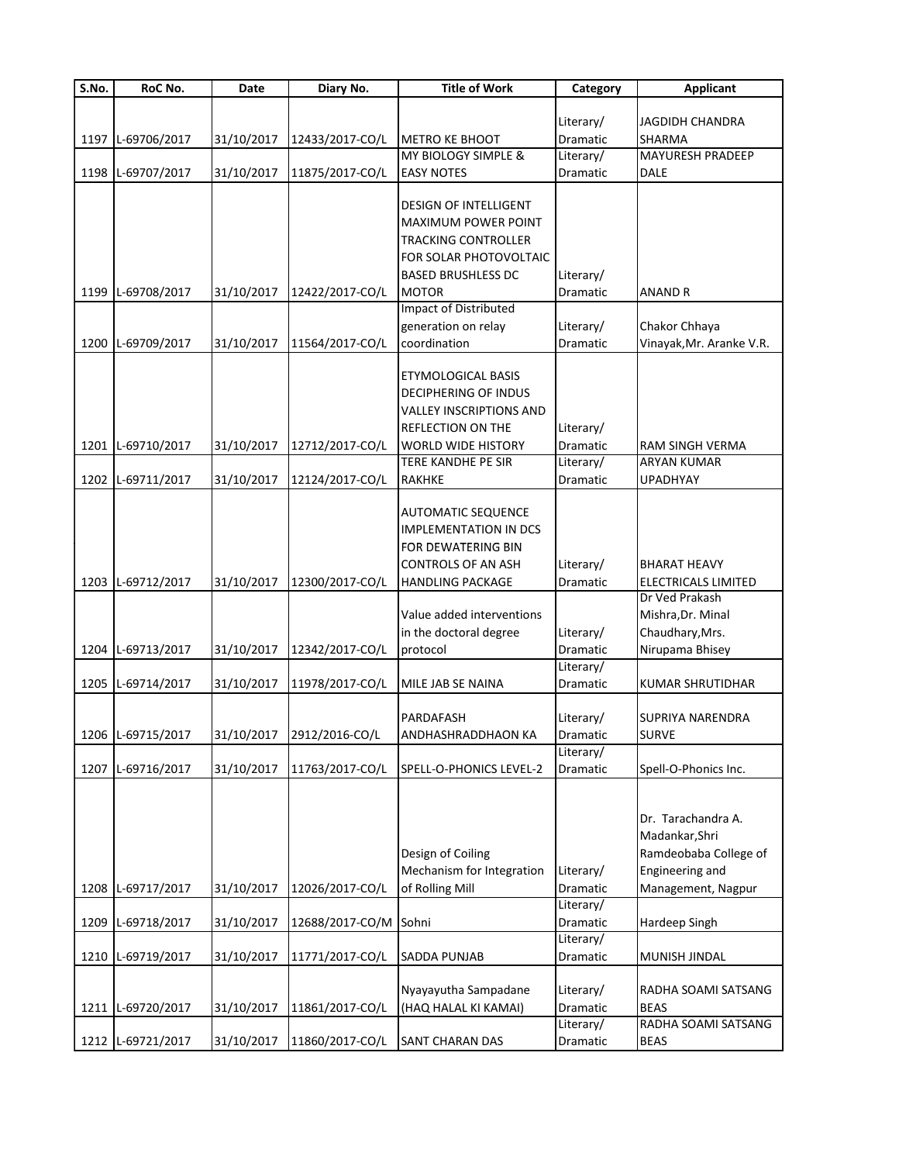| JAGDIDH CHANDRA<br>Literary/<br>1197 L-69706/2017<br>31/10/2017<br>12433/2017-CO/L<br><b>METRO KE BHOOT</b><br>Dramatic<br>SHARMA<br>MY BIOLOGY SIMPLE &<br>Literary/<br><b>MAYURESH PRADEEP</b><br>1198 L-69707/2017<br>31/10/2017<br>11875/2017-CO/L<br><b>EASY NOTES</b><br><b>DALE</b><br>Dramatic<br><b>DESIGN OF INTELLIGENT</b><br>MAXIMUM POWER POINT<br>TRACKING CONTROLLER<br>FOR SOLAR PHOTOVOLTAIC<br><b>BASED BRUSHLESS DC</b><br>Literary/<br>1199 L-69708/2017<br>31/10/2017<br>12422/2017-CO/L<br>MOTOR<br>Dramatic<br><b>ANAND R</b><br><b>Impact of Distributed</b><br>Literary/<br>Chakor Chhaya<br>generation on relay<br>1200 L-69709/2017<br>31/10/2017<br>11564/2017-CO/L<br>coordination<br>Vinayak, Mr. Aranke V.R.<br>Dramatic<br>ETYMOLOGICAL BASIS<br>DECIPHERING OF INDUS<br>VALLEY INSCRIPTIONS AND<br>REFLECTION ON THE<br>Literary/<br>1201 L-69710/2017<br>31/10/2017<br>12712/2017-CO/L<br>Dramatic<br><b>WORLD WIDE HISTORY</b><br>RAM SINGH VERMA<br>Literary/<br><b>ARYAN KUMAR</b><br>TERE KANDHE PE SIR<br>1202 L-69711/2017<br>31/10/2017<br>12124/2017-CO/L<br><b>RAKHKE</b><br>Dramatic<br><b>UPADHYAY</b><br>AUTOMATIC SEQUENCE<br><b>IMPLEMENTATION IN DCS</b><br>FOR DEWATERING BIN<br>Literary/<br><b>CONTROLS OF AN ASH</b><br>BHARAT HEAVY<br>31/10/2017<br>Dramatic<br>1203 L-69712/2017<br>12300/2017-CO/L<br><b>HANDLING PACKAGE</b><br>ELECTRICALS LIMITED<br>Dr Ved Prakash<br>Value added interventions<br>Mishra, Dr. Minal<br>in the doctoral degree<br>Literary/<br>Chaudhary, Mrs.<br>1204 L-69713/2017<br>31/10/2017<br>12342/2017-CO/L<br>Nirupama Bhisey<br>protocol<br>Dramatic<br>Literary/<br>1205 L-69714/2017<br>31/10/2017<br>11978/2017-CO/L<br>MILE JAB SE NAINA<br>Dramatic<br><b>KUMAR SHRUTIDHAR</b><br>SUPRIYA NARENDRA<br>PARDAFASH<br>Literary/<br>31/10/2017 2912/2016-CO/L<br>1206 L-69715/2017<br><b>SURVE</b><br><b>ANDHASHRADDHAON KA</b><br><b>Dramatic</b><br>Literary/<br>1207 L-69716/2017<br>31/10/2017<br>Dramatic<br>11763/2017-CO/L<br>SPELL-O-PHONICS LEVEL-2<br>Spell-O-Phonics Inc.<br>Dr. Tarachandra A.<br>Madankar, Shri<br>Design of Coiling<br>Ramdeobaba College of<br>Mechanism for Integration<br>Literary/<br>Engineering and<br>1208 L-69717/2017<br>31/10/2017<br>12026/2017-CO/L<br>of Rolling Mill<br>Dramatic<br>Management, Nagpur<br>Literary/<br>1209 L-69718/2017<br>31/10/2017<br>12688/2017-CO/M Sohni<br>Dramatic<br>Hardeep Singh<br>Literary/<br>1210 L-69719/2017<br>31/10/2017<br>11771/2017-CO/L<br>SADDA PUNJAB<br>Dramatic<br>MUNISH JINDAL<br>Nyayayutha Sampadane<br>Literary/<br>RADHA SOAMI SATSANG<br>1211 L-69720/2017<br>31/10/2017<br>11861/2017-CO/L<br>Dramatic<br><b>BEAS</b><br>(HAQ HALAL KI KAMAI)<br>Literary/<br>RADHA SOAMI SATSANG<br>31/10/2017<br>1212 L-69721/2017<br>11860/2017-CO/L<br>SANT CHARAN DAS<br>Dramatic<br><b>BEAS</b> | S.No. | RoC No. | Date | Diary No. | <b>Title of Work</b> | Category | <b>Applicant</b> |
|---------------------------------------------------------------------------------------------------------------------------------------------------------------------------------------------------------------------------------------------------------------------------------------------------------------------------------------------------------------------------------------------------------------------------------------------------------------------------------------------------------------------------------------------------------------------------------------------------------------------------------------------------------------------------------------------------------------------------------------------------------------------------------------------------------------------------------------------------------------------------------------------------------------------------------------------------------------------------------------------------------------------------------------------------------------------------------------------------------------------------------------------------------------------------------------------------------------------------------------------------------------------------------------------------------------------------------------------------------------------------------------------------------------------------------------------------------------------------------------------------------------------------------------------------------------------------------------------------------------------------------------------------------------------------------------------------------------------------------------------------------------------------------------------------------------------------------------------------------------------------------------------------------------------------------------------------------------------------------------------------------------------------------------------------------------------------------------------------------------------------------------------------------------------------------------------------------------------------------------------------------------------------------------------------------------------------------------------------------------------------------------------------------------------------------------------------------------------------------------------------------------------------------------------------------------------------------------------------------------------------------------------------------------------------------------------------------------------------------------------------------------------------------------------------------------------------------------------------------------------------------|-------|---------|------|-----------|----------------------|----------|------------------|
|                                                                                                                                                                                                                                                                                                                                                                                                                                                                                                                                                                                                                                                                                                                                                                                                                                                                                                                                                                                                                                                                                                                                                                                                                                                                                                                                                                                                                                                                                                                                                                                                                                                                                                                                                                                                                                                                                                                                                                                                                                                                                                                                                                                                                                                                                                                                                                                                                                                                                                                                                                                                                                                                                                                                                                                                                                                                                 |       |         |      |           |                      |          |                  |
|                                                                                                                                                                                                                                                                                                                                                                                                                                                                                                                                                                                                                                                                                                                                                                                                                                                                                                                                                                                                                                                                                                                                                                                                                                                                                                                                                                                                                                                                                                                                                                                                                                                                                                                                                                                                                                                                                                                                                                                                                                                                                                                                                                                                                                                                                                                                                                                                                                                                                                                                                                                                                                                                                                                                                                                                                                                                                 |       |         |      |           |                      |          |                  |
|                                                                                                                                                                                                                                                                                                                                                                                                                                                                                                                                                                                                                                                                                                                                                                                                                                                                                                                                                                                                                                                                                                                                                                                                                                                                                                                                                                                                                                                                                                                                                                                                                                                                                                                                                                                                                                                                                                                                                                                                                                                                                                                                                                                                                                                                                                                                                                                                                                                                                                                                                                                                                                                                                                                                                                                                                                                                                 |       |         |      |           |                      |          |                  |
|                                                                                                                                                                                                                                                                                                                                                                                                                                                                                                                                                                                                                                                                                                                                                                                                                                                                                                                                                                                                                                                                                                                                                                                                                                                                                                                                                                                                                                                                                                                                                                                                                                                                                                                                                                                                                                                                                                                                                                                                                                                                                                                                                                                                                                                                                                                                                                                                                                                                                                                                                                                                                                                                                                                                                                                                                                                                                 |       |         |      |           |                      |          |                  |
|                                                                                                                                                                                                                                                                                                                                                                                                                                                                                                                                                                                                                                                                                                                                                                                                                                                                                                                                                                                                                                                                                                                                                                                                                                                                                                                                                                                                                                                                                                                                                                                                                                                                                                                                                                                                                                                                                                                                                                                                                                                                                                                                                                                                                                                                                                                                                                                                                                                                                                                                                                                                                                                                                                                                                                                                                                                                                 |       |         |      |           |                      |          |                  |
|                                                                                                                                                                                                                                                                                                                                                                                                                                                                                                                                                                                                                                                                                                                                                                                                                                                                                                                                                                                                                                                                                                                                                                                                                                                                                                                                                                                                                                                                                                                                                                                                                                                                                                                                                                                                                                                                                                                                                                                                                                                                                                                                                                                                                                                                                                                                                                                                                                                                                                                                                                                                                                                                                                                                                                                                                                                                                 |       |         |      |           |                      |          |                  |
|                                                                                                                                                                                                                                                                                                                                                                                                                                                                                                                                                                                                                                                                                                                                                                                                                                                                                                                                                                                                                                                                                                                                                                                                                                                                                                                                                                                                                                                                                                                                                                                                                                                                                                                                                                                                                                                                                                                                                                                                                                                                                                                                                                                                                                                                                                                                                                                                                                                                                                                                                                                                                                                                                                                                                                                                                                                                                 |       |         |      |           |                      |          |                  |
|                                                                                                                                                                                                                                                                                                                                                                                                                                                                                                                                                                                                                                                                                                                                                                                                                                                                                                                                                                                                                                                                                                                                                                                                                                                                                                                                                                                                                                                                                                                                                                                                                                                                                                                                                                                                                                                                                                                                                                                                                                                                                                                                                                                                                                                                                                                                                                                                                                                                                                                                                                                                                                                                                                                                                                                                                                                                                 |       |         |      |           |                      |          |                  |
|                                                                                                                                                                                                                                                                                                                                                                                                                                                                                                                                                                                                                                                                                                                                                                                                                                                                                                                                                                                                                                                                                                                                                                                                                                                                                                                                                                                                                                                                                                                                                                                                                                                                                                                                                                                                                                                                                                                                                                                                                                                                                                                                                                                                                                                                                                                                                                                                                                                                                                                                                                                                                                                                                                                                                                                                                                                                                 |       |         |      |           |                      |          |                  |
|                                                                                                                                                                                                                                                                                                                                                                                                                                                                                                                                                                                                                                                                                                                                                                                                                                                                                                                                                                                                                                                                                                                                                                                                                                                                                                                                                                                                                                                                                                                                                                                                                                                                                                                                                                                                                                                                                                                                                                                                                                                                                                                                                                                                                                                                                                                                                                                                                                                                                                                                                                                                                                                                                                                                                                                                                                                                                 |       |         |      |           |                      |          |                  |
|                                                                                                                                                                                                                                                                                                                                                                                                                                                                                                                                                                                                                                                                                                                                                                                                                                                                                                                                                                                                                                                                                                                                                                                                                                                                                                                                                                                                                                                                                                                                                                                                                                                                                                                                                                                                                                                                                                                                                                                                                                                                                                                                                                                                                                                                                                                                                                                                                                                                                                                                                                                                                                                                                                                                                                                                                                                                                 |       |         |      |           |                      |          |                  |
|                                                                                                                                                                                                                                                                                                                                                                                                                                                                                                                                                                                                                                                                                                                                                                                                                                                                                                                                                                                                                                                                                                                                                                                                                                                                                                                                                                                                                                                                                                                                                                                                                                                                                                                                                                                                                                                                                                                                                                                                                                                                                                                                                                                                                                                                                                                                                                                                                                                                                                                                                                                                                                                                                                                                                                                                                                                                                 |       |         |      |           |                      |          |                  |
|                                                                                                                                                                                                                                                                                                                                                                                                                                                                                                                                                                                                                                                                                                                                                                                                                                                                                                                                                                                                                                                                                                                                                                                                                                                                                                                                                                                                                                                                                                                                                                                                                                                                                                                                                                                                                                                                                                                                                                                                                                                                                                                                                                                                                                                                                                                                                                                                                                                                                                                                                                                                                                                                                                                                                                                                                                                                                 |       |         |      |           |                      |          |                  |
|                                                                                                                                                                                                                                                                                                                                                                                                                                                                                                                                                                                                                                                                                                                                                                                                                                                                                                                                                                                                                                                                                                                                                                                                                                                                                                                                                                                                                                                                                                                                                                                                                                                                                                                                                                                                                                                                                                                                                                                                                                                                                                                                                                                                                                                                                                                                                                                                                                                                                                                                                                                                                                                                                                                                                                                                                                                                                 |       |         |      |           |                      |          |                  |
|                                                                                                                                                                                                                                                                                                                                                                                                                                                                                                                                                                                                                                                                                                                                                                                                                                                                                                                                                                                                                                                                                                                                                                                                                                                                                                                                                                                                                                                                                                                                                                                                                                                                                                                                                                                                                                                                                                                                                                                                                                                                                                                                                                                                                                                                                                                                                                                                                                                                                                                                                                                                                                                                                                                                                                                                                                                                                 |       |         |      |           |                      |          |                  |
|                                                                                                                                                                                                                                                                                                                                                                                                                                                                                                                                                                                                                                                                                                                                                                                                                                                                                                                                                                                                                                                                                                                                                                                                                                                                                                                                                                                                                                                                                                                                                                                                                                                                                                                                                                                                                                                                                                                                                                                                                                                                                                                                                                                                                                                                                                                                                                                                                                                                                                                                                                                                                                                                                                                                                                                                                                                                                 |       |         |      |           |                      |          |                  |
|                                                                                                                                                                                                                                                                                                                                                                                                                                                                                                                                                                                                                                                                                                                                                                                                                                                                                                                                                                                                                                                                                                                                                                                                                                                                                                                                                                                                                                                                                                                                                                                                                                                                                                                                                                                                                                                                                                                                                                                                                                                                                                                                                                                                                                                                                                                                                                                                                                                                                                                                                                                                                                                                                                                                                                                                                                                                                 |       |         |      |           |                      |          |                  |
|                                                                                                                                                                                                                                                                                                                                                                                                                                                                                                                                                                                                                                                                                                                                                                                                                                                                                                                                                                                                                                                                                                                                                                                                                                                                                                                                                                                                                                                                                                                                                                                                                                                                                                                                                                                                                                                                                                                                                                                                                                                                                                                                                                                                                                                                                                                                                                                                                                                                                                                                                                                                                                                                                                                                                                                                                                                                                 |       |         |      |           |                      |          |                  |
|                                                                                                                                                                                                                                                                                                                                                                                                                                                                                                                                                                                                                                                                                                                                                                                                                                                                                                                                                                                                                                                                                                                                                                                                                                                                                                                                                                                                                                                                                                                                                                                                                                                                                                                                                                                                                                                                                                                                                                                                                                                                                                                                                                                                                                                                                                                                                                                                                                                                                                                                                                                                                                                                                                                                                                                                                                                                                 |       |         |      |           |                      |          |                  |
|                                                                                                                                                                                                                                                                                                                                                                                                                                                                                                                                                                                                                                                                                                                                                                                                                                                                                                                                                                                                                                                                                                                                                                                                                                                                                                                                                                                                                                                                                                                                                                                                                                                                                                                                                                                                                                                                                                                                                                                                                                                                                                                                                                                                                                                                                                                                                                                                                                                                                                                                                                                                                                                                                                                                                                                                                                                                                 |       |         |      |           |                      |          |                  |
|                                                                                                                                                                                                                                                                                                                                                                                                                                                                                                                                                                                                                                                                                                                                                                                                                                                                                                                                                                                                                                                                                                                                                                                                                                                                                                                                                                                                                                                                                                                                                                                                                                                                                                                                                                                                                                                                                                                                                                                                                                                                                                                                                                                                                                                                                                                                                                                                                                                                                                                                                                                                                                                                                                                                                                                                                                                                                 |       |         |      |           |                      |          |                  |
|                                                                                                                                                                                                                                                                                                                                                                                                                                                                                                                                                                                                                                                                                                                                                                                                                                                                                                                                                                                                                                                                                                                                                                                                                                                                                                                                                                                                                                                                                                                                                                                                                                                                                                                                                                                                                                                                                                                                                                                                                                                                                                                                                                                                                                                                                                                                                                                                                                                                                                                                                                                                                                                                                                                                                                                                                                                                                 |       |         |      |           |                      |          |                  |
|                                                                                                                                                                                                                                                                                                                                                                                                                                                                                                                                                                                                                                                                                                                                                                                                                                                                                                                                                                                                                                                                                                                                                                                                                                                                                                                                                                                                                                                                                                                                                                                                                                                                                                                                                                                                                                                                                                                                                                                                                                                                                                                                                                                                                                                                                                                                                                                                                                                                                                                                                                                                                                                                                                                                                                                                                                                                                 |       |         |      |           |                      |          |                  |
|                                                                                                                                                                                                                                                                                                                                                                                                                                                                                                                                                                                                                                                                                                                                                                                                                                                                                                                                                                                                                                                                                                                                                                                                                                                                                                                                                                                                                                                                                                                                                                                                                                                                                                                                                                                                                                                                                                                                                                                                                                                                                                                                                                                                                                                                                                                                                                                                                                                                                                                                                                                                                                                                                                                                                                                                                                                                                 |       |         |      |           |                      |          |                  |
|                                                                                                                                                                                                                                                                                                                                                                                                                                                                                                                                                                                                                                                                                                                                                                                                                                                                                                                                                                                                                                                                                                                                                                                                                                                                                                                                                                                                                                                                                                                                                                                                                                                                                                                                                                                                                                                                                                                                                                                                                                                                                                                                                                                                                                                                                                                                                                                                                                                                                                                                                                                                                                                                                                                                                                                                                                                                                 |       |         |      |           |                      |          |                  |
|                                                                                                                                                                                                                                                                                                                                                                                                                                                                                                                                                                                                                                                                                                                                                                                                                                                                                                                                                                                                                                                                                                                                                                                                                                                                                                                                                                                                                                                                                                                                                                                                                                                                                                                                                                                                                                                                                                                                                                                                                                                                                                                                                                                                                                                                                                                                                                                                                                                                                                                                                                                                                                                                                                                                                                                                                                                                                 |       |         |      |           |                      |          |                  |
|                                                                                                                                                                                                                                                                                                                                                                                                                                                                                                                                                                                                                                                                                                                                                                                                                                                                                                                                                                                                                                                                                                                                                                                                                                                                                                                                                                                                                                                                                                                                                                                                                                                                                                                                                                                                                                                                                                                                                                                                                                                                                                                                                                                                                                                                                                                                                                                                                                                                                                                                                                                                                                                                                                                                                                                                                                                                                 |       |         |      |           |                      |          |                  |
|                                                                                                                                                                                                                                                                                                                                                                                                                                                                                                                                                                                                                                                                                                                                                                                                                                                                                                                                                                                                                                                                                                                                                                                                                                                                                                                                                                                                                                                                                                                                                                                                                                                                                                                                                                                                                                                                                                                                                                                                                                                                                                                                                                                                                                                                                                                                                                                                                                                                                                                                                                                                                                                                                                                                                                                                                                                                                 |       |         |      |           |                      |          |                  |
|                                                                                                                                                                                                                                                                                                                                                                                                                                                                                                                                                                                                                                                                                                                                                                                                                                                                                                                                                                                                                                                                                                                                                                                                                                                                                                                                                                                                                                                                                                                                                                                                                                                                                                                                                                                                                                                                                                                                                                                                                                                                                                                                                                                                                                                                                                                                                                                                                                                                                                                                                                                                                                                                                                                                                                                                                                                                                 |       |         |      |           |                      |          |                  |
|                                                                                                                                                                                                                                                                                                                                                                                                                                                                                                                                                                                                                                                                                                                                                                                                                                                                                                                                                                                                                                                                                                                                                                                                                                                                                                                                                                                                                                                                                                                                                                                                                                                                                                                                                                                                                                                                                                                                                                                                                                                                                                                                                                                                                                                                                                                                                                                                                                                                                                                                                                                                                                                                                                                                                                                                                                                                                 |       |         |      |           |                      |          |                  |
|                                                                                                                                                                                                                                                                                                                                                                                                                                                                                                                                                                                                                                                                                                                                                                                                                                                                                                                                                                                                                                                                                                                                                                                                                                                                                                                                                                                                                                                                                                                                                                                                                                                                                                                                                                                                                                                                                                                                                                                                                                                                                                                                                                                                                                                                                                                                                                                                                                                                                                                                                                                                                                                                                                                                                                                                                                                                                 |       |         |      |           |                      |          |                  |
|                                                                                                                                                                                                                                                                                                                                                                                                                                                                                                                                                                                                                                                                                                                                                                                                                                                                                                                                                                                                                                                                                                                                                                                                                                                                                                                                                                                                                                                                                                                                                                                                                                                                                                                                                                                                                                                                                                                                                                                                                                                                                                                                                                                                                                                                                                                                                                                                                                                                                                                                                                                                                                                                                                                                                                                                                                                                                 |       |         |      |           |                      |          |                  |
|                                                                                                                                                                                                                                                                                                                                                                                                                                                                                                                                                                                                                                                                                                                                                                                                                                                                                                                                                                                                                                                                                                                                                                                                                                                                                                                                                                                                                                                                                                                                                                                                                                                                                                                                                                                                                                                                                                                                                                                                                                                                                                                                                                                                                                                                                                                                                                                                                                                                                                                                                                                                                                                                                                                                                                                                                                                                                 |       |         |      |           |                      |          |                  |
|                                                                                                                                                                                                                                                                                                                                                                                                                                                                                                                                                                                                                                                                                                                                                                                                                                                                                                                                                                                                                                                                                                                                                                                                                                                                                                                                                                                                                                                                                                                                                                                                                                                                                                                                                                                                                                                                                                                                                                                                                                                                                                                                                                                                                                                                                                                                                                                                                                                                                                                                                                                                                                                                                                                                                                                                                                                                                 |       |         |      |           |                      |          |                  |
|                                                                                                                                                                                                                                                                                                                                                                                                                                                                                                                                                                                                                                                                                                                                                                                                                                                                                                                                                                                                                                                                                                                                                                                                                                                                                                                                                                                                                                                                                                                                                                                                                                                                                                                                                                                                                                                                                                                                                                                                                                                                                                                                                                                                                                                                                                                                                                                                                                                                                                                                                                                                                                                                                                                                                                                                                                                                                 |       |         |      |           |                      |          |                  |
|                                                                                                                                                                                                                                                                                                                                                                                                                                                                                                                                                                                                                                                                                                                                                                                                                                                                                                                                                                                                                                                                                                                                                                                                                                                                                                                                                                                                                                                                                                                                                                                                                                                                                                                                                                                                                                                                                                                                                                                                                                                                                                                                                                                                                                                                                                                                                                                                                                                                                                                                                                                                                                                                                                                                                                                                                                                                                 |       |         |      |           |                      |          |                  |
|                                                                                                                                                                                                                                                                                                                                                                                                                                                                                                                                                                                                                                                                                                                                                                                                                                                                                                                                                                                                                                                                                                                                                                                                                                                                                                                                                                                                                                                                                                                                                                                                                                                                                                                                                                                                                                                                                                                                                                                                                                                                                                                                                                                                                                                                                                                                                                                                                                                                                                                                                                                                                                                                                                                                                                                                                                                                                 |       |         |      |           |                      |          |                  |
|                                                                                                                                                                                                                                                                                                                                                                                                                                                                                                                                                                                                                                                                                                                                                                                                                                                                                                                                                                                                                                                                                                                                                                                                                                                                                                                                                                                                                                                                                                                                                                                                                                                                                                                                                                                                                                                                                                                                                                                                                                                                                                                                                                                                                                                                                                                                                                                                                                                                                                                                                                                                                                                                                                                                                                                                                                                                                 |       |         |      |           |                      |          |                  |
|                                                                                                                                                                                                                                                                                                                                                                                                                                                                                                                                                                                                                                                                                                                                                                                                                                                                                                                                                                                                                                                                                                                                                                                                                                                                                                                                                                                                                                                                                                                                                                                                                                                                                                                                                                                                                                                                                                                                                                                                                                                                                                                                                                                                                                                                                                                                                                                                                                                                                                                                                                                                                                                                                                                                                                                                                                                                                 |       |         |      |           |                      |          |                  |
|                                                                                                                                                                                                                                                                                                                                                                                                                                                                                                                                                                                                                                                                                                                                                                                                                                                                                                                                                                                                                                                                                                                                                                                                                                                                                                                                                                                                                                                                                                                                                                                                                                                                                                                                                                                                                                                                                                                                                                                                                                                                                                                                                                                                                                                                                                                                                                                                                                                                                                                                                                                                                                                                                                                                                                                                                                                                                 |       |         |      |           |                      |          |                  |
|                                                                                                                                                                                                                                                                                                                                                                                                                                                                                                                                                                                                                                                                                                                                                                                                                                                                                                                                                                                                                                                                                                                                                                                                                                                                                                                                                                                                                                                                                                                                                                                                                                                                                                                                                                                                                                                                                                                                                                                                                                                                                                                                                                                                                                                                                                                                                                                                                                                                                                                                                                                                                                                                                                                                                                                                                                                                                 |       |         |      |           |                      |          |                  |
|                                                                                                                                                                                                                                                                                                                                                                                                                                                                                                                                                                                                                                                                                                                                                                                                                                                                                                                                                                                                                                                                                                                                                                                                                                                                                                                                                                                                                                                                                                                                                                                                                                                                                                                                                                                                                                                                                                                                                                                                                                                                                                                                                                                                                                                                                                                                                                                                                                                                                                                                                                                                                                                                                                                                                                                                                                                                                 |       |         |      |           |                      |          |                  |
|                                                                                                                                                                                                                                                                                                                                                                                                                                                                                                                                                                                                                                                                                                                                                                                                                                                                                                                                                                                                                                                                                                                                                                                                                                                                                                                                                                                                                                                                                                                                                                                                                                                                                                                                                                                                                                                                                                                                                                                                                                                                                                                                                                                                                                                                                                                                                                                                                                                                                                                                                                                                                                                                                                                                                                                                                                                                                 |       |         |      |           |                      |          |                  |
|                                                                                                                                                                                                                                                                                                                                                                                                                                                                                                                                                                                                                                                                                                                                                                                                                                                                                                                                                                                                                                                                                                                                                                                                                                                                                                                                                                                                                                                                                                                                                                                                                                                                                                                                                                                                                                                                                                                                                                                                                                                                                                                                                                                                                                                                                                                                                                                                                                                                                                                                                                                                                                                                                                                                                                                                                                                                                 |       |         |      |           |                      |          |                  |
|                                                                                                                                                                                                                                                                                                                                                                                                                                                                                                                                                                                                                                                                                                                                                                                                                                                                                                                                                                                                                                                                                                                                                                                                                                                                                                                                                                                                                                                                                                                                                                                                                                                                                                                                                                                                                                                                                                                                                                                                                                                                                                                                                                                                                                                                                                                                                                                                                                                                                                                                                                                                                                                                                                                                                                                                                                                                                 |       |         |      |           |                      |          |                  |
|                                                                                                                                                                                                                                                                                                                                                                                                                                                                                                                                                                                                                                                                                                                                                                                                                                                                                                                                                                                                                                                                                                                                                                                                                                                                                                                                                                                                                                                                                                                                                                                                                                                                                                                                                                                                                                                                                                                                                                                                                                                                                                                                                                                                                                                                                                                                                                                                                                                                                                                                                                                                                                                                                                                                                                                                                                                                                 |       |         |      |           |                      |          |                  |
|                                                                                                                                                                                                                                                                                                                                                                                                                                                                                                                                                                                                                                                                                                                                                                                                                                                                                                                                                                                                                                                                                                                                                                                                                                                                                                                                                                                                                                                                                                                                                                                                                                                                                                                                                                                                                                                                                                                                                                                                                                                                                                                                                                                                                                                                                                                                                                                                                                                                                                                                                                                                                                                                                                                                                                                                                                                                                 |       |         |      |           |                      |          |                  |
|                                                                                                                                                                                                                                                                                                                                                                                                                                                                                                                                                                                                                                                                                                                                                                                                                                                                                                                                                                                                                                                                                                                                                                                                                                                                                                                                                                                                                                                                                                                                                                                                                                                                                                                                                                                                                                                                                                                                                                                                                                                                                                                                                                                                                                                                                                                                                                                                                                                                                                                                                                                                                                                                                                                                                                                                                                                                                 |       |         |      |           |                      |          |                  |
|                                                                                                                                                                                                                                                                                                                                                                                                                                                                                                                                                                                                                                                                                                                                                                                                                                                                                                                                                                                                                                                                                                                                                                                                                                                                                                                                                                                                                                                                                                                                                                                                                                                                                                                                                                                                                                                                                                                                                                                                                                                                                                                                                                                                                                                                                                                                                                                                                                                                                                                                                                                                                                                                                                                                                                                                                                                                                 |       |         |      |           |                      |          |                  |
|                                                                                                                                                                                                                                                                                                                                                                                                                                                                                                                                                                                                                                                                                                                                                                                                                                                                                                                                                                                                                                                                                                                                                                                                                                                                                                                                                                                                                                                                                                                                                                                                                                                                                                                                                                                                                                                                                                                                                                                                                                                                                                                                                                                                                                                                                                                                                                                                                                                                                                                                                                                                                                                                                                                                                                                                                                                                                 |       |         |      |           |                      |          |                  |
|                                                                                                                                                                                                                                                                                                                                                                                                                                                                                                                                                                                                                                                                                                                                                                                                                                                                                                                                                                                                                                                                                                                                                                                                                                                                                                                                                                                                                                                                                                                                                                                                                                                                                                                                                                                                                                                                                                                                                                                                                                                                                                                                                                                                                                                                                                                                                                                                                                                                                                                                                                                                                                                                                                                                                                                                                                                                                 |       |         |      |           |                      |          |                  |
|                                                                                                                                                                                                                                                                                                                                                                                                                                                                                                                                                                                                                                                                                                                                                                                                                                                                                                                                                                                                                                                                                                                                                                                                                                                                                                                                                                                                                                                                                                                                                                                                                                                                                                                                                                                                                                                                                                                                                                                                                                                                                                                                                                                                                                                                                                                                                                                                                                                                                                                                                                                                                                                                                                                                                                                                                                                                                 |       |         |      |           |                      |          |                  |
|                                                                                                                                                                                                                                                                                                                                                                                                                                                                                                                                                                                                                                                                                                                                                                                                                                                                                                                                                                                                                                                                                                                                                                                                                                                                                                                                                                                                                                                                                                                                                                                                                                                                                                                                                                                                                                                                                                                                                                                                                                                                                                                                                                                                                                                                                                                                                                                                                                                                                                                                                                                                                                                                                                                                                                                                                                                                                 |       |         |      |           |                      |          |                  |
|                                                                                                                                                                                                                                                                                                                                                                                                                                                                                                                                                                                                                                                                                                                                                                                                                                                                                                                                                                                                                                                                                                                                                                                                                                                                                                                                                                                                                                                                                                                                                                                                                                                                                                                                                                                                                                                                                                                                                                                                                                                                                                                                                                                                                                                                                                                                                                                                                                                                                                                                                                                                                                                                                                                                                                                                                                                                                 |       |         |      |           |                      |          |                  |
|                                                                                                                                                                                                                                                                                                                                                                                                                                                                                                                                                                                                                                                                                                                                                                                                                                                                                                                                                                                                                                                                                                                                                                                                                                                                                                                                                                                                                                                                                                                                                                                                                                                                                                                                                                                                                                                                                                                                                                                                                                                                                                                                                                                                                                                                                                                                                                                                                                                                                                                                                                                                                                                                                                                                                                                                                                                                                 |       |         |      |           |                      |          |                  |
|                                                                                                                                                                                                                                                                                                                                                                                                                                                                                                                                                                                                                                                                                                                                                                                                                                                                                                                                                                                                                                                                                                                                                                                                                                                                                                                                                                                                                                                                                                                                                                                                                                                                                                                                                                                                                                                                                                                                                                                                                                                                                                                                                                                                                                                                                                                                                                                                                                                                                                                                                                                                                                                                                                                                                                                                                                                                                 |       |         |      |           |                      |          |                  |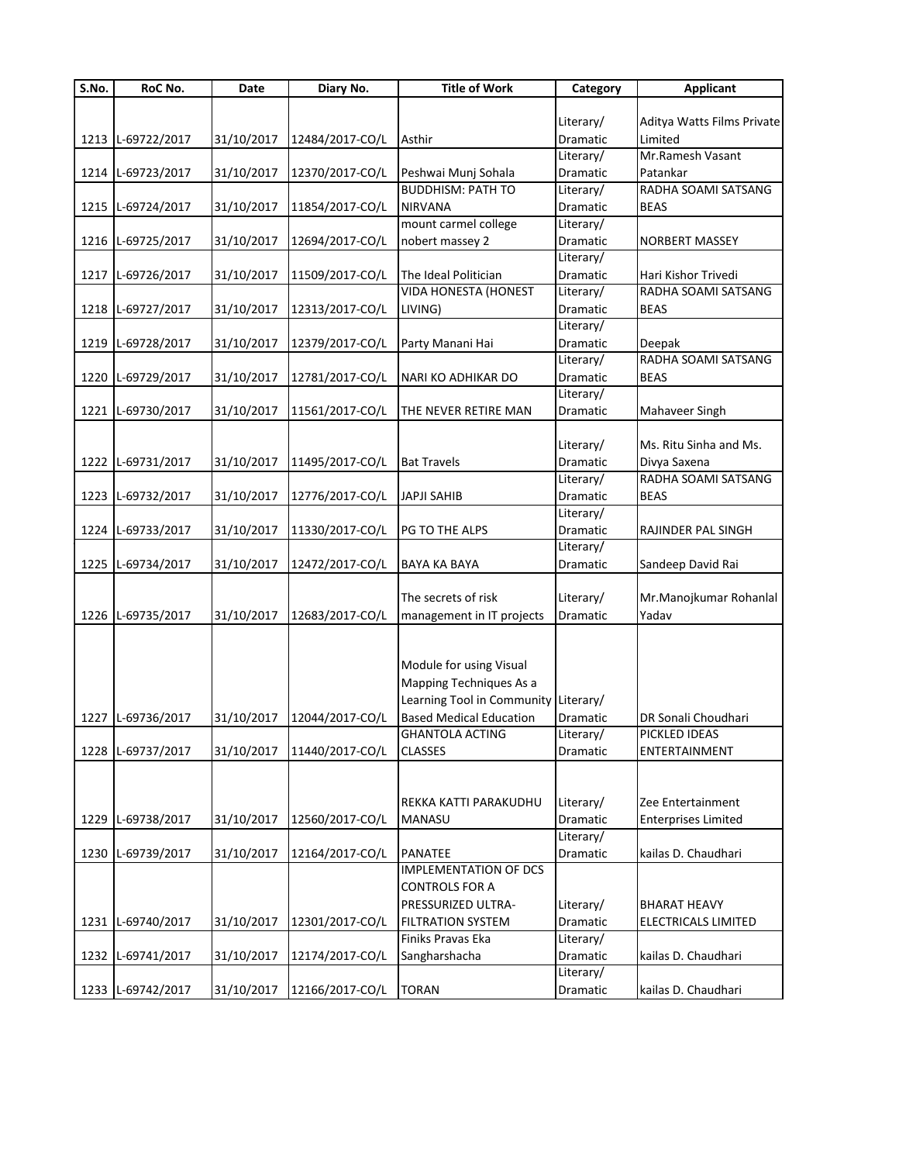| S.No. | RoC No.           | Date       | Diary No.       | <b>Title of Work</b>                 | Category  | <b>Applicant</b>           |
|-------|-------------------|------------|-----------------|--------------------------------------|-----------|----------------------------|
|       |                   |            |                 |                                      |           |                            |
|       |                   |            |                 |                                      | Literary/ | Aditya Watts Films Private |
|       | 1213 L-69722/2017 | 31/10/2017 | 12484/2017-CO/L | Asthir                               | Dramatic  | Limited                    |
|       |                   |            |                 |                                      | Literary/ | Mr.Ramesh Vasant           |
|       | 1214 L-69723/2017 | 31/10/2017 | 12370/2017-CO/L | Peshwai Munj Sohala                  | Dramatic  | Patankar                   |
|       |                   |            |                 | <b>BUDDHISM: PATH TO</b>             | Literary/ | RADHA SOAMI SATSANG        |
|       | 1215 L-69724/2017 | 31/10/2017 | 11854/2017-CO/L | <b>NIRVANA</b>                       | Dramatic  | <b>BEAS</b>                |
|       |                   |            |                 | mount carmel college                 | Literary/ |                            |
|       | 1216 L-69725/2017 | 31/10/2017 | 12694/2017-CO/L | nobert massey 2                      | Dramatic  | <b>NORBERT MASSEY</b>      |
|       |                   |            |                 |                                      | Literary/ |                            |
|       | 1217 L-69726/2017 | 31/10/2017 | 11509/2017-CO/L | The Ideal Politician                 | Dramatic  | Hari Kishor Trivedi        |
|       |                   |            |                 | <b>VIDA HONESTA (HONEST</b>          | Literary/ | RADHA SOAMI SATSANG        |
|       | 1218 L-69727/2017 | 31/10/2017 | 12313/2017-CO/L | LIVING)                              | Dramatic  | <b>BEAS</b>                |
|       |                   |            |                 |                                      | Literary/ |                            |
|       | 1219 L-69728/2017 | 31/10/2017 | 12379/2017-CO/L | Party Manani Hai                     | Dramatic  | Deepak                     |
|       |                   |            |                 |                                      | Literary/ | RADHA SOAMI SATSANG        |
|       | 1220 L-69729/2017 | 31/10/2017 | 12781/2017-CO/L | NARI KO ADHIKAR DO                   | Dramatic  | <b>BEAS</b>                |
|       |                   |            |                 |                                      | Literary/ |                            |
|       | 1221 L-69730/2017 | 31/10/2017 | 11561/2017-CO/L | THE NEVER RETIRE MAN                 | Dramatic  | Mahaveer Singh             |
|       |                   |            |                 |                                      |           |                            |
|       |                   |            |                 |                                      | Literary/ | Ms. Ritu Sinha and Ms.     |
|       | 1222 L-69731/2017 | 31/10/2017 | 11495/2017-CO/L | <b>Bat Travels</b>                   | Dramatic  | Divya Saxena               |
|       |                   |            |                 |                                      | Literary/ | RADHA SOAMI SATSANG        |
|       | 1223 L-69732/2017 | 31/10/2017 | 12776/2017-CO/L | <b>JAPJI SAHIB</b>                   | Dramatic  | <b>BEAS</b>                |
|       |                   |            |                 |                                      | Literary/ |                            |
|       | 1224 L-69733/2017 | 31/10/2017 | 11330/2017-CO/L | PG TO THE ALPS                       | Dramatic  | RAJINDER PAL SINGH         |
|       |                   |            |                 |                                      | Literary/ |                            |
|       | 1225 L-69734/2017 | 31/10/2017 | 12472/2017-CO/L | <b>BAYA KA BAYA</b>                  | Dramatic  | Sandeep David Rai          |
|       |                   |            |                 |                                      |           |                            |
|       |                   |            |                 | The secrets of risk                  | Literary/ | Mr.Manojkumar Rohanlal     |
|       | 1226 L-69735/2017 | 31/10/2017 | 12683/2017-CO/L | management in IT projects            | Dramatic  | Yadav                      |
|       |                   |            |                 |                                      |           |                            |
|       |                   |            |                 | Module for using Visual              |           |                            |
|       |                   |            |                 | Mapping Techniques As a              |           |                            |
|       |                   |            |                 | Learning Tool in Community Literary/ |           |                            |
|       | 1227 L-69736/2017 |            | 12044/2017-CO/L | <b>Based Medical Education</b>       | Dramatic  | DR Sonali Choudhari        |
|       |                   | 31/10/2017 |                 | <b>GHANTOLA ACTING</b>               | Literary/ | PICKLED IDEAS              |
|       | 1228 L-69737/2017 | 31/10/2017 | 11440/2017-CO/L | <b>CLASSES</b>                       | Dramatic  | ENTERTAINMENT              |
|       |                   |            |                 |                                      |           |                            |
|       |                   |            |                 |                                      |           |                            |
|       |                   |            |                 | REKKA KATTI PARAKUDHU                | Literary/ | Zee Entertainment          |
| 1229  | L-69738/2017      | 31/10/2017 | 12560/2017-CO/L | <b>MANASU</b>                        | Dramatic  | <b>Enterprises Limited</b> |
|       |                   |            |                 |                                      | Literary/ |                            |
|       | 1230 L-69739/2017 | 31/10/2017 | 12164/2017-CO/L | <b>PANATEE</b>                       | Dramatic  | kailas D. Chaudhari        |
|       |                   |            |                 | <b>IMPLEMENTATION OF DCS</b>         |           |                            |
|       |                   |            |                 | <b>CONTROLS FOR A</b>                |           |                            |
|       |                   |            |                 | PRESSURIZED ULTRA-                   | Literary/ | <b>BHARAT HEAVY</b>        |
|       | 1231 L-69740/2017 | 31/10/2017 | 12301/2017-CO/L | <b>FILTRATION SYSTEM</b>             | Dramatic  | ELECTRICALS LIMITED        |
|       |                   |            |                 | Finiks Pravas Eka                    | Literary/ |                            |
|       | 1232 L-69741/2017 | 31/10/2017 | 12174/2017-CO/L | Sangharshacha                        | Dramatic  | kailas D. Chaudhari        |
|       |                   |            |                 |                                      | Literary/ |                            |
|       | 1233 L-69742/2017 | 31/10/2017 | 12166/2017-CO/L | <b>TORAN</b>                         | Dramatic  | kailas D. Chaudhari        |
|       |                   |            |                 |                                      |           |                            |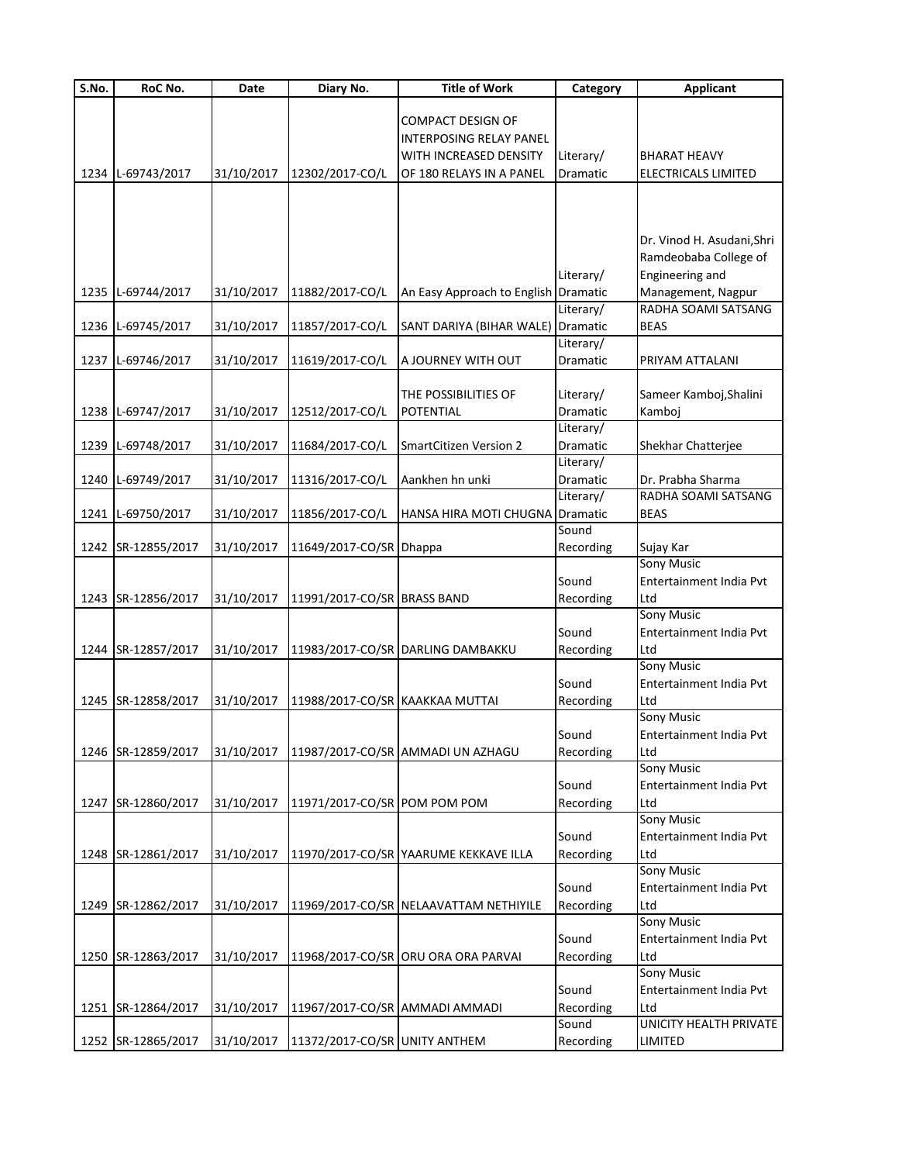| S.No. | RoC No.            | Date       | Diary No.                       | <b>Title of Work</b>                   | Category        | <b>Applicant</b>           |
|-------|--------------------|------------|---------------------------------|----------------------------------------|-----------------|----------------------------|
|       |                    |            |                                 |                                        |                 |                            |
|       |                    |            |                                 | <b>COMPACT DESIGN OF</b>               |                 |                            |
|       |                    |            |                                 | INTERPOSING RELAY PANEL                |                 |                            |
|       |                    |            |                                 | WITH INCREASED DENSITY                 | Literary/       | <b>BHARAT HEAVY</b>        |
|       | 1234 L-69743/2017  | 31/10/2017 | 12302/2017-CO/L                 | OF 180 RELAYS IN A PANEL               | <b>Dramatic</b> | ELECTRICALS LIMITED        |
|       |                    |            |                                 |                                        |                 |                            |
|       |                    |            |                                 |                                        |                 |                            |
|       |                    |            |                                 |                                        |                 |                            |
|       |                    |            |                                 |                                        |                 | Dr. Vinod H. Asudani, Shri |
|       |                    |            |                                 |                                        |                 | Ramdeobaba College of      |
|       |                    |            |                                 |                                        | Literary/       | Engineering and            |
|       | 1235 L-69744/2017  | 31/10/2017 | 11882/2017-CO/L                 | An Easy Approach to English Dramatic   |                 | Management, Nagpur         |
|       |                    |            |                                 |                                        | Literary/       | RADHA SOAMI SATSANG        |
|       | 1236 L-69745/2017  | 31/10/2017 | 11857/2017-CO/L                 | SANT DARIYA (BIHAR WALE) Dramatic      |                 | <b>BEAS</b>                |
|       |                    |            |                                 |                                        | Literary/       |                            |
|       |                    | 31/10/2017 | 11619/2017-CO/L                 | A JOURNEY WITH OUT                     | Dramatic        | PRIYAM ATTALANI            |
|       | 1237 L-69746/2017  |            |                                 |                                        |                 |                            |
|       |                    |            |                                 |                                        |                 |                            |
|       |                    |            |                                 | THE POSSIBILITIES OF                   | Literary/       | Sameer Kamboj, Shalini     |
|       | 1238 L-69747/2017  | 31/10/2017 | 12512/2017-CO/L                 | POTENTIAL                              | <b>Dramatic</b> | Kamboj                     |
|       |                    |            |                                 |                                        | Literary/       |                            |
|       | 1239 L-69748/2017  | 31/10/2017 | 11684/2017-CO/L                 | <b>SmartCitizen Version 2</b>          | Dramatic        | Shekhar Chatterjee         |
|       |                    |            |                                 |                                        | Literary/       |                            |
|       | 1240 L-69749/2017  | 31/10/2017 | 11316/2017-CO/L                 | Aankhen hn unki                        | <b>Dramatic</b> | Dr. Prabha Sharma          |
|       |                    |            |                                 |                                        | Literary/       | RADHA SOAMI SATSANG        |
|       | 1241 L-69750/2017  | 31/10/2017 | 11856/2017-CO/L                 | HANSA HIRA MOTI CHUGNA                 | Dramatic        | <b>BEAS</b>                |
|       |                    |            |                                 |                                        | Sound           |                            |
|       | 1242 SR-12855/2017 | 31/10/2017 | 11649/2017-CO/SR Dhappa         |                                        | Recording       | Sujay Kar                  |
|       |                    |            |                                 |                                        |                 | Sony Music                 |
|       |                    |            |                                 |                                        | Sound           | Entertainment India Pvt    |
|       | 1243 SR-12856/2017 | 31/10/2017 | 11991/2017-CO/SR BRASS BAND     |                                        | Recording       | Ltd                        |
|       |                    |            |                                 |                                        |                 | <b>Sony Music</b>          |
|       |                    |            |                                 |                                        | Sound           | Entertainment India Pvt    |
|       | 1244 SR-12857/2017 | 31/10/2017 |                                 | 11983/2017-CO/SR DARLING DAMBAKKU      | Recording       | Ltd                        |
|       |                    |            |                                 |                                        |                 | <b>Sony Music</b>          |
|       |                    |            |                                 |                                        | Sound           | Entertainment India Pvt    |
|       |                    |            | 11988/2017-CO/SR KAAKKAA MUTTAI |                                        |                 | Ltd                        |
|       | 1245 SR-12858/2017 | 31/10/2017 |                                 |                                        | Recording       | <b>Sony Music</b>          |
|       |                    |            |                                 |                                        |                 |                            |
|       |                    |            |                                 |                                        | Sound           | Entertainment India Pvt    |
|       | 1246 SR-12859/2017 | 31/10/2017 |                                 | 11987/2017-CO/SR AMMADI UN AZHAGU      | Recording       | Ltd                        |
|       |                    |            |                                 |                                        |                 | <b>Sony Music</b>          |
|       |                    |            |                                 |                                        | Sound           | Entertainment India Pvt    |
|       | 1247 SR-12860/2017 | 31/10/2017 | 11971/2017-CO/SR POM POM POM    |                                        | Recording       | Ltd                        |
|       |                    |            |                                 |                                        |                 | <b>Sony Music</b>          |
|       |                    |            |                                 |                                        | Sound           | Entertainment India Pvt    |
|       | 1248 SR-12861/2017 | 31/10/2017 |                                 | 11970/2017-CO/SR YAARUME KEKKAVE ILLA  | Recording       | Ltd                        |
|       |                    |            |                                 |                                        |                 | <b>Sony Music</b>          |
|       |                    |            |                                 |                                        | Sound           | Entertainment India Pvt    |
|       | 1249 SR-12862/2017 | 31/10/2017 |                                 | 11969/2017-CO/SR NELAAVATTAM NETHIYILE | Recording       | Ltd                        |
|       |                    |            |                                 |                                        |                 | <b>Sony Music</b>          |
|       |                    |            |                                 |                                        | Sound           | Entertainment India Pvt    |
|       | 1250 SR-12863/2017 | 31/10/2017 |                                 | 11968/2017-CO/SR ORU ORA ORA PARVAI    | Recording       | Ltd                        |
|       |                    |            |                                 |                                        |                 | <b>Sony Music</b>          |
|       |                    |            |                                 |                                        | Sound           | Entertainment India Pvt    |
|       | 1251 SR-12864/2017 | 31/10/2017 | 11967/2017-CO/SR AMMADI AMMADI  |                                        | Recording       | Ltd                        |
|       |                    |            |                                 |                                        | Sound           | UNICITY HEALTH PRIVATE     |
|       | 1252 SR-12865/2017 | 31/10/2017 | 11372/2017-CO/SR UNITY ANTHEM   |                                        |                 | LIMITED                    |
|       |                    |            |                                 |                                        | Recording       |                            |